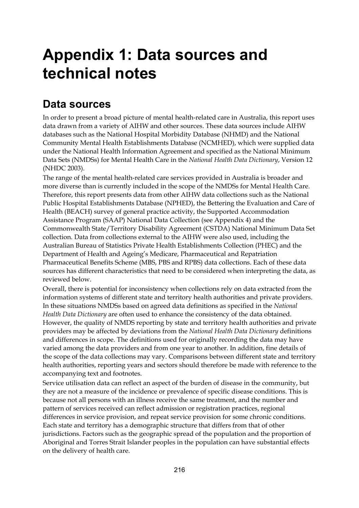## **Appendix 1: Data sources and technical notes**

### **Data sources**

In order to present a broad picture of mental health-related care in Australia, this report uses data drawn from a variety of AIHW and other sources. These data sources include AIHW databases such as the National Hospital Morbidity Database (NHMD) and the National Community Mental Health Establishments Database (NCMHED), which were supplied data under the National Health Information Agreement and specified as the National Minimum Data Sets (NMDSs) for Mental Health Care in the *National Health Data Dictionary*, Version 12 (NHDC 2003).

The range of the mental health-related care services provided in Australia is broader and more diverse than is currently included in the scope of the NMDSs for Mental Health Care. Therefore, this report presents data from other AIHW data collections such as the National Public Hospital Establishments Database (NPHED), the Bettering the Evaluation and Care of Health (BEACH) survey of general practice activity, the Supported Accommodation Assistance Program (SAAP) National Data Collection (see Appendix 4) and the Commonwealth State/Territory Disability Agreement (CSTDA) National Minimum Data Set collection. Data from collections external to the AIHW were also used, including the Australian Bureau of Statistics Private Health Establishments Collection (PHEC) and the Department of Health and Ageing's Medicare, Pharmaceutical and Repatriation Pharmaceutical Benefits Scheme (MBS, PBS and RPBS) data collections. Each of these data sources has different characteristics that need to be considered when interpreting the data, as reviewed below.

Overall, there is potential for inconsistency when collections rely on data extracted from the information systems of different state and territory health authorities and private providers. In these situations NMDSs based on agreed data definitions as specified in the *National Health Data Dictionary* are often used to enhance the consistency of the data obtained. However, the quality of NMDS reporting by state and territory health authorities and private providers may be affected by deviations from the *National Health Data Dictionary* definitions and differences in scope. The definitions used for originally recording the data may have varied among the data providers and from one year to another. In addition, fine details of the scope of the data collections may vary. Comparisons between different state and territory health authorities, reporting years and sectors should therefore be made with reference to the accompanying text and footnotes.

Service utilisation data can reflect an aspect of the burden of disease in the community, but they are not a measure of the incidence or prevalence of specific disease conditions. This is because not all persons with an illness receive the same treatment, and the number and pattern of services received can reflect admission or registration practices, regional differences in service provision, and repeat service provision for some chronic conditions. Each state and territory has a demographic structure that differs from that of other jurisdictions. Factors such as the geographic spread of the population and the proportion of Aboriginal and Torres Strait Islander peoples in the population can have substantial effects on the delivery of health care.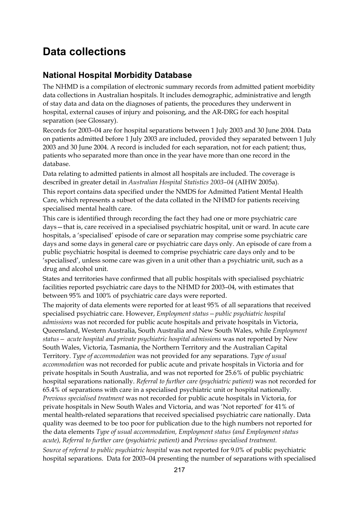### **Data collections**

#### **National Hospital Morbidity Database**

The NHMD is a compilation of electronic summary records from admitted patient morbidity data collections in Australian hospitals. It includes demographic, administrative and length of stay data and data on the diagnoses of patients, the procedures they underwent in hospital, external causes of injury and poisoning, and the AR-DRG for each hospital separation (see Glossary).

Records for 2003–04 are for hospital separations between 1 July 2003 and 30 June 2004. Data on patients admitted before 1 July 2003 are included, provided they separated between 1 July 2003 and 30 June 2004. A record is included for each separation, not for each patient; thus, patients who separated more than once in the year have more than one record in the database.

Data relating to admitted patients in almost all hospitals are included. The coverage is described in greater detail in *Australian Hospital Statistics 2003–04* (AIHW 2005a).

This report contains data specified under the NMDS for Admitted Patient Mental Health Care, which represents a subset of the data collated in the NHMD for patients receiving specialised mental health care.

This care is identified through recording the fact they had one or more psychiatric care days—that is, care received in a specialised psychiatric hospital, unit or ward. In acute care hospitals, a 'specialised' episode of care or separation may comprise some psychiatric care days and some days in general care or psychiatric care days only. An episode of care from a public psychiatric hospital is deemed to comprise psychiatric care days only and to be 'specialised', unless some care was given in a unit other than a psychiatric unit, such as a drug and alcohol unit.

States and territories have confirmed that all public hospitals with specialised psychiatric facilities reported psychiatric care days to the NHMD for 2003–04, with estimates that between 95% and 100% of psychiatric care days were reported.

The majority of data elements were reported for at least 95% of all separations that received specialised psychiatric care. However, *Employment status—public psychiatric hospital admissions* was not recorded for public acute hospitals and private hospitals in Victoria, Queensland, Western Australia, South Australia and New South Wales, while *Employment status— acute hospital and private psychiatric hospital admissions* was not reported by New South Wales, Victoria, Tasmania, the Northern Territory and the Australian Capital Territory. *Type of accommodation* was not provided for any separations. *Type of usual accommodation* was not recorded for public acute and private hospitals in Victoria and for private hospitals in South Australia, and was not reported for 25.6% of public psychiatric hospital separations nationally. *Referral to further care (psychiatric patient)* was not recorded for 65.4% of separations with care in a specialised psychiatric unit or hospital nationally. *Previous specialised treatment* was not recorded for public acute hospitals in Victoria, for private hospitals in New South Wales and Victoria, and was 'Not reported' for 41% of mental health-related separations that received specialised psychiatric care nationally. Data quality was deemed to be too poor for publication due to the high numbers not reported for the data elements *Type of usual accommodation, Employment status (and Employment status acute), Referral to further care (psychiatric patient)* and *Previous specialised treatment.* 

*Source of referral to public psychiatric hospital* was not reported for 9.0% of public psychiatric hospital separations. Data for 2003–04 presenting the number of separations with specialised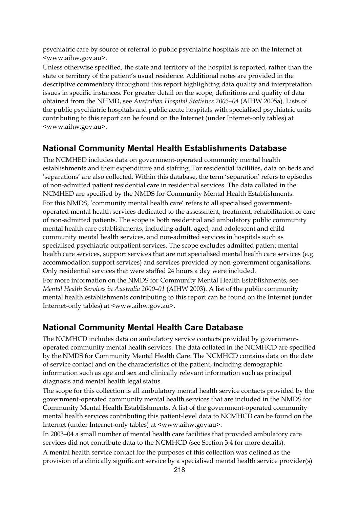psychiatric care by source of referral to public psychiatric hospitals are on the Internet at <www.aihw.gov.au>.

Unless otherwise specified, the state and territory of the hospital is reported, rather than the state or territory of the patient's usual residence. Additional notes are provided in the descriptive commentary throughout this report highlighting data quality and interpretation issues in specific instances. For greater detail on the scope, definitions and quality of data obtained from the NHMD, see *Australian Hospital Statistics 2003–04* (AIHW 2005a). Lists of the public psychiatric hospitals and public acute hospitals with specialised psychiatric units contributing to this report can be found on the Internet (under Internet-only tables) at <www.aihw.gov.au>.

#### **National Community Mental Health Establishments Database**

The NCMHED includes data on government-operated community mental health establishments and their expenditure and staffing. For residential facilities, data on beds and 'separations' are also collected. Within this database, the term 'separation' refers to episodes of non-admitted patient residential care in residential services. The data collated in the NCMHED are specified by the NMDS for Community Mental Health Establishments. For this NMDS, 'community mental health care' refers to all specialised governmentoperated mental health services dedicated to the assessment, treatment, rehabilitation or care of non-admitted patients. The scope is both residential and ambulatory public community mental health care establishments, including adult, aged, and adolescent and child community mental health services, and non-admitted services in hospitals such as specialised psychiatric outpatient services. The scope excludes admitted patient mental health care services, support services that are not specialised mental health care services (e.g. accommodation support services) and services provided by non-government organisations. Only residential services that were staffed 24 hours a day were included.

For more information on the NMDS for Community Mental Health Establishments, see *Mental Health Services in Australia 2000–01* (AIHW 2003). A list of the public community mental health establishments contributing to this report can be found on the Internet (under Internet-only tables) at <www.aihw.gov.au>.

#### **National Community Mental Health Care Database**

The NCMHCD includes data on ambulatory service contacts provided by governmentoperated community mental health services. The data collated in the NCMHCD are specified by the NMDS for Community Mental Health Care. The NCMHCD contains data on the date of service contact and on the characteristics of the patient, including demographic information such as age and sex and clinically relevant information such as principal diagnosis and mental health legal status.

The scope for this collection is all ambulatory mental health service contacts provided by the government-operated community mental health services that are included in the NMDS for Community Mental Health Establishments. A list of the government-operated community mental health services contributing this patient-level data to NCMHCD can be found on the Internet (under Internet-only tables) at <www.aihw.gov.au>.

In 2003–04 a small number of mental health care facilities that provided ambulatory care services did not contribute data to the NCMHCD (see Section 3.4 for more details). A mental health service contact for the purposes of this collection was defined as the provision of a clinically significant service by a specialised mental health service provider(s)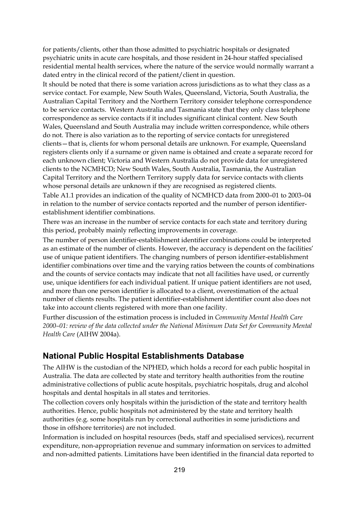for patients/clients, other than those admitted to psychiatric hospitals or designated psychiatric units in acute care hospitals, and those resident in 24-hour staffed specialised residential mental health services, where the nature of the service would normally warrant a dated entry in the clinical record of the patient/client in question.

It should be noted that there is some variation across jurisdictions as to what they class as a service contact. For example, New South Wales, Queensland, Victoria, South Australia, the Australian Capital Territory and the Northern Territory consider telephone correspondence to be service contacts. Western Australia and Tasmania state that they only class telephone correspondence as service contacts if it includes significant clinical content. New South Wales, Queensland and South Australia may include written correspondence, while others do not. There is also variation as to the reporting of service contacts for unregistered clients—that is, clients for whom personal details are unknown. For example, Queensland registers clients only if a surname or given name is obtained and create a separate record for each unknown client; Victoria and Western Australia do not provide data for unregistered clients to the NCMHCD; New South Wales, South Australia, Tasmania, the Australian Capital Territory and the Northern Territory supply data for service contacts with clients whose personal details are unknown if they are recognised as registered clients.

Table A1.1 provides an indication of the quality of NCMHCD data from 2000–01 to 2003–04 in relation to the number of service contacts reported and the number of person identifierestablishment identifier combinations.

There was an increase in the number of service contacts for each state and territory during this period, probably mainly reflecting improvements in coverage.

The number of person identifier-establishment identifier combinations could be interpreted as an estimate of the number of clients. However, the accuracy is dependent on the facilities' use of unique patient identifiers. The changing numbers of person identifier-establishment identifier combinations over time and the varying ratios between the counts of combinations and the counts of service contacts may indicate that not all facilities have used, or currently use, unique identifiers for each individual patient. If unique patient identifiers are not used, and more than one person identifier is allocated to a client, overestimation of the actual number of clients results. The patient identifier-establishment identifier count also does not take into account clients registered with more than one facility.

Further discussion of the estimation process is included in *Community Mental Health Care 2000–01: review of the data collected under the National Minimum Data Set for Community Mental Health Care* (AIHW 2004a).

#### **National Public Hospital Establishments Database**

The AIHW is the custodian of the NPHED, which holds a record for each public hospital in Australia. The data are collected by state and territory health authorities from the routine administrative collections of public acute hospitals, psychiatric hospitals, drug and alcohol hospitals and dental hospitals in all states and territories.

The collection covers only hospitals within the jurisdiction of the state and territory health authorities. Hence, public hospitals not administered by the state and territory health authorities (e.g. some hospitals run by correctional authorities in some jurisdictions and those in offshore territories) are not included.

Information is included on hospital resources (beds, staff and specialised services), recurrent expenditure, non-appropriation revenue and summary information on services to admitted and non-admitted patients. Limitations have been identified in the financial data reported to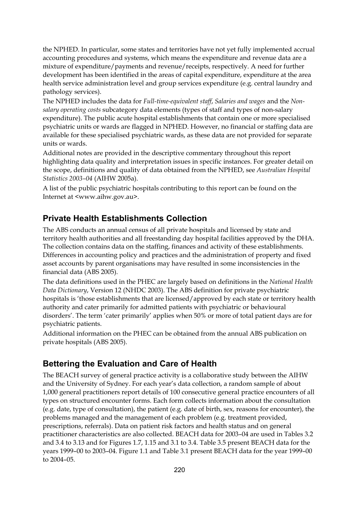the NPHED. In particular, some states and territories have not yet fully implemented accrual accounting procedures and systems, which means the expenditure and revenue data are a mixture of expenditure/payments and revenue/receipts, respectively. A need for further development has been identified in the areas of capital expenditure, expenditure at the area health service administration level and group services expenditure (e.g. central laundry and pathology services).

The NPHED includes the data for *Full-time-equivalent staff*, *Salaries and wages* and the *Nonsalary operating costs* subcategory data elements (types of staff and types of non-salary expenditure). The public acute hospital establishments that contain one or more specialised psychiatric units or wards are flagged in NPHED. However, no financial or staffing data are available for these specialised psychiatric wards, as these data are not provided for separate units or wards.

Additional notes are provided in the descriptive commentary throughout this report highlighting data quality and interpretation issues in specific instances. For greater detail on the scope, definitions and quality of data obtained from the NPHED, see *Australian Hospital Statistics 2003–04* (AIHW 2005a).

A list of the public psychiatric hospitals contributing to this report can be found on the Internet at <www.aihw.gov.au>.

#### **Private Health Establishments Collection**

The ABS conducts an annual census of all private hospitals and licensed by state and territory health authorities and all freestanding day hospital facilities approved by the DHA. The collection contains data on the staffing, finances and activity of these establishments. Differences in accounting policy and practices and the administration of property and fixed asset accounts by parent organisations may have resulted in some inconsistencies in the financial data (ABS 2005).

The data definitions used in the PHEC are largely based on definitions in the *National Health Data Dictionary*, Version 12 (NHDC 2003). The ABS definition for private psychiatric hospitals is 'those establishments that are licensed/approved by each state or territory health authority and cater primarily for admitted patients with psychiatric or behavioural disorders'. The term 'cater primarily' applies when 50% or more of total patient days are for psychiatric patients.

Additional information on the PHEC can be obtained from the annual ABS publication on private hospitals (ABS 2005).

#### **Bettering the Evaluation and Care of Health**

The BEACH survey of general practice activity is a collaborative study between the AIHW and the University of Sydney. For each year's data collection, a random sample of about 1,000 general practitioners report details of 100 consecutive general practice encounters of all types on structured encounter forms. Each form collects information about the consultation (e.g. date, type of consultation), the patient (e.g. date of birth, sex, reasons for encounter), the problems managed and the management of each problem (e.g. treatment provided, prescriptions, referrals). Data on patient risk factors and health status and on general practitioner characteristics are also collected. BEACH data for 2003–04 are used in Tables 3.2 and 3.4 to 3.13 and for Figures 1.7, 1.15 and 3.1 to 3.4. Table 3.5 present BEACH data for the years 1999–00 to 2003–04. Figure 1.1 and Table 3.1 present BEACH data for the year 1999–00 to 2004–05.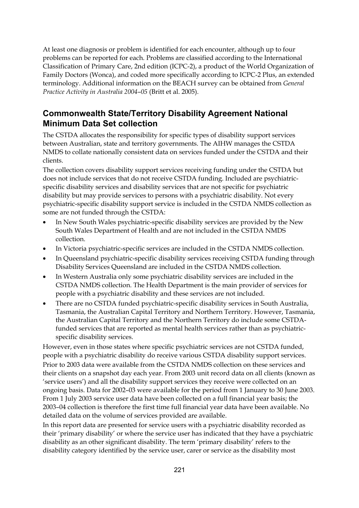At least one diagnosis or problem is identified for each encounter, although up to four problems can be reported for each. Problems are classified according to the International Classification of Primary Care, 2nd edition (ICPC-2), a product of the World Organization of Family Doctors (Wonca), and coded more specifically according to ICPC-2 Plus, an extended terminology. Additional information on the BEACH survey can be obtained from *General Practice Activity in Australia 2004*–*05* (Britt et al. 2005).

#### **Commonwealth State/Territory Disability Agreement National Minimum Data Set collection**

The CSTDA allocates the responsibility for specific types of disability support services between Australian, state and territory governments. The AIHW manages the CSTDA NMDS to collate nationally consistent data on services funded under the CSTDA and their clients.

The collection covers disability support services receiving funding under the CSTDA but does not include services that do not receive CSTDA funding. Included are psychiatricspecific disability services and disability services that are not specific for psychiatric disability but may provide services to persons with a psychiatric disability. Not every psychiatric-specific disability support service is included in the CSTDA NMDS collection as some are not funded through the CSTDA:

- In New South Wales psychiatric-specific disability services are provided by the New South Wales Department of Health and are not included in the CSTDA NMDS collection.
- In Victoria psychiatric-specific services are included in the CSTDA NMDS collection.
- In Queensland psychiatric-specific disability services receiving CSTDA funding through Disability Services Queensland are included in the CSTDA NMDS collection.
- In Western Australia only some psychiatric disability services are included in the CSTDA NMDS collection. The Health Department is the main provider of services for people with a psychiatric disability and these services are not included.
- There are no CSTDA funded psychiatric-specific disability services in South Australia, Tasmania, the Australian Capital Territory and Northern Territory. However, Tasmania, the Australian Capital Territory and the Northern Territory do include some CSTDAfunded services that are reported as mental health services rather than as psychiatricspecific disability services.

However, even in those states where specific psychiatric services are not CSTDA funded, people with a psychiatric disability do receive various CSTDA disability support services. Prior to 2003 data were available from the CSTDA NMDS collection on these services and their clients on a snapshot day each year. From 2003 unit record data on all clients (known as 'service users') and all the disability support services they receive were collected on an ongoing basis. Data for 2002–03 were available for the period from 1 January to 30 June 2003. From 1 July 2003 service user data have been collected on a full financial year basis; the 2003–04 collection is therefore the first time full financial year data have been available. No detailed data on the volume of services provided are available.

In this report data are presented for service users with a psychiatric disability recorded as their 'primary disability' or where the service user has indicated that they have a psychiatric disability as an other significant disability. The term 'primary disability' refers to the disability category identified by the service user, carer or service as the disability most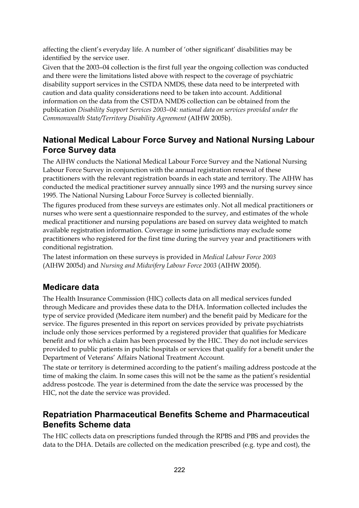affecting the client's everyday life. A number of 'other significant' disabilities may be identified by the service user.

Given that the 2003–04 collection is the first full year the ongoing collection was conducted and there were the limitations listed above with respect to the coverage of psychiatric disability support services in the CSTDA NMDS, these data need to be interpreted with caution and data quality considerations need to be taken into account. Additional information on the data from the CSTDA NMDS collection can be obtained from the publication *Disability Support Services 2003–04: national data on services provided under the Commonwealth State/Territory Disability Agreement* (AIHW 2005b).

### **National Medical Labour Force Survey and National Nursing Labour Force Survey data**

The AIHW conducts the National Medical Labour Force Survey and the National Nursing Labour Force Survey in conjunction with the annual registration renewal of these practitioners with the relevant registration boards in each state and territory. The AIHW has conducted the medical practitioner survey annually since 1993 and the nursing survey since 1995. The National Nursing Labour Force Survey is collected biennially.

The figures produced from these surveys are estimates only. Not all medical practitioners or nurses who were sent a questionnaire responded to the survey, and estimates of the whole medical practitioner and nursing populations are based on survey data weighted to match available registration information. Coverage in some jurisdictions may exclude some practitioners who registered for the first time during the survey year and practitioners with conditional registration.

The latest information on these surveys is provided in *Medical Labour Force 2003*  (AIHW 2005d) and *Nursing and Midwifery Labour Force 2003* (AIHW 2005f).

### **Medicare data**

The Health Insurance Commission (HIC) collects data on all medical services funded through Medicare and provides these data to the DHA. Information collected includes the type of service provided (Medicare item number) and the benefit paid by Medicare for the service. The figures presented in this report on services provided by private psychiatrists include only those services performed by a registered provider that qualifies for Medicare benefit and for which a claim has been processed by the HIC. They do not include services provided to public patients in public hospitals or services that qualify for a benefit under the Department of Veterans' Affairs National Treatment Account.

The state or territory is determined according to the patient's mailing address postcode at the time of making the claim. In some cases this will not be the same as the patient's residential address postcode. The year is determined from the date the service was processed by the HIC, not the date the service was provided.

### **Repatriation Pharmaceutical Benefits Scheme and Pharmaceutical Benefits Scheme data**

The HIC collects data on prescriptions funded through the RPBS and PBS and provides the data to the DHA. Details are collected on the medication prescribed (e.g. type and cost), the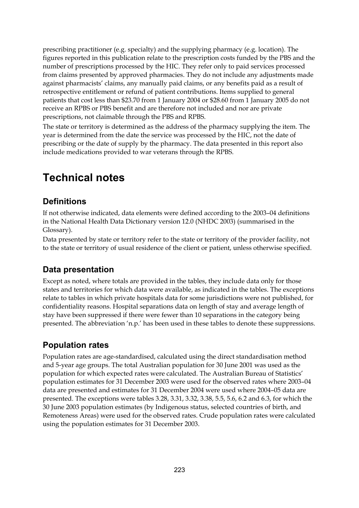prescribing practitioner (e.g. specialty) and the supplying pharmacy (e.g. location). The figures reported in this publication relate to the prescription costs funded by the PBS and the number of prescriptions processed by the HIC. They refer only to paid services processed from claims presented by approved pharmacies. They do not include any adjustments made against pharmacists' claims, any manually paid claims, or any benefits paid as a result of retrospective entitlement or refund of patient contributions. Items supplied to general patients that cost less than \$23.70 from 1 January 2004 or \$28.60 from 1 January 2005 do not receive an RPBS or PBS benefit and are therefore not included and nor are private prescriptions, not claimable through the PBS and RPBS.

The state or territory is determined as the address of the pharmacy supplying the item. The year is determined from the date the service was processed by the HIC, not the date of prescribing or the date of supply by the pharmacy. The data presented in this report also include medications provided to war veterans through the RPBS.

### **Technical notes**

#### **Definitions**

If not otherwise indicated, data elements were defined according to the 2003–04 definitions in the National Health Data Dictionary version 12.0 (NHDC 2003) (summarised in the Glossary).

Data presented by state or territory refer to the state or territory of the provider facility, not to the state or territory of usual residence of the client or patient, unless otherwise specified.

### **Data presentation**

Except as noted, where totals are provided in the tables, they include data only for those states and territories for which data were available, as indicated in the tables. The exceptions relate to tables in which private hospitals data for some jurisdictions were not published, for confidentiality reasons. Hospital separations data on length of stay and average length of stay have been suppressed if there were fewer than 10 separations in the category being presented. The abbreviation 'n.p.' has been used in these tables to denote these suppressions.

### **Population rates**

Population rates are age-standardised, calculated using the direct standardisation method and 5-year age groups. The total Australian population for 30 June 2001 was used as the population for which expected rates were calculated. The Australian Bureau of Statistics' population estimates for 31 December 2003 were used for the observed rates where 2003–04 data are presented and estimates for 31 December 2004 were used where 2004–05 data are presented. The exceptions were tables 3.28, 3.31, 3.32, 3.38, 5.5, 5.6, 6.2 and 6.3, for which the 30 June 2003 population estimates (by Indigenous status, selected countries of birth, and Remoteness Areas) were used for the observed rates. Crude population rates were calculated using the population estimates for 31 December 2003.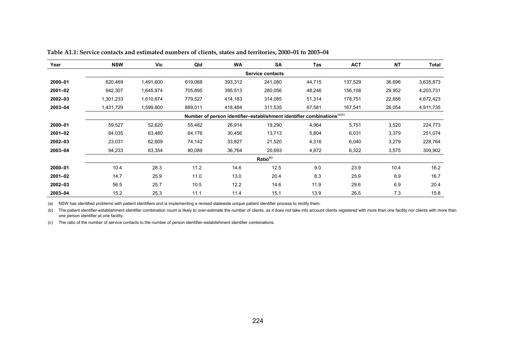| Year        | <b>NSW</b>                                                                          | <b>Vic</b> | Qld     | <b>WA</b> | <b>SA</b>            | Tas    | <b>ACT</b> | <b>NT</b> | <b>Total</b> |  |  |
|-------------|-------------------------------------------------------------------------------------|------------|---------|-----------|----------------------|--------|------------|-----------|--------------|--|--|
|             |                                                                                     |            |         |           | Service contacts     |        |            |           |              |  |  |
| 2000-01     | 620,469                                                                             | 1,491,600  | 619,068 | 393,312   | 241,080              | 44,715 | 137,529    | 36,696    | 3,635,873    |  |  |
| 2001-02     | 942,307                                                                             | 1,645,974  | 705,895 | 395,513   | 280,056              | 48,246 | 156,108    | 29,952    | 4,203,731    |  |  |
| 2002-03     | 1,301,233                                                                           | 1,610,674  | 779,527 | 414,183   | 314,085              | 51,314 | 178,751    | 22,656    | 4,672,423    |  |  |
| 2003-04     | 1,431,729                                                                           | 1,599,800  | 889,011 | 418,484   | 311,535              | 67,581 | 167,541    | 26,054    | 4,911,735    |  |  |
|             | Number of person identifier-establishment identifier combinations <sup>(a)(b)</sup> |            |         |           |                      |        |            |           |              |  |  |
| 2000-01     | 59,527                                                                              | 52,620     | 55,482  | 26,914    | 19,290               | 4,964  | 5,751      | 3,520     | 224,773      |  |  |
| $2001 - 02$ | 64,035                                                                              | 63,480     | 64,176  | 30,456    | 13,713               | 5,804  | 6,031      | 3,379     | 251,074      |  |  |
| 2002-03     | 23,031                                                                              | 62,609     | 74,142  | 33,827    | 21,520               | 4,316  | 6,040      | 3,279     | 228,764      |  |  |
| 2003-04     | 94,233                                                                              | 63,354     | 80,089  | 36,764    | 20,693               | 4,872  | 6,322      | 3,575     | 309,902      |  |  |
|             |                                                                                     |            |         |           | Ratio <sup>(c)</sup> |        |            |           |              |  |  |
| 2000-01     | 10.4                                                                                | 28.3       | 11.2    | 14.6      | 12.5                 | 9.0    | 23.9       | 10.4      | 16.2         |  |  |
| $2001 - 02$ | 14.7                                                                                | 25.9       | 11.0    | 13.0      | 20.4                 | 8.3    | 25.9       | 8.9       | 16.7         |  |  |
| 2002-03     | 56.5                                                                                | 25.7       | 10.5    | 12.2      | 14.6                 | 11.9   | 29.6       | 6.9       | 20.4         |  |  |
| 2003-04     | 15.2                                                                                | 25.3       | 11.1    | 11.4      | 15.1                 | 13.9   | 26.5       | 7.3       | 15.8         |  |  |

**Table A1.1: Service contacts and estimated numbers of clients, states and territories, 2000–01 to 2003–04** 

(a) NSW has identified problems with patient identifiers and is implementing a revised statewide unique patient identifier process to rectify them.

(b) The patient identifier-establishment identifier combination count is likely to over-estimate the number of clients, as it does not take into account clients registered with more than one facility nor clients with more one person identifier at one facility.

(c) The ratio of the number of service contacts to the number of person identifier**–**establishment identifier combinations.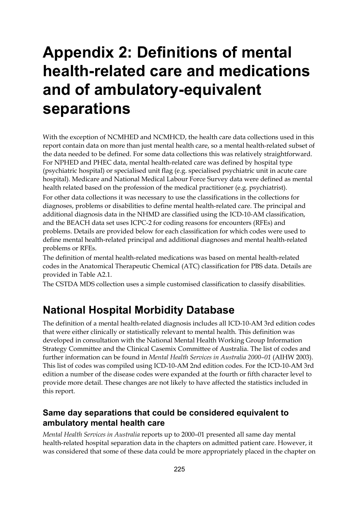## **Appendix 2: Definitions of mental health-related care and medications and of ambulatory-equivalent separations**

With the exception of NCMHED and NCMHCD, the health care data collections used in this report contain data on more than just mental health care, so a mental health-related subset of the data needed to be defined. For some data collections this was relatively straightforward. For NPHED and PHEC data, mental health-related care was defined by hospital type (psychiatric hospital) or specialised unit flag (e.g. specialised psychiatric unit in acute care hospital). Medicare and National Medical Labour Force Survey data were defined as mental health related based on the profession of the medical practitioner (e.g. psychiatrist).

For other data collections it was necessary to use the classifications in the collections for diagnoses, problems or disabilities to define mental health-related care. The principal and additional diagnosis data in the NHMD are classified using the ICD-10-AM classification, and the BEACH data set uses ICPC-2 for coding reasons for encounters (RFEs) and problems. Details are provided below for each classification for which codes were used to define mental health-related principal and additional diagnoses and mental health-related problems or RFEs.

The definition of mental health-related medications was based on mental health-related codes in the Anatomical Therapeutic Chemical (ATC) classification for PBS data. Details are provided in Table A2.1.

The CSTDA MDS collection uses a simple customised classification to classify disabilities.

### **National Hospital Morbidity Database**

The definition of a mental health-related diagnosis includes all ICD-10-AM 3rd edition codes that were either clinically or statistically relevant to mental health. This definition was developed in consultation with the National Mental Health Working Group Information Strategy Committee and the Clinical Casemix Committee of Australia. The list of codes and further information can be found in *Mental Health Services in Australia 2000–01* (AIHW 2003). This list of codes was compiled using ICD-10-AM 2nd edition codes. For the ICD-10-AM 3rd edition a number of the disease codes were expanded at the fourth or fifth character level to provide more detail. These changes are not likely to have affected the statistics included in this report.

#### **Same day separations that could be considered equivalent to ambulatory mental health care**

*Mental Health Services in Australia* reports up to 2000–01 presented all same day mental health-related hospital separation data in the chapters on admitted patient care. However, it was considered that some of these data could be more appropriately placed in the chapter on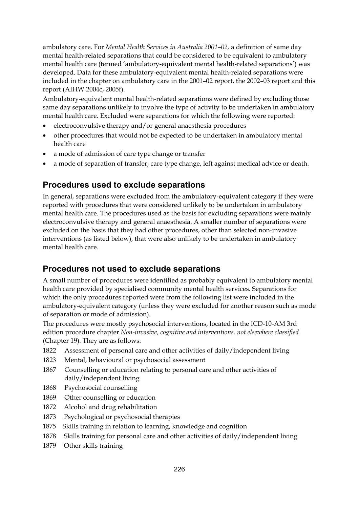ambulatory care. For *Mental Health Services in Australia 2001–02,* a definition of same day mental health-related separations that could be considered to be equivalent to ambulatory mental health care (termed 'ambulatory-equivalent mental health-related separations') was developed. Data for these ambulatory-equivalent mental health-related separations were included in the chapter on ambulatory care in the 2001–02 report, the 2002–03 report and this report (AIHW 2004c, 2005f).

Ambulatory-equivalent mental health-related separations were defined by excluding those same day separations unlikely to involve the type of activity to be undertaken in ambulatory mental health care. Excluded were separations for which the following were reported:

- electroconvulsive therapy and/or general anaesthesia procedures
- other procedures that would not be expected to be undertaken in ambulatory mental health care
- a mode of admission of care type change or transfer
- a mode of separation of transfer, care type change, left against medical advice or death.

#### **Procedures used to exclude separations**

In general, separations were excluded from the ambulatory-equivalent category if they were reported with procedures that were considered unlikely to be undertaken in ambulatory mental health care. The procedures used as the basis for excluding separations were mainly electroconvulsive therapy and general anaesthesia. A smaller number of separations were excluded on the basis that they had other procedures, other than selected non-invasive interventions (as listed below), that were also unlikely to be undertaken in ambulatory mental health care.

#### **Procedures not used to exclude separations**

A small number of procedures were identified as probably equivalent to ambulatory mental health care provided by specialised community mental health services. Separations for which the only procedures reported were from the following list were included in the ambulatory-equivalent category (unless they were excluded for another reason such as mode of separation or mode of admission).

The procedures were mostly psychosocial interventions, located in the ICD-10-AM 3rd edition procedure chapter *Non-invasive, cognitive and interventions, not elsewhere classified* (Chapter 19). They are as follows:

- 1822 Assessment of personal care and other activities of daily/independent living
- 1823 Mental, behavioural or psychosocial assessment
- 1867 Counselling or education relating to personal care and other activities of daily/independent living
- 1868 Psychosocial counselling
- 1869 Other counselling or education
- 1872 Alcohol and drug rehabilitation
- 1873 Psychological or psychosocial therapies
- 1875 Skills training in relation to learning, knowledge and cognition
- 1878 Skills training for personal care and other activities of daily/independent living
- 1879 Other skills training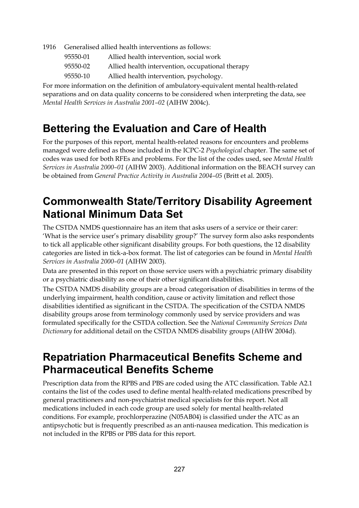1916 Generalised allied health interventions as follows:

- 95550-01 Allied health intervention, social work
- 95550-02 Allied health intervention, occupational therapy
- 95550-10 Allied health intervention, psychology.

For more information on the definition of ambulatory-equivalent mental health-related separations and on data quality concerns to be considered when interpreting the data, see *Mental Health Services in Australia 2001–02* (AIHW 2004c).

### **Bettering the Evaluation and Care of Health**

For the purposes of this report, mental health-related reasons for encounters and problems managed were defined as those included in the ICPC-2 *Psychological* chapter. The same set of codes was used for both RFEs and problems. For the list of the codes used, see *Mental Health Services in Australia 2000–01* (AIHW 2003). Additional information on the BEACH survey can be obtained from *General Practice Activity in Australia 2004–05* (Britt et al. 2005).

### **Commonwealth State/Territory Disability Agreement National Minimum Data Set**

The CSTDA NMDS questionnaire has an item that asks users of a service or their carer: 'What is the service user's primary disability group?' The survey form also asks respondents to tick all applicable other significant disability groups. For both questions, the 12 disability categories are listed in tick-a-box format. The list of categories can be found in *Mental Health Services in Australia 2000–01* (AIHW 2003).

Data are presented in this report on those service users with a psychiatric primary disability or a psychiatric disability as one of their other significant disabilities.

The CSTDA NMDS disability groups are a broad categorisation of disabilities in terms of the underlying impairment, health condition, cause or activity limitation and reflect those disabilities identified as significant in the CSTDA. The specification of the CSTDA NMDS disability groups arose from terminology commonly used by service providers and was formulated specifically for the CSTDA collection. See the *National Community Services Data Dictionary* for additional detail on the CSTDA NMDS disability groups (AIHW 2004d).

### **Repatriation Pharmaceutical Benefits Scheme and Pharmaceutical Benefits Scheme**

Prescription data from the RPBS and PBS are coded using the ATC classification. Table A2.1 contains the list of the codes used to define mental health-related medications prescribed by general practitioners and non-psychiatrist medical specialists for this report. Not all medications included in each code group are used solely for mental health-related conditions. For example, prochlorperazine (N05AB04) is classified under the ATC as an antipsychotic but is frequently prescribed as an anti-nausea medication. This medication is not included in the RPBS or PBS data for this report.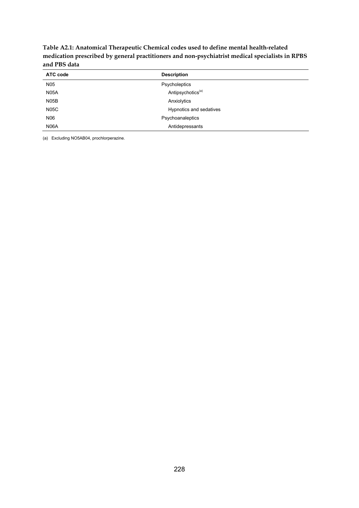**Table A2.1: Anatomical Therapeutic Chemical codes used to define mental health-related medication prescribed by general practitioners and non-psychiatrist medical specialists in RPBS and PBS data** 

| ATC code          | <b>Description</b>            |
|-------------------|-------------------------------|
| N <sub>05</sub>   | Psycholeptics                 |
| <b>N05A</b>       | Antipsychotics <sup>(a)</sup> |
| N <sub>05</sub> B | Anxiolytics                   |
| <b>N05C</b>       | Hypnotics and sedatives       |
| N06               | Psychoanaleptics              |
| <b>N06A</b>       | Antidepressants               |

(a) Excluding NO5AB04, prochlorperazine.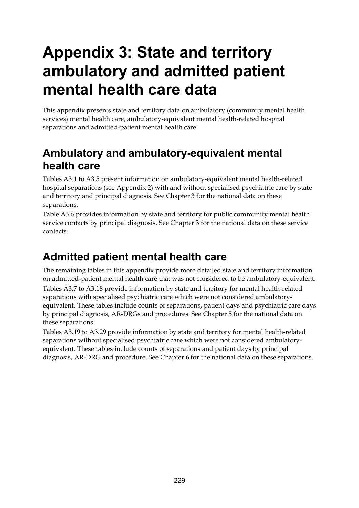# **Appendix 3: State and territory ambulatory and admitted patient mental health care data**

This appendix presents state and territory data on ambulatory (community mental health services) mental health care, ambulatory-equivalent mental health-related hospital separations and admitted-patient mental health care.

### **Ambulatory and ambulatory-equivalent mental health care**

Tables A3.1 to A3.5 present information on ambulatory-equivalent mental health-related hospital separations (see Appendix 2) with and without specialised psychiatric care by state and territory and principal diagnosis. See Chapter 3 for the national data on these separations.

Table A3.6 provides information by state and territory for public community mental health service contacts by principal diagnosis. See Chapter 3 for the national data on these service contacts.

## **Admitted patient mental health care**

The remaining tables in this appendix provide more detailed state and territory information on admitted-patient mental health care that was not considered to be ambulatory-equivalent. Tables A3.7 to A3.18 provide information by state and territory for mental health-related separations with specialised psychiatric care which were not considered ambulatoryequivalent. These tables include counts of separations, patient days and psychiatric care days by principal diagnosis, AR-DRGs and procedures. See Chapter 5 for the national data on these separations.

Tables A3.19 to A3.29 provide information by state and territory for mental health-related separations without specialised psychiatric care which were not considered ambulatoryequivalent. These tables include counts of separations and patient days by principal diagnosis, AR-DRG and procedure. See Chapter 6 for the national data on these separations.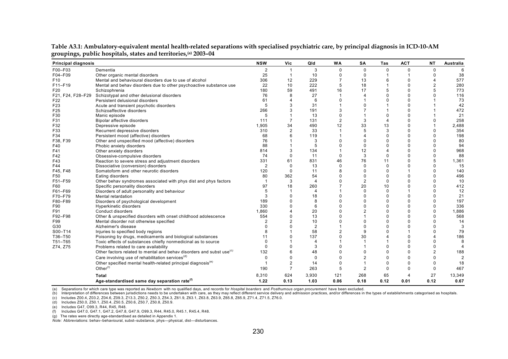| <b>Principal diagnosis</b> |                                                                                  | <b>NSW</b> | Vic            | Qld                   | <b>WA</b>      | SA             | Tas            | <b>ACT</b>  | <b>NT</b>        | Australia      |
|----------------------------|----------------------------------------------------------------------------------|------------|----------------|-----------------------|----------------|----------------|----------------|-------------|------------------|----------------|
| F00-F03                    | Dementia                                                                         | 2          | 1              | 3                     | $\Omega$       | $\mathbf 0$    | $\mathbf 0$    | $\mathbf 0$ | $\mathbf 0$      | 6              |
| F04-F09                    | Other organic mental disorders                                                   | 25         | -1             | 10                    | $\Omega$       | 0              |                | 1           | $\Omega$         | 38             |
| F <sub>10</sub>            | Mental and behavioural disorders due to use of alcohol                           | 306        | 12             | 229                   | $\overline{7}$ | 13             | 6              | $\Omega$    | $\boldsymbol{4}$ | 577            |
| F11-F19                    | Mental and behav disorders due to other psychoactive substance use               | 22         | 10             | 222                   | 5              | 18             |                | $\Omega$    | $\overline{2}$   | 280            |
| F20                        | Schizophrenia                                                                    | 180        | 59             | 491                   | 16             | 17             | 5              | $\Omega$    |                  | 773            |
| F21, F24, F28-F29          | Schizotypal and other delusional disorders                                       | 76         | 8              | 27                    |                | 4              | $\Omega$       | $\Omega$    | $\Omega$         | 116            |
| F <sub>22</sub>            | Persistent delusional disorders                                                  | 61         |                | 6                     | $\Omega$       |                | $\Omega$       | $\Omega$    |                  | 73             |
| F23                        | Acute and transient psychotic disorders                                          |            |                | 31                    |                | $\Omega$       |                | $\Omega$    |                  | 42             |
| F25                        | Schizoaffective disorders                                                        | 266        |                | 191                   | 3              | $\overline{7}$ |                | $\Omega$    |                  | 472            |
| F30                        | Manic episode                                                                    | 5          |                | 13                    | $\mathbf 0$    |                | $\Omega$       | $\Omega$    |                  | 21             |
| F31                        | Bipolar affective disorders                                                      | 111        | $\overline{7}$ | 131                   | $\overline{2}$ | 3              | $\overline{4}$ | $\Omega$    | $\Omega$         | 258            |
| F32                        | Depressive episode                                                               | 1,905      | 34             | 490                   | 12             | 33             | 13             | O           |                  | 2,488          |
| F33                        | Recurrent depressive disorders                                                   | 310        | $\overline{2}$ | 33                    |                | 5              | 3              | $\Omega$    |                  | 354            |
| F34                        | Persistent mood (affective) disorders                                            | 68         |                | 119                   |                | $\overline{4}$ | $\mathbf 0$    | $\Omega$    | $\Omega$         | 198            |
| F38, F39                   | Other and unspecified mood (affective) disorders                                 | 76         |                | 3                     | $\Omega$       | $\Omega$       | $\Omega$       | $\Omega$    | $\Omega$         | 80             |
| F40                        | Phobic anxiety disorders                                                         | 88         |                | 5                     | $\Omega$       | $\Omega$       | $\Omega$       | $\Omega$    | $\Omega$         | 94             |
| F41                        | Other anxiety disorders                                                          | 814        |                | 134                   |                | 12             | $\overline{4}$ | $\Omega$    | $\Omega$         | 968            |
| F42                        | Obsessive-compulsive disorders                                                   | 74         | $\Omega$       | 11                    | $\mathbf 0$    | 3              | $\mathbf 0$    | $\Omega$    | $\Omega$         | 88             |
| F43                        | Reaction to severe stress and adjustment disorders                               | 331        | 61             | 831                   | 46             | 76             | 11             | $\Omega$    | 5                | 1,361          |
| F44                        | Dissociative (conversion) disorders                                              | 2          | $\Omega$       | 13                    | $\Omega$       | $\mathbf 0$    | $\mathbf 0$    | 0           | $\Omega$         | 15             |
| F45, F48                   | Somatoform and other neurotic disorders                                          | 120        | $\Omega$       | 11                    | 8              | $\Omega$       | $\Omega$       |             | $\Omega$         | 140            |
| F50                        | Eating disorders                                                                 | 80         | 362            | 54                    | $\Omega$       | $\mathbf 0$    | $\mathbf 0$    | $\Omega$    | $\Omega$         | 496            |
| F51-F59                    | Other behav syndromes associated with phys dist and phys factors                 |            | 3              | $\overline{4}$        | $\Omega$       | $\overline{2}$ | $\mathbf 0$    | $\Omega$    | $\Omega$         | 10             |
| F60                        | Specific personality disorders                                                   | 97         | 18             | 260                   |                | 20             | 10             | $\Omega$    | $\Omega$         | 412            |
| F61-F69                    | Disorders of adult personality and behaviour                                     |            |                | $\boldsymbol{\Delta}$ |                | 0              | $\mathbf 0$    |             | $\Omega$         | 12             |
| F70-F79                    | Mental retardation                                                               |            |                | 18                    | $\Omega$       | $\Omega$       | $\Omega$       | $\Omega$    | $\Omega$         | 21             |
| F80-F89                    | Disorders of psychological development                                           | 189        |                | 8                     | $\Omega$       | $\Omega$       | $\Omega$       | $\Omega$    | $\Omega$         | 197            |
| F90                        | Hyperkinetic disorders                                                           | 330        |                | 6                     | $\Omega$       | $\Omega$       | $\mathbf 0$    | $\Omega$    | $\Omega$         | 336            |
| F91                        | Conduct disorders                                                                | 1.860      |                | 20                    | $\Omega$       | $\overline{2}$ | $\Omega$       | O           | $\Omega$         | 1,886          |
| F92-F98                    | Other & unspecified disorders with onset childhood adolescence                   | 554        |                | 13                    | $\Omega$       |                | $\Omega$       | $\Omega$    | $\Omega$         | 568            |
| F99                        | Mental disorder not otherwise specified                                          |            |                | 10                    | $\Omega$       | $\Omega$       | $\Omega$       | O           | $\Omega$         | 14             |
| G30                        | Alzheimer's disease                                                              |            |                | $\overline{2}$        |                | $\Omega$       | $\Omega$       | $\Omega$    | $\Omega$         | 3              |
| S00-T14                    | Injuries to specified body regions                                               |            |                | 58                    | $\overline{2}$ | 9              | $\Omega$       |             | $\Omega$         | 79             |
| T36-T50                    | Poisoning by drugs, medicaments and biological substances                        | 11         |                | 137                   | $\Omega$       | 30             | $\overline{4}$ | $\Omega$    |                  | 186            |
| T51-T65                    | Toxic effects of substances chiefly nonmedicinal as to source                    |            |                | $\overline{4}$        |                | $\mathbf 1$    |                | $\Omega$    | $\Omega$         | 8              |
| Z74, Z75                   | Problems related to care availability                                            |            | U              | 3                     | $\Omega$       | -1             | $\Omega$       | $\Omega$    | $\Omega$         |                |
|                            | Other factors related to mental and behav disorders and subst use <sup>(c)</sup> | 132        | 6              | 48                    | $\Omega$       | $\Omega$       | $\Omega$       | $\Omega$    | $\overline{2}$   | 188            |
|                            | Care involving use of rehabilitation services <sup>(a)</sup>                     | $\Omega$   | $\Omega$       | $\Omega$              | $\mathbf 0$    | $\overline{2}$ | $\Omega$       | $\Omega$    | $\Omega$         | $\overline{2}$ |
|                            | Other specified mental health-related principal diagnosis <sup>(e)</sup>         |            | $\overline{2}$ | 14                    | $\Omega$       | 1              | $\mathbf 0$    | $\Omega$    | $\mathbf 0$      | 18             |
|                            | Other $(1)$                                                                      | 190        | $\overline{7}$ | 263                   | 5              | $\overline{2}$ | $\mathbf 0$    | O           | $\Omega$         | 467            |
|                            | <b>Total</b>                                                                     | 8,310      | 624            | 3,930                 | 121            | 268            | 65             | 4           | 27               | 13,349         |
|                            | Age-standardised same day separation rate <sup>(f)</sup>                         | 1.22       | 0.13           | 1.03                  | 0.06           | 0.18           | 0.12           | 0.01        | 0.12             | 0.67           |

**Table A3.1: Ambulatory-equivalent mental health-related separations with specialised psychiatric care, by principal diagnosis in ICD-10-AM groupings, public hospitals, states and territories,(a) 2003–04** 

(b) Interpretation of differences between jurisdictions needs to be undertaken with care, as they may reflect different service delivery and admission practices, and/or differences in the types of establishments categorise

(c) Includes Z00.4, Z03.2, Z04.6, Z09.3, Z13.3, Z50.2, Z50.3, Z54.3, Z61.9, Z63.1, Z63.8, Z63.9, Z65.8, Z65.9, Z71.4, Z71.5, Z76.0.

(d) Includes Z50.0, Z50.1, Z50.4, Z50.5, Z50.6, Z50.7, Z50.8, Z50.9.

(e) Includes G47, O99.3, R44, R45, R48.

(f) Includes G47.0, G47.1, G47.2, G47.8, G47.9, O99.3, R44, R45.0, R45.1, R45.4, R48.

(g) The rates were directly age-standardised as detailed in Appendix 1.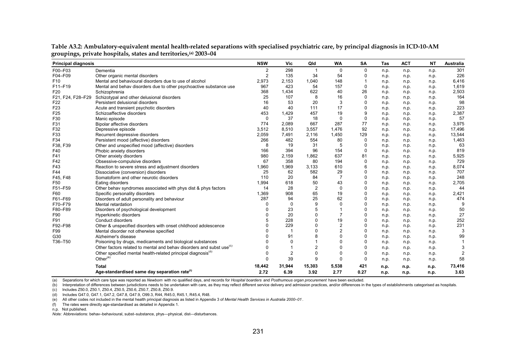| <b>Principal diagnosis</b> |                                                                                  | <b>NSW</b> | Vic            | Qld            | <b>WA</b>      | SA          | <b>Tas</b> | <b>ACT</b> | <b>NT</b> | Australia |
|----------------------------|----------------------------------------------------------------------------------|------------|----------------|----------------|----------------|-------------|------------|------------|-----------|-----------|
| F00-F03                    | Dementia                                                                         | 2          | 298            | 1              | 0              | 0           | n.p.       | n.p.       | n.p.      | 301       |
| F04-F09                    | Other organic mental disorders                                                   | 2          | 135            | 34             | 54             | 0           | n.p.       | n.p.       | n.p.      | 226       |
| F <sub>10</sub>            | Mental and behavioural disorders due to use of alcohol                           | 2,973      | 2,153          | 1,040          | 148            | -1          | n.p.       | n.p.       | n.p.      | 6,416     |
| F11-F19                    | Mental and behav disorders due to other psychoactive substance use               | 967        | 423            | 54             | 157            | $\Omega$    | n.p.       | n.p.       | n.p.      | 1,619     |
| F <sub>20</sub>            | Schizophrenia                                                                    | 368        | 1,434          | 622            | 40             | 26          | n.p.       | n.p.       | n.p.      | 2,503     |
| F21, F24, F28-F29          | Schizotypal and other delusional disorders                                       | 25         | 107            | 8              | 16             | $\Omega$    | n.p.       | n.p.       | n.p.      | 164       |
| F <sub>22</sub>            | Persistent delusional disorders                                                  | 16         | 53             | 20             | 3              | $\mathbf 0$ | n.p.       | n.p.       | n.p.      | 98        |
| F <sub>23</sub>            | Acute and transient psychotic disorders                                          | 40         | 40             | 111            | 17             | $\mathbf 0$ | n.p.       | n.p.       | n.p.      | 223       |
| F <sub>25</sub>            | Schizoaffective disorders                                                        | 453        | 1,429          | 457            | 19             | 9           | n.p.       | n.p.       | n.p.      | 2,387     |
| F30                        | Manic episode                                                                    | 0          | 37             | 18             | 0              | $\mathbf 0$ | n.p.       | n.p.       | n.p.      | 57        |
| F31                        | Bipolar affective disorders                                                      | 774        | 2,089          | 667            | 287            | 77          | n.p.       | n.p.       | n.p.      | 3,975     |
| F32                        | Depressive episode                                                               | 3,512      | 8,510          | 3,557          | 1,476          | 92          | n.p.       | n.p.       | n.p.      | 17,496    |
| F33                        | Recurrent depressive disorders                                                   | 2,059      | 7,491          | 2,116          | 1,450          | 129         | n.p.       | n.p.       | n.p.      | 13,544    |
| F34                        | Persistent mood (affective) disorders                                            | 266        | 482            | 554            | 80             | $\mathbf 0$ | n.p.       | n.p.       | n.p.      | 1,463     |
| F38, F39                   | Other and unspecified mood (affective) disorders                                 | 8          | 19             | 31             | 5              | $\mathbf 0$ | n.p.       | n.p.       | n.p.      | 63        |
| F40                        | Phobic anxiety disorders                                                         | 166        | 394            | 96             | 154            | 0           | n.p.       | n.p.       | n.p.      | 819       |
| F41                        | Other anxiety disorders                                                          | 980        | 2,159          | 1,862          | 637            | 81          | n.p.       | n.p.       | n.p.      | 5,925     |
| F42                        | Obsessive-compulsive disorders                                                   | 67         | 358            | 80             | 194            | $\Omega$    | n.p.       | n.p.       | n.p.      | 729       |
| F43                        | Reaction to severe stress and adjustment disorders                               | 1,960      | 1,969          | 3,133          | 610            | 6           | n.p.       | n.p.       | n.p.      | 8,074     |
| F44                        | Dissociative (conversion) disorders                                              | 25         | 62             | 582            | 29             | $\mathbf 0$ | n.p.       | n.p.       | n.p.      | 707       |
| F45, F48                   | Somatoform and other neurotic disorders                                          | 110        | 20             | 84             | $\overline{7}$ | 0           | n.p.       | n.p.       | n.p.      | 248       |
| F <sub>50</sub>            | Eating disorders                                                                 | 1,994      | 618            | 50             | 43             | 0           | n.p.       | n.p.       | n.p.      | 2,705     |
| F51-F59                    | Other behav syndromes associated with phys dist & phys factors                   | 14         | 28             | $\overline{2}$ | 0              | 0           | n.p.       | n.p.       | n.p.      | 44        |
| F60                        | Specific personality disorders                                                   | 1,369      | 908            | 65             | 19             | 0           | n.p.       | n.p.       | n.p.      | 2,421     |
| F61-F69                    | Disorders of adult personality and behaviour                                     | 287        | 94             | 25             | 62             | $\Omega$    | n.p.       | n.p.       | n.p.      | 474       |
| F70-F79                    | Mental retardation                                                               | 0          | 0              | 9              | 0              | 0           | n.p.       | n.p.       | n.p.      |           |
| F80-F89                    | Disorders of psychological development                                           | 0          | 23             | 5              |                | 0           | n.p.       | n.p.       | n.p.      | 50        |
| F90                        | Hyperkinetic disorders                                                           | U          | 20             | $\Omega$       | $\overline{7}$ | 0           | n.p.       | n.p.       | n.p.      | 27        |
| F91                        | Conduct disorders                                                                | 5          | 228            | $\Omega$       | 19             | 0           | n.p.       | n.p.       | n.p.      | 252       |
| F92-F98                    | Other & unspecified disorders with onset childhood adolescence                   |            | 229            | $\Omega$       | $\overline{2}$ | 0           | n.p.       | n.p.       | n.p.      | 231       |
| F99                        | Mental disorder not otherwise specified                                          |            |                | $\Omega$       | $\overline{2}$ | $\Omega$    | n.p.       | n.p.       | n.p.      |           |
| G30                        | Alzheimer's disease                                                              | n          | 91             | 8              | $\Omega$       | $\mathbf 0$ | n.p.       | n.p.       | n.p.      | 99        |
| T36-T50                    | Poisoning by drugs, medicaments and biological substances                        |            | $\Omega$       |                | 0              | $\mathbf 0$ | n.p.       | n.p.       | n.p.      |           |
|                            | Other factors related to mental and behav disorders and subst use <sup>(c)</sup> | 0          |                | $\overline{2}$ | 0              | $\mathbf 0$ | n.p.       | n.p.       | n.p.      |           |
|                            | Other specified mental health-related principal diagnosis <sup>(d)</sup>         | 0          | $\overline{2}$ | $\Omega$       | 0              | $\mathbf 0$ | n.p.       | n.p.       | n.p.      |           |
|                            | Other $(e)$                                                                      | 0          | 39             | 9              | 0              | $\mathbf 0$ | n.p.       | n.p.       | n.p.      | 58        |
|                            | Total                                                                            | 18,442     | 31,944         | 15,303         | 5,538          | 421         | n.p.       | n.p.       | n.p.      | 73,416    |
|                            | Age-standardised same day separation rate <sup>(1)</sup>                         | 2.72       | 6.39           | 3.92           | 2.77           | 0.27        | n.p.       | n.p.       | n.p.      | 3.63      |

**Table A3.2: Ambulatory-equivalent mental health-related separations with specialised psychiatric care, by principal diagnosis in ICD-10-AM groupings, private hospitals, states and territories,(a) 2003–04** 

(b) Interpretation of differences between jurisdictions needs to be undertaken with care, as they may reflect different service delivery and admission practices, and/or differences in the types of establishments categorise

(c) Includes Z50.0, Z50.1, Z50.4, Z50.5, Z50.6, Z50.7, Z50.8, Z50.9.

(d) Includes G47.0, G47.1, G47.2, G47.8, G47.9, O99.3, R44, R45.0, R45.1, R45.4, R48.

(e) All other codes not included in the mental health principal diagnosis as listed in Appendix 3 of *Mental Health Services in Australia 2000–01* .

(f) The rates were directly age-standardised as detailed in Appendix 1.

n.p. Not published.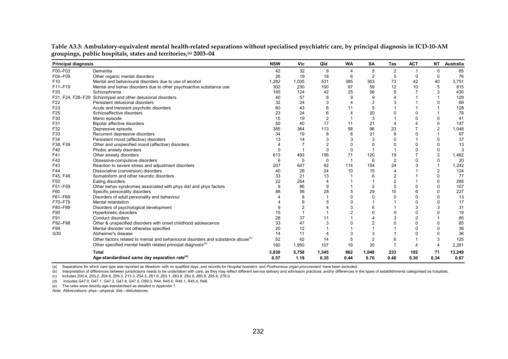| <b>Principal diagnosis</b> |                                                                                              | <b>NSW</b> | Vic            | Qld            | <b>WA</b>      | <b>SA</b>      | Tas            | <b>ACT</b>            | <b>NT</b>      | Australia |
|----------------------------|----------------------------------------------------------------------------------------------|------------|----------------|----------------|----------------|----------------|----------------|-----------------------|----------------|-----------|
| F00-F03                    | Dementia                                                                                     | 42         | 32             | 9              | $\overline{4}$ | 5              | $\overline{2}$ |                       | 0              | 95        |
| F04-F09                    | Other organic mental disorders                                                               | 26         | 19             | 18             | 6              | $\overline{2}$ | 5              | $\mathbf 0$           | 0              | 76        |
| F <sub>10</sub>            | Mental and behavioural disorders due to use of alcohol                                       | 1,282      | 1,035          | 531            | 385            | 363            | 73             | 42                    | 40             | 3,751     |
| F11-F19                    | Mental and behav disorders due to other psychoactive substance use                           | 302        | 230            | 100            | 97             | 59             | 12             | 10                    | 5              | 815       |
| F <sub>20</sub>            | Schizophrenia                                                                                | 165        | 124            | 42             | 25             | 56             | 8              |                       |                | 430       |
|                            | F21, F24, F28-F29 Schizotypal and other delusional disorders                                 | 40         | 57             | 8              | 9              | 9              | $\Delta$       |                       |                | 129       |
| F <sub>22</sub>            | Persistent delusional disorders                                                              | 32         | 24             | 3              | $\overline{4}$ | $\overline{2}$ | 3              |                       | $\Omega$       | 69        |
| F <sub>23</sub>            | Acute and transient psychotic disorders                                                      | 60         | 43             | 6              | 11             | 5              | 1              |                       |                | 128       |
| F <sub>25</sub>            | Schizoaffective disorders                                                                    | 23         | 24             | 6              | $\overline{4}$ | 20             | 0              | 0                     |                | 78        |
| F30                        | Manic episode                                                                                | 15         | 19             | $\overline{2}$ |                | 3              |                | 0                     | $\mathbf 0$    | 41        |
| F31                        | Bipolar affective disorders                                                                  | 50         | 40             | 17             | 11             | 21             | 4              | 4                     | $\mathbf 0$    | 147       |
| F32                        | Depressive episode                                                                           | 385        | 364            | 113            | 58             | 96             | 23             | 7                     | $\overline{2}$ | 1,048     |
| F33                        | Recurrent depressive disorders                                                               | 34         | 19             | 8              | 6              | 21             | 8              | 0                     |                | 97        |
| F34                        | Persistent mood (affective) disorders                                                        | 13         | 14             |                | 3              | 3              | $\Omega$       | 1                     | 0              | 37        |
| F38, F39                   | Other and unspecified mood (affective) disorders                                             |            |                |                | $\mathbf{0}$   | $\Omega$       | $\Omega$       | 0                     |                | 13        |
| F40                        | Phobic anxiety disorders                                                                     | $\Omega$   |                |                | $\Omega$       | $\overline{1}$ |                | $\Omega$              | $\mathbf 0$    | 3         |
| F41                        | Other anxiety disorders                                                                      | 613        | 493            | 156            | 71             | 120            | 19             |                       | 3              | 1,482     |
| F42                        | Obsessive-compulsive disorders                                                               | 6          | 5              | $\Omega$       |                | 6              | $\overline{2}$ | $\Omega$              | $\Omega$       | 20        |
| F43                        | Reaction to severe stress and adjustment disorders                                           | 207        | 647            | 92             | 114            | 154            | 24             | 3                     |                | 1,242     |
| F44                        | Dissociative (conversion) disorders                                                          | 40         | 28             | 24             | 10             | 15             | 4              |                       | $\overline{2}$ | 124       |
| F45, F48                   | Somatoform and other neurotic disorders                                                      | 33         | 21             | 13             |                | 6              | $\overline{2}$ |                       | $\Omega$       | 77        |
| F <sub>50</sub>            | Eating disorders                                                                             | 22         | 254            | $\overline{4}$ |                | $\mathbf{1}$   | $\overline{2}$ |                       | $\Omega$       | 285       |
| F51-F59                    | Other behav syndromes associated with phys dist and phys factors                             | 9          | 86             | 9              |                | $\overline{2}$ | $\mathbf 0$    | 0                     | $\mathbf 0$    | 107       |
| F60                        | Specific personality disorders                                                               | 88         | 56             | 28             | 5              | 29             | 15             | 6                     | $\Omega$       | 227       |
| F61-F69                    | Disorders of adult personality and behaviour                                                 |            | 8              |                | $\Omega$       | $\mathbf 0$    | 0              | 0                     | $\Omega$       | 13        |
| F70-F79                    | Mental retardation                                                                           |            |                |                | $\Omega$       | $\overline{1}$ |                | $\Omega$              | $\Omega$       | 17        |
| F80-F89                    | Disorders of psychological development                                                       |            | $\overline{2}$ |                | 3              | 6              | 1              | 3                     | 3              | 31        |
| F90                        | Hyperkinetic disorders                                                                       | 15         |                |                | $\overline{2}$ | $\Omega$       | $\mathbf 0$    | $\Omega$              | $\Omega$       | 19        |
| F91                        | Conduct disorders                                                                            | 28         | 37             | 11             |                |                | 3              | 0                     |                | 85        |
| F92-F98                    | Other & unspecified disorders with onset childhood adolescence                               | 33         | 47             |                | $\Omega$       | $\overline{2}$ | $\Omega$       | $\Omega$              | $\Omega$       | 85        |
| F99                        | Mental disorder not otherwise specified                                                      | 20         | 12             |                |                |                | 1              | $\Omega$              | $\mathbf 0$    | 36        |
| G30                        | Alzheimer's disease                                                                          | 14         | 11             |                | 3              | 3              | 1              | 0                     | $\Omega$       | 36        |
|                            | Other factors related to mental and behavioural disorders and substance abuse <sup>(c)</sup> | 52         | 42             | 14             | 5              | $\overline{2}$ | 6              |                       | 3              | 125       |
|                            | Other specified mental health related principal diagnosis <sup>(0)</sup>                     | 160        | 1,950          | 107            | 19             | 30             | $\overline{7}$ | $\boldsymbol{\Delta}$ | 4              | 2,281     |
|                            | <b>Total</b>                                                                                 | 3,830      | 5,758          | 1,345          | 862            | 1,048          | 233            | 102                   | 71             | 13,249    |
|                            | Age-standardised same day separation rate <sup>(e)</sup>                                     | 0.57       | 1.19           | 0.35           | 0.44           | 0.70           | 0.48           | 0.30                  | 0.34           | 0.67      |

**Table A3.3: Ambulatory-equivalent mental health-related separations without specialised psychiatric care, by principal diagnosis in ICD-10-AM groupings, public hospitals, states and territories,(a) 2003–04** 

(b) Interpretation of differences between jurisdictions needs to be undertaken with care, as they may reflect different service delivery and admission practices, and/or differences in the types of establishments categorise

(c) Includes Z00.4, Z03.2, Z04.6, Z09.3, Z13.3, Z54.3, Z61.9, Z63.1, Z63.8, Z63.9, Z65.8, Z65.9, Z76.0.

(d) Includes G47.0, G47.1, G47.2, G47.8, G47.9, O99.3, R44, R45.0, R45.1, R45.4, R48.

(e) The rates were directly age-standardised as detailed in Appendix 1.

*Note:* Abbreviations: phys—physical, dist—disturbances.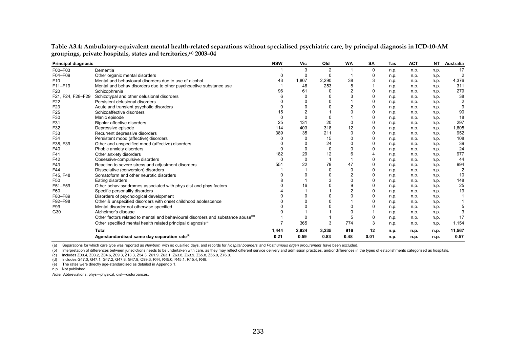| <b>Principal diagnosis</b> |                                                                                              | <b>NSW</b> | Vic      | Qld            | <b>WA</b>      | SA             | Tas  | <b>ACT</b> | <b>NT</b> | Australia      |
|----------------------------|----------------------------------------------------------------------------------------------|------------|----------|----------------|----------------|----------------|------|------------|-----------|----------------|
| F00-F03                    | Dementia                                                                                     |            | 3        | $\overline{2}$ |                | 0              | n.p. | n.p.       | n.p.      | 17             |
| F04-F09                    | Other organic mental disorders                                                               |            | 0        | $\Omega$       |                | 0              | n.p. | n.p.       | n.p.      | $\overline{2}$ |
| F <sub>10</sub>            | Mental and behavioural disorders due to use of alcohol                                       | 43         | 1,807    | 2,290          | 38             | 3              | n.p. | n.p.       | n.p.      | 4,376          |
| F11-F19                    | Mental and behav disorders due to other psychoactive substance use                           |            | 46       | 253            | 8              |                | n.p. | n.p.       | n.p.      | 311            |
| F <sub>20</sub>            | Schizophrenia                                                                                | 96         | 61       |                | 2              | $\Omega$       | n.p. | n.p.       | n.p.      | 279            |
| F21, F24, F28-F29          | Schizotypal and other delusional disorders                                                   |            | $\Omega$ |                | 3              | $\Omega$       | n.p. | n.p.       | n.p.      | 38             |
| F <sub>22</sub>            | Persistent delusional disorders                                                              |            |          |                |                | $\mathbf 0$    | n.p. | n.p.       | n.p.      |                |
| F <sub>23</sub>            | Acute and transient psychotic disorders                                                      |            | 0        |                | $\overline{2}$ | $\mathbf 0$    | n.p. | n.p.       | n.p.      |                |
| F <sub>25</sub>            | Schizoaffective disorders                                                                    | 15         |          |                |                | $\mathbf 0$    | n.p. | n.p.       | n.p.      | 90             |
| F30                        | Manic episode                                                                                |            |          |                |                | $\mathbf 0$    | n.p. | n.p.       | n.p.      | 18             |
| F31                        | Bipolar affective disorders                                                                  | 25         | 131      | 20             | $\Omega$       | 0              | n.p. | n.p.       | n.p.      | 297            |
| F32                        | Depressive episode                                                                           | 114        | 403      | 318            | 12             | $\mathbf 0$    | n.p. | n.p.       | n.p.      | 1,605          |
| F33                        | Recurrent depressive disorders                                                               | 389        | 35       | 211            | 0              | $\mathbf 0$    | n.p. | n.p.       | n.p.      | 952            |
| F34                        | Persistent mood (affective) disorders                                                        |            | O        | 15             | 0              | 0              | n.p. | n.p.       | n.p.      | 108            |
| F38, F39                   | Other and unspecified mood (affective) disorders                                             |            | 0        | 24             | 0              | 0              | n.p. | n.p.       | n.p.      | 39             |
| F40                        | Phobic anxiety disorders                                                                     |            | 0        | 0              | 0              | $\mathbf 0$    | n.p. | n.p.       | n.p.      | 24             |
| F41                        | Other anxiety disorders                                                                      | 182        | 29       | 12             | 6              | $\overline{4}$ | n.p. | n.p.       | n.p.      | 977            |
| F42                        | Obsessive-compulsive disorders                                                               | $\Omega$   | 0        |                | $\overline{1}$ | 0              | n.p. | n.p.       | n.p.      | 44             |
| F43                        | Reaction to severe stress and adjustment disorders                                           | 551        | 22       | 79             | 47             | $\mathbf 0$    | n.p. | n.p.       | n.p.      | 994            |
| F44                        | Dissociative (conversion) disorders                                                          |            |          | $\Omega$       | 0              | $\mathbf 0$    | n.p. | n.p.       | n.p.      | $\overline{2}$ |
| F45, F48                   | Somatoform and other neurotic disorders                                                      |            | 0        |                | $\overline{2}$ | 0              | n.p. | n.p.       | n.p.      | 10             |
| F50                        | Eating disorders                                                                             |            |          |                | 0              | $\mathbf 0$    | n.p. | n.p.       | n.p.      | 148            |
| F51-F59                    | Other behav syndromes associated with phys dist and phys factors                             |            | 16       |                | 9              | $\mathbf 0$    | n.p. | n.p.       | n.p.      | 25             |
| F60                        | Specific personality disorders                                                               |            |          |                | $\overline{2}$ | $\mathbf 0$    | n.p. | n.p.       | n.p.      | 19             |
| F80-F89                    | Disorders of psychological development                                                       |            |          |                | 0              | $\Omega$       | n.p. | n.p.       | n.p.      |                |
| F92-F98                    | Other & unspecified disorders with onset childhood adolescence                               |            | 0        |                |                | $\Omega$       | n.p. | n.p.       | n.p.      |                |
| F99                        | Mental disorder not otherwise specified                                                      |            |          |                | 0              | $\Omega$       | n.p. | n.p.       | n.p.      |                |
| G30                        | Alzheimer's disease                                                                          |            |          |                | $\Omega$       |                | n.p. | n.p.       | n.p.      |                |
|                            | Other factors related to mental and behavioural disorders and substance abuse <sup>(c)</sup> |            |          |                | 5              | 0              | n.p. | n.p.       | n.p.      | 17             |
|                            | Other specified mental health related principal diagnosis <sup>(d)</sup>                     |            | 365      | 3              | 774            | 3              | n.p. | n.p.       | n.p.      | 1,154          |
|                            | <b>Total</b>                                                                                 | 1,444      | 2,924    | 3,235          | 916            | 12             | n.p. | n.p.       | n.p.      | 11,567         |
|                            | Age-standardised same day separation rate <sup>(e)</sup>                                     | 0.21       | 0.59     | 0.83           | 0.48           | 0.01           | n.p. | n.p.       | n.p.      | 0.57           |

**Table A3.4: Ambulatory-equivalent mental health-related separations without specialised psychiatric care, by principal diagnosis in ICD-10-AM groupings, private hospitals, states and territories,(a) 2003–04** 

(b) Interpretation of differences between jurisdictions needs to be undertaken with care, as they may reflect different service delivery and admission practices, and/or differences in the types of establishments categorise

(c) Includes Z00.4, Z03.2, Z04.6, Z09.3, Z13.3, Z54.3, Z61.9, Z63.1, Z63.8, Z63.9, Z65.8, Z65.9, Z76.0.

(d) Includes G47.0, G47.1, G47.2, G47.8, G47.9, O99.3, R44, R45.0, R45.1, R45.4, R48.

(e) The rates were directly age-standardised as detailed in Appendix 1.

n.p. Not published.

*Note:* Abbreviations: phys—physical, dist—disturbances.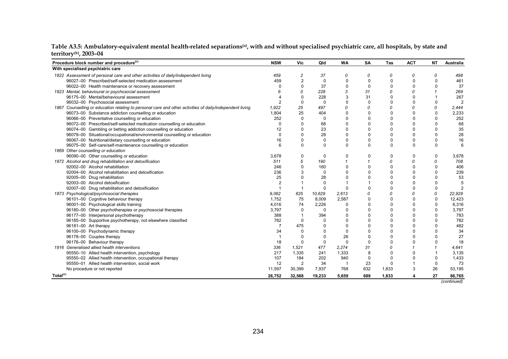| Procedure block number and procedure <sup>(c)</sup>                                                      | <b>NSW</b>     | Vic            | Qld      | <b>WA</b>      | SA           | Tas         | <b>ACT</b>  | <b>NT</b>   | <b>Australia</b> |
|----------------------------------------------------------------------------------------------------------|----------------|----------------|----------|----------------|--------------|-------------|-------------|-------------|------------------|
| With specialised psychiatric care                                                                        |                |                |          |                |              |             |             |             |                  |
| 1822 Assessment of personal care and other activities of daily/independent living                        | 459            | 2              | 37       | 0              | 0            | 0           | 0           | 0           | 498              |
| 96027-00 Prescribed/self-selected medication assessment                                                  | 459            | $\overline{2}$ | 0        | $\mathbf 0$    | $\mathbf{0}$ | $\mathbf 0$ | $\mathbf 0$ | $\Omega$    | 461              |
| 96022-00 Health maintenance or recovery assessment                                                       | n              | 0              | 37       | $\Omega$       | $\Omega$     | $\Omega$    | $\mathbf 0$ | n           | 37               |
| 1823 Mental, behavioural or psychosocial assessment                                                      |                |                | 228      | 3              | 31           | 0           | 0           |             | 269              |
| 96175-00 Mental/behavioural assessment                                                                   |                | 0              | 228      | 3              | 31           | $\Omega$    | $\mathbf 0$ |             | 267              |
| 96032-00 Psychosocial assessment                                                                         | $\overline{2}$ | $\Omega$       | 0        | $\Omega$       | $\mathbf{0}$ | $\Omega$    | $\Omega$    | $\Omega$    | $\overline{2}$   |
| 1867 Counselling or education relating to personal care and other activities of daily/independent living | 1,922          | 25             | 497      | 0              | 0            | 0           | $\Omega$    | $\Omega$    | 2,444            |
| 96073-00 Substance addiction counselling or education                                                    | 1,804          | 25             | 404      | $\Omega$       | $\mathbf{0}$ | $\Omega$    | 0           | $\mathbf 0$ | 2,233            |
| 96066-00 Preventative counselling or education                                                           | 252            | 0              | 0        | $\Omega$       | $\Omega$     | $\Omega$    | $\mathbf 0$ | $\Omega$    | 252              |
| 96072-00 Prescribed/self-selected medication counselling or education                                    | $\Omega$       | $\Omega$       | 68       | $\Omega$       | $\Omega$     | $\Omega$    | $\mathbf 0$ | $\Omega$    | 68               |
| 96074-00 Gambling or betting addiction counselling or education                                          | 12             | $\Omega$       | 23       | $\Omega$       | $\mathbf{0}$ | $\Omega$    | $\mathbf 0$ | $\Omega$    | 35               |
| 96079-00 Situational/occupational/environmental counselling or education                                 | $\Omega$       | U              | 28       | $\Omega$       | $\Omega$     | $\Omega$    | $\Omega$    | $\Omega$    | 28               |
| 96067-00 Nutritional/dietary counselling or education                                                    | 16             | U              | 0        | $\Omega$       | $\mathbf{0}$ | 0           | $\mathbf 0$ | 0           | 16               |
| 96075-00 Self-care/self-maintenance counselling or education                                             | 6              | $\Omega$       | $\Omega$ | $\Omega$       | $\Omega$     | $\Omega$    | $\mathbf 0$ | $\Omega$    | 6                |
| 1869 Other counselling or education                                                                      |                |                |          |                |              |             |             |             |                  |
| 96090-00 Other counselling or education                                                                  | 3,678          | 0              | 0        | $\Omega$       | $\Omega$     | $\Omega$    | $\mathbf 0$ | 0           | 3,678            |
| 1872 Alcohol and drug rehabilitation and detoxification                                                  | 511            | 5              | 190      |                |              | 0           | 0           | 0           | 708              |
| 92002-00 Alcohol rehabilitation                                                                          | 246            | 0              | 160      | 0              | $\mathbf{0}$ | $\Omega$    | $\mathbf 0$ | $\mathbf 0$ | 406              |
| 92004-00 Alcohol rehabilitation and detoxification                                                       | 236            | 3              | 0        | $\Omega$       | $\Omega$     | $\Omega$    | $\Omega$    | $\Omega$    | 239              |
| 92005-00 Drug rehabilitation                                                                             | 25             |                | 28       |                |              | $\Omega$    | $\Omega$    | $\Omega$    | 53               |
| 92003-00 Alcohol detoxification                                                                          |                |                | $\Omega$ |                |              | $\Omega$    | $\Omega$    | $\Omega$    |                  |
| 92007-00 Drug rehabilitation and detoxification                                                          |                | $\overline{1}$ | $\Omega$ | $\Omega$       | $\Omega$     | $\Omega$    | $\Omega$    | $\Omega$    |                  |
| 1873 Psychological/psychosocial therapies                                                                | 9.062          | 625            | 10,629   | 2,613          | 0            | 0           | 0           | 0           | 22,929           |
| 96101-00 Cognitive behaviour therapy                                                                     | 1,752          | 75             | 8,009    | 2,587          | $\Omega$     | $\Omega$    | $\Omega$    | $\Omega$    | 12,423           |
| 96001-00 Psychological skills training                                                                   | 4,016          | 74             | 2,226    | $\Omega$       | $\Omega$     | $\Omega$    | $\Omega$    | $\Omega$    | 6,316            |
| 96180-00 Other psychotherapies or psychosocial therapies                                                 | 3,797          | $\Omega$       | $\Omega$ | $\Omega$       | $\mathbf{0}$ | $\Omega$    | $\Omega$    | $\Omega$    | 3,797            |
| 96177-00 Interpersonal psychotherapy                                                                     | 388            |                | 394      | 0              | $\mathbf{0}$ | $\Omega$    | $\mathbf 0$ | $\mathbf 0$ | 783              |
| 96185-00 Supportive psychotherapy, not elsewhere classified                                              | 782            | 0              | $\Omega$ | $\Omega$       | $\mathbf{0}$ | $\Omega$    | $\mathbf 0$ | $\Omega$    | 782              |
| 96181-00 Art therapy                                                                                     | 7              | 475            | 0        | $\Omega$       | $\Omega$     | $\Omega$    | $\Omega$    | $\Omega$    | 482              |
| 96100-00 Psychodynamic therapy                                                                           | 34             | 0              | 0        | $\Omega$       | $\Omega$     | $\Omega$    | $\Omega$    | $\Omega$    | 34               |
| 96178-00 Couples therapy                                                                                 |                | 0              | $\Omega$ | 26             | $\mathbf{0}$ | $\Omega$    | $\Omega$    | $\Omega$    | 27               |
| 96176-00 Behaviour therapy                                                                               | 18             | 0              | 0        | $\mathbf 0$    | $\Omega$     | $\Omega$    | $\Omega$    | 0           | 18               |
| 1916 Generalised allied health interventions                                                             | 336            | 1,521          | 477      | 2,274          | 31           | 0           |             |             | 4,641            |
| 95550-10 Allied health intervention, psychology                                                          | 217            | 1,335          | 241      | 1,333          | 8            | $\Omega$    | $\mathbf 0$ |             | 3,135            |
| 95550-02 Allied health intervention, occupational therapy                                                | 107            | 184            | 202      | 940            | 0            | $\Omega$    | $\Omega$    | $\Omega$    | 1,433            |
| 95550-01 Allied health intervention, social work                                                         | 12             | 2              | 34       | $\overline{1}$ | 23           | $\Omega$    |             | 0           | 73               |
| No procedure or not reported                                                                             | 11,597         | 30,399         | 7,937    | 768            | 632          | 1,833       | 3           | 26          | 53,195           |
| Total <sup>(c)</sup>                                                                                     | 26,752         | 32,568         | 19,233   | 5,659          | 689          | 1,833       | 4           | 27          | 86,765           |
|                                                                                                          |                |                |          |                |              |             |             |             | (continued)      |

| Table A3.5: Ambulatory-equivalent mental health-related separations <sup>(a)</sup> , with and without specialised psychiatric care, all hospitals, by state and |  |
|-----------------------------------------------------------------------------------------------------------------------------------------------------------------|--|
| territory $(b)$ , 2003–04                                                                                                                                       |  |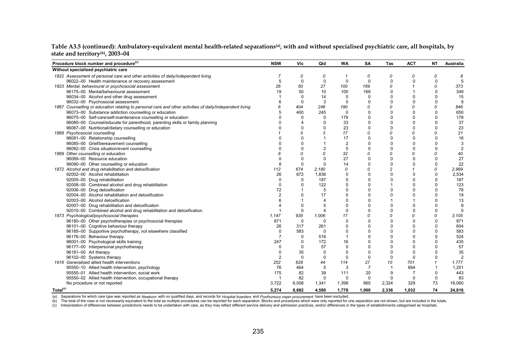| Procedure block number and procedure <sup>(c)</sup>                                                      | <b>NSW</b>     | Vic          | Qld            | WA             | SA             | Tas          | <b>ACT</b>  | <b>NT</b>   | <b>Australia</b> |
|----------------------------------------------------------------------------------------------------------|----------------|--------------|----------------|----------------|----------------|--------------|-------------|-------------|------------------|
| Without specialised psychiatric care                                                                     |                |              |                |                |                |              |             |             |                  |
| 1822 Assessment of personal care and other activities of daily/independent living                        |                | 0            | 0              | -1             | 0              | 0            | 0           | 0           | 8                |
| 96022-00 Health maintenance or recovery assessment                                                       | 5              | 0            | 0              | 0              | $\Omega$       | 0            | $\Omega$    | $\mathbf 0$ |                  |
| 1823 Mental, behavioural or psychosocial assessment                                                      | 26             | 50           | 27             | 100            | 169            | 0            |             | 0           | 373              |
| 96175-00 Mental/behavioural assessment                                                                   | 19             | 50           | 10             | 100            | 169            | $\Omega$     |             | $\Omega$    | 349              |
| 96034-00 Alcohol and other drug assessment                                                               |                | $\mathbf{0}$ | 14             | 0              | 0              | $\Omega$     | $\Omega$    | $\Omega$    | 15               |
| 96032-00 Psychosocial assessment                                                                         | 6              | 0            | 3              | 0              | $\Omega$       | $\Omega$     | $\Omega$    | $\Omega$    | 9                |
| 1867 Counselling or education relating to personal care and other activities of daily/independent living |                | 404          | 246            | 190            | 0              | 0            | 0           | 0           | 846              |
| 96073-00 Substance addiction counselling or education                                                    | 5              | 400          | 245            | 0              | $\mathbf{0}$   | $\mathbf 0$  | $\mathbf 0$ | $\Omega$    | 650              |
| 96075-00 Self-care/self-maintenance counselling or education                                             |                | 0            | 0              | 179            | $\mathbf{0}$   | $\Omega$     | $\mathbf 0$ | $\Omega$    | 179              |
| 96080-00 Counsel/educate for parenthood, parenting skills or family planning                             |                | 4            | 0              | 33             | $\Omega$       | $\Omega$     | $\mathbf 0$ | $\Omega$    | 37               |
| 96067-00 Nutritional/dietary counselling or education                                                    |                | 0            | 0              | 23             | $\mathbf 0$    | $\Omega$     | $\Omega$    | $\Omega$    | 23               |
| 1868 Psychosocial counselling                                                                            |                |              |                | 17             | 0              | 0            | 0           | 0           | 21               |
| 96081-00 Relationship counselling                                                                        |                |              |                | 17             | $\mathbf{0}$   | $\Omega$     | $\mathbf 0$ | $\Omega$    | 18               |
| 96085-00 Grief/bereavement counselling                                                                   |                |              |                | $\overline{2}$ | $\mathbf{0}$   | $\Omega$     | $\mathbf 0$ | $\mathbf 0$ | 3                |
| 96082-00 Crisis situation/event counselling                                                              |                |              | $\overline{2}$ | 0              | $\Omega$       | $\Omega$     | $\Omega$    | $\Omega$    | 2                |
| 1869 Other counselling or education                                                                      |                |              | 0              | 32             | 0              | 0            | 0           | 0           | 40               |
| 96089-00 Resource education                                                                              |                | $\Omega$     | 0              | 27             | $\mathbf 0$    | $\mathbf 0$  | 0           | 0           | 27               |
| 96090-00 Other counselling or education                                                                  | 8              | 0            | 0              | 14             | $\mathbf{0}$   | 0            | $\mathbf 0$ | $\mathbf 0$ | 22               |
| 1872 Alcohol and drug rehabilitation and detoxification                                                  | 112            | 674          | 2,180          | 0              | 0              | 2            | $\mathbf 1$ | 0           | 2,969            |
| 92002-00 Alcohol rehabilitation                                                                          | 26             | 672          | 1,836          | 0              | $\mathbf 0$    | $\mathbf 0$  | $\mathbf 0$ | $\mathbf 0$ | 2,534            |
| 92005-00 Drug rehabilitation                                                                             | $\Omega$       | 0            | 187            | $\Omega$       | $\Omega$       | $\mathbf 0$  | $\mathbf 0$ | $\mathbf 0$ | 187              |
| 92008-00 Combined alcohol and drug rehabilitation                                                        | 0              | 0            | 122            | $\Omega$       | $\Omega$       |              | $\Omega$    | $\Omega$    | 123              |
| 92006-00 Drug detoxification                                                                             | 72             |              | 5              | 0              | $\mathbf 0$    | 0            | $\mathbf 0$ | 0           | 78               |
| 92004-00 Alcohol rehabilitation and detoxification                                                       | $\overline{2}$ | 0            | 17             | $\Omega$       | $\Omega$       | $\Omega$     | $\Omega$    | $\mathbf 0$ | 19               |
| 92003-00 Alcohol detoxification                                                                          | 6              |              | 4              | $\Omega$       | $\Omega$       |              |             | $\Omega$    | 13               |
| 92007-00 Drug rehabilitation and detoxification                                                          |                | $\Omega$     | 5              | $\Omega$       | $\Omega$       | 0            | $\Omega$    | 0           | 9                |
| 92010-00 Combined alcohol and drug rehabilitation and detoxification                                     |                | 0            | 4              | 0              | $\mathbf{0}$   | $\Omega$     | 0           | 0           | 5                |
| 1873 Psychological/psychosocial therapies                                                                | 1,147          | 935          | 1,006          | 17             | 0              | 0            | 0           | 0           | 3,105            |
| 96180-00 Other psychotherapies or psychosocial therapies                                                 | 871            | 0            | 0              | 0              | $\mathbf{0}$   | $\Omega$     | $\mathbf 0$ | $\mathbf 0$ | 871              |
| 96101-00 Cognitive behaviour therapy                                                                     | 26             | 317          | 261            | $\Omega$       | $\mathbf{0}$   | $\Omega$     | 0           | $\mathbf 0$ | 604              |
| 96185-00 Supportive psychotherapy, not elsewhere classified                                              | $\Omega$       | 583          | 0              | $\Omega$       | $\Omega$       | $\Omega$     | $\Omega$    | $\Omega$    | 583              |
| 96176-00 Behaviour therapy                                                                               | 7              | 0            | 516            |                | $\mathbf{0}$   | $\Omega$     | $\Omega$    | $\mathbf 0$ | 524              |
| 96001-00 Psychological skills training                                                                   | 247            | 0            | 172            | 16             | $\mathbf{0}$   | $\mathbf{0}$ | $\mathbf 0$ | $\mathbf 0$ | 435              |
| 96177-00 Interpersonal psychotherapy                                                                     | O              | 0            | 57             | $\Omega$       | $\Omega$       | $\Omega$     | $\Omega$    | $\Omega$    | 57               |
| 96181-00 Art therapy                                                                                     | 0              | 35           | 0              | $\Omega$       | $\mathbf{0}$   | $\Omega$     | $\mathbf 0$ | $\Omega$    | 35               |
| 96102-00 Systems therapy                                                                                 | 2              | 0            | 0              | 0              | 0              | 0            | 0           | $\Omega$    | $\overline{2}$   |
| 1916 Generalised allied health interventions                                                             | 252            | 628          | 44             | 114            | 27             | 10           | 701         |             | 1,777            |
| 95550-10 Allied health intervention, psychology                                                          | 76             | 464          | 5              | 3              | $\overline{7}$ |              | 694         |             | 1,251            |
| 95550-01 Allied health intervention, social work                                                         | 175            | 82           | 39             | 111            | 20             | 9            | 7           | $\Omega$    | 443              |
| 95550-02 Allied health intervention, occupational therapy                                                |                | 82           | 0              | 0              | 0              | 0            | 0           | 0           | 83               |
| No procedure or not reported                                                                             | 3,722          | 6,008        | 1,341          | 1,398          | 865            | 2,324        | 329         | 73          | 16,060           |
| Total <sup>(c)</sup>                                                                                     | 5.274          | 8,682        | 4,580          | 1,778          | 1,060          | 2.336        | 1.032       | 74          | 24,816           |

#### Table A3.5 (continued): Ambulatory-equivalent mental health-related separations<sup>(a)</sup>, with and without specialised psychiatric care, all hospitals, by **state and territory(b), 2003–04**

(a) Separations for which care type was reported as *Newborn w*ith no qualified days, and records for *Hospital boarders* and *Posthumous organ procurement* have been excluded.<br>(b) The total of the rows is not necessarily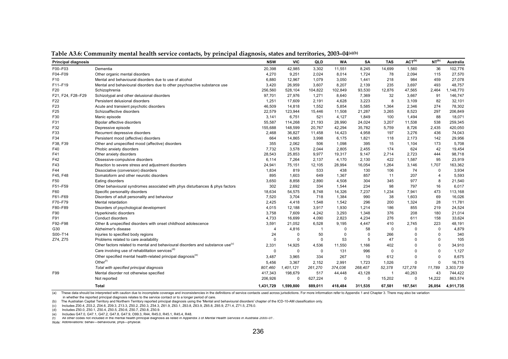| <b>Principal diagnosis</b> |                                                                                            | <b>NSW</b>     | <b>VIC</b>  | QLD          | <b>WA</b>   | <b>SA</b>   | <b>TAS</b>     | ACT <sup>(b)</sup> | NT <sup>(b)</sup> | Australia |
|----------------------------|--------------------------------------------------------------------------------------------|----------------|-------------|--------------|-------------|-------------|----------------|--------------------|-------------------|-----------|
| F00-F03                    | Dementia                                                                                   | 20,398         | 42,985      | 3,302        | 11,551      | 8,245       | 14,699         | 1,560              | 36                | 102,776   |
| F04-F09                    | Other organic mental disorders                                                             | 4,270          | 9,251       | 2,024        | 8,014       | 1,724       | 78             | 2,094              | 115               | 27,570    |
| F <sub>10</sub>            | Mental and behavioural disorders due to use of alcohol                                     | 6,880          | 12,967      | 1,079        | 3,050       | 1,441       | 218            | 984                | 459               | 27,078    |
| F11-F19                    | Mental and behavioural disorders due to other psychoactive substance use                   | 3,420          | 26,959      | 3,607        | 8,207       | 2,139       | 235            | 3,697              | 493               | 48,757    |
| F20                        | Schizophrenia                                                                              | 256,560        | 528,104     | 104,822      | 102,849     | 93,530      | 12,876         | 47,565             | 2,464             | ,148,770  |
| F21, F24, F28-F29          | Schizotypal and other delusional disorders                                                 | 97,701         | 27,976      | 1,271        | 8,640       | 7,369       | 32             | 3,667              | 91                | 146,747   |
| F <sub>22</sub>            | Persistent delusional disorders                                                            | 1,251          | 17,609      | 2,191        | 4,628       | 3,223       | 8              | 3,109              | 82                | 32,101    |
| F23                        | Acute and transient psychotic disorders                                                    | 46,509         | 14,818      | 1,552        | 5,854       | 5,585       | 1,364          | 2,346              | 274               | 78,302    |
| F25                        | Schizoaffective disorders                                                                  | 22,579         | 123,944     | 15,446       | 11,508      | 21,287      | 3,265          | 8,523              | 297               | 206,849   |
| F30                        | Manic episode                                                                              | 3,141          | 6,751       | 521          | 4,127       | 1,849       | 100            | 1,494              | 88                | 18,071    |
| F31                        | Bipolar affective disorders                                                                | 55,587         | 114,268     | 21,193       | 28,990      | 24,024      | 3,207          | 11,538             | 538               | 259,345   |
| F32                        | Depressive episode                                                                         | 155,688        | 148,599     | 20,767       | 42,294      | 35,782      | 5,759          | 8,726              | 2,435             | 420,050   |
| F33                        | Recurrent depressive disorders                                                             | 2,468          | 36,827      | 11,458       | 14,423      | 4,958       | 197            | 3,276              | 436               | 74,043    |
| F34                        | Persistent mood (affective) disorders                                                      | 664            | 14,865      | 3,998        | 6,175       | 1,821       | 118            | 2,173              | 142               | 29,956    |
| F38, F39                   | Other and unspecified mood (affective) disorders                                           | 355            | 2,062       | 506          | 1,098       | 395         | 15             | 1,104              | 173               | 5,708     |
| F40                        | Phobic anxiety disorders                                                                   | 7,732          | 3,578       | 2,044        | 2,805       | 2,455       | 174            | 624                | 42                | 19,454    |
| F41                        | Other anxiety disorders                                                                    | 28,543         | 25,853      | 9,977        | 19,317      | 9,147       | 2,714          | 2,723              | 444               | 98,718    |
| F42                        | Obsessive-compulsive disorders                                                             | 6,114          | 7,264       | 2,137        | 4,170       | 2,130       | 422            | 1,587              | 95                | 23,919    |
| F43                        | Reaction to severe stress and adjustment disorders                                         | 24,941         | 75,151      | 12,105       | 28,994      | 16,054      | 1,264          | 3,146              | 1,707             | 163,362   |
| F44                        | Dissociative (conversion) disorders                                                        | 1,834          | 819         | 533          | 438         | 130         | 106            | 74                 | 0                 | 3,934     |
| F45, F48                   | Somatoform and other neurotic disorders                                                    | 895            | 1,603       | 649          | 1,367       | 857         | 11             | 207                | $\overline{4}$    | 5,593     |
| F50                        | Eating disorders                                                                           | 3,650          | 8,858       | 2,890        | 4,508       | 304         | 345            | 977                | 8                 | 21,540    |
| F51-F59                    | Other behavioural syndromes associated with phys disturbances & phys factors               | 302            | 2,692       | 334          | 1,544       | 234         | 98             | 797                | 16                | 6,017     |
| F60                        | Specific personality disorders                                                             | 18,634         | 54,575      | 8,748        | 14,326      | 7,237       | 1,234          | 7,941              | 473               | 113,168   |
| F61-F69                    | Disorders of adult personality and behaviour                                               | 7.520          | 3,704       | 718          | 1,384       | 990         | 38             | 1,603              | 69                | 16,026    |
| F70-F79                    | Mental retardation                                                                         | 2,425          | 4,418       | 1,548        | 1,542       | 296         | 200            | 1,324              | 28                | 11,781    |
| F80-F89                    | Disorders of psychological development                                                     | 4,015          | 12,188      | 3,917        | 1,930       | 1,214       | 186            | 855                | 219               | 24,524    |
| F90                        | Hyperkinetic disorders                                                                     | 3,758          | 7,609       | 4,242        | 3,293       | 1,348       | 376            | 208                | 180               | 21,014    |
| F91                        | Conduct disorders                                                                          | 4,733          | 16,699      | 4,090        | 2,823       | 4,234       | 276            | 611                | 158               | 33,624    |
| F92-F98                    | Other & unspecified disorders with onset childhood adolescence                             | 3,591          | 21,052      | 6,528        | 9,195       | 4,447       | 410            | 2,745              | 223               | 48,191    |
| G30                        | Alzheimer's disease                                                                        | $\overline{4}$ | 4,816       | $\mathbf{1}$ | $\mathbf 0$ | 58          | $\mathbf{0}$   | $\Omega$           | $\mathbf 0$       | 4,879     |
| S00-T14                    | Injuries to specified body regions                                                         | 24             | $\mathbf 0$ | 50           | $\mathbf 0$ | $\mathbf 0$ | 266            | $\Omega$           | $\mathbf 0$       | 340       |
| Z74, Z75                   | Problems related to care availability                                                      | 0              | 0           | $\mathbf 0$  | 53          | 5           | 47             | $\Omega$           | $\mathbf 0$       | 105       |
|                            | Other factors related to mental and behavioural disorders and substance use <sup>(c)</sup> | 2,331          | 14,925      | 4,536        | 11,550      | 1,166       | 402            | $\mathbf 0$        | $\mathbf 0$       | 34,910    |
|                            | Care involving use of rehabilitation services <sup>(d)</sup>                               | $\mathbf 0$    | 0           | $\mathbf 0$  | 131         | 996         | $\mathbf 0$    | $\Omega$           | $\mathbf 0$       | 1,127     |
|                            | Other specified mental health-related principal diagnosis <sup>(e)</sup>                   | 3,487          | 3,965       | 334          | 267         | 10          | 612            | $\Omega$           | $\mathbf 0$       | 8,675     |
|                            | Other $(f)$                                                                                | 5,456          | 3,367       | 2,152        | 2,991       | 1,723       | 1,026          | $\mathbf 0$        | $\mathbf 0$       | 16,715    |
|                            | Total with specified principal diagnosis                                                   | 807,460        | 1,401,121   | 261,270      | 374,036     | 268,407     | 52,378         | 127,278            | 11,789            | 3,303,739 |
| F99                        | Mental disorder not otherwise specified                                                    | 417,343        | 198,679     | 517          | 44,448      | 43,128      | $\overline{1}$ | 40,263             | 43                | 744,422   |
|                            | Not reported                                                                               | 206,926        | $\mathbf 0$ | 627,224      | 0           | $\mathbf 0$ | 15,202         | 0                  | 14,222            | 863,574   |
|                            | Total                                                                                      | 1,431,729      | 1,599,800   | 889,011      | 418,484     | 311,535     | 67,581         | 167,541            | 26,054            | 4,911,735 |
|                            |                                                                                            |                |             |              |             |             |                |                    |                   |           |

**Table A3.6: Community mental health service contacts, by principal diagnosis, states and territories, 2003–04(a)(b)** 

(a) These data should be interpreted with caution due to incomplete coverage and inconsistencies in the definitions of service contacts used across jurisdictions. For more information refer to Appendix 1 and Chapter 3. The

in whether the reported principal diagnosis relates to the service contact or to a longer period of care.

(b) The Australian Captial Territory and Northern Territory reported principal diagnosis using the 'Mental and behavioural disorders' chapter of the ICD-10-AM classification only.

(c) Includes Z00.4, Z03.2, Z04.6, Z09.3, Z13.3, Z50.2, Z50.3, Z54.3, Z61.9, Z63.1, Z63.8, Z63.9, Z65.8, Z65.9, Z71.4, Z71.5, Z76.0.

(d) Includes Z50.0, Z50.1, Z50.4, Z50.5, Z50.6, Z50.7, Z50.8, Z50.9.

(e) Includes G47.0, G47.1, G47.2, G47.8, G47.9, O99.3, R44, R45.0, R45.1, R45.4, R48.

(f) All other codes not included in the mental health principal diagnosis as listed in Appendix 3 of *Mental Health Services in Australia 2000–01* .

*Note:* Abbreviations: behav—behavioural, phys—physical.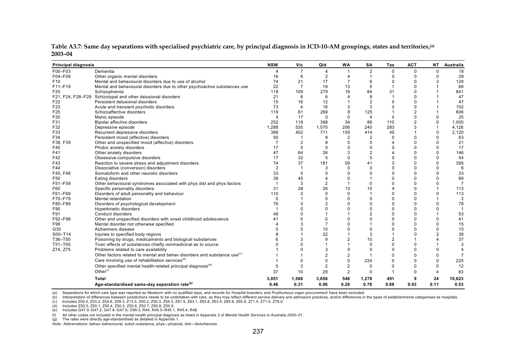| <b>Principal diagnosis</b> |                                                                                      | <b>NSW</b>            | Vic            | Qld            | <b>WA</b>      | SA             | Tas            | <b>ACT</b>     | <b>NT</b>      | Australia      |
|----------------------------|--------------------------------------------------------------------------------------|-----------------------|----------------|----------------|----------------|----------------|----------------|----------------|----------------|----------------|
| F00-F03                    | Dementia                                                                             |                       | $\overline{7}$ | $\overline{4}$ |                | $\overline{2}$ | $\Omega$       | $\Omega$       | 0              | 18             |
| F04-F09                    | Other organic mental disorders                                                       | 16                    | 6              | 2              |                |                | $\Omega$       | $\Omega$       | $\Omega$       | 29             |
| F <sub>10</sub>            | Mental and behavioural disorders due to use of alcohol                               | 74                    | 21             | 17             |                |                |                |                |                | 128            |
| F11-F19                    | Mental and behavioural disorders due to other psychoactive substances use            | 22                    | $\overline{7}$ | 19             | 13             | 5              |                |                |                | 68             |
| F20                        | Schizophrenia                                                                        | 118                   | 109            | 279            | 19             | 84             | 31             | $\Omega$       |                | 641            |
|                            | F21, F24, F28-F29 Schizotypal and other delusional disorders                         | 21                    | 6              | 6              | 4              | 8              |                | $\Omega$       |                | 47             |
| F22                        | Persistent delusional disorders                                                      | 15                    | 16             | 12             |                | $\overline{2}$ |                | $\Omega$       |                | 47             |
| F23                        | Acute and transient psychotic disorders                                              | 73                    | $\overline{4}$ | 18             | 3              |                |                | $\Omega$       |                | 102            |
| F25                        | Schizoaffective disorders                                                            | 119                   | 81             | 269            | 8              | 125            |                | $\overline{2}$ |                | 606            |
| F30                        | Manic episode                                                                        | $\boldsymbol{\Delta}$ | 17             | $\Omega$       | 0              | $\overline{4}$ | $\Omega$       | $\Omega$       | $\Omega$       | 25             |
| F31                        | Bipolar affective disorders                                                          | 252                   | 118            | 398            | 34             | 86             | 110            | 2              | $\Omega$       | 1,000          |
| F32                        | Depressive episode                                                                   | 1,288                 | 535            | 1,570          | 206            | 240            | 283            | 3              |                | 4,126          |
| F33                        | Recurrent depressive disorders                                                       | 388                   | 402            | 711            | 159            | 414            | 45             |                | $\Omega$       | 2,120          |
| F34                        | Persistent mood (affective) disorders                                                | 50                    |                | 8              | $\overline{2}$ | $\overline{2}$ | $\Omega$       | $\Omega$       | $\Omega$       | 63             |
| F38, F39                   | Other and unspecified mood (affective) disorders                                     |                       |                | 8              | $\Omega$       | $\Omega$       |                | $\Omega$       | $\Omega$       | 21             |
| F40                        | Phobic anxiety disorders                                                             | 17                    | 0              | $\mathbf{0}$   | $\Omega$       | $\Omega$       | $\Omega$       | $\Omega$       | $\Omega$       | 17             |
| F41                        | Other anxiety disorders                                                              | 47                    | 64             | 26             |                | $\overline{2}$ | $\overline{4}$ | $\Omega$       | $\Omega$       | 146            |
| F42                        | Obsessive-compulsive disorders                                                       | 17                    | 32             | 5              | $\Omega$       | $\Omega$       | $\Omega$       | $\Omega$       | $\Omega$       | 54             |
| F43                        | Reaction to severe stress and adjustment disorders                                   | 74                    | 37             | 181            | 59             | 41             | 3              | $\Omega$       | $\mathbf 0$    | 395            |
| F44                        | Dissociative (conversion) disorders                                                  | $\overline{2}$        |                |                | $\Omega$       | $\Omega$       | $\Omega$       | $\Omega$       | $\Omega$       | 6              |
| F45. F48                   | Somatoform and other neurotic disorders                                              | 33                    | $\Omega$       |                |                |                |                | $\Omega$       | $\Omega$       | 33             |
| F50                        | Eating disorders                                                                     | 39                    | 45             |                | $\Omega$       |                | $\Omega$       | $\Omega$       | $\Omega$       | 89             |
| F51-F59                    | Other behavioural syndromes associated with phys dist and phys factors               |                       | 3              | $\overline{2}$ |                | $\Omega$       | $\Omega$       | $\Omega$       | $\Omega$       | $\overline{7}$ |
| F60                        | Specific personality disorders                                                       | 31                    | 28             | 26             | 13             | 10             | $\overline{4}$ | $\mathbf 0$    |                | 113            |
| F61-F69                    | Disorders of adult personality and behaviour                                         | 110                   | 2              | $\Omega$       | $\Omega$       | $\mathbf{1}$   | $\Omega$       | $\Omega$       | $\Omega$       | 113            |
| F70-F79                    | Mental retardation                                                                   | $\Omega$              |                | $\Omega$       | O              | $\Omega$       | $\Omega$       | $\Omega$       |                | $\overline{2}$ |
| F80-F89                    | Disorders of psychological development                                               | 76                    |                |                | $\Omega$       | $\Omega$       | $\Omega$       | $\Omega$       | $\Omega$       | 78             |
| F90                        | Hyperkinetic disorders                                                               |                       |                | $\Omega$       | $\Omega$       | $\Omega$       | $\Omega$       | $\Omega$       | $\Omega$       |                |
| F91                        | Conduct disorders                                                                    | 48                    |                |                |                |                | $\Omega$       | $\Omega$       |                | 53             |
| F92-F98                    | Other and unspecified disorders with onset childhood adolescence                     | 41                    |                | $\Omega$       | $\Omega$       | $\Omega$       | $\Omega$       | $\Omega$       | $\Omega$       | 41             |
| F99                        | Mental disorder not otherwise specified                                              |                       |                | $\overline{7}$ | $\Omega$       |                | $\Omega$       | $\Omega$       | $\Omega$       | 15             |
| G30                        | Alzheimers disease                                                                   |                       |                | 10             | $\Omega$       | $\Omega$       | $\Omega$       | $\Omega$       | $\Omega$       | 10             |
| S00-T14                    | Injuries to specified body regions                                                   |                       |                | 22             |                | 3              |                | $\Omega$       | $\overline{2}$ | 38             |
| T36-T50                    | Poisoning by drugs, medicaments and biological substances                            |                       |                | 9              | $\overline{2}$ | 10             | $\overline{2}$ |                | $\Delta$       | 37             |
| T51-T65                    | Toxic effects of substances chiefly nonmedicinal as to source                        |                       |                |                |                | $\Omega$       | $\Omega$       | $\Omega$       |                |                |
| Z74, Z75                   | Problems related to care availability                                                |                       |                | 3              | $\mathbf 0$    | $\Omega$       | 0              | $\Omega$       | $\Omega$       |                |
|                            | Other factors related to mental and behav disorders and substance use <sup>(c)</sup> |                       |                | $\overline{2}$ | $\overline{2}$ |                | $\Omega$       |                | $\Omega$       |                |
|                            | Care involving use of rehabilitation services <sup>(d)</sup>                         |                       | $\Omega$       | $\Omega$       | $\Omega$       | 224            | $\Omega$       | $\Omega$       | $\Omega$       | 225            |
|                            | Other specified mental health-related principal diagnosis <sup>(e)</sup>             |                       | 3              | $\overline{2}$ | 2              | $\Omega$       | $\Omega$       | $\mathbf 0$    | $\mathbf 0$    | 12             |
|                            | Other $(1)$                                                                          | 37                    | 10             | 29             | $\overline{2}$ | $\Omega$       |                |                |                | 83             |
|                            | Total                                                                                | 3,051                 | 1,566          | 3,656          | 548            | 1,278          | 491            |                | 24             | 10,623         |
|                            | Age-standardised same-day separation rate <sup>(g)</sup>                             | 0.46                  | 0.31           | 0.96           | 0.28           | 0.78           | 0.88           | 0.03           | 0.11           | 0.53           |

**Table A3.7: Same day separations with specialised psychiatric care, by principal diagnosis in ICD-10-AM groupings, states and territories,(a) 2003–04** 

(b) Interpretation of differences between jurisdictions needs to be undertaken with care, as they may reflect different service delivery and admission practices, and/or differences in the types of establishments categorise

(c) Includes Z00.4, Z03.2, Z04.6, Z09.3, Z13.3, Z50.2, Z50.3, Z54.3, Z61.9, Z63.1, Z63.8, Z63.9, Z65.8, Z65.9, Z71.4, Z71.5, Z76.0.

(f) All other codes not included in the mental health principal diagnosis as listed in Appendix 3 of *Mental Health Services in Australia 2000–01* .

(g) The rates were directly age-standardised as detailed in Appendix 1.

<sup>(</sup>d) Includes Z50.0, Z50.1, Z50.4, Z50.5, Z50.6, Z50.7, Z50.8, Z50.9.

<sup>(</sup>e) Includes G47.0–G47.2, G47.8–G47.9, O99.3, R44, R45.0–R45.1, R45.4, R48.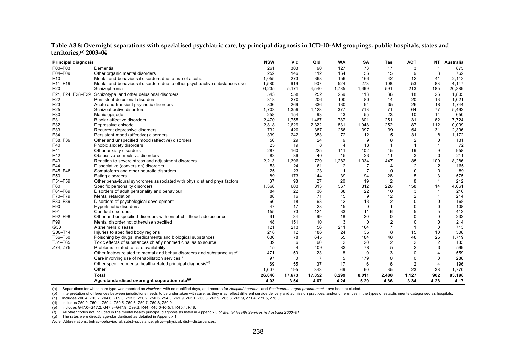| <b>Principal diagnosis</b> |                                                                                      | <b>NSW</b> | Vic            | Qld            | <b>WA</b>      | SA             | Tas            | <b>ACT</b>     |                | NT Australia |
|----------------------------|--------------------------------------------------------------------------------------|------------|----------------|----------------|----------------|----------------|----------------|----------------|----------------|--------------|
| F00-F03                    | Dementia                                                                             | 261        | 303            | 90             | 127            | 73             | 17             | 3              |                | 875          |
| F04-F09                    | Other organic mental disorders                                                       | 252        | 146            | 112            | 164            | 56             | 15             | 9              | 8              | 762          |
| F <sub>10</sub>            | Mental and behavioural disorders due to use of alcohol                               | 1,055      | 273            | 368            | 156            | 166            | 42             | 12             | 41             | 2,113        |
| F11-F19                    | Mental and behavioural disorders due to other psychoactive substances use            | 1,580      | 619            | 907            | 524            | 273            | 108            | 53             | 83             | 4,147        |
| F <sub>20</sub>            | Schizophrenia                                                                        | 6,235      | 5,171          | 4,540          | 1,785          | 1,669          | 591            | 213            | 185            | 20,389       |
| F21, F24, F28-F29          | Schizotypal and other delusional disorders                                           | 543        | 558            | 252            | 259            | 113            | 36             | 18             | 26             | 1,805        |
| F22                        | Persistent delusional disorders                                                      | 318        | 270            | 206            | 100            | 80             | 14             | 20             | 13             | 1,021        |
| F <sub>23</sub>            | Acute and transient psychotic disorders                                              | 836        | 269            | 336            | 130            | 94             | 35             | 26             | 18             | 1,744        |
| F <sub>25</sub>            | Schizoaffective disorders                                                            | 1,703      | 1,359          | 1,128          | 377            | 713            | 71             | 64             | 77             | 5,492        |
| F30                        | Manic episode                                                                        | 258        | 154            | 93             | 43             | 55             | 23             | 10             | 14             | 650          |
| F31                        | Bipolar affective disorders                                                          | 2,470      | 1,755          | 1,467          | 787            | 801            | 251            | 131            | 62             | 7,724        |
| F32                        | Depressive episode                                                                   | 2,818      | 2,629          | 2,322          | 831            | 1,048          | 252            | 87             | 112            | 10,099       |
| F33                        | Recurrent depressive disorders                                                       | 732        | 420            | 387            | 266            | 397            | 99             | 64             | 31             | 2,396        |
| F34                        | Persistent mood (affective) disorders                                                | 339        | 242            | 353            | 72             | 112            | 15             | 31             | 8              | 1,172        |
| F38, F39                   | Other and unspecified mood (affective) disorders                                     | 50         | 29             | 24             | 9              | 9              | 8              | $\overline{2}$ | $\Omega$       | 131          |
| F40                        | Phobic anxiety disorders                                                             | 25         | 19             | 8              | $\overline{4}$ | 13             | $\overline{1}$ | $\overline{1}$ | $\mathbf{1}$   | 72           |
| F41                        | Other anxiety disorders                                                              | 287        | 160            | 225            | 111            | 102            | 45             | 19             | 9              | 958          |
| F42                        | Obsessive-compulsive disorders                                                       | 83         | 36             | 40             | 15             | 23             | 11             | 3              | $\Omega$       | 211          |
| F43                        | Reaction to severe stress and adjustment disorders                                   | 2,213      | 1,396          | 1,729          | 1,282          | 1,034          | 447            | 85             | 100            | 8,286        |
| F44                        | Dissociative (conversion) disorders                                                  | 53         | 24             | 61             | 12             |                | 4              | $\overline{2}$ | $\overline{2}$ | 165          |
| F45, F48                   | Somatoform and other neurotic disorders                                              | 25         | 23             | 23             | 11             | $\overline{7}$ | 0              | $\Omega$       | $\Omega$       | 89           |
| F50                        | Eating disorders                                                                     | 89         | 173            | 144            | 39             | 94             | 28             | 5              | 3              | 575          |
| F51-F59                    | Other behavioural syndromes associated with phys dist and phys factors               | 37         | 98             | 27             | 20             | 19             | $\overline{2}$ | 8              | $\overline{1}$ | 212          |
| F60                        | Specific personality disorders                                                       | 1,368      | 603            | 813            | 567            | 312            | 226            | 158            | 14             | 4,061        |
| F61-F69                    | Disorders of adult personality and behaviour                                         | 84         | 22             | 36             | 38             | 22             | 10             | 3              | 1              | 216          |
| F70-F79                    | Mental retardation                                                                   | 88         | 16             | 71             | 15             | 9              | 12             | 2              | $\overline{1}$ | 214          |
| F80-F89                    | Disorders of psychological development                                               | 60         | 18             | 63             | 12             | 13             | 2              | $\Omega$       | 0              | 168          |
| F90                        | Hyperkinetic disorders                                                               | 47         | 17             | 28             | 15             | $\Omega$       |                | $\Omega$       | $\Omega$       | 108          |
| F91                        | Conduct disorders                                                                    | 155        | 73             | 124            | 33             | 11             | 6              | 5              | 5              | 412          |
| F92-F98                    | Other and unspecified disorders with onset childhood adolescence                     | 61         | 34             | 99             | 18             | 20             | 0              | $\Omega$       | $\Omega$       | 232          |
| F99                        | Mental disorder not otherwise specified                                              | 48         | 151            | 10             | 3              | $\Omega$       | 2              | $\Omega$       | $\Omega$       | 214          |
| G30                        | Alzheimers disease                                                                   | 121        | 213            | 56             | 211            | 104            |                | $\overline{1}$ | 0              | 713          |
| S00-T14                    | Injuries to specified body regions                                                   | 218        | 12             | 186            | 24             | 35             | 8              | 15             | 10             | 508          |
| T36-T50                    | Poisoning by drugs, medicaments and biological substances                            | 636        | 78             | 645            | 55             | 184            | 48             | 48             | 25             | 1,719        |
| T51-T65                    | Toxic effects of substances chiefly nonmedicinal as to source                        | 39         | 6              | 60             | $\overline{2}$ | 20             | $\overline{2}$ | $\overline{2}$ | 2              | 133          |
| Z74, Z75                   | Problems related to care availability                                                | 15         | $\overline{4}$ | 409            | 83             | 78             | 5              | $\overline{2}$ | 3              | 599          |
|                            | Other factors related to mental and behav disorders and substance use <sup>(c)</sup> | 471        | 50             | 23             | 8              | $\mathbf 0$    | 3              | $\Omega$       | $\overline{4}$ | 559          |
|                            | Care involving use of rehabilitation services <sup>(d)</sup>                         | 97         | $\mathbf 0$    | $\overline{7}$ | 5              | 179            | 0              | $\Omega$       | 0              | 288          |
|                            | Other specified mental health-related principal diagnosis <sup>(e)</sup>             | 69         | 55             | 37             | 17             | 6              | 6              | $\overline{2}$ | $\overline{4}$ | 196          |
|                            | Other <sup>(1)</sup>                                                                 | 1,007      | 195            | 343            | 69             | 60             | 35             | 23             | 38             | 1,770        |
|                            | Total                                                                                | 26,846     | 17,673         | 17,852         | 8,299          | 8,011          | 2,488          | 1,127          | 902            | 83,198       |
|                            | Age-standardised overnight separation rate <sup>(9)</sup>                            | 4.03       | 3.54           | 4.67           | 4.24           | 5.29           | 4.86           | 3.34           | 4.28           | 4.17         |

**Table A3.8: Overnight separations with specialised psychiatric care, by principal diagnosis in ICD-10-AM groupings, public hospitals, states and territories,(a) 2003–04**

(b) Interpretation of differences between jurisdictions needs to be undertaken with care, as they may reflect different service delivery and admission practices, and/or differences in the types of establishments categorise

(c) Includes Z00.4, Z03.2, Z04.6, Z09.3, Z13.3, Z50.2, Z50.3, Z54.3, Z61.9, Z63.1, Z63.8, Z63.9, Z65.8, Z65.9, Z71.4, Z71.5, Z76.0.

(d) Includes Z50.0, Z50.1, Z50.4, Z50.5, Z50.6, Z50.7, Z50.8, Z50.9.

(e) Includes G47.0–G47.2, G47.8–G47.9, O99.3, R44, R45.0–R45.1, R45.4, R48.

(f) All other codes not included in the mental health principal diagnosis as listed in Appendix 3 of *Mental Health Services in Australia 2000–01* .

(g) The rates were directly age-standardised as detailed in Appendix 1.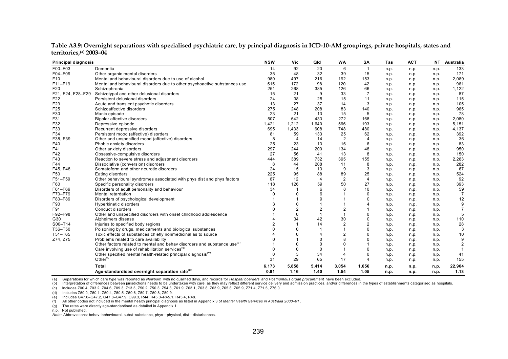| <b>Principal diagnosis</b> |                                                                                      | <b>NSW</b> | Vic            | Qld                     | <b>WA</b>      | <b>SA</b>      | Tas  | <b>ACT</b> |      | NT Australia   |
|----------------------------|--------------------------------------------------------------------------------------|------------|----------------|-------------------------|----------------|----------------|------|------------|------|----------------|
| F00-F03                    | Dementia                                                                             | 14         | 92             | 20                      | 6              | $\mathbf{1}$   | n.p. | n.p.       | n.p. | 133            |
| F04-F09                    | Other organic mental disorders                                                       | 35         | 48             | 32                      | 39             | 15             | n.p. | n.p.       | n.p. | 171            |
| F <sub>10</sub>            | Mental and behavioural disorders due to use of alcohol                               | 980        | 497            | 216                     | 192            | 153            | n.p. | n.p.       | n.p. | 2,089          |
| F11-F19                    | Mental and behavioural disorders due to other psychoactive substances use            | 515        | 172            | 98                      | 120            | 42             | n.p. | n.p.       | n.p. | 961            |
| F20                        | Schizophrenia                                                                        | 251        | 268            | 385                     | 126            | 66             | n.p. | n.p.       | n.p. | 1,122          |
| F21, F24, F28-F29          | Schizotypal and other delusional disorders                                           | 15         | 21             | 9                       | 33             | $\overline{7}$ | n.p. | n.p.       | n.p. | 87             |
| F <sub>22</sub>            | Persistent delusional disorders                                                      | 24         | 38             | 25                      | 15             | 11             | n.p. | n.p.       | n.p. | 115            |
| F <sub>23</sub>            | Acute and transient psychotic disorders                                              | 13         | 27             | 37                      | 14             | 3              | n.p. | n.p.       | n.p. | 105            |
| F25                        | Schizoaffective disorders                                                            | 275        | 248            | 208                     | 83             | 140            | n.p. | n.p.       | n.p. | 965            |
| F30                        | Manic episode                                                                        | 23         | 21             | 13                      | 15             | 5              | n.p. | n.p.       | n.p. | 78             |
| F31                        | Bipolar affective disorders                                                          | 507        | 642            | 433                     | 272            | 168            | n.p. | n.p.       | n.p. | 2,080          |
| F32                        | Depressive episode                                                                   | 1,421      | 1,212          | 1,640                   | 566            | 193            | n.p. | n.p.       | n.p. | 5,151          |
| F33                        | Recurrent depressive disorders                                                       | 695        | 1,433          | 608                     | 748            | 480            | n.p. | n.p.       | n.p. | 4,137          |
| F34                        | Persistent mood (affective) disorders                                                | 81         | 59             | 133                     | 25             | 62             | n.p. | n.p.       | n.p. | 392            |
| F38, F39                   | Other and unspecified mood (affective) disorders                                     | 8          | $\overline{4}$ | 14                      | $\overline{2}$ | $\overline{4}$ | n.p. | n.p.       | n.p. | 36             |
| F40                        | Phobic anxiety disorders                                                             | 25         | 23             | 13                      | 16             | 6              | n.p. | n.p.       | n.p. | 83             |
| F41                        | Other anxiety disorders                                                              | 297        | 244            | 200                     | 134            | 48             | n.p. | n.p.       | n.p. | 950            |
| F42                        | Obsessive-compulsive disorders                                                       | 27         | 56             | 41                      | 13             | 8              | n.p. | n.p.       | n.p. | 150            |
| F43                        | Reaction to severe stress and adjustment disorders                                   | 444        | 389            | 732                     | 395            | 155            | n.p. | n.p.       | n.p. | 2,283          |
| F44                        | Dissociative (conversion) disorders                                                  | 8          | 44             | 208                     | 11             | 8              | n.p. | n.p.       | n.p. | 282            |
| F45, F48                   | Somatoform and other neurotic disorders                                              | 24         | 15             | 13                      | 9              | 3              | n.p. | n.p.       | n.p. | 67             |
| F50                        | Eating disorders                                                                     | 225        | 95             | 88                      | 89             | 25             | n.p. | n.p.       | n.p. | 524            |
| F51-F59                    | Other behavioural syndromes associated with phys dist and phys factors               | 67         | 12             | $\overline{4}$          | $\overline{2}$ | $\overline{4}$ | n.p. | n.p.       | n.p. | 92             |
| F60                        | Specific personality disorders                                                       | 118        | 126            | 59                      | 50             | 27             | n.p. | n.p.       | n.p. | 393            |
| F61-F69                    | Disorders of adult personality and behaviour                                         | 34         |                | 6                       | 8              | 10             | n.p. | n.p.       | n.p. | 59             |
| F70-F79                    | Mental retardation                                                                   | $\Omega$   | $\mathbf 0$    | 6                       |                | $\mathbf 0$    | n.p. | n.p.       | n.p. | $\overline{7}$ |
| F80-F89                    | Disorders of psychological development                                               |            |                | 9                       |                | $\Omega$       | n.p. | n.p.       | n.p. | 12             |
| F90                        | Hyperkinetic disorders                                                               | 3          | 0              |                         |                |                | n.p. | n.p.       | n.p. | 9              |
| F91                        | Conduct disorders                                                                    |            | $\overline{2}$ | $\overline{2}$          | $\overline{2}$ |                | n.p. | n.p.       | n.p. | $\overline{7}$ |
| F92-F98                    | Other and unspecified disorders with onset childhood adolescence                     |            | $\mathbf 0$    | $\overline{1}$          | $\overline{1}$ | $\Omega$       | n.p. | n.p.       | n.p. | 5              |
| G30                        | Alzheimers disease                                                                   |            | 34             | 42                      | 30             | 0              | n.p. | n.p.       | n.p. | 110            |
| S00-T14                    | Injuries to specified body regions                                                   |            | -1             | 14                      | $\overline{2}$ | $\overline{2}$ | n.p. | n.p.       | n.p. | 28             |
| T36-T50                    | Poisoning by drugs, medicaments and biological substances                            | $\Omega$   | $\Omega$       | $\overline{\mathbf{1}}$ |                | $\Omega$       | n.p. | n.p.       | n.p. | 3              |
| T51-T65                    | Toxic effects of substances chiefly nonmedicinal as to source                        |            | $\Omega$       | $\overline{4}$          | $\overline{2}$ | $\Omega$       | n.p. | n.p.       | n.p. | 10             |
| Z74, Z75                   | Problems related to care availability                                                |            |                | $\mathbf 0$             | 8              | C              | n.p. | n.p.       | n.p. | 9              |
|                            | Other factors related to mental and behav disorders and substance use <sup>(c)</sup> |            | $\Omega$       | $\mathbf 0$             | $\Omega$       |                | n.p. | n.p.       | n.p. | $\overline{2}$ |
|                            | Care involving use of rehabilitation services <sup>(a)</sup>                         | $\Omega$   | $\mathbf 0$    | $\mathbf 0$             |                | $\Omega$       | n.p. | n.p.       | n.p. | -1             |
|                            | Other specified mental health-related principal diagnosis <sup>(e)</sup>             | $\Omega$   | 3              | 34                      | $\overline{4}$ | 0              | n.p. | n.p.       | n.p. | 41             |
|                            | Other $(1)$                                                                          | 31         | 29             | 65                      | 17             | $\overline{4}$ | n.p. | n.p.       | n.p. | 155            |
|                            | Total                                                                                | 6,173      | 5,858          | 5,414                   | 3,054          | 1,656          | n.p. | n.p.       | n.p. | 22,904         |
|                            | Age-standardised overnight separation rate <sup>(9)</sup>                            | 0.91       | 1.16           | 1.40                    | 1.54           | 1.05           | n.p. | n.p.       | n.p. | 1.13           |

**Table A3.9: Overnight separations with specialised psychiatric care, by principal diagnosis in ICD-10-AM groupings, private hospitals, states and territories,(a) 2003–04**

(b) Interpretation of differences between jurisdictions needs to be undertaken with care, as they may reflect different service delivery and admission practices, and/or differences in the types of establishments categorise

(c) Includes Z00.4, Z03.2, Z04.6, Z09.3, Z13.3, Z50.2, Z50.3, Z54.3, Z61.9, Z63.1, Z63.8, Z63.9, Z65.8, Z65.9, Z71.4, Z71.5, Z76.0.

(d) Includes Z50.0, Z50.1, Z50.4, Z50.5, Z50.6, Z50.7, Z50.8, Z50.9.

(e) Includes G47.0–G47.2, G47.8–G47.9, O99.3, R44, R45.0–R45.1, R45.4, R48.

(f) All other codes not included in the mental health principal diagnosis as listed in Appendix 3 of *Mental Health Services in Australia 2000–01* .

(g) The rates were directly age-standardised as detailed in Appendix 1.

n.p. Not published.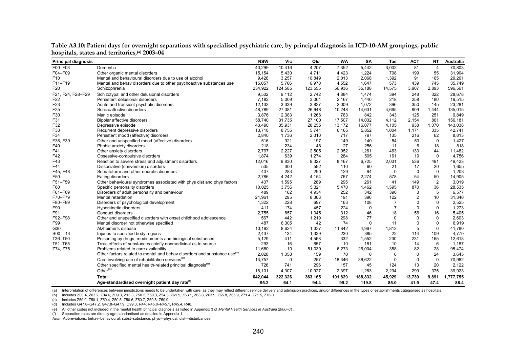| F00-F03<br>40,299<br>10,416<br>4,207<br>7,352<br>5,442<br>3,002<br>81<br>70,803<br>Dementia<br>$\overline{4}$<br>F04-F09<br>15,154<br>1,224<br>708<br>55<br>31,904<br>Other organic mental disorders<br>5,430<br>4,711<br>4,423<br>199<br>F <sub>10</sub><br>Mental and behavioural disorders due to use of alcohol<br>9,426<br>29,261<br>3,257<br>10,849<br>2,013<br>2,068<br>1,392<br>91<br>165<br>573<br>745<br>35,749<br>Mental and behav disorders due to other psychoactive substances use<br>15,057<br>5,766<br>6,970<br>4,552<br>1,647<br>439<br>F20<br>234,922<br>124,585<br>123,555<br>35,188<br>14,575<br>3,907<br>2,893<br>596,561<br>56,936<br>Schizophrenia<br>F21, F24, F28-F29<br>Schizotypal and other delusional disorders<br>9,502<br>9,112<br>2,742<br>4,884<br>1,474<br>394<br>322<br>28,678<br>248<br>F <sub>22</sub><br>3,061<br>218<br>258<br>180<br>19,515<br>Persistent delusional disorders<br>7,182<br>5,009<br>2,167<br>1,440<br>F23<br>12,133<br>3,339<br>3,837<br>2,009<br>1,072<br>396<br>350<br>23,281<br>Acute and transient psychotic disorders<br>145<br>F <sub>25</sub><br>48,789<br>14,631<br>909<br>135,015<br>Schizoaffective disorders<br>27,381<br>10,248<br>4,665<br>1,444<br>26,948<br>F30<br>3,876<br>842<br>251<br>9,849<br>2,383<br>1,266<br>763<br>343<br>125<br>Manic episode<br>F31<br>58,740<br>31,735<br>27,100<br>17,507<br>14,032<br>4,112<br>801<br>156,181<br>Bipolar affective disorders<br>2,154<br>F32<br>1,070<br>143,038<br>43,490<br>35,931<br>28,255<br>13,172<br>16,077<br>4,105<br>938<br>Depressive episode<br>F33<br>13,718<br>5,741<br>5,852<br>335<br>42,741<br>Recurrent depressive disorders<br>8,755<br>6,165<br>1,004<br>1,171<br>F34<br>797<br>8,813<br>Persistent mood (affective) disorders<br>2,840<br>1,736<br>2,310<br>717<br>135<br>216<br>62<br>F38, F39<br>321<br>516<br>197<br>149<br>140<br>54<br>50<br>$\Omega$<br>1,427<br>Other and unspecified mood (affective) disorders<br>27<br>256<br>18<br>F40<br>218<br>234<br>48<br>11<br>6<br>818<br>Phobic anxiety disorders<br>F41<br>2,052<br>1,261<br>463<br>133<br>Other anxiety disorders<br>2,797<br>2,227<br>2,505<br>44<br>11,482<br>F42<br>1,874<br>639<br>284<br>505<br>161<br>19<br>4,756<br>Obsessive-compulsive disorders<br>1,274<br>$\mathbf 0$<br>F43<br>9,327<br>6,725<br>536<br>491<br>49,423<br>Reaction to severe stress and adjustment disorders<br>12,016<br>9,830<br>2,031<br>8,467<br>F44<br>300<br>1,655<br>535<br>592<br>110<br>60<br>21<br>17<br>20<br>Dissociative (conversion) disorders<br>F45, F48<br>407<br>283<br>290<br>94<br>$\mathbf 0$<br>1,203<br>Somatoform and other neurotic disorders<br>129<br>$\Omega$<br>$\mathbf 0$<br>54<br>50<br>14,905<br>F <sub>50</sub><br>2,786<br>4,242<br>4,154<br>767<br>2,274<br>578<br>Eating disorders<br>$\overline{2}$<br>F51-F59<br>407<br>1,595<br>269<br>295<br>261<br>149<br>3.019<br>Other behavioural syndromes associated with phys dist and phys factors<br>41<br>870<br>36<br>28,535<br>F60<br>Specific personality disorders<br>10,025<br>3,756<br>5,321<br>5,470<br>1,462<br>1,595<br>5<br>489<br>162<br>252<br>342<br>390<br>3<br>6,577<br>Disorders of adult personality and behaviour<br>4,934<br>8,363<br>396<br>122<br>$\overline{2}$<br>10<br>31,340<br>Mental retardation<br>21.961<br>295<br>191<br>F80-F89<br>2,525<br>Disorders of psychological development<br>1,322<br>228<br>697<br>163<br>108<br>7<br>0<br>0<br>F90<br>174<br>224<br>$\overline{7}$<br>0<br>0<br>1,273<br><b>Hyperkinetic disorders</b><br>411<br>457<br>$\Omega$<br>857<br>312<br>46<br>18<br>56<br>16<br>5,405<br>F91<br>2,755<br>1,345<br>Conduct disorders<br>Other and unspecified disorders with onset childhood adolescence<br>77<br>$\mathbf 0$<br>F92-F98<br>567<br>442<br>1,219<br>298<br>0<br>0<br>2,603<br>F99<br>487<br>$\mathbf 0$<br>6,919<br>Mental disorder not otherwise specified<br>6,305<br>42<br>74<br>$\Omega$<br>11<br>$\Omega$<br>5<br>G30<br>13,192<br>8,624<br>1,337<br>11,842<br>4,967<br>1,813<br>0<br>41,780<br>Alzheimer's disease<br>S00-T14<br>1,339<br>230<br>385<br>4,770<br>Injuries to specified body regions<br>2,437<br>134<br>22<br>114<br>109<br>Poisoning by drugs, medicaments and biological substances<br>5,129<br>332<br>1,552<br>230<br>231<br>12,618<br>411<br>4,568<br>165<br>293<br>657<br>181<br>10<br>6<br>Toxic effects of substances chiefly nonmedicinal as to source<br>16<br>10<br>14<br>1,187<br>11,680<br>10<br>358<br>82<br>28<br>95,474<br>Problems related to care availability<br>51,039<br>6,273<br>26,004<br>Other factors related to mental and behav disorders and substance use <sup>(D)</sup><br>2,028<br>1,358<br>6<br>0<br>24<br>3,645<br>159<br>70<br>$\Omega$<br>Care involving use of rehabilitation services <sup>(c)</sup><br>13,757<br>257<br>$\mathbf 0$<br>70,982<br>0<br>18,346<br>38,622<br>$\Omega$<br>$\mathbf 0$<br>Other specified mental health-related principal diagnosis <sup>(d)</sup><br>13<br>726<br>741<br>296<br>157<br>124<br>20<br>2,122<br>45<br>Other $(e)$<br>39,923<br>18,101<br>2,234<br>299<br>375<br>4,307<br>10,927<br>2,397<br>1,283<br>642,044<br>9,891<br>1,777,755<br>322,326<br>363,165<br>191,829<br>188,832<br>45,929<br>13,739<br>Total | <b>Principal diagnosis</b> |                                                            | <b>NSW</b> | Vic  | Qld  | <b>WA</b> | <b>SA</b> | Tas  | <b>ACT</b> | NT   | <b>Australia</b> |
|---------------------------------------------------------------------------------------------------------------------------------------------------------------------------------------------------------------------------------------------------------------------------------------------------------------------------------------------------------------------------------------------------------------------------------------------------------------------------------------------------------------------------------------------------------------------------------------------------------------------------------------------------------------------------------------------------------------------------------------------------------------------------------------------------------------------------------------------------------------------------------------------------------------------------------------------------------------------------------------------------------------------------------------------------------------------------------------------------------------------------------------------------------------------------------------------------------------------------------------------------------------------------------------------------------------------------------------------------------------------------------------------------------------------------------------------------------------------------------------------------------------------------------------------------------------------------------------------------------------------------------------------------------------------------------------------------------------------------------------------------------------------------------------------------------------------------------------------------------------------------------------------------------------------------------------------------------------------------------------------------------------------------------------------------------------------------------------------------------------------------------------------------------------------------------------------------------------------------------------------------------------------------------------------------------------------------------------------------------------------------------------------------------------------------------------------------------------------------------------------------------------------------------------------------------------------------------------------------------------------------------------------------------------------------------------------------------------------------------------------------------------------------------------------------------------------------------------------------------------------------------------------------------------------------------------------------------------------------------------------------------------------------------------------------------------------------------------------------------------------------------------------------------------------------------------------------------------------------------------------------------------------------------------------------------------------------------------------------------------------------------------------------------------------------------------------------------------------------------------------------------------------------------------------------------------------------------------------------------------------------------------------------------------------------------------------------------------------------------------------------------------------------------------------------------------------------------------------------------------------------------------------------------------------------------------------------------------------------------------------------------------------------------------------------------------------------------------------------------------------------------------------------------------------------------------------------------------------------------------------------------------------------------------------------------------------------------------------------------------------------------------------------------------------------------------------------------------------------------------------------------------------------------------------------------------------------------------------------------------------------------------------------------------------------------------------------------------------------------------------------------------------------------------------------------------------------------------------------------------------------------------------------------------------------------------------------------------------------------------------------------------------------------------------------------------------------------------------------------------------------------------------------------------------------------------------------------------------------------------------------------------|----------------------------|------------------------------------------------------------|------------|------|------|-----------|-----------|------|------------|------|------------------|
|                                                                                                                                                                                                                                                                                                                                                                                                                                                                                                                                                                                                                                                                                                                                                                                                                                                                                                                                                                                                                                                                                                                                                                                                                                                                                                                                                                                                                                                                                                                                                                                                                                                                                                                                                                                                                                                                                                                                                                                                                                                                                                                                                                                                                                                                                                                                                                                                                                                                                                                                                                                                                                                                                                                                                                                                                                                                                                                                                                                                                                                                                                                                                                                                                                                                                                                                                                                                                                                                                                                                                                                                                                                                                                                                                                                                                                                                                                                                                                                                                                                                                                                                                                                                                                                                                                                                                                                                                                                                                                                                                                                                                                                                                                                                                                                                                                                                                                                                                                                                                                                                                                                                                                                                                                                               |                            |                                                            |            |      |      |           |           |      |            |      |                  |
|                                                                                                                                                                                                                                                                                                                                                                                                                                                                                                                                                                                                                                                                                                                                                                                                                                                                                                                                                                                                                                                                                                                                                                                                                                                                                                                                                                                                                                                                                                                                                                                                                                                                                                                                                                                                                                                                                                                                                                                                                                                                                                                                                                                                                                                                                                                                                                                                                                                                                                                                                                                                                                                                                                                                                                                                                                                                                                                                                                                                                                                                                                                                                                                                                                                                                                                                                                                                                                                                                                                                                                                                                                                                                                                                                                                                                                                                                                                                                                                                                                                                                                                                                                                                                                                                                                                                                                                                                                                                                                                                                                                                                                                                                                                                                                                                                                                                                                                                                                                                                                                                                                                                                                                                                                                               |                            |                                                            |            |      |      |           |           |      |            |      |                  |
|                                                                                                                                                                                                                                                                                                                                                                                                                                                                                                                                                                                                                                                                                                                                                                                                                                                                                                                                                                                                                                                                                                                                                                                                                                                                                                                                                                                                                                                                                                                                                                                                                                                                                                                                                                                                                                                                                                                                                                                                                                                                                                                                                                                                                                                                                                                                                                                                                                                                                                                                                                                                                                                                                                                                                                                                                                                                                                                                                                                                                                                                                                                                                                                                                                                                                                                                                                                                                                                                                                                                                                                                                                                                                                                                                                                                                                                                                                                                                                                                                                                                                                                                                                                                                                                                                                                                                                                                                                                                                                                                                                                                                                                                                                                                                                                                                                                                                                                                                                                                                                                                                                                                                                                                                                                               |                            |                                                            |            |      |      |           |           |      |            |      |                  |
|                                                                                                                                                                                                                                                                                                                                                                                                                                                                                                                                                                                                                                                                                                                                                                                                                                                                                                                                                                                                                                                                                                                                                                                                                                                                                                                                                                                                                                                                                                                                                                                                                                                                                                                                                                                                                                                                                                                                                                                                                                                                                                                                                                                                                                                                                                                                                                                                                                                                                                                                                                                                                                                                                                                                                                                                                                                                                                                                                                                                                                                                                                                                                                                                                                                                                                                                                                                                                                                                                                                                                                                                                                                                                                                                                                                                                                                                                                                                                                                                                                                                                                                                                                                                                                                                                                                                                                                                                                                                                                                                                                                                                                                                                                                                                                                                                                                                                                                                                                                                                                                                                                                                                                                                                                                               | F11-F19                    |                                                            |            |      |      |           |           |      |            |      |                  |
|                                                                                                                                                                                                                                                                                                                                                                                                                                                                                                                                                                                                                                                                                                                                                                                                                                                                                                                                                                                                                                                                                                                                                                                                                                                                                                                                                                                                                                                                                                                                                                                                                                                                                                                                                                                                                                                                                                                                                                                                                                                                                                                                                                                                                                                                                                                                                                                                                                                                                                                                                                                                                                                                                                                                                                                                                                                                                                                                                                                                                                                                                                                                                                                                                                                                                                                                                                                                                                                                                                                                                                                                                                                                                                                                                                                                                                                                                                                                                                                                                                                                                                                                                                                                                                                                                                                                                                                                                                                                                                                                                                                                                                                                                                                                                                                                                                                                                                                                                                                                                                                                                                                                                                                                                                                               |                            |                                                            |            |      |      |           |           |      |            |      |                  |
|                                                                                                                                                                                                                                                                                                                                                                                                                                                                                                                                                                                                                                                                                                                                                                                                                                                                                                                                                                                                                                                                                                                                                                                                                                                                                                                                                                                                                                                                                                                                                                                                                                                                                                                                                                                                                                                                                                                                                                                                                                                                                                                                                                                                                                                                                                                                                                                                                                                                                                                                                                                                                                                                                                                                                                                                                                                                                                                                                                                                                                                                                                                                                                                                                                                                                                                                                                                                                                                                                                                                                                                                                                                                                                                                                                                                                                                                                                                                                                                                                                                                                                                                                                                                                                                                                                                                                                                                                                                                                                                                                                                                                                                                                                                                                                                                                                                                                                                                                                                                                                                                                                                                                                                                                                                               |                            |                                                            |            |      |      |           |           |      |            |      |                  |
|                                                                                                                                                                                                                                                                                                                                                                                                                                                                                                                                                                                                                                                                                                                                                                                                                                                                                                                                                                                                                                                                                                                                                                                                                                                                                                                                                                                                                                                                                                                                                                                                                                                                                                                                                                                                                                                                                                                                                                                                                                                                                                                                                                                                                                                                                                                                                                                                                                                                                                                                                                                                                                                                                                                                                                                                                                                                                                                                                                                                                                                                                                                                                                                                                                                                                                                                                                                                                                                                                                                                                                                                                                                                                                                                                                                                                                                                                                                                                                                                                                                                                                                                                                                                                                                                                                                                                                                                                                                                                                                                                                                                                                                                                                                                                                                                                                                                                                                                                                                                                                                                                                                                                                                                                                                               |                            |                                                            |            |      |      |           |           |      |            |      |                  |
|                                                                                                                                                                                                                                                                                                                                                                                                                                                                                                                                                                                                                                                                                                                                                                                                                                                                                                                                                                                                                                                                                                                                                                                                                                                                                                                                                                                                                                                                                                                                                                                                                                                                                                                                                                                                                                                                                                                                                                                                                                                                                                                                                                                                                                                                                                                                                                                                                                                                                                                                                                                                                                                                                                                                                                                                                                                                                                                                                                                                                                                                                                                                                                                                                                                                                                                                                                                                                                                                                                                                                                                                                                                                                                                                                                                                                                                                                                                                                                                                                                                                                                                                                                                                                                                                                                                                                                                                                                                                                                                                                                                                                                                                                                                                                                                                                                                                                                                                                                                                                                                                                                                                                                                                                                                               |                            |                                                            |            |      |      |           |           |      |            |      |                  |
|                                                                                                                                                                                                                                                                                                                                                                                                                                                                                                                                                                                                                                                                                                                                                                                                                                                                                                                                                                                                                                                                                                                                                                                                                                                                                                                                                                                                                                                                                                                                                                                                                                                                                                                                                                                                                                                                                                                                                                                                                                                                                                                                                                                                                                                                                                                                                                                                                                                                                                                                                                                                                                                                                                                                                                                                                                                                                                                                                                                                                                                                                                                                                                                                                                                                                                                                                                                                                                                                                                                                                                                                                                                                                                                                                                                                                                                                                                                                                                                                                                                                                                                                                                                                                                                                                                                                                                                                                                                                                                                                                                                                                                                                                                                                                                                                                                                                                                                                                                                                                                                                                                                                                                                                                                                               |                            |                                                            |            |      |      |           |           |      |            |      |                  |
|                                                                                                                                                                                                                                                                                                                                                                                                                                                                                                                                                                                                                                                                                                                                                                                                                                                                                                                                                                                                                                                                                                                                                                                                                                                                                                                                                                                                                                                                                                                                                                                                                                                                                                                                                                                                                                                                                                                                                                                                                                                                                                                                                                                                                                                                                                                                                                                                                                                                                                                                                                                                                                                                                                                                                                                                                                                                                                                                                                                                                                                                                                                                                                                                                                                                                                                                                                                                                                                                                                                                                                                                                                                                                                                                                                                                                                                                                                                                                                                                                                                                                                                                                                                                                                                                                                                                                                                                                                                                                                                                                                                                                                                                                                                                                                                                                                                                                                                                                                                                                                                                                                                                                                                                                                                               |                            |                                                            |            |      |      |           |           |      |            |      |                  |
|                                                                                                                                                                                                                                                                                                                                                                                                                                                                                                                                                                                                                                                                                                                                                                                                                                                                                                                                                                                                                                                                                                                                                                                                                                                                                                                                                                                                                                                                                                                                                                                                                                                                                                                                                                                                                                                                                                                                                                                                                                                                                                                                                                                                                                                                                                                                                                                                                                                                                                                                                                                                                                                                                                                                                                                                                                                                                                                                                                                                                                                                                                                                                                                                                                                                                                                                                                                                                                                                                                                                                                                                                                                                                                                                                                                                                                                                                                                                                                                                                                                                                                                                                                                                                                                                                                                                                                                                                                                                                                                                                                                                                                                                                                                                                                                                                                                                                                                                                                                                                                                                                                                                                                                                                                                               |                            |                                                            |            |      |      |           |           |      |            |      |                  |
|                                                                                                                                                                                                                                                                                                                                                                                                                                                                                                                                                                                                                                                                                                                                                                                                                                                                                                                                                                                                                                                                                                                                                                                                                                                                                                                                                                                                                                                                                                                                                                                                                                                                                                                                                                                                                                                                                                                                                                                                                                                                                                                                                                                                                                                                                                                                                                                                                                                                                                                                                                                                                                                                                                                                                                                                                                                                                                                                                                                                                                                                                                                                                                                                                                                                                                                                                                                                                                                                                                                                                                                                                                                                                                                                                                                                                                                                                                                                                                                                                                                                                                                                                                                                                                                                                                                                                                                                                                                                                                                                                                                                                                                                                                                                                                                                                                                                                                                                                                                                                                                                                                                                                                                                                                                               |                            |                                                            |            |      |      |           |           |      |            |      |                  |
|                                                                                                                                                                                                                                                                                                                                                                                                                                                                                                                                                                                                                                                                                                                                                                                                                                                                                                                                                                                                                                                                                                                                                                                                                                                                                                                                                                                                                                                                                                                                                                                                                                                                                                                                                                                                                                                                                                                                                                                                                                                                                                                                                                                                                                                                                                                                                                                                                                                                                                                                                                                                                                                                                                                                                                                                                                                                                                                                                                                                                                                                                                                                                                                                                                                                                                                                                                                                                                                                                                                                                                                                                                                                                                                                                                                                                                                                                                                                                                                                                                                                                                                                                                                                                                                                                                                                                                                                                                                                                                                                                                                                                                                                                                                                                                                                                                                                                                                                                                                                                                                                                                                                                                                                                                                               |                            |                                                            |            |      |      |           |           |      |            |      |                  |
|                                                                                                                                                                                                                                                                                                                                                                                                                                                                                                                                                                                                                                                                                                                                                                                                                                                                                                                                                                                                                                                                                                                                                                                                                                                                                                                                                                                                                                                                                                                                                                                                                                                                                                                                                                                                                                                                                                                                                                                                                                                                                                                                                                                                                                                                                                                                                                                                                                                                                                                                                                                                                                                                                                                                                                                                                                                                                                                                                                                                                                                                                                                                                                                                                                                                                                                                                                                                                                                                                                                                                                                                                                                                                                                                                                                                                                                                                                                                                                                                                                                                                                                                                                                                                                                                                                                                                                                                                                                                                                                                                                                                                                                                                                                                                                                                                                                                                                                                                                                                                                                                                                                                                                                                                                                               |                            |                                                            |            |      |      |           |           |      |            |      |                  |
|                                                                                                                                                                                                                                                                                                                                                                                                                                                                                                                                                                                                                                                                                                                                                                                                                                                                                                                                                                                                                                                                                                                                                                                                                                                                                                                                                                                                                                                                                                                                                                                                                                                                                                                                                                                                                                                                                                                                                                                                                                                                                                                                                                                                                                                                                                                                                                                                                                                                                                                                                                                                                                                                                                                                                                                                                                                                                                                                                                                                                                                                                                                                                                                                                                                                                                                                                                                                                                                                                                                                                                                                                                                                                                                                                                                                                                                                                                                                                                                                                                                                                                                                                                                                                                                                                                                                                                                                                                                                                                                                                                                                                                                                                                                                                                                                                                                                                                                                                                                                                                                                                                                                                                                                                                                               |                            |                                                            |            |      |      |           |           |      |            |      |                  |
|                                                                                                                                                                                                                                                                                                                                                                                                                                                                                                                                                                                                                                                                                                                                                                                                                                                                                                                                                                                                                                                                                                                                                                                                                                                                                                                                                                                                                                                                                                                                                                                                                                                                                                                                                                                                                                                                                                                                                                                                                                                                                                                                                                                                                                                                                                                                                                                                                                                                                                                                                                                                                                                                                                                                                                                                                                                                                                                                                                                                                                                                                                                                                                                                                                                                                                                                                                                                                                                                                                                                                                                                                                                                                                                                                                                                                                                                                                                                                                                                                                                                                                                                                                                                                                                                                                                                                                                                                                                                                                                                                                                                                                                                                                                                                                                                                                                                                                                                                                                                                                                                                                                                                                                                                                                               |                            |                                                            |            |      |      |           |           |      |            |      |                  |
|                                                                                                                                                                                                                                                                                                                                                                                                                                                                                                                                                                                                                                                                                                                                                                                                                                                                                                                                                                                                                                                                                                                                                                                                                                                                                                                                                                                                                                                                                                                                                                                                                                                                                                                                                                                                                                                                                                                                                                                                                                                                                                                                                                                                                                                                                                                                                                                                                                                                                                                                                                                                                                                                                                                                                                                                                                                                                                                                                                                                                                                                                                                                                                                                                                                                                                                                                                                                                                                                                                                                                                                                                                                                                                                                                                                                                                                                                                                                                                                                                                                                                                                                                                                                                                                                                                                                                                                                                                                                                                                                                                                                                                                                                                                                                                                                                                                                                                                                                                                                                                                                                                                                                                                                                                                               |                            |                                                            |            |      |      |           |           |      |            |      |                  |
|                                                                                                                                                                                                                                                                                                                                                                                                                                                                                                                                                                                                                                                                                                                                                                                                                                                                                                                                                                                                                                                                                                                                                                                                                                                                                                                                                                                                                                                                                                                                                                                                                                                                                                                                                                                                                                                                                                                                                                                                                                                                                                                                                                                                                                                                                                                                                                                                                                                                                                                                                                                                                                                                                                                                                                                                                                                                                                                                                                                                                                                                                                                                                                                                                                                                                                                                                                                                                                                                                                                                                                                                                                                                                                                                                                                                                                                                                                                                                                                                                                                                                                                                                                                                                                                                                                                                                                                                                                                                                                                                                                                                                                                                                                                                                                                                                                                                                                                                                                                                                                                                                                                                                                                                                                                               |                            |                                                            |            |      |      |           |           |      |            |      |                  |
|                                                                                                                                                                                                                                                                                                                                                                                                                                                                                                                                                                                                                                                                                                                                                                                                                                                                                                                                                                                                                                                                                                                                                                                                                                                                                                                                                                                                                                                                                                                                                                                                                                                                                                                                                                                                                                                                                                                                                                                                                                                                                                                                                                                                                                                                                                                                                                                                                                                                                                                                                                                                                                                                                                                                                                                                                                                                                                                                                                                                                                                                                                                                                                                                                                                                                                                                                                                                                                                                                                                                                                                                                                                                                                                                                                                                                                                                                                                                                                                                                                                                                                                                                                                                                                                                                                                                                                                                                                                                                                                                                                                                                                                                                                                                                                                                                                                                                                                                                                                                                                                                                                                                                                                                                                                               |                            |                                                            |            |      |      |           |           |      |            |      |                  |
|                                                                                                                                                                                                                                                                                                                                                                                                                                                                                                                                                                                                                                                                                                                                                                                                                                                                                                                                                                                                                                                                                                                                                                                                                                                                                                                                                                                                                                                                                                                                                                                                                                                                                                                                                                                                                                                                                                                                                                                                                                                                                                                                                                                                                                                                                                                                                                                                                                                                                                                                                                                                                                                                                                                                                                                                                                                                                                                                                                                                                                                                                                                                                                                                                                                                                                                                                                                                                                                                                                                                                                                                                                                                                                                                                                                                                                                                                                                                                                                                                                                                                                                                                                                                                                                                                                                                                                                                                                                                                                                                                                                                                                                                                                                                                                                                                                                                                                                                                                                                                                                                                                                                                                                                                                                               |                            |                                                            |            |      |      |           |           |      |            |      |                  |
|                                                                                                                                                                                                                                                                                                                                                                                                                                                                                                                                                                                                                                                                                                                                                                                                                                                                                                                                                                                                                                                                                                                                                                                                                                                                                                                                                                                                                                                                                                                                                                                                                                                                                                                                                                                                                                                                                                                                                                                                                                                                                                                                                                                                                                                                                                                                                                                                                                                                                                                                                                                                                                                                                                                                                                                                                                                                                                                                                                                                                                                                                                                                                                                                                                                                                                                                                                                                                                                                                                                                                                                                                                                                                                                                                                                                                                                                                                                                                                                                                                                                                                                                                                                                                                                                                                                                                                                                                                                                                                                                                                                                                                                                                                                                                                                                                                                                                                                                                                                                                                                                                                                                                                                                                                                               |                            |                                                            |            |      |      |           |           |      |            |      |                  |
|                                                                                                                                                                                                                                                                                                                                                                                                                                                                                                                                                                                                                                                                                                                                                                                                                                                                                                                                                                                                                                                                                                                                                                                                                                                                                                                                                                                                                                                                                                                                                                                                                                                                                                                                                                                                                                                                                                                                                                                                                                                                                                                                                                                                                                                                                                                                                                                                                                                                                                                                                                                                                                                                                                                                                                                                                                                                                                                                                                                                                                                                                                                                                                                                                                                                                                                                                                                                                                                                                                                                                                                                                                                                                                                                                                                                                                                                                                                                                                                                                                                                                                                                                                                                                                                                                                                                                                                                                                                                                                                                                                                                                                                                                                                                                                                                                                                                                                                                                                                                                                                                                                                                                                                                                                                               |                            |                                                            |            |      |      |           |           |      |            |      |                  |
|                                                                                                                                                                                                                                                                                                                                                                                                                                                                                                                                                                                                                                                                                                                                                                                                                                                                                                                                                                                                                                                                                                                                                                                                                                                                                                                                                                                                                                                                                                                                                                                                                                                                                                                                                                                                                                                                                                                                                                                                                                                                                                                                                                                                                                                                                                                                                                                                                                                                                                                                                                                                                                                                                                                                                                                                                                                                                                                                                                                                                                                                                                                                                                                                                                                                                                                                                                                                                                                                                                                                                                                                                                                                                                                                                                                                                                                                                                                                                                                                                                                                                                                                                                                                                                                                                                                                                                                                                                                                                                                                                                                                                                                                                                                                                                                                                                                                                                                                                                                                                                                                                                                                                                                                                                                               |                            |                                                            |            |      |      |           |           |      |            |      |                  |
|                                                                                                                                                                                                                                                                                                                                                                                                                                                                                                                                                                                                                                                                                                                                                                                                                                                                                                                                                                                                                                                                                                                                                                                                                                                                                                                                                                                                                                                                                                                                                                                                                                                                                                                                                                                                                                                                                                                                                                                                                                                                                                                                                                                                                                                                                                                                                                                                                                                                                                                                                                                                                                                                                                                                                                                                                                                                                                                                                                                                                                                                                                                                                                                                                                                                                                                                                                                                                                                                                                                                                                                                                                                                                                                                                                                                                                                                                                                                                                                                                                                                                                                                                                                                                                                                                                                                                                                                                                                                                                                                                                                                                                                                                                                                                                                                                                                                                                                                                                                                                                                                                                                                                                                                                                                               |                            |                                                            |            |      |      |           |           |      |            |      |                  |
|                                                                                                                                                                                                                                                                                                                                                                                                                                                                                                                                                                                                                                                                                                                                                                                                                                                                                                                                                                                                                                                                                                                                                                                                                                                                                                                                                                                                                                                                                                                                                                                                                                                                                                                                                                                                                                                                                                                                                                                                                                                                                                                                                                                                                                                                                                                                                                                                                                                                                                                                                                                                                                                                                                                                                                                                                                                                                                                                                                                                                                                                                                                                                                                                                                                                                                                                                                                                                                                                                                                                                                                                                                                                                                                                                                                                                                                                                                                                                                                                                                                                                                                                                                                                                                                                                                                                                                                                                                                                                                                                                                                                                                                                                                                                                                                                                                                                                                                                                                                                                                                                                                                                                                                                                                                               | F61-F69                    |                                                            |            |      |      |           |           |      |            |      |                  |
|                                                                                                                                                                                                                                                                                                                                                                                                                                                                                                                                                                                                                                                                                                                                                                                                                                                                                                                                                                                                                                                                                                                                                                                                                                                                                                                                                                                                                                                                                                                                                                                                                                                                                                                                                                                                                                                                                                                                                                                                                                                                                                                                                                                                                                                                                                                                                                                                                                                                                                                                                                                                                                                                                                                                                                                                                                                                                                                                                                                                                                                                                                                                                                                                                                                                                                                                                                                                                                                                                                                                                                                                                                                                                                                                                                                                                                                                                                                                                                                                                                                                                                                                                                                                                                                                                                                                                                                                                                                                                                                                                                                                                                                                                                                                                                                                                                                                                                                                                                                                                                                                                                                                                                                                                                                               | F70-F79                    |                                                            |            |      |      |           |           |      |            |      |                  |
|                                                                                                                                                                                                                                                                                                                                                                                                                                                                                                                                                                                                                                                                                                                                                                                                                                                                                                                                                                                                                                                                                                                                                                                                                                                                                                                                                                                                                                                                                                                                                                                                                                                                                                                                                                                                                                                                                                                                                                                                                                                                                                                                                                                                                                                                                                                                                                                                                                                                                                                                                                                                                                                                                                                                                                                                                                                                                                                                                                                                                                                                                                                                                                                                                                                                                                                                                                                                                                                                                                                                                                                                                                                                                                                                                                                                                                                                                                                                                                                                                                                                                                                                                                                                                                                                                                                                                                                                                                                                                                                                                                                                                                                                                                                                                                                                                                                                                                                                                                                                                                                                                                                                                                                                                                                               |                            |                                                            |            |      |      |           |           |      |            |      |                  |
|                                                                                                                                                                                                                                                                                                                                                                                                                                                                                                                                                                                                                                                                                                                                                                                                                                                                                                                                                                                                                                                                                                                                                                                                                                                                                                                                                                                                                                                                                                                                                                                                                                                                                                                                                                                                                                                                                                                                                                                                                                                                                                                                                                                                                                                                                                                                                                                                                                                                                                                                                                                                                                                                                                                                                                                                                                                                                                                                                                                                                                                                                                                                                                                                                                                                                                                                                                                                                                                                                                                                                                                                                                                                                                                                                                                                                                                                                                                                                                                                                                                                                                                                                                                                                                                                                                                                                                                                                                                                                                                                                                                                                                                                                                                                                                                                                                                                                                                                                                                                                                                                                                                                                                                                                                                               |                            |                                                            |            |      |      |           |           |      |            |      |                  |
|                                                                                                                                                                                                                                                                                                                                                                                                                                                                                                                                                                                                                                                                                                                                                                                                                                                                                                                                                                                                                                                                                                                                                                                                                                                                                                                                                                                                                                                                                                                                                                                                                                                                                                                                                                                                                                                                                                                                                                                                                                                                                                                                                                                                                                                                                                                                                                                                                                                                                                                                                                                                                                                                                                                                                                                                                                                                                                                                                                                                                                                                                                                                                                                                                                                                                                                                                                                                                                                                                                                                                                                                                                                                                                                                                                                                                                                                                                                                                                                                                                                                                                                                                                                                                                                                                                                                                                                                                                                                                                                                                                                                                                                                                                                                                                                                                                                                                                                                                                                                                                                                                                                                                                                                                                                               |                            |                                                            |            |      |      |           |           |      |            |      |                  |
|                                                                                                                                                                                                                                                                                                                                                                                                                                                                                                                                                                                                                                                                                                                                                                                                                                                                                                                                                                                                                                                                                                                                                                                                                                                                                                                                                                                                                                                                                                                                                                                                                                                                                                                                                                                                                                                                                                                                                                                                                                                                                                                                                                                                                                                                                                                                                                                                                                                                                                                                                                                                                                                                                                                                                                                                                                                                                                                                                                                                                                                                                                                                                                                                                                                                                                                                                                                                                                                                                                                                                                                                                                                                                                                                                                                                                                                                                                                                                                                                                                                                                                                                                                                                                                                                                                                                                                                                                                                                                                                                                                                                                                                                                                                                                                                                                                                                                                                                                                                                                                                                                                                                                                                                                                                               |                            |                                                            |            |      |      |           |           |      |            |      |                  |
|                                                                                                                                                                                                                                                                                                                                                                                                                                                                                                                                                                                                                                                                                                                                                                                                                                                                                                                                                                                                                                                                                                                                                                                                                                                                                                                                                                                                                                                                                                                                                                                                                                                                                                                                                                                                                                                                                                                                                                                                                                                                                                                                                                                                                                                                                                                                                                                                                                                                                                                                                                                                                                                                                                                                                                                                                                                                                                                                                                                                                                                                                                                                                                                                                                                                                                                                                                                                                                                                                                                                                                                                                                                                                                                                                                                                                                                                                                                                                                                                                                                                                                                                                                                                                                                                                                                                                                                                                                                                                                                                                                                                                                                                                                                                                                                                                                                                                                                                                                                                                                                                                                                                                                                                                                                               |                            |                                                            |            |      |      |           |           |      |            |      |                  |
|                                                                                                                                                                                                                                                                                                                                                                                                                                                                                                                                                                                                                                                                                                                                                                                                                                                                                                                                                                                                                                                                                                                                                                                                                                                                                                                                                                                                                                                                                                                                                                                                                                                                                                                                                                                                                                                                                                                                                                                                                                                                                                                                                                                                                                                                                                                                                                                                                                                                                                                                                                                                                                                                                                                                                                                                                                                                                                                                                                                                                                                                                                                                                                                                                                                                                                                                                                                                                                                                                                                                                                                                                                                                                                                                                                                                                                                                                                                                                                                                                                                                                                                                                                                                                                                                                                                                                                                                                                                                                                                                                                                                                                                                                                                                                                                                                                                                                                                                                                                                                                                                                                                                                                                                                                                               |                            |                                                            |            |      |      |           |           |      |            |      |                  |
|                                                                                                                                                                                                                                                                                                                                                                                                                                                                                                                                                                                                                                                                                                                                                                                                                                                                                                                                                                                                                                                                                                                                                                                                                                                                                                                                                                                                                                                                                                                                                                                                                                                                                                                                                                                                                                                                                                                                                                                                                                                                                                                                                                                                                                                                                                                                                                                                                                                                                                                                                                                                                                                                                                                                                                                                                                                                                                                                                                                                                                                                                                                                                                                                                                                                                                                                                                                                                                                                                                                                                                                                                                                                                                                                                                                                                                                                                                                                                                                                                                                                                                                                                                                                                                                                                                                                                                                                                                                                                                                                                                                                                                                                                                                                                                                                                                                                                                                                                                                                                                                                                                                                                                                                                                                               |                            |                                                            |            |      |      |           |           |      |            |      |                  |
|                                                                                                                                                                                                                                                                                                                                                                                                                                                                                                                                                                                                                                                                                                                                                                                                                                                                                                                                                                                                                                                                                                                                                                                                                                                                                                                                                                                                                                                                                                                                                                                                                                                                                                                                                                                                                                                                                                                                                                                                                                                                                                                                                                                                                                                                                                                                                                                                                                                                                                                                                                                                                                                                                                                                                                                                                                                                                                                                                                                                                                                                                                                                                                                                                                                                                                                                                                                                                                                                                                                                                                                                                                                                                                                                                                                                                                                                                                                                                                                                                                                                                                                                                                                                                                                                                                                                                                                                                                                                                                                                                                                                                                                                                                                                                                                                                                                                                                                                                                                                                                                                                                                                                                                                                                                               | T36-T50                    |                                                            |            |      |      |           |           |      |            |      |                  |
|                                                                                                                                                                                                                                                                                                                                                                                                                                                                                                                                                                                                                                                                                                                                                                                                                                                                                                                                                                                                                                                                                                                                                                                                                                                                                                                                                                                                                                                                                                                                                                                                                                                                                                                                                                                                                                                                                                                                                                                                                                                                                                                                                                                                                                                                                                                                                                                                                                                                                                                                                                                                                                                                                                                                                                                                                                                                                                                                                                                                                                                                                                                                                                                                                                                                                                                                                                                                                                                                                                                                                                                                                                                                                                                                                                                                                                                                                                                                                                                                                                                                                                                                                                                                                                                                                                                                                                                                                                                                                                                                                                                                                                                                                                                                                                                                                                                                                                                                                                                                                                                                                                                                                                                                                                                               | T51-T65                    |                                                            |            |      |      |           |           |      |            |      |                  |
|                                                                                                                                                                                                                                                                                                                                                                                                                                                                                                                                                                                                                                                                                                                                                                                                                                                                                                                                                                                                                                                                                                                                                                                                                                                                                                                                                                                                                                                                                                                                                                                                                                                                                                                                                                                                                                                                                                                                                                                                                                                                                                                                                                                                                                                                                                                                                                                                                                                                                                                                                                                                                                                                                                                                                                                                                                                                                                                                                                                                                                                                                                                                                                                                                                                                                                                                                                                                                                                                                                                                                                                                                                                                                                                                                                                                                                                                                                                                                                                                                                                                                                                                                                                                                                                                                                                                                                                                                                                                                                                                                                                                                                                                                                                                                                                                                                                                                                                                                                                                                                                                                                                                                                                                                                                               | Z74, Z75                   |                                                            |            |      |      |           |           |      |            |      |                  |
|                                                                                                                                                                                                                                                                                                                                                                                                                                                                                                                                                                                                                                                                                                                                                                                                                                                                                                                                                                                                                                                                                                                                                                                                                                                                                                                                                                                                                                                                                                                                                                                                                                                                                                                                                                                                                                                                                                                                                                                                                                                                                                                                                                                                                                                                                                                                                                                                                                                                                                                                                                                                                                                                                                                                                                                                                                                                                                                                                                                                                                                                                                                                                                                                                                                                                                                                                                                                                                                                                                                                                                                                                                                                                                                                                                                                                                                                                                                                                                                                                                                                                                                                                                                                                                                                                                                                                                                                                                                                                                                                                                                                                                                                                                                                                                                                                                                                                                                                                                                                                                                                                                                                                                                                                                                               |                            |                                                            |            |      |      |           |           |      |            |      |                  |
|                                                                                                                                                                                                                                                                                                                                                                                                                                                                                                                                                                                                                                                                                                                                                                                                                                                                                                                                                                                                                                                                                                                                                                                                                                                                                                                                                                                                                                                                                                                                                                                                                                                                                                                                                                                                                                                                                                                                                                                                                                                                                                                                                                                                                                                                                                                                                                                                                                                                                                                                                                                                                                                                                                                                                                                                                                                                                                                                                                                                                                                                                                                                                                                                                                                                                                                                                                                                                                                                                                                                                                                                                                                                                                                                                                                                                                                                                                                                                                                                                                                                                                                                                                                                                                                                                                                                                                                                                                                                                                                                                                                                                                                                                                                                                                                                                                                                                                                                                                                                                                                                                                                                                                                                                                                               |                            |                                                            |            |      |      |           |           |      |            |      |                  |
|                                                                                                                                                                                                                                                                                                                                                                                                                                                                                                                                                                                                                                                                                                                                                                                                                                                                                                                                                                                                                                                                                                                                                                                                                                                                                                                                                                                                                                                                                                                                                                                                                                                                                                                                                                                                                                                                                                                                                                                                                                                                                                                                                                                                                                                                                                                                                                                                                                                                                                                                                                                                                                                                                                                                                                                                                                                                                                                                                                                                                                                                                                                                                                                                                                                                                                                                                                                                                                                                                                                                                                                                                                                                                                                                                                                                                                                                                                                                                                                                                                                                                                                                                                                                                                                                                                                                                                                                                                                                                                                                                                                                                                                                                                                                                                                                                                                                                                                                                                                                                                                                                                                                                                                                                                                               |                            |                                                            |            |      |      |           |           |      |            |      |                  |
|                                                                                                                                                                                                                                                                                                                                                                                                                                                                                                                                                                                                                                                                                                                                                                                                                                                                                                                                                                                                                                                                                                                                                                                                                                                                                                                                                                                                                                                                                                                                                                                                                                                                                                                                                                                                                                                                                                                                                                                                                                                                                                                                                                                                                                                                                                                                                                                                                                                                                                                                                                                                                                                                                                                                                                                                                                                                                                                                                                                                                                                                                                                                                                                                                                                                                                                                                                                                                                                                                                                                                                                                                                                                                                                                                                                                                                                                                                                                                                                                                                                                                                                                                                                                                                                                                                                                                                                                                                                                                                                                                                                                                                                                                                                                                                                                                                                                                                                                                                                                                                                                                                                                                                                                                                                               |                            |                                                            |            |      |      |           |           |      |            |      |                  |
|                                                                                                                                                                                                                                                                                                                                                                                                                                                                                                                                                                                                                                                                                                                                                                                                                                                                                                                                                                                                                                                                                                                                                                                                                                                                                                                                                                                                                                                                                                                                                                                                                                                                                                                                                                                                                                                                                                                                                                                                                                                                                                                                                                                                                                                                                                                                                                                                                                                                                                                                                                                                                                                                                                                                                                                                                                                                                                                                                                                                                                                                                                                                                                                                                                                                                                                                                                                                                                                                                                                                                                                                                                                                                                                                                                                                                                                                                                                                                                                                                                                                                                                                                                                                                                                                                                                                                                                                                                                                                                                                                                                                                                                                                                                                                                                                                                                                                                                                                                                                                                                                                                                                                                                                                                                               |                            |                                                            |            |      |      |           |           |      |            |      |                  |
|                                                                                                                                                                                                                                                                                                                                                                                                                                                                                                                                                                                                                                                                                                                                                                                                                                                                                                                                                                                                                                                                                                                                                                                                                                                                                                                                                                                                                                                                                                                                                                                                                                                                                                                                                                                                                                                                                                                                                                                                                                                                                                                                                                                                                                                                                                                                                                                                                                                                                                                                                                                                                                                                                                                                                                                                                                                                                                                                                                                                                                                                                                                                                                                                                                                                                                                                                                                                                                                                                                                                                                                                                                                                                                                                                                                                                                                                                                                                                                                                                                                                                                                                                                                                                                                                                                                                                                                                                                                                                                                                                                                                                                                                                                                                                                                                                                                                                                                                                                                                                                                                                                                                                                                                                                                               |                            | Age-standardised overnight patient day rate <sup>(1)</sup> | 95.2       | 64.1 | 94.4 | 99.2      | 119.8     | 85.0 | 41.9       | 47.4 | 88.4             |

**Table A3.10: Patient days for overnight separations with specialised psychiatric care, by principal diagnosis in ICD-10-AM groupings, public hospitals, states and territories,(a) 2003–04**

(a) Interpretation of differences between jurisdictions needs to be undertaken with care, as they may reflect different service delivery and admission practices, and/or differences in the types of establishments categorise

(b) Includes Z00.4, Z03.2, Z04.6, Z09.3, Z13.3, Z50.2, Z50.3, Z54.3, Z61.9, Z63.1, Z63.8, Z63.9, Z65.8, Z65.9, Z71.4, Z71.5, Z76.0.

(c) Includes Z50.0, Z50.1, Z50.4, Z50.5, Z50.6, Z50.7, Z50.8, Z50.9.

(d) Includes G47.0–G47.2, G47.8–G47.9, O99.3, R44, R45.0–R45.1, R45.4, R48.

(e) All other codes not included in the mental health principal diagnosis as listed in Appendix 3 of *Mental Health Services in Australia 2000–01* .

(f) Separation rates are directly age-standardised as detailed in Appendix 1.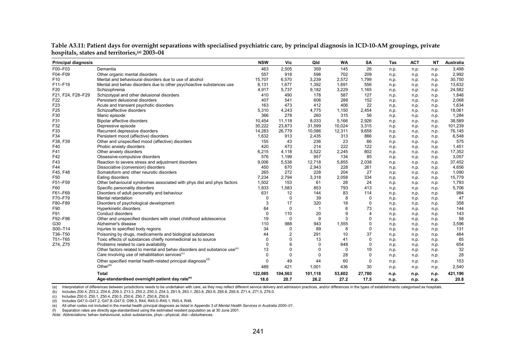| <b>Principal diagnosis</b> |                                                                                      | <b>NSW</b> | Vic            | Qld          | WA     | SA             | Tas  | <b>ACT</b> | <b>NT</b> | Australia |
|----------------------------|--------------------------------------------------------------------------------------|------------|----------------|--------------|--------|----------------|------|------------|-----------|-----------|
| F00-F03                    | Dementia                                                                             | 463        | 2,505          | 359          | 145    | 26             | n.p. | n.p.       | n.p.      | 3,498     |
| F04-F09                    | Other organic mental disorders                                                       | 557        | 918            | 598          | 702    | 209            | n.p. | n.p.       | n.p.      | 2,992     |
| F <sub>10</sub>            | Mental and behavioural disorders due to use of alcohol                               | 15,707     | 6,570          | 3,239        | 2,572  | 1,799          | n.p. | n.p.       | n.p.      | 30,750    |
| F11-F19                    | Mental and behav disorders due to other psychoactive substances use                  | 8,131      | 1,677          | 1,392        | 1,691  | 556            | n.p. | n.p.       | n.p.      | 13,632    |
| F <sub>20</sub>            | Schizophrenia                                                                        | 4,917      | 5,737          | 9,182        | 3,229  | 1,165          | n.p. | n.p.       | n.p.      | 24,582    |
| F21. F24. F28-F29          | Schizotypal and other delusional disorders                                           | 410        | 490            | 178          | 587    | 127            | n.p. | n.p.       | n.p.      | 1,846     |
| F <sub>22</sub>            | Persistent delusional disorders                                                      | 407        | 541            | 606          | 288    | 152            | n.p. | n.p.       | n.p.      | 2,068     |
| F <sub>23</sub>            | Acute and transient psychotic disorders                                              | 163        | 473            | 412          | 406    | 22             | n.p. | n.p.       | n.p.      | 1,634     |
| F <sub>25</sub>            | Schizoaffective disorders                                                            | 5,310      | 4,243          | 4,775        | 1,150  | 2,454          | n.p. | n.p.       | n.p.      | 18,061    |
| F30                        | Manic episode                                                                        | 366        | 278            | 260          | 315    | 56             | n.p. | n.p.       | n.p.      | 1,284     |
| F31                        | Bipolar affective disorders                                                          | 10,454     | 11,118         | 8.033        | 5,166  | 2,926          | n.p. | n.p.       | n.p.      | 38,589    |
| F32                        | Depressive episode                                                                   | 30,222     | 23,873         | 31,599       | 10,024 | 3,315          | n.p. | n.p.       | n.p.      | 101,239   |
| F33                        | Recurrent depressive disorders                                                       | 14,283     | 26,779         | 10,086       | 12,311 | 9,658          | n.p. | n.p.       | n.p.      | 76,145    |
| F34                        | Persistent mood (affective) disorders                                                | 1,632      | 913            | 2,435        | 313    | 866            | n.p. | n.p.       | n.p.      | 6,548     |
| F38, F39                   | Other and unspecified mood (affective) disorders                                     | 155        | 43             | 236          | 23     | 66             | n.p. | n.p.       | n.p.      | 575       |
| F40                        | Phobic anxiety disorders                                                             | 420        | 473            | 214          | 222    | 122            | n.p. | n.p.       | n.p.      | 1,451     |
| F41                        | Other anxiety disorders                                                              | 6,215      | 4,118          | 3,522        | 2,245  | 802            | n.p. | n.p.       | n.p.      | 17,352    |
| F42                        | Obsessive-compulsive disorders                                                       | 576        | 1,199          | 957          | 134    | 85             | n.p. | n.p.       | n.p.      | 3,057     |
| F43                        | Reaction to severe stress and adjustment disorders                                   | 9,006      | 5,538          | 12,718       | 5,855  | 2,038          | n.p. | n.p.       | n.p.      | 37,452    |
| F44                        | Dissociative (conversion) disorders                                                  | 450        | 670            | 2,943        | 228    | 261            | n.p. | n.p.       | n.p.      | 4,656     |
| F45, F48                   | Somatoform and other neurotic disorders                                              | 265        | 272            | 228          | 204    | 27             | n.p. | n.p.       | n.p.      | 1,090     |
| F50                        | Eating disorders                                                                     | 7.234      | 2,794          | 3,318        | 2,058  | 334            | n.p. | n.p.       | n.p.      | 15,779    |
| F51-F59                    | Other behavioural syndromes associated with phys dist and phys factors               | 1,502      | 153            | 61           | 28     | 24             | n.p. | n.p.       | n.p.      | 1,793     |
| F60                        | Specific personality disorders                                                       | 1,833      | 1,583          | 853          | 793    | 413            | n.p. | n.p.       | n.p.      | 5,706     |
| F61-F69                    | Disorders of adult personality and behaviour                                         | 631        | 12             | 144          | 83     | 114            | n.p. | n.p.       | n.p.      | 984       |
| F70-F79                    | Mental retardation                                                                   | $\Omega$   | $\Omega$       | 39           | 8      | $\Omega$       | n.p. | n.p.       | n.p.      | 47        |
| F80-F89                    | Disorders of psychological development                                               | 3          | 17             | 320          | 18     | $\Omega$       | n.p. | n.p.       | n.p.      | 358       |
| F90                        | Hyperkinetic disorders                                                               | 64         | 0              | $\mathbf{1}$ | 6      | 73             | n.p. | n.p.       | n.p.      | 144       |
| F91                        | Conduct disorders                                                                    | $\Omega$   | 110            | 20           | 9      | $\overline{4}$ | n.p. | n.p.       | n.p.      | 143       |
| F92-F98                    | Other and unspecified disorders with onset childhood adolescence                     | 19         | $\mathbf 0$    | 9            | 3      | $\mathbf 0$    | n.p. | n.p.       | n.p.      | 58        |
| G30                        | Alzheimer's disease                                                                  | 110        | 988            | 943          | 1,555  | $\Omega$       | n.p. | n.p.       | n.p.      | 3,596     |
| S00-T14                    | Injuries to specified body regions                                                   | 34         | 0              | 89           | 8      | 0              | n.p. | n.p.       | n.p.      | 131       |
| T36-T50                    | Poisoning by drugs, medicaments and biological substances                            | 44         | $\overline{2}$ | 291          | 10     | 37             | n.p. | n.p.       | n.p.      | 484       |
| T51-T65                    | Toxic effects of substances chiefly nonmedicinal as to source                        | $\Omega$   | $\Omega$       | 13           | 41     | $\mathbf 0$    | n.p. | n.p.       | n.p.      | 65        |
| Z74, Z75                   | Problems related to care availability                                                | $\Omega$   | 6              | $\Omega$     | 648    | $\Omega$       | n.p. | n.p.       | n.p.      | 654       |
|                            | Other factors related to mental and behav disorders and substance use <sup>(0)</sup> | 13         | $\Omega$       | 0            | 0      | 19             | n.p. | n.p.       | n.p.      | 32        |
|                            | Care involving use of rehabilitation services <sup>(c)</sup>                         | $\Omega$   | $\mathbf 0$    | $\mathbf 0$  | 28     | $\mathbf 0$    | n.p. | n.p.       | n.p.      | 28        |
|                            | Other specified mental health-related principal diagnosis <sup>(d)</sup>             | $\Omega$   | 49             | 44           | 60     | $\mathbf 0$    | n.p. | n.p.       | n.p.      | 153       |
|                            | Other $(e)$                                                                          | 489        | 421            | 1,001        | 436    | 30             | n.p. | n.p.       | n.p.      | 2,540     |
|                            | Total                                                                                | 122,085    | 104,563        | 101,118      | 53,602 | 27,780         | n.p. | n.p.       | n.p.      | 421,196   |
|                            | Age-standardised overnight patient day rate <sup>(e)</sup>                           | 18.0       | 20.7           | 26.2         | 27.2   | 17.5           | n.p. | n.p.       | n.p.      | 20.8      |

**Table A3.11: Patient days for overnight separations with specialised psychiatric care, by principal diagnosis in ICD-10-AM groupings, private hospitals, states and territories,(a) 2003–04**

(a) Interpretation of differences between jurisdictions needs to be undertaken with care, as they may reflect different service delivery and admission practices, and/or differences in the types of establishments categorise

(b) Includes Z00.4, Z03.2, Z04.6, Z09.3, Z13.3, Z50.2, Z50.3, Z54.3, Z61.9, Z63.1, Z63.8, Z63.9, Z65.8, Z65.9, Z71.4, Z71.5, Z76.0.

(c) Includes Z50.0, Z50.1, Z50.4, Z50.5, Z50.6, Z50.7, Z50.8, Z50.9.

(d) Includes G47.0–G47.2, G47.8–G47.9, O99.3, R44, R45.0–R45.1, R45.4, R48.

(e) All other codes not included in the mental health principal diagnosis as listed in Appendix 3 of *Mental Health Services in Australia 2000–01* .

(f) Separation rates are directly age-standardised using the estimated resident population as at 30 June 2001.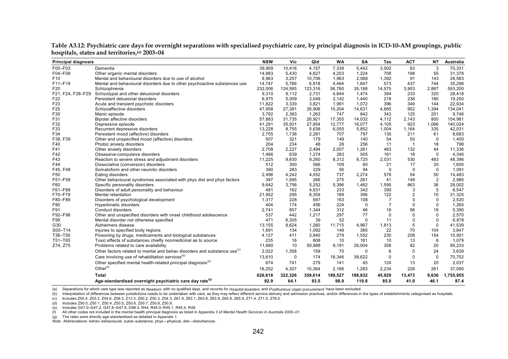| <b>Principal diagnosis</b> |                                                                                                                            | <b>NSW</b>     | Vic         | Qld            | <b>WA</b>     | SA           | Tas            | <b>ACT</b>     | <b>NT</b>                | Australia       |
|----------------------------|----------------------------------------------------------------------------------------------------------------------------|----------------|-------------|----------------|---------------|--------------|----------------|----------------|--------------------------|-----------------|
| F00-F03                    | Dementia                                                                                                                   | 39,909         | 10,416      | 4,157          | 7,339         | 5,442        | 3,002          | 63             | 3                        | 70,331          |
| F04-F09                    | Other organic mental disorders                                                                                             | 14,883         | 5,430       | 4,627          | 4,253         | 1,224        | 708            | 198            | 55                       | 31,378          |
| F <sub>10</sub>            | Mental and behavioural disorders due to use of alcohol                                                                     | 8,963          | 3,257       | 10,706         | 1,963         | 2,068        | 1,392          | 91             | 143                      | 28,583          |
| F11-F19                    | Mental and behavioural disorders due to other psychoactive substances use                                                  | 14,747         | 5.766       | 6,918          | 4,464         | 1,647        | 573            | 437            | 744                      | 35,296          |
| F20                        | Schizophrenia                                                                                                              | 232,006        | 124,585     | 123,316        | 56,760        | 35,188       | 14,575         | 3,903          | 2,867                    | 593,200         |
| F21, F24, F28-F29          | Schizotypal and other delusional disorders                                                                                 | 9,310          | 9,112       | 2,731          | 4,844         | 1,474        | 394            | 233            | 320                      | 28,418          |
| F22                        | Persistent delusional disorders                                                                                            | 6,975          | 5,009       | 3,048          | 2.142         | 1.440        | 218            | 238            | 180                      | 19,250          |
| F <sub>23</sub>            | Acute and transient psychotic disorders                                                                                    | 11,822         | 3,339       | 3,821          | 1,991         | 1,072        | 396            | 349            | 144                      | 22,934          |
| F25                        | Schizoaffective disorders                                                                                                  | 47,958         | 27,381      | 26,906         | 10,204        | 14,631       | 4,665          | 902            | 1,394                    | 134,041         |
| F30                        | Manic episode                                                                                                              | 3,792          | 2,383       | 1,263          | 747           | 842          | 343            | 125            | 251                      | 9,746           |
| F31                        | Bipolar affective disorders                                                                                                | 57,883         | 31,735      | 26,921         | 17,355        | 14,032       | 4,112          | 2,143          | 800                      | 154,981         |
| F32                        | Depressive episode                                                                                                         | 41,291         | 35,931      | 27,854         | 12,777        | 16,077       | 4.105          | 923            | 1,066                    | 140,024         |
| F33                        | Recurrent depressive disorders                                                                                             | 13,228         | 8,755       | 5,638          | 6,055         | 5,852        | 1,004          | 1,164          | 335                      | 42,031          |
| F34                        | Persistent mood (affective) disorders                                                                                      | 2,755          | 1,736       | 2,281          | 707           | 797          | 135            | 211            | 61                       | 8,683           |
| F38, F39                   | Other and unspecified mood (affective) disorders                                                                           | 507            | 321         | 179            | 149           | 140          | 54             | 50             | $\mathbf 0$              | 1,400           |
| F40                        | Phobic anxiety disorders                                                                                                   | 204            | 234         | 48             | 26            | 256          | 11             | $\overline{1}$ | 18                       | 798             |
| F41                        | Other anxiety disorders                                                                                                    | 2,708          | 2,227       | 2,494          | 2,007         | 1,261        | 463            | 132            | 44                       | 11,336          |
| F42                        | Obsessive-compulsive disorders                                                                                             | 1.466          | 639         | 1.274          | 283           | 505          | 161            | 18             | $\Omega$                 | 4,346           |
| F43                        | Reaction to severe stress and adjustment disorders                                                                         | 11,225         | 9,830       | 9,260          | 8,312         | 6,725        | 2,031          | 530            | 483                      | 48,396          |
| F44                        | Dissociative (conversion) disorders                                                                                        | 512            | 300         | 566            | 109           | 60           | 21             | 17             | 20                       | 1,605           |
| F45. F48                   | Somatoform and other neurotic disorders                                                                                    | 390            | 283         | 229            | 95            | 94           | $\mathbf{0}$   | 0              | $\mathbf 0$              | 1,091           |
| F50                        | Eating disorders                                                                                                           | 2,496          | 4,242       | 4,052          | 737           | 2,274        | 578            | 54             | 50                       | 14,483          |
| F51-F59                    | Other behavioural syndromes associated with phys dist and phys factors                                                     | 397            | 1,595       | 266            | 275           | 261          | 41             | 148            | $\overline{2}$           | 2,985           |
| F60                        | Specific personality disorders                                                                                             | 9,642          | 3,756       | 5,252          | 5,396         | 1,462        | 1,595          | 863            | 36                       | 28,002          |
| F61-F69                    | Disorders of adult personality and behaviour                                                                               | 481            | 162         | 4,931          | 233           | 342          | 390            | 3              | 5                        | 6,547           |
| F70-F79                    | Mental retardation                                                                                                         | 21,952         | 295         | 8,359          | 189           | 396          | 122            | 2              | 10                       | 31,325          |
| F80-F89                    | Disorders of psychological development                                                                                     | 1,317          | 228         | 697            | 163           | 108          | $\overline{7}$ | 0              | $\mathbf 0$              | 2,520           |
| F90                        | Hyperkinetic disorders                                                                                                     | 404            | 174         | 456            | 224           | 0            | $\overline{7}$ | 0              | $\Omega$                 | 1,265           |
| F91                        | Conduct disorders                                                                                                          | 2,741          | 857         | 1,344          | 312           | 46           | 18             | 56             | 16                       | 5,390           |
| F92-F98                    | Other and unspecified disorders with onset childhood adolescence                                                           | 537            | 442         | 1,217          | 297           | 77           | $\mathbf 0$    | 0              | $\mathbf 0$              | 2,570           |
| F99                        | Mental disorder not otherwise specified                                                                                    | 471            | 6,305       | 39             | 52            | 0            | 11             | 0<br>5         | $\mathbf{0}$<br>$\Omega$ | 6,878           |
| G30                        | Alzheimers disease                                                                                                         | 13,155         | 8,624       | 1,260          | 11,715<br>149 | 4,967<br>385 | 1,813          | 70             | 104                      | 41,539<br>3,847 |
| S00-T14<br>T36-T50         | Injuries to specified body regions                                                                                         | 1,891<br>4,127 | 134<br>411  | 1,092<br>3.940 | 279           | 1.552        | 22<br>230      | 208            | 154                      | 10,901          |
| T51-T65                    | Poisoning by drugs, medicaments and biological substances<br>Toxic effects of substances chiefly nonmedicinal as to source | 235            | 16          | 608            | 10            | 181          | 10             | 13             | 6                        | 1,079           |
|                            |                                                                                                                            |                | 10          |                |               |              | 358            | 82             | 20                       | 95,233          |
| Z74, Z75                   | Problems related to care availability                                                                                      | 11,680         |             | 50,888         | 6,191         | 26,004       |                |                |                          |                 |
|                            | Other factors related to mental and behav disorders and substance use <sup>(c)</sup>                                       | 2,022          | 1,358       | 159            | 70            | 0            | 6              | 0              | 24                       | 3,639           |
|                            | Care involving use of rehabilitation services <sup>(d)</sup>                                                               | 13,610         | $\mathbf 0$ | 174            | 18,346        | 38,622       | $\mathbf 0$    | 0              | 0                        | 70,752          |
|                            | Other specified mental health-related principal diagnosis <sup>(e)</sup>                                                   | 674            | 741         | 279            | 141           | 45           | 124            | 13             | 20                       | 2,037           |
|                            | Other $(f)$                                                                                                                | 16,252         | 4,307       | 10,364         | 2,166         | 1,283        | 2,234          | 228            | 261                      | 37,095          |
|                            | <b>Total</b>                                                                                                               | 626,618        | 322,326     | 359,614        | 189,527       | 188,832      | 45,929         | 13,473         | 9,636                    | 1,755,955       |
|                            | Age-standardised overnight psychiatric care day rate <sup>(9)</sup>                                                        | 92.9           | 64.1        | 93.5           | 98.0          | 119.8        | 85.0           | 41.0           | 46.1                     | 87.4            |

**Table A3.12: Psychiatric care days for overnight separations with specialised psychiatric care, by principal diagnosis in ICD-10-AM groupings, public hospitals, states and territories,(a) 2003–04**

(b) Interpretation of differences between jurisdictions needs to be undertaken with care, as they may reflect different service delivery and admission practices, and/or differences in the types of establishments categorise

(c) Includes Z00.4, Z03.2, Z04.6, Z09.3, Z13.3, Z50.2, Z50.3, Z54.3, Z61.9, Z63.1, Z63.8, Z63.9, Z65.8, Z65.9, Z71.4, Z71.5, Z76.0.

(d) Includes Z50.0, Z50.1, Z50.4, Z50.5, Z50.6, Z50.7, Z50.8, Z50.9.

(e) Includes G47.0–G47.2, G47.8–G47.9, O99.3, R44, R45.0–R45.1, R45.4, R48.

(f) All other codes not included in the mental health principal diagnosis as listed in Appendix 3 of *Mental Health Services in Australia 2000–01* .

(g) The rates were directly age-standardised as detailed in Appendix 1.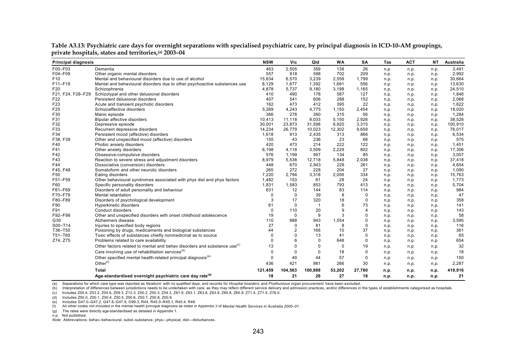| <b>Principal diagnosis</b> |                                                                                      | <b>NSW</b>  | Vic            | Qld         | <b>WA</b> | SΑ          | Tas  | <b>ACT</b> | <b>NT</b> | Australia |
|----------------------------|--------------------------------------------------------------------------------------|-------------|----------------|-------------|-----------|-------------|------|------------|-----------|-----------|
| F00-F03                    | Dementia                                                                             | 463         | 2,505          | 359         | 138       | 26          | n.p. | n.p.       | n.p.      | 3,491     |
| F04-F09                    | Other organic mental disorders                                                       | 557         | 918            | 598         | 702       | 209         | n.p. | n.p.       | n.p.      | 2,992     |
| F <sub>10</sub>            | Mental and behavioural disorders due to use of alcohol                               | 15,634      | 6.570          | 3,239       | 2.559     | 1,799       | n.p. | n.p.       | n.p.      | 30,664    |
| F11-F19                    | Mental and behavioural disorders due to other psychoactive substances use            | 8,129       | 1,677          | 1,392       | 1,691     | 556         | n.p. | n.p.       | n.p.      | 13,630    |
| F20                        | Schizophrenia                                                                        | 4,878       | 5.737          | 9,180       | 3,198     | 1,165       | n.p. | n.p.       | n.p.      | 24,510    |
| F21, F24, F28-F29          | Schizotypal and other delusional disorders                                           | 410         | 490            | 178         | 587       | 127         | n.p. | n.p.       | n.p.      | 1,846     |
| F22                        | Persistent delusional disorders                                                      | 407         | 541            | 606         | 288       | 152         | n.p. | n.p.       | n.p.      | 2,068     |
| F23                        | Acute and transient psychotic disorders                                              | 162         | 473            | 412         | 395       | 22          | n.p. | n.p.       | n.p.      | 1,622     |
| F25                        | Schizoaffective disorders                                                            | 5,269       | 4,243          | 4,775       | 1,150     | 2,454       | n.p. | n.p.       | n.p.      | 18,020    |
| F30                        | Manic episode                                                                        | 366         | 278            | 260         | 315       | 56          | n.p. | n.p.       | n.p.      | 1,284     |
| F31                        | <b>Bipolar affective disorders</b>                                                   | 10,413      | 11,118         | 8,033       | 5,150     | 2,926       | n.p. | n.p.       | n.p.      | 38,528    |
| F32                        | Depressive episode                                                                   | 30,001      | 23,873         | 31,598      | 9,920     | 3,315       | n.p. | n.p.       | n.p.      | 100,910   |
| F33                        | Recurrent depressive disorders                                                       | 14,234      | 26,779         | 10,023      | 12,302    | 9,658       | n.p. | n.p.       | n.p.      | 76,017    |
| F34                        | Persistent mood (affective) disorders                                                | 1,618       | 913            | 2,435       | 313       | 866         | n.p. | n.p.       | n.p.      | 6,534     |
| F38, F39                   | Other and unspecified mood (affective) disorders                                     | 155         | 43             | 236         | 23        | 66          | n.p. | n.p.       | n.p.      | 575       |
| F40                        | Phobic anxiety disorders                                                             | 420         | 473            | 214         | 222       | 122         | n.p. | n.p.       | n.p.      | 1,451     |
| F41                        | Other anxiety disorders                                                              | 6,198       | 4,118          | 3,509       | 2,229     | 802         | n.p. | n.p.       | n.p.      | 17,306    |
| F42                        | Obsessive-compulsive disorders                                                       | 576         | 1,199          | 957         | 134       | 85          | n.p. | n.p.       | n.p.      | 3,057     |
| F43                        | Reaction to severe stress and adjustment disorders                                   | 8,979       | 5,538          | 12,718      | 5,848     | 2,038       | n.p. | n.p.       | n.p.      | 37,418    |
| F44                        | Dissociative (conversion) disorders                                                  | 448         | 670            | 2,943       | 228       | 261         | n.p. | n.p.       | n.p.      | 4,654     |
| F45, F48                   | Somatoform and other neurotic disorders                                              | 265         | 272            | 228         | 204       | 27          | n.p. | n.p.       | n.p.      | 1,090     |
| F50                        | Eating disorders                                                                     | 7,220       | 2,794          | 3,318       | 2,056     | 334         | n.p. | n.p.       | n.p.      | 15,763    |
| F51-F59                    | Other behavioural syndromes associated with phys dist and phys factors               | 1,482       | 153            | 61          | 28        | 24          | n.p. | n.p.       | n.p.      | 1,773     |
| F60                        | Specific personality disorders                                                       | 1,831       | 1,583          | 853         | 793       | 413         | n.p. | n.p.       | n.p.      | 5,704     |
| F61-F69                    | Disorders of adult personality and behaviour                                         | 631         | 12             | 144         | 83        | 114         | n.p. | n.p.       | n.p.      | 984       |
| F70-F79                    | Mental retardation                                                                   | $\mathbf 0$ | $\mathbf 0$    | 39          | 8         | 0           | n.p. | n.p.       | n.p.      | 47        |
| F80-F89                    | Disorders of psychological development                                               | 3           | 17             | 320         | 18        | 0           | n.p. | n.p.       | n.p.      | 358       |
| F90                        | Hyperkinetic disorders                                                               | 61          | $\mathbf 0$    | $\mathbf 1$ | 6         | 73          | n.p. | n.p.       | n.p.      | 141       |
| F91                        | Conduct disorders                                                                    | $\Omega$    | 110            | 20          | 9         | 4           | n.p. | n.p.       | n.p.      | 143       |
| F92-F98                    | Other and unspecified disorders with onset childhood adolescence                     | 19          | $\mathbf 0$    | 9           | 3         | $\Omega$    | n.p. | n.p.       | n.p.      | 58        |
| G30                        | Alzheimers disease                                                                   | 110         | 988            | 943         | 1,554     | 0           | n.p. | n.p.       | n.p.      | 3,595     |
| S00-T14                    | Injuries to specified body regions                                                   | 27          | 0              | 81          | 8         | 0           | n.p. | n.p.       | n.p.      | 116       |
| T36-T50                    | Poisoning by drugs, medicaments and biological substances                            | 44          | $\overline{2}$ | 168         | 10        | 37          | n.p. | n.p.       | n.p.      | 361       |
| T51-T65                    | Toxic effects of substances chiefly nonmedicinal as to source                        | $\Omega$    | $\mathbf 0$    | 13          | 41        | 0           | n.p. | n.p.       | n.p.      | 65        |
| Z74, Z75                   | Problems related to care availability                                                | $\Omega$    | 6              | 0           | 648       | 0           | n.p. | n.p.       | n.p.      | 654       |
|                            | Other factors related to mental and behav disorders and substance use <sup>(c)</sup> | 13          | $\mathbf 0$    | 0           | 0         | 19          | n.p. | n.p.       | n.p.      | 32        |
|                            | Care involving use of rehabilitation services <sup>(d)</sup>                         | $\Omega$    | $\mathbf 0$    | $\mathbf 0$ | 18        | $\mathbf 0$ | n.p. | n.p.       | n.p.      | 18        |
|                            | Other specified mental health-related principal diagnosis <sup>(e)</sup>             | $\Omega$    | 49             | 44          | 57        | 0           | n.p. | n.p.       | n.p.      | 150       |
|                            | Other $(f)$                                                                          | 436         | 421            | 981         | 266       | 30          | n.p. | n.p.       | n.p.      | 2,287     |
|                            | <b>Total</b>                                                                         | 121,459     | 104,563        | 100,888     | 53,202    | 27,780      | n.p. | n.p.       | n.p.      | 419,916   |
|                            | Age-standardised overnight psychiatric care day rate <sup>(9)</sup>                  | 18          | 21             | 26          | 27        | 18          | n.p. | n.p.       | n.p.      | 21        |

**Table A3.13: Psychiatric care days for overnight separations with specialised psychiatric care, by principal diagnosis in ICD-10-AM groupings, private hospitals, states and territories,(a) 2003–04**

(b) Interpretation of differences between jurisdictions needs to be undertaken with care, as they may reflect different service delivery and admission practices, and/or differences in the types of establishments categorise

(c) Includes Z00.4, Z03.2, Z04.6, Z09.3, Z13.3, Z50.2, Z50.3, Z54.3, Z61.9, Z63.1, Z63.8, Z63.9, Z65.8, Z65.9, Z71.4, Z71.5, Z76.0.

(d) Includes Z50.0, Z50.1, Z50.4, Z50.5, Z50.6, Z50.7, Z50.8, Z50.9.

(e) Includes G47.0–G47.2, G47.8–G47.9, O99.3, R44, R45.0–R45.1, R45.4, R48.

(f) All other codes not included in the mental health principal diagnosis as listed in Appendix 3 of *Mental Health Services in Australia 2000–01* .

(g) The rates were directly age-standardised as detailed in Appendix 1.

n.p. Not published.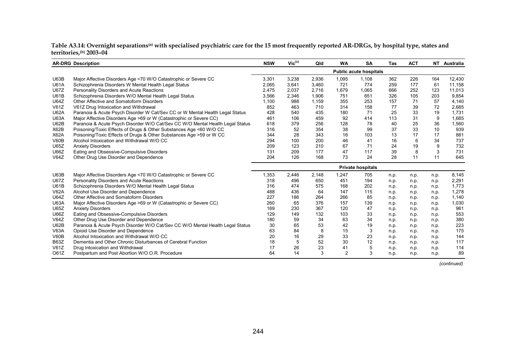**Table A3.14: Overnight separations(a) with specialised psychiatric care for the 15 most frequently reported AR-DRGs, by hospital type, states and territories,(b) 2003–04**

|             | <b>AR-DRG Description</b>                                                     | <b>NSW</b> | $Vic^{(c)}$ | Qld   | <b>WA</b>      | <b>SA</b>                     | Tas  | <b>ACT</b> | NT   | Australia |
|-------------|-------------------------------------------------------------------------------|------------|-------------|-------|----------------|-------------------------------|------|------------|------|-----------|
|             |                                                                               |            |             |       |                | <b>Public acute hospitals</b> |      |            |      |           |
| U63B        | Major Affective Disorders Age <70 W/O Catastrophic or Severe CC               | 3,301      | 3,238       | 2,936 | 1,095          | 1,108                         | 362  | 226        | 164  | 12,430    |
| <b>U61A</b> | Schizophrenia Disorders W Mental Health Legal Status                          | 2,065      | 3,641       | 3,460 | 721            | 774                           | 259  | 177        | 61   | 11,158    |
| <b>U67Z</b> | Personality Disorders and Acute Reactions                                     | 2,475      | 2,037       | 2,716 | 1,679          | 1,065                         | 666  | 252        | 123  | 11,013    |
| <b>U61B</b> | Schizophrenia Disorders W/O Mental Health Legal Status                        | 3,566      | 2,346       | 1,906 | 751            | 651                           | 326  | 105        | 203  | 9,854     |
| <b>U64Z</b> | Other Affective and Somatoform Disorders                                      | 1,100      | 988         | 1,159 | 355            | 253                           | 157  | 71         | 57   | 4,140     |
| V61Z        | V61Z Drug Intoxication and Withdrawal                                         | 852        | 463         | 710   | 314            | 158                           | 77   | 39         | 72   | 2,685     |
| <b>U62A</b> | Paranoia & Acute Psych Disorder W Cat/Sev CC or W Mental Health Legal Status  | 428        | 540         | 435   | 180            | 71                            | 25   | 33         | 19   | 1,731     |
| <b>U63A</b> | Major Affective Disorders Age >69 or W (Catastrophic or Severe CC)            | 461        | 106         | 459   | 92             | 414                           | 113  | 31         | 9    | 1,685     |
| U62B        | Paranoia & Acute Psych Disorder W/O Cat/Sev CC W/O Mental Health Legal Status | 618        | 379         | 256   | 128            | 78                            | 40   | 25         | 36   | 1,560     |
| X62B        | Poisoning/Toxic Effects of Drugs & Other Substances Age <60 W/O CC            | 316        | 52          | 354   | 38             | 99                            | 37   | 33         | 10   | 939       |
| X62A        | Poisoning/Toxic Effects of Drugs & Other Substances Age >59 or W CC           | 344        | 28          | 343   | 16             | 103                           | 13   | 17         | 17   | 881       |
| V60B        | Alcohol Intoxication and Withdrawal W/O CC                                    | 294        | 100         | 200   | 46             | 41                            | 16   | 6          | 34   | 737       |
| U65Z        | <b>Anxiety Disorders</b>                                                      | 209        | 123         | 210   | 67             | 71                            | 24   | 19         | 9    | 732       |
| U66Z        | Eating and Obsessive-Compulsive Disorders                                     | 131        | 209         | 177   | 47             | 117                           | 39   | 8          | 3    | 731       |
| V64Z        | Other Drug Use Disorder and Dependence                                        | 204        | 126         | 168   | 73             | 24                            | 28   | 11         | 11   | 645       |
|             |                                                                               |            |             |       |                | <b>Private hospitals</b>      |      |            |      |           |
| U63B        | Major Affective Disorders Age <70 W/O Catastrophic or Severe CC               | 1,353      | 2,446       | 2,148 | 1,247          | 705                           | n.p. | n.p.       | n.p. | 8,145     |
| <b>U67Z</b> | Personality Disorders and Acute Reactions                                     | 318        | 496         | 650   | 451            | 194                           | n.p. | n.p.       | n.p. | 2,291     |
| <b>U61B</b> | Schizophrenia Disorders W/O Mental Health Legal Status                        | 316        | 474         | 575   | 168            | 202                           | n.p. | n.p.       | n.p. | 1,773     |
| <b>V62A</b> | Alcohol Use Disorder and Dependence                                           | 488        | 436         | 64    | 147            | 115                           | n.p. | n.p.       | n.p. | 1,278     |
| <b>U64Z</b> | Other Affective and Somatoform Disorders                                      | 227        | 186         | 264   | 266            | 85                            | n.p. | n.p.       | n.p. | 1,140     |
| <b>U63A</b> | Major Affective Disorders Age >69 or W (Catastrophic or Severe CC)            | 260        | 65          | 376   | 157            | 139                           | n.p. | n.p.       | n.p. | 1,030     |
| U65Z        | <b>Anxiety Disorders</b>                                                      | 169        | 230         | 367   | 120            | 47                            | n.p. | n.p.       | n.p. | 961       |
| U66Z        | Eating and Obsessive-Compulsive Disorders                                     | 129        | 149         | 132   | 103            | 33                            | n.p. | n.p.       | n.p. | 553       |
| V64Z        | Other Drug Use Disorder and Dependence                                        | 180        | 59          | 34    | 63             | 34                            | n.p. | n.p.       | n.p. | 380       |
| U62B        | Paranoia & Acute Psych Disorder W/O Cat/Sev CC W/O Mental Health Legal Status | 30         | 65          | 53    | 42             | 19                            | n.p. | n.p.       | n.p. | 223       |
| <b>V63A</b> | Opioid Use Disorder and Dependence                                            | 63         | 84          | 8     | 15             | 3                             | n.p. | n.p.       | n.p. | 175       |
| V60B        | Alcohol Intoxication and Withdrawal W/O CC                                    | 20         | 16          | 29    | 33             | 23                            | n.p. | n.p.       | n.p. | 144       |
| <b>B63Z</b> | Dementia and Other Chronic Disturbances of Cerebral Function                  | 18         | 5           | 52    | 30             | 12                            | n.p. | n.p.       | n.p. | 117       |
| V61Z        | Drug Intoxication and Withdrawal                                              | 17         | 26          | 23    | 41             | 5                             | n.p. | n.p.       | n.p. | 114       |
| O61Z        | Postpartum and Post Abortion W/O O.R. Procedure                               | 64         | 14          | 3     | $\overline{2}$ | 3                             | n.p. | n.p.       | n.p. | 89        |

*(continued)*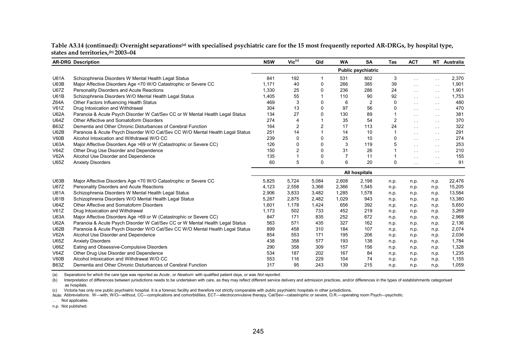| Table A3.14 (continued): Overnight separations <sup>(a)</sup> with specialised psychiatric care for the 15 most frequently reported AR-DRGs, by hospital type, |  |
|----------------------------------------------------------------------------------------------------------------------------------------------------------------|--|
| states and territories, (b) 2003–04                                                                                                                            |  |

|             | <b>AR-DRG Description</b>                                                     | <b>NSW</b> | $Vic^{(c)}$    | Qld          | <b>WA</b> | <b>SA</b>                 | Tas            | <b>ACT</b>      |               | NT Australia |
|-------------|-------------------------------------------------------------------------------|------------|----------------|--------------|-----------|---------------------------|----------------|-----------------|---------------|--------------|
|             |                                                                               |            |                |              |           | <b>Public psychiatric</b> |                |                 |               |              |
| <b>U61A</b> | Schizophrenia Disorders W Mental Health Legal Status                          | 841        | 192            | 1            | 531       | 802                       | 3              | $\sim$ $\sim$   | $\sim$ $\sim$ | 2,370        |
| <b>U63B</b> | Major Affective Disorders Age <70 W/O Catastrophic or Severe CC               | 1.171      | 40             | 0            | 266       | 385                       | 39             | $\sim$ $\sim$   | $\sim$        | 1,901        |
| <b>U67Z</b> | Personality Disorders and Acute Reactions                                     | 1,330      | 25             | $\Omega$     | 236       | 286                       | 24             | $\sim$ $\sim$   | $\ddotsc$     | 1,901        |
| <b>U61B</b> | Schizophrenia Disorders W/O Mental Health Legal Status                        | 1,405      | 55             |              | 110       | 90                        | 92             | $\sim$ 10 $\pm$ | $\sim$ $\sim$ | 1,753        |
| Z64A        | Other Factors Influencing Health Status                                       | 469        | 3              | 0            | 6         | 2                         | 0              | $\sim$ $\sim$   | $\sim$ $\sim$ | 480          |
| V61Z        | Drug Intoxication and Withdrawal                                              | 304        | 13             | 0            | 97        | 56                        | 0              | $\sim$ $\sim$   | $\sim$ $\sim$ | 470          |
| <b>U62A</b> | Paranoia & Acute Psych Disorder W Cat/Sev CC or W Mental Health Legal Status  | 134        | 27             | $\Omega$     | 130       | 89                        | 1              | $\sim$ $\sim$   | $\sim$ $\sim$ | 381          |
| <b>U64Z</b> | Other Affective and Somatoform Disorders                                      | 274        | $\overline{4}$ |              | 35        | 54                        | $\overline{2}$ | $\sim$ $\sim$   | $\sim$ $\sim$ | 370          |
| <b>B63Z</b> | Dementia and Other Chronic Disturbances of Cerebral Function                  | 164        | $\overline{2}$ | 2            | 17        | 113                       | 24             | $\sim 100$      | $\sim$ $\sim$ | 322          |
| <b>U62B</b> | Paranoia & Acute Psych Disorder W/O Cat/Sev CC W/O Mental Health Legal Status | 251        | 14             |              | 14        | 10                        | 1              | $\sim$ $\sim$   | $\sim$ $\sim$ | 291          |
| V60B        | Alcohol Intoxication and Withdrawal W/O CC                                    | 239        | 0              | $\Omega$     | 25        | 10                        | 0              | $\sim$ $\sim$   | $\sim$ $\sim$ | 274          |
| <b>U63A</b> | Major Affective Disorders Age >69 or W (Catastrophic or Severe CC)            | 126        | 0              | 0            | 3         | 119                       | 5              | $\sim$ $\sim$   | $\sim$ $\sim$ | 253          |
| V64Z        | Other Drug Use Disorder and Dependence                                        | 150        | $\overline{2}$ | $\mathbf{0}$ | 31        | 26                        |                | $\sim$ $\sim$   | $\sim$ $\sim$ | 210          |
| <b>V62A</b> | Alcohol Use Disorder and Dependence                                           | 135        |                | 0            | 7         | 11                        | 1              | $\sim$ $\sim$   | $\sim$ $\sim$ | 155          |
| <b>U65Z</b> | <b>Anxiety Disorders</b>                                                      | 60         | 5              | $\mathbf{0}$ | 6         | 20                        | 0              | $\sim 100$      | $\sim$ $\sim$ | 91           |
|             |                                                                               |            |                |              |           | <b>All hospitals</b>      |                |                 |               |              |
| <b>U63B</b> | Major Affective Disorders Age <70 W/O Catastrophic or Severe CC               | 5,825      | 5,724          | 5,084        | 2,608     | 2,198                     | n.p.           | n.p.            | n.p.          | 22,476       |
| <b>U67Z</b> | Personality Disorders and Acute Reactions                                     | 4,123      | 2,558          | 3,366        | 2,366     | 1,545                     | n.p.           | n.p.            | n.p.          | 15,205       |
| <b>U61A</b> | Schizophrenia Disorders W Mental Health Legal Status                          | 2,906      | 3,833          | 3,482        | 1,285     | 1,578                     | n.p.           | n.p.            | n.p.          | 13,584       |
| <b>U61B</b> | Schizophrenia Disorders W/O Mental Health Legal Status                        | 5,287      | 2,875          | 2,482        | 1,029     | 943                       | n.p.           | n.p.            | n.p.          | 13,380       |
| <b>U64Z</b> | Other Affective and Somatoform Disorders                                      | 1.601      | 1,178          | 1,424        | 656       | 392                       | n.p.           | n.p.            | n.p.          | 5,650        |
| V61Z        | Drug Intoxication and Withdrawal                                              | 1,173      | 502            | 733          | 452       | 219                       | n.p.           | n.p.            | n.p.          | 3,269        |
| <b>U63A</b> | Major Affective Disorders Age >69 or W (Catastrophic or Severe CC)            | 847        | 171            | 835          | 252       | 672                       | n.p.           | n.p.            | n.p.          | 2,968        |
| <b>U62A</b> | Paranoia & Acute Psych Disorder W Cat/Sev CC or W Mental Health Legal Status  | 563        | 571            | 435          | 327       | 162                       | n.p.           | n.p.            | n.p.          | 2,136        |
| <b>U62B</b> | Paranoia & Acute Psych Disorder W/O Cat/Sev CC W/O Mental Health Legal Status | 899        | 458            | 310          | 184       | 107                       | n.p.           | n.p.            | n.p.          | 2,074        |
| <b>V62A</b> | Alcohol Use Disorder and Dependence                                           | 854        | 553            | 171          | 195       | 206                       | n.p.           | n.p.            | n.p.          | 2,036        |
| <b>U65Z</b> | <b>Anxiety Disorders</b>                                                      | 438        | 358            | 577          | 193       | 138                       | n.p.           | n.p.            | n.p.          | 1,784        |
| U66Z        | Eating and Obsessive-Compulsive Disorders                                     | 290        | 358            | 309          | 157       | 156                       | n.p.           | n.p.            | n.p.          | 1,328        |
| V64Z        | Other Drug Use Disorder and Dependence                                        | 534        | 187            | 202          | 167       | 84                        | n.p.           | n.p.            | n.p.          | 1,235        |
| V60B        | Alcohol Intoxication and Withdrawal W/O CC                                    | 553        | 116            | 229          | 104       | 74                        | n.p.           | n.p.            | n.p.          | 1,155        |
| <b>B63Z</b> | Dementia and Other Chronic Disturbances of Cerebral Function                  | 317        | 95             | 243          | 139       | 215                       | n.p.           | n.p.            | n.p.          | 1,059        |

(a) Separations for which the care type was reported as *Acute* , or *Newborn* with qualified patient days, or was *Not reported* .

(b) Interpretation of differences between jurisdictions needs to be undertaken with care, as they may reflect different service delivery and admission practices, and/or differences in the types of establishments categorise as hospitals.

(c) Victoria has only one public psychiatric hospital. It is a forensic facility and therefore not strictly comparable with public psychiatric hospitals in other jurisdictions.

*Note:* Abbreviations: W—with, W/O—without, CC—complications and comorbidities, ECT—electroconvulsive therapy, Cat/Sev—catastrophic or severe, O.R.—operating room Psych—psychotic.

. . Not applicable.

n.p. Not published.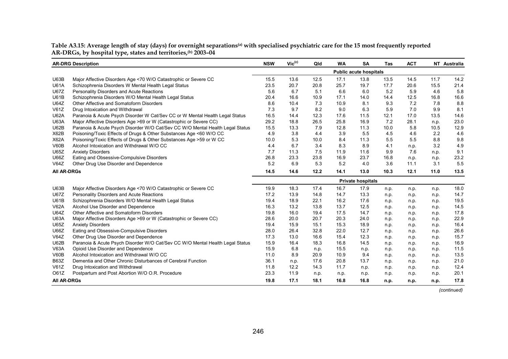|                    | <b>AR-DRG Description</b>                                                     | <b>NSW</b> | $Vic^{(c)}$ | Qld  | <b>WA</b> | <b>SA</b>                     | Tas  | <b>ACT</b> |      | NT Australia |
|--------------------|-------------------------------------------------------------------------------|------------|-------------|------|-----------|-------------------------------|------|------------|------|--------------|
|                    |                                                                               |            |             |      |           | <b>Public acute hospitals</b> |      |            |      |              |
| <b>U63B</b>        | Major Affective Disorders Age <70 W/O Catastrophic or Severe CC               | 15.5       | 13.6        | 12.5 | 17.1      | 13.8                          | 13.5 | 14.5       | 11.7 | 14.2         |
| <b>U61A</b>        | Schizophrenia Disorders W Mental Health Legal Status                          | 23.5       | 20.7        | 20.8 | 25.7      | 19.7                          | 17.7 | 20.6       | 15.5 | 21.4         |
| <b>U67Z</b>        | Personality Disorders and Acute Reactions                                     | 5.6        | 6.7         | 5.1  | 6.6       | 6.0                           | 5.2  | 5.9        | 4.6  | 5.8          |
| <b>U61B</b>        | Schizophrenia Disorders W/O Mental Health Legal Status                        | 20.4       | 16.6        | 10.9 | 17.1      | 14.0                          | 14.4 | 12.5       | 16.8 | 16.6         |
| <b>U64Z</b>        | Other Affective and Somatoform Disorders                                      | 8.6        | 10.4        | 7.3  | 10.9      | 8.1                           | 9.3  | 7.2        | 7.8  | 8.8          |
| V61Z               | Drug Intoxication and Withdrawal                                              | 7.3        | 9.7         | 8.2  | 9.0       | 6.3                           | 5.9  | 7.0        | 9.9  | 8.1          |
| <b>U62A</b>        | Paranoia & Acute Psych Disorder W Cat/Sev CC or W Mental Health Legal Status  | 16.5       | 14.4        | 12.3 | 17.6      | 11.5                          | 12.1 | 17.0       | 13.5 | 14.6         |
| <b>U63A</b>        | Major Affective Disorders Age >69 or W (Catastrophic or Severe CC)            | 29.2       | 18.8        | 26.5 | 25.8      | 16.9                          | 7.2  | 28.1       | n.p. | 23.0         |
| <b>U62B</b>        | Paranoia & Acute Psych Disorder W/O Cat/Sev CC W/O Mental Health Legal Status | 15.5       | 13.3        | 7.9  | 12.8      | 11.3                          | 10.0 | 5.8        | 10.5 | 12.9         |
| X62B               | Poisoning/Toxic Effects of Drugs & Other Substances Age <60 W/O CC            | 4.9        | 3.8         | 4.4  | 3.9       | 5.5                           | 4.5  | 4.6        | 2.2  | 4.6          |
| <b>X62A</b>        | Poisoning/Toxic Effects of Drugs & Other Substances Age >59 or W CC           | 10.0       | 5.3         | 10.0 | 8.4       | 11.3                          | 5.5  | 5.5        | 8.8  | 9.8          |
| V60B               | Alcohol Intoxication and Withdrawal W/O CC                                    | 4.4        | 6.7         | 3.4  | 8.3       | 8.9                           | 4.1  | n.p.       | 3.2  | 4.9          |
| U65Z               | <b>Anxiety Disorders</b>                                                      | 7.7        | 11.3        | 7.5  | 11.9      | 11.6                          | 9.9  | 7.6        | n.p. | 9.1          |
| U66Z               | Eating and Obsessive-Compulsive Disorders                                     | 26.8       | 23.3        | 23.8 | 16.9      | 23.7                          | 16.8 | n.p.       | n.p. | 23.2         |
| V64Z               | Other Drug Use Disorder and Dependence                                        | 5.2        | 6.9         | 5.3  | 5.2       | 4.0                           | 3.6  | 11.1       | 3.1  | 5.5          |
| <b>All AR-DRGs</b> |                                                                               | 14.5       | 14.6        | 12.2 | 14.1      | 13.0                          | 10.3 | 12.1       | 11.0 | 13.5         |
|                    |                                                                               |            |             |      |           | <b>Private hospitals</b>      |      |            |      |              |
| <b>U63B</b>        | Major Affective Disorders Age <70 W/O Catastrophic or Severe CC               | 19.9       | 18.3        | 17.4 | 16.7      | 17.9                          | n.p. | n.p.       | n.p. | 18.0         |
| <b>U67Z</b>        | Personality Disorders and Acute Reactions                                     | 17.2       | 13.9        | 14.8 | 14.7      | 13.3                          | n.p. | n.p.       | n.p. | 14.7         |
| <b>U61B</b>        | Schizophrenia Disorders W/O Mental Health Legal Status                        | 19.4       | 18.9        | 22.1 | 16.2      | 17.6                          | n.p. | n.p.       | n.p. | 19.5         |
| <b>V62A</b>        | Alcohol Use Disorder and Dependence                                           | 16.3       | 13.2        | 13.8 | 13.7      | 12.5                          | n.p. | n.p.       | n.p. | 14.5         |
| <b>U64Z</b>        | Other Affective and Somatoform Disorders                                      | 19.8       | 16.0        | 19.4 | 17.5      | 14.7                          | n.p. | n.p.       | n.p. | 17.8         |
| <b>U63A</b>        | Major Affective Disorders Age >69 or W (Catastrophic or Severe CC)            | 28.6       | 20.0        | 20.7 | 20.3      | 24.0                          | n.p. | n.p.       | n.p. | 22.9         |
| <b>U65Z</b>        | <b>Anxiety Disorders</b>                                                      | 19.4       | 15.9        | 15.1 | 15.3      | 18.9                          | n.p. | n.p.       | n.p. | 16.4         |
| U66Z               | Eating and Obsessive-Compulsive Disorders                                     | 28.0       | 26.4        | 32.8 | 22.0      | 12.7                          | n.p. | n.p.       | n.p. | 26.6         |
| V64Z               | Other Drug Use Disorder and Dependence                                        | 17.3       | 13.0        | 16.6 | 15.4      | 12.3                          | n.p. | n.p.       | n.p. | 15.7         |
| <b>U62B</b>        | Paranoia & Acute Psych Disorder W/O Cat/Sev CC W/O Mental Health Legal Status | 15.9       | 16.4        | 18.3 | 16.8      | 14.5                          | n.p. | n.p.       | n.p. | 16.9         |
| V63A               | Opioid Use Disorder and Dependence                                            | 15.9       | 6.8         | n.p. | 15.5      | n.p.                          | n.p. | n.p.       | n.p. | 11.5         |
| V60B               | Alcohol Intoxication and Withdrawal W/O CC                                    | 11.0       | 8.9         | 20.9 | 10.9      | 9.4                           | n.p. | n.p.       | n.p. | 13.5         |
| <b>B63Z</b>        | Dementia and Other Chronic Disturbances of Cerebral Function                  | 36.1       | n.p.        | 17.6 | 20.8      | 13.7                          | n.p. | n.p.       | n.p. | 21.0         |
| V61Z               | Drug Intoxication and Withdrawal                                              | 11.8       | 12.2        | 14.3 | 11.7      | n.p.                          | n.p. | n.p.       | n.p. | 12.4         |
| O61Z               | Postpartum and Post Abortion W/O O.R. Procedure                               | 23.3       | 11.9        | n.p. | n.p.      | n.p.                          | n.p. | n.p.       | n.p. | 20.1         |
| <b>AII AR-DRGS</b> |                                                                               | 19.8       | 17.1        | 18.1 | 16.8      | 16.8                          | n.p. | n.p.       | n.p. | 17.8         |

**Table A3.15: Average length of stay (days) for overnight separations(a) with specialised psychiatric care for the 15 most frequently reported AR-DRGs, by hospital type, states and territories,(b) 2003–04** 

*(continued)*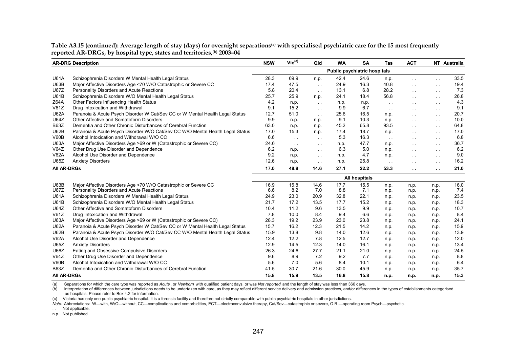|                    | <b>AR-DRG Description</b>                                                     | <b>NSW</b> | $\mathsf{Vic}^\mathsf{(c)}$ | Qld           | <b>WA</b>                           | <b>SA</b>     | Tas           | <b>ACT</b>           |                      | NT Australia |
|--------------------|-------------------------------------------------------------------------------|------------|-----------------------------|---------------|-------------------------------------|---------------|---------------|----------------------|----------------------|--------------|
|                    |                                                                               |            |                             |               | <b>Public psychiatric hospitals</b> |               |               |                      |                      |              |
| <b>U61A</b>        | Schizophrenia Disorders W Mental Health Legal Status                          | 28.3       | 69.9                        | n.p.          | 42.4                                | 24.6          | n.p.          | $\sim 10$            | $\sim$ $\sim$        | 33.5         |
| U63B               | Major Affective Disorders Age <70 W/O Catastrophic or Severe CC               | 17.4       | 47.5                        | $\sim$ $\sim$ | 24.9                                | 16.3          | 40.8          | $\sim$               | $\sim$ $\sim$        | 19.4         |
| <b>U67Z</b>        | Personality Disorders and Acute Reactions                                     | 5.8        | 20.4                        | $\sim$ $\sim$ | 13.1                                | 6.8           | 28.2          | $\sim$               | $\sim$ $\sim$        | 7.3          |
| <b>U61B</b>        | Schizophrenia Disorders W/O Mental Health Legal Status                        | 25.7       | 25.9                        | n.p.          | 24.1                                | 18.4          | 56.8          | $\sim$               | $\sim$ $\sim$        | 26.8         |
| Z64A               | Other Factors Influencing Health Status                                       | 4.2        | n.p.                        | $\sim 10$     | n.p.                                | n.p.          | $\sim$ $\sim$ | $\sim$ $\sim$        | $\sim$ $\sim$        | 4.3          |
| V61Z               | Drug Intoxication and Withdrawal                                              | 9.1        | 15.2                        | $\sim$ $\sim$ | 9.9                                 | 6.7           | $\sim$ $\sim$ | $\sim$ $\sim$        | $\sim$ $\sim$        | 9.1          |
| <b>U62A</b>        | Paranoia & Acute Psych Disorder W Cat/Sev CC or W Mental Health Legal Status  | 12.7       | 51.0                        | $\sim$ $\sim$ | 25.6                                | 16.5          | n.p.          | $\sim$               | $\sim$ $\sim$        | 20.7         |
| <b>U64Z</b>        | Other Affective and Somatoform Disorders                                      | 9.9        | n.p.                        | n.p.          | 9.1                                 | 10.3          | n.p.          | $\sim$               | $\sim$ $\sim$        | 10.0         |
| <b>B63Z</b>        | Dementia and Other Chronic Disturbances of Cerebral Function                  | 63.0       | n.p.                        | n.p.          | 45.2                                | 65.8          | 93.5          | $\sim$               | $\sim$ 10 $\pm$      | 64.8         |
| U62B               | Paranoia & Acute Psych Disorder W/O Cat/Sev CC W/O Mental Health Legal Status | 17.0       | 15.3                        | n.p.          | 17.4                                | 18.7          | n.p.          | $\sim$               | $\sim$ $\sim$        | 17.0         |
| V60B               | Alcohol Intoxication and Withdrawal W/O CC                                    | 6.6        | $\sim 100$                  | $\sim$ $\sim$ | 5.3                                 | 16.3          | $\sim$ $\sim$ | $\sim$ $\sim$        | $\sim$ $\sim$        | 6.8          |
| <b>U63A</b>        | Major Affective Disorders Age >69 or W (Catastrophic or Severe CC)            | 24.6       | $\sim$ $\sim$               | $\sim$ $\sim$ | n.p.                                | 47.7          | n.p.          | $\sim$               | $\sim$ $\sim$        | 36.7         |
| V64Z               | Other Drug Use Disorder and Dependence                                        | 6.2        | n.p.                        | $\sim$ $\sim$ | 6.3                                 | 5.0           | n.p.          | $\sim$               | $\sim$ $\sim$        | 6.2          |
| <b>V62A</b>        | Alcohol Use Disorder and Dependence                                           | 9.2        | n.p.                        | $\sim$ $\sim$ | n.p.                                | 4.7           | n.p.          | $\sim$               | $\sim 100$           | 9.0          |
| <b>U65Z</b>        | <b>Anxiety Disorders</b>                                                      | 12.6       | n.p.                        | $\sim$ $\sim$ | n.p.                                | 25.8          | $\sim$ $\sim$ | $\sim$               | $\sim 100$           | 16.2         |
| <b>All AR-DRGs</b> |                                                                               | 17.0       | 48.8                        | 14.6          | 27.1                                | 22.2          | 53.3          | $\ddot{\phantom{a}}$ | $\ddot{\phantom{a}}$ | 21.0         |
|                    |                                                                               |            |                             |               |                                     | All hospitals |               |                      |                      |              |
| U63B               | Major Affective Disorders Age <70 W/O Catastrophic or Severe CC               | 16.9       | 15.8                        | 14.6          | 17.7                                | 15.5          | n.p.          | n.p.                 | n.p.                 | 16.0         |
| <b>U67Z</b>        | Personality Disorders and Acute Reactions                                     | 6.6        | 8.2                         | 7.0           | 8.8                                 | 7.1           | n.p.          | n.p.                 | n.p.                 | 7.4          |
| <b>U61A</b>        | Schizophrenia Disorders W Mental Health Legal Status                          | 24.9       | 23.0                        | 20.9          | 32.8                                | 22.1          | n.p.          | n.p.                 | n.p.                 | 23.5         |
| <b>U61B</b>        | Schizophrenia Disorders W/O Mental Health Legal Status                        | 21.7       | 17.2                        | 13.5          | 17.7                                | 15.2          | n.p.          | n.p.                 | n.p.                 | 18.3         |
| <b>U64Z</b>        | Other Affective and Somatoform Disorders                                      | 10.4       | 11.2                        | 9.6           | 13.5                                | 9.9           | n.p.          | n.p.                 | n.p.                 | 10.7         |
| V61Z               | Drug Intoxication and Withdrawal                                              | 7.8        | 10.0                        | 8.4           | 9.4                                 | 6.6           | n.p.          | n.p.                 | n.p.                 | 8.4          |
| <b>U63A</b>        | Major Affective Disorders Age >69 or W (Catastrophic or Severe CC)            | 28.3       | 19.2                        | 23.9          | 23.0                                | 23.8          | n.p.          | n.p.                 | n.p.                 | 24.1         |
| <b>U62A</b>        | Paranoia & Acute Psych Disorder W Cat/Sev CC or W Mental Health Legal Status  | 15.7       | 16.2                        | 12.3          | 21.5                                | 14.2          | n.p.          | n.p.                 | n.p.                 | 15.9         |
| U62B               | Paranoia & Acute Psych Disorder W/O Cat/Sev CC W/O Mental Health Legal Status | 15.9       | 13.8                        | 9.8           | 14.0                                | 12.6          | n.p.          | n.p.                 | n.p.                 | 13.9         |
| <b>V62A</b>        | Alcohol Use Disorder and Dependence                                           | 12.4       | 12.2                        | 7.8           | 12.5                                | 12.7          | n.p.          | n.p.                 | n.p.                 | 12.0         |
| U65Z               | <b>Anxiety Disorders</b>                                                      | 12.9       | 14.5                        | 12.3          | 14.0                                | 16.1          | n.p.          | n.p.                 | n.p.                 | 13.4         |
| U66Z               | Eating and Obsessive-Compulsive Disorders                                     | 26.3       | 24.6                        | 27.7          | 21.1                                | 21.0          | n.p.          | n.p.                 | n.p.                 | 24.5         |
| V64Z               | Other Drug Use Disorder and Dependence                                        | 9.6        | 8.9                         | 7.2           | 9.2                                 | 7.7           | n.p.          | n.p.                 | n.p.                 | 8.8          |
| V60B               | Alcohol Intoxication and Withdrawal W/O CC                                    | 5.6        | 7.0                         | 5.6           | 8.4                                 | 10.1          | n.p.          | n.p.                 | n.p.                 | 6.4          |
| <b>B63Z</b>        | Dementia and Other Chronic Disturbances of Cerebral Function                  | 41.5       | 30.7                        | 21.6          | 30.0                                | 45.9          | n.p.          | n.p.                 | n.p.                 | 35.7         |
| <b>All AR-DRGs</b> |                                                                               | 15.8       | 15.9                        | 13.5          | 16.8                                | 15.8          | n.p.          | n.p.                 | n.p.                 | 15.3         |

Table A3.15 (continued): Average length of stay (days) for overnight separations<sup>(a)</sup> with specialised psychiatric care for the 15 most frequently **reported AR-DRGs, by hospital type, states and territories,(b) 2003–04** 

(a) Separations for which the care type was reported as *Acute* , or *Newborn* with qualified patient days, or was *Not reported* and the length of stay was less than 366 days.

(b) Interpretation of differences between jurisdictions needs to be undertaken with care, as they may reflect different service delivery and admission practices, and/or differences in the types of establishments categorise as hospitals. Please refer to Box 4.2 for information.

(c) Victoria has only one public psychiatric hospital. It is a forensic facility and therefore not strictly comparable with public psychiatric hospitals in other jurisdictions.

*Note:* Abbreviations: W—with, W/O—without, CC—complications and comorbidities, ECT—electroconvulsive therapy, Cat/Sev—catastrophic or severe, O.R.—operating room Psych—psychotic.

. . Not applicable.

n.p. Not published.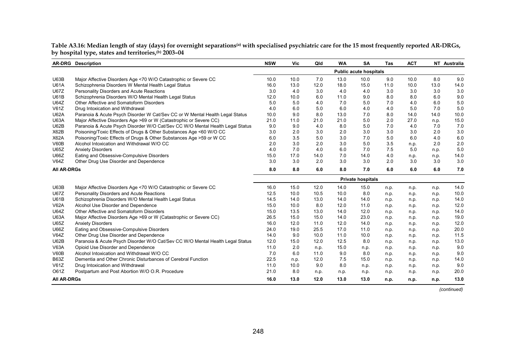**Table A3.16: Median length of stay (days) for overnight separations(a) with specialised psychiatric care for the 15 most frequently reported AR-DRGs, by hospital type, states and territories,(b) 2003–04** 

|                    | <b>AR-DRG</b> Description                                                     | <b>NSW</b> | Vic  | Qld  | <b>WA</b> | SA                            | <b>Tas</b> | <b>ACT</b> |      | NT Australia |
|--------------------|-------------------------------------------------------------------------------|------------|------|------|-----------|-------------------------------|------------|------------|------|--------------|
|                    |                                                                               |            |      |      |           | <b>Public acute hospitals</b> |            |            |      |              |
| U63B               | Major Affective Disorders Age <70 W/O Catastrophic or Severe CC               | 10.0       | 10.0 | 7.0  | 13.0      | 10.0                          | 9.0        | 10.0       | 8.0  | 9.0          |
| <b>U61A</b>        | Schizophrenia Disorders W Mental Health Legal Status                          | 16.0       | 13.0 | 12.0 | 18.0      | 15.0                          | 11.0       | 10.0       | 13.0 | 14.0         |
| <b>U67Z</b>        | Personality Disorders and Acute Reactions                                     | 3.0        | 4.0  | 3.0  | 4.0       | 4.0                           | 3.0        | 3.0        | 3.0  | 3.0          |
| <b>U61B</b>        | Schizophrenia Disorders W/O Mental Health Legal Status                        | 12.0       | 10.0 | 6.0  | 11.0      | 9.0                           | 8.0        | 8.0        | 6.0  | 9.0          |
| <b>U64Z</b>        | Other Affective and Somatoform Disorders                                      | 5.0        | 5.0  | 4.0  | 7.0       | 5.0                           | 7.0        | 4.0        | 6.0  | 5.0          |
| V61Z               | Drug Intoxication and Withdrawal                                              | 4.0        | 6.0  | 5.0  | 6.0       | 4.0                           | 4.0        | 5.0        | 7.0  | 5.0          |
| <b>U62A</b>        | Paranoia & Acute Psych Disorder W Cat/Sev CC or W Mental Health Legal Status  | 10.0       | 9.0  | 8.0  | 13.0      | 7.0                           | 8.0        | 14.0       | 14.0 | 10.0         |
| <b>U63A</b>        | Major Affective Disorders Age >69 or W (Catastrophic or Severe CC)            | 21.0       | 11.0 | 21.0 | 21.0      | 5.0                           | 2.0        | 27.0       | n.p. | 15.0         |
| U62B               | Paranoia & Acute Psych Disorder W/O Cat/Sev CC W/O Mental Health Legal Status | 9.0        | 9.0  | 4.0  | 8.0       | 5.0                           | 7.0        | 4.0        | 7.0  | 7.0          |
| X62B               | Poisoning/Toxic Effects of Drugs & Other Substances Age <60 W/O CC            | 3.0        | 2.0  | 3.0  | 2.0       | 3.0                           | 3.0        | 3.0        | 2.0  | 3.0          |
| <b>X62A</b>        | Poisoning/Toxic Effects of Drugs & Other Substances Age >59 or W CC           | 6.0        | 3.5  | 5.0  | 3.0       | 7.0                           | 5.0        | 6.0        | 4.0  | 6.0          |
| V60B               | Alcohol Intoxication and Withdrawal W/O CC                                    | 2.0        | 3.0  | 2.0  | 3.0       | 5.0                           | 3.5        | n.p.       | 2.0  | 2.0          |
| U65Z               | <b>Anxiety Disorders</b>                                                      | 4.0        | 7.0  | 4.0  | 6.0       | 7.0                           | 7.5        | 5.0        | n.p. | 5.0          |
| U66Z               | Eating and Obsessive-Compulsive Disorders                                     | 15.0       | 17.0 | 14.0 | 7.0       | 14.0                          | 4.0        | n.p.       | n.p. | 14.0         |
| V64Z               | Other Drug Use Disorder and Dependence                                        | 3.0        | 3.0  | 2.0  | 3.0       | 3.0                           | 2.0        | 3.0        | 3.0  | 3.0          |
| <b>All AR-DRGs</b> |                                                                               | 8.0        | 8.0  | 6.0  | 8.0       | 7.0                           | 6.0        | 6.0        | 6.0  | 7.0          |
|                    |                                                                               |            |      |      |           | <b>Private hospitals</b>      |            |            |      |              |
| U63B               | Major Affective Disorders Age <70 W/O Catastrophic or Severe CC               | 16.0       | 15.0 | 12.0 | 14.0      | 15.0                          | n.p.       | n.p.       | n.p. | 14.0         |
| <b>U67Z</b>        | Personality Disorders and Acute Reactions                                     | 12.5       | 10.0 | 10.5 | 10.0      | 8.0                           | n.p.       | n.p.       | n.p. | 10.0         |
| <b>U61B</b>        | Schizophrenia Disorders W/O Mental Health Legal Status                        | 14.5       | 14.0 | 13.0 | 14.0      | 14.0                          | n.p.       | n.p.       | n.p. | 14.0         |
| <b>V62A</b>        | Alcohol Use Disorder and Dependence                                           | 15.0       | 10.0 | 8.0  | 12.0      | 11.0                          | n.p.       | n.p.       | n.p. | 12.0         |
| <b>U64Z</b>        | Other Affective and Somatoform Disorders                                      | 15.0       | 13.5 | 13.0 | 14.0      | 12.0                          | n.p.       | n.p.       | n.p. | 14.0         |
| <b>U63A</b>        | Major Affective Disorders Age >69 or W (Catastrophic or Severe CC)            | 26.5       | 15.0 | 15.0 | 14.0      | 23.0                          | n.p.       | n.p.       | n.p. | 19.0         |
| <b>U65Z</b>        | <b>Anxiety Disorders</b>                                                      | 16.0       | 12.0 | 11.0 | 12.0      | 14.0                          | n.p.       | n.p.       | n.p. | 12.0         |
| U66Z               | Eating and Obsessive-Compulsive Disorders                                     | 24.0       | 19.0 | 25.5 | 17.0      | 11.0                          | n.p.       | n.p.       | n.p. | 20.0         |
| V64Z               | Other Drug Use Disorder and Dependence                                        | 14.0       | 9.0  | 10.0 | 11.0      | 10.0                          | n.p.       | n.p.       | n.p. | 11.5         |
| U62B               | Paranoia & Acute Psych Disorder W/O Cat/Sev CC W/O Mental Health Legal Status | 12.0       | 15.0 | 12.0 | 12.5      | 8.0                           | n.p.       | n.p.       | n.p. | 13.0         |
| <b>V63A</b>        | Opioid Use Disorder and Dependence                                            | 11.0       | 2.0  | n.p. | 15.0      | n.p.                          | n.p.       | n.p.       | n.p. | 9.0          |
| V60B               | Alcohol Intoxication and Withdrawal W/O CC                                    | 7.0        | 6.0  | 11.0 | 9.0       | 8.0                           | n.p.       | n.p.       | n.p. | 9.0          |
| <b>B63Z</b>        | Dementia and Other Chronic Disturbances of Cerebral Function                  | 22.5       | n.p. | 12.0 | 7.5       | 15.0                          | n.p.       | n.p.       | n.p. | 14.0         |
| V61Z               | Drug Intoxication and Withdrawal                                              | 11.0       | 10.0 | 9.0  | 8.0       | n.p.                          | n.p.       | n.p.       | n.p. | 9.0          |
| O61Z               | Postpartum and Post Abortion W/O O.R. Procedure                               | 21.0       | 8.0  | n.p. | n.p.      | n.p.                          | n.p.       | n.p.       | n.p. | 20.0         |
| <b>All AR-DRGs</b> |                                                                               |            | 13.0 | 12.0 | 13.0      | 13.0                          | n.p.       | n.p.       | n.p. | 13.0         |

*(continued)*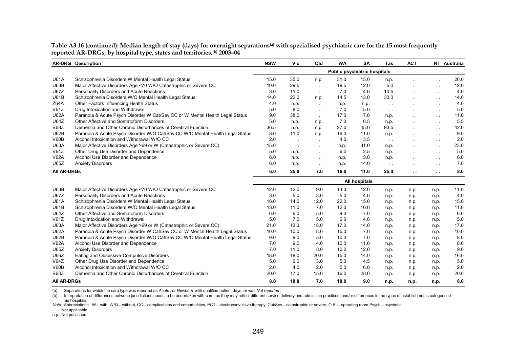|                    | <b>AR-DRG</b> Description                                                     | <b>NSW</b> | Vic           | Qld           | <b>WA</b>                           | <b>SA</b>     | Tas           | <b>ACT</b>    |               | NT Australia |
|--------------------|-------------------------------------------------------------------------------|------------|---------------|---------------|-------------------------------------|---------------|---------------|---------------|---------------|--------------|
|                    |                                                                               |            |               |               | <b>Public psychiatric hospitals</b> |               |               |               |               |              |
| <b>U61A</b>        | Schizophrenia Disorders W Mental Health Legal Status                          | 15.0       | 35.0          | n.p.          | 31.0                                | 15.0          | n.p.          | $\sim$ $\sim$ | $\sim 100$    | 20.0         |
| U63B               | Major Affective Disorders Age <70 W/O Catastrophic or Severe CC               | 10.0       | 29.5          | $\sim 10$     | 19.5                                | 12.0          | 5.0           | $\sim$ $\sim$ | $\sim$ $\sim$ | 12.0         |
| <b>U67Z</b>        | Personality Disorders and Acute Reactions                                     | 3.0        | 11.0          | $\sim$ $\sim$ | 7.0                                 | 4.0           | 10.5          | $\sim$ $\sim$ | $\sim$ $\sim$ | 4.0          |
| <b>U61B</b>        | Schizophrenia Disorders W/O Mental Health Legal Status                        | 14.0       | 22.0          | n.p.          | 14.5                                | 13.0          | 30.0          | $\sim$ $\sim$ | $\sim$ $\sim$ | 14.0         |
| Z64A               | Other Factors Influencing Health Status                                       | 4.0        | n.p.          | $\sim$ $\sim$ | n.p.                                | n.p.          | $\sim$ $\sim$ | $\sim$ $\sim$ | $\sim$ $\sim$ | 4.0          |
| V61Z               | Drug Intoxication and Withdrawal                                              | 5.0        | 8.0           | $\sim$ $\sim$ | 7.0                                 | 5.0           | $\sim$ $\sim$ | $\sim$ $\sim$ | $\sim$ $\sim$ | 5.0          |
| <b>U62A</b>        | Paranoia & Acute Psych Disorder W Cat/Sev CC or W Mental Health Legal Status  | 9.0        | 38.0          | $\sim 10$     | 17.0                                | 7.0           | n.p.          | $\sim$ $\sim$ | $\sim$ $\sim$ | 11.0         |
| <b>U64Z</b>        | Other Affective and Somatoform Disorders                                      | 5.0        | n.p.          | n.p.          | 7.0                                 | 6.5           | n.p.          | $\sim$ $\sim$ | $\sim 100$    | 5.5          |
| <b>B63Z</b>        | Dementia and Other Chronic Disturbances of Cerebral Function                  | 36.5       | n.p.          | n.p.          | 27.0                                | 45.0          | 93.5          | $\sim$ $\sim$ | $\sim$ $\sim$ | 42.0         |
| U62B               | Paranoia & Acute Psych Disorder W/O Cat/Sev CC W/O Mental Health Legal Status | 8.0        | 11.0          | n.p.          | 16.0                                | 11.0          | n.p.          | $\sim$ $\sim$ | $\sim$        | 9.0          |
| V60B               | Alcohol Intoxication and Withdrawal W/O CC                                    | 2.0        | $\sim$ $\sim$ | $\sim$ $\sim$ | 4.0                                 | 3.5           | $\sim 10$     | $\sim$        | $\sim$        | 2.0          |
| <b>U63A</b>        | Major Affective Disorders Age >69 or W (Catastrophic or Severe CC)            | 15.0       | $\sim$ $\sim$ | $\sim$ $\sim$ | n.p.                                | 31.0          | n.p.          | $\sim$ $\sim$ | $\sim$ $\sim$ | 23.0         |
| V64Z               | Other Drug Use Disorder and Dependence                                        | 5.0        | n.p.          | $\sim$        | 6.0                                 | 2.5           | n.p.          | $\sim$ $\sim$ | $\sim$ $\sim$ | 5.0          |
| <b>V62A</b>        | Alcohol Use Disorder and Dependence                                           | 6.0        | n.p.          | $\sim$ $\sim$ | n.p.                                | 3.0           | n.p.          | $\sim$ $\sim$ | $\sim$        | 6.0          |
| U65Z               | <b>Anxiety Disorders</b>                                                      | 6.0        | n.p.          | $\sim$ $\sim$ | n.p.                                | 14.0          | $\sim$ $\sim$ | $\sim$ $\sim$ | $\sim$ $\sim$ | 7.0          |
| <b>All AR-DRGs</b> |                                                                               | 6.0        | 25.0          | 7.0           | 16.0                                | 11.0          | 25.0          | $\sim$ $\sim$ | $\sim 10$     | 8.0          |
|                    |                                                                               |            |               |               |                                     | All hospitals |               |               |               |              |
| <b>U63B</b>        | Major Affective Disorders Age <70 W/O Catastrophic or Severe CC               | 12.0       | 12.0          | 9.0           | 14.0                                | 12.0          | n.p.          | n.p.          | n.p.          | 11.0         |
| <b>U67Z</b>        | Personality Disorders and Acute Reactions                                     | 3.0        | 5.0           | 3.0           | 5.0                                 | 4.0           | n.p.          | n.p.          | n.p.          | 4.0          |
| <b>U61A</b>        | Schizophrenia Disorders W Mental Health Legal Status                          | 16.0       | 14.0          | 12.0          | 22.0                                | 15.0          | n.p.          | n.p.          | n.p.          | 15.0         |
| <b>U61B</b>        | Schizophrenia Disorders W/O Mental Health Legal Status                        | 13.0       | 11.0          | 7.0           | 12.0                                | 10.0          | n.p.          | n.p.          | n.p.          | 11.0         |
| <b>U64Z</b>        | Other Affective and Somatoform Disorders                                      | 6.0        | 6.0           | 5.0           | 9.0                                 | 7.0           | n.p.          | n.p.          | n.p.          | 6.0          |
| V61Z               | Drug Intoxication and Withdrawal                                              | 5.0        | 7.0           | 5.0           | 6.0                                 | 4.0           | n.p.          | n.p.          | n.p.          | 5.0          |
| <b>U63A</b>        | Major Affective Disorders Age >69 or W (Catastrophic or Severe CC)            | 21.0       | 13.0          | 18.0          | 17.0                                | 14.0          | n.p.          | n.p.          | n.p.          | 17.0         |
| <b>U62A</b>        | Paranoia & Acute Psych Disorder W Cat/Sev CC or W Mental Health Legal Status  | 10.0       | 10.0          | 8.0           | 15.0                                | 7.0           | n.p.          | n.p.          | n.p.          | 10.0         |
| U62B               | Paranoia & Acute Psych Disorder W/O Cat/Sev CC W/O Mental Health Legal Status | 9.0        | 9.0           | 5.0           | 10.0                                | 7.0           | n.p.          | n.p.          | n.p.          | 8.0          |
| <b>V62A</b>        | Alcohol Use Disorder and Dependence                                           | 7.0        | 9.0           | 4.0           | 10.0                                | 11.0          | n.p.          | n.p.          | n.p.          | 8.0          |
| U65Z               | <b>Anxiety Disorders</b>                                                      | 7.0        | 11.0          | 8.0           | 10.0                                | 12.0          | n.p.          | n.p.          | n.p.          | 9.0          |
| U66Z               | Eating and Obsessive-Compulsive Disorders                                     | 18.0       | 18.0          | 20.0          | 15.0                                | 14.0          | n.p.          | n.p.          | n.p.          | 16.0         |
| V64Z               | Other Drug Use Disorder and Dependence                                        | 5.0        | 6.0           | 3.0           | 5.0                                 | 4.5           | n.p.          | n.p.          | n.p.          | 5.0          |
| V60B               | Alcohol Intoxication and Withdrawal W/O CC                                    | 2.0        | 4.0           | 2.0           | 5.0                                 | 6.0           | n.p.          | n.p.          | n.p.          | 2.0          |
| <b>B63Z</b>        | Dementia and Other Chronic Disturbances of Cerebral Function                  | 20.0       | 17.0          | 15.0          | 16.0                                | 28.0          | n.p.          | n.p.          | n.p.          | 20.0         |
| <b>All AR-DRGs</b> |                                                                               | 8.0        | 10.0          | 7.0           | 10.0                                | 9.0           | n.p.          | n.p.          | n.p.          | 8.0          |

Table A3.16 (continued): Median length of stay (days) for overnight separations<sup>(a)</sup> with specialised psychiatric care for the 15 most frequently **reported AR-DRGs, by hospital type, states and territories,(b) 2003–04** 

(a) Separations for which the care type was reported as *Acute* , or *Newborn* with qualified patient days, or was *Not reported* .

(b) Interpretation of differences between jurisdictions needs to be undertaken with care, as they may reflect different service delivery and admission practices, and/or differences in the types of establishments categorise as hospitals.

*Note:* Abbreviations: W—with, W/O—without, CC—complications and comorbidities, ECT—electroconvulsive therapy, Cat/Sev—catastrophic or severe, O.R.—operating room Psych—psychotic.

. . Not applicable.

n.p . Not published.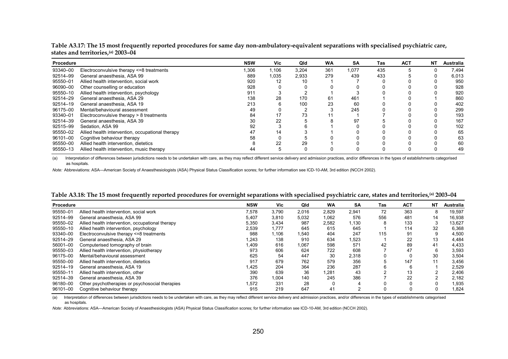| Procedure |                                                  | <b>NSW</b> | <b>Vic</b> | Qld   | <b>WA</b> | <b>SA</b> | Tas | <b>ACT</b> | NΤ | <b>Australia</b> |
|-----------|--------------------------------------------------|------------|------------|-------|-----------|-----------|-----|------------|----|------------------|
| 93340-00  | Electroconvulsive therapy <= 8 treatments        | ,306       | 1,106      | 3,204 | 361       | 1,077     | 435 |            |    | 7,494            |
| 92514-99  | General anaesthesia, ASA 99                      | 889        | 1,035      | 2,933 | 279       | 439       | 433 |            |    | 6,013            |
| 95550-01  | Allied health intervention, social work          | 920        |            | 10    |           |           |     |            |    | 950              |
| 96090-00  | Other counselling or education                   | 928        |            |       |           |           |     |            |    | 928              |
| 95550-10  | Allied health intervention, psychology           | 911        |            |       |           |           |     |            |    | 920              |
| 92514-29  | General anaesthesia, ASA 29                      | 138        | 28         | 170   | 61        | 461       |     |            |    | 860              |
| 92514-19  | General anaesthesia, ASA 19                      | 213        |            | 100   | 23        | 60        |     |            |    | 402              |
| 96175-00  | Mental/behavioural assessment                    | 49         |            |       |           | 245       |     |            |    | 299              |
| 93340-01  | Electroconvulsive therapy > 8 treatments         | 84         |            | 73    | 11        |           |     |            |    | 193              |
| 92514-39  | General anaesthesia, ASA 39                      | 30         | 22         |       |           | 97        |     |            |    | 167              |
| 92515-99  | Sedation, ASA 99                                 | 92         |            |       |           |           |     |            |    | 102              |
| 95550-02  | Allied health intervention, occupational therapy | 47         | 14         |       |           |           |     |            |    | 65               |
| 96101-00  | Cognitive behaviour therapy                      | 58         |            |       |           |           |     |            |    | 63               |
| 95550-00  | Allied health intervention, dietetics            |            | 22         | 29    |           |           |     |            |    | 60               |
| 95550-13  | Allied health intervention, music therapy        | 44         |            |       |           |           |     |            |    | 49               |

**Table A3.17: The 15 most frequently reported procedures for same day non-ambulatory-equivalent separations with specialised psychiatric care, states and territories,(a) 2003–04** 

(a) Interpretation of differences between jurisdictions needs to be undertaken with care, as they may reflect different service delivery and admission practices, and/or differences in the types of establishments categorise as hospitals.

*Note:* Abbreviations: ASA—American Society of Anaesthesiologists (ASA) Physical Status Classification scores; for further information see ICD-10-AM, 3rd edition (NCCH 2002).

| Procedure |                                                  | <b>NSW</b> | Vic   | Qld   | <b>WA</b> | <b>SA</b> | Tas | <b>ACT</b> | <b>NT</b> | <b>Australia</b> |
|-----------|--------------------------------------------------|------------|-------|-------|-----------|-----------|-----|------------|-----------|------------------|
| 95550-01  | Allied health intervention, social work          | 7.578      | 3.790 | 2.016 | 2,829     | 2.941     | 72  | 363        | 8         | 19,597           |
| 92514-99  | General anaesthesia. ASA 99                      | 5,407      | 3,810 | 5,032 | 1,062     | 576       | 556 | 481        | 14        | 16,938           |
| 95550-02  | Allied health intervention, occupational therapy | 5,350      | 3,434 | 987   | 2,582     | 1,130     | 8   | 133        | 3         | 13,627           |
| 95550-10  | Allied health intervention, psychology           | 2,539      | 1,777 | 645   | 615       | 645       |     | 114        | 32        | 6,368            |
| 93340-00  | Electroconvulsive therapy <= 8 treatments        | 988        | 1,106 | 1,540 | 404       | 247       | 115 | 91         |           | 4,500            |
| 92514-29  | General anaesthesia. ASA 29                      | 1.243      | 138   | 910   | 634       | .523      |     | 22         | 13        | 4,484            |
| 56001-00  | Computerised tomography of brain                 | .409       | 616   | 1.067 | 598       | 571       | 42  | 89         | 41        | 4,433            |
| 95550-03  | Allied health intervention, physiotherapy        | 973        | 606   | 624   | 722       | 608       |     | 47         | 6         | 3,593            |
| 96175-00  | Mental/behavioural assessment                    | 625        | 54    | 447   | 30        | 2,318     |     |            | 30        | 3,504            |
| 95550-00  | Allied health intervention, dietetics            | 917        | 679   | 762   | 579       | 356       |     | 147        | 11        | 3,456            |
| 92514-19  | General anaesthesia, ASA 19                      | ,425       | 204   | 364   | 236       | 287       |     | 6          |           | 2,529            |
| 95550-11  | Allied health intervention, other                | 390        | 639   | 36    | 1,281     | 43        |     | 13         |           | 2,406            |
| 92514-39  | General anaesthesia, ASA 39                      | 376        | 1,004 | 140   | 245       | 386       |     | 22         |           | 2,182            |
| 96180-00  | Other psychotherapies or psychosocial therapies  | 1,572      | 331   | 28    | 0         | 4         |     |            |           | 1,935            |
| 96101-00  | Cognitive behaviour therapy                      | 915        | 219   | 647   | 41        | 2         |     |            | 0         | 1.824            |

|  |  |  |  |  |  |  |  | Table A3.18: The 15 most frequently reported procedures for overnight separations with specialised psychiatric care, states and territories, <sup>(a)</sup> 2003–04 |  |
|--|--|--|--|--|--|--|--|---------------------------------------------------------------------------------------------------------------------------------------------------------------------|--|
|  |  |  |  |  |  |  |  |                                                                                                                                                                     |  |

(a) Interpretation of differences between jurisdictions needs to be undertaken with care, as they may reflect different service delivery and admission practices, and/or differences in the types of establishments categorise as hospitals.

*Note:* Abbreviations: ASA—American Society of Anaesthesiologists (ASA) Physical Status Classification scores; for further information see ICD-10-AM, 3rd edition (NCCH 2002).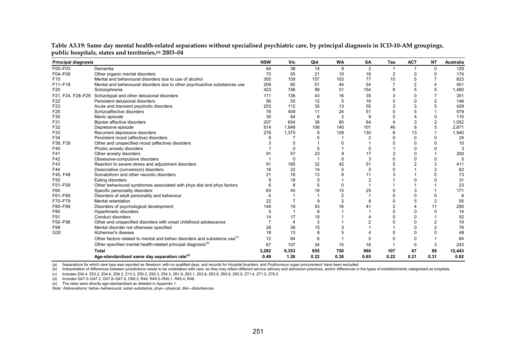| <b>Principal diagnosis</b> |                                                                                      | <b>NSW</b> | Vic                   | Qld            | <b>WA</b>      | <b>SA</b>      | Tas            | <b>ACT</b>     | <b>NT</b>      | Australia |
|----------------------------|--------------------------------------------------------------------------------------|------------|-----------------------|----------------|----------------|----------------|----------------|----------------|----------------|-----------|
| F00-F03                    | Dementia                                                                             | 64         | 38                    | 14             | 9              | $\overline{2}$ |                |                | 0              | 129       |
| F04-F09                    | Other organic mental disorders                                                       | 70         | 55                    | 21             | 10             | 16             |                | $\Omega$       |                | 174       |
| F <sub>10</sub>            | Mental and behavioural disorders due to use of alcohol                               | 305        | 159                   | 157            | 103            | 77             | 10             | 5              |                | 823       |
| F11-F19                    | Mental and behavioural disorders due to other psychoactive substances use            | 209        | 80                    | 51             | 44             | 54             |                | $\overline{2}$ |                | 451       |
| F <sub>20</sub>            | Schizophrenia                                                                        | 423        | 746                   | 88             | 51             | 154            |                | 5              |                | 1,480     |
| F21, F24, F28-F29          | Schizotypal and other delusional disorders                                           | 111        | 136                   | 43             | 16             | 35             |                | 0              |                | 351       |
| F22                        | Persistent delusional disorders                                                      | 56         | 55                    | 12             | 5              | 16             |                | $\Omega$       |                | 146       |
| F <sub>23</sub>            | Acute and transient psychotic disorders                                              | 203        | 112                   | 35             | 13             | 55             | 3              | 3              |                | 429       |
| F <sub>25</sub>            | Schizoaffective disorders                                                            | 78         | 409                   | 11             | 24             | 51             |                |                |                | 579       |
| F30                        | Manic episode                                                                        | 30         | 64                    | 6              | $\overline{2}$ | 9              |                |                |                | 115       |
| F31                        | <b>Bipolar affective disorders</b>                                                   | 207        | 654                   | 38             | 80             | 64             |                | 3              |                | 1,052     |
| F32                        | Depressive episode                                                                   | 614        | 1,848                 | 108            | 140            | 101            | 46             | 9              |                | 2,871     |
| F33                        | Recurrent depressive disorders                                                       | 278        | 1,375                 | 8              | 129            | 130            |                | 13             |                | 1,940     |
| F34                        | Persistent mood (affective) disorders                                                | 9          |                       |                |                |                |                | $\Omega$       |                | 24        |
| F38, F39                   | Other and unspecified mood (affective) disorders                                     |            |                       |                | $\Omega$       |                |                | $\Omega$       |                | 10        |
| F40                        | Phobic anxiety disorders                                                             |            | $\Omega$              | $\Omega$       |                | ŋ              |                | $\Omega$       |                |           |
| F41                        | Other anxiety disorders                                                              | 91         | 57                    | 23             | 9              | 17             | $\overline{2}$ | $\Omega$       |                | 200       |
| F42                        | Obsessive-compulsive disorders                                                       |            | $\Omega$              | $\overline{1}$ | $\mathbf{0}$   | 3              |                | $\Omega$       |                | 5         |
| F43                        | Reaction to severe stress and adjustment disorders                                   | 91         | 185                   | 32             | 42             | 51             |                |                | 3              | 411       |
| F44                        | Dissociative (conversion) disorders                                                  | 18         | 22                    | 14             | $\mathbf{0}$   | 5              |                |                |                | 62        |
| F45, F48                   | Somatoform and other neurotic disorders                                              | 21         | 16                    | 13             | 8              | 11             |                |                |                | 73        |
| F50                        | Eating disorders                                                                     |            | 18                    | $\Omega$       |                | $\overline{2}$ |                |                |                | 31        |
| F51-F59                    | Other behavioural syndromes associated with phys dist and phys factors               |            | 8                     | 5              | $\Omega$       |                |                |                |                | 23        |
| F60                        | Specific personality disorders                                                       | 63         | 45                    | 19             | 15             | 25             |                | 3              |                | 171       |
| F61-F69                    | Disorders of adult personality and behaviour                                         |            |                       | -1             | $\overline{2}$ |                |                |                |                | 9         |
| F70-F79                    | Mental retardation                                                                   | 22         |                       | 9              | $\overline{2}$ | 8              |                |                | 2              | 55        |
| F80-F89                    | Disorders of psychological development                                               | 144        | 19                    | 53             | 16             | 41             |                |                | 11             | 290       |
| F90                        | Hyperkinetic disorders                                                               | 5          |                       | 6              |                |                |                | $\Omega$       | $\Omega$       | 14        |
| F91                        | Conduct disorders                                                                    | 14         | 17                    | 15             |                |                |                | $\Omega$       |                | 52        |
| F92-F98                    | Other and unspecified disorders with onset childhood adolescence                     |            | $\boldsymbol{\Delta}$ | 3              |                |                |                | $\Omega$       | $\overline{2}$ | 19        |
| F99                        | Mental disorder not otherwise specified                                              | 28         | 26                    | 15             | 3              |                |                | n              | $\mathfrak{p}$ | 76        |
| G30                        | Alzheimer's disease                                                                  | 18         | 13                    | 8              | 5              |                |                | ŋ              |                | 48        |
|                            | Other factors related to mental and behav disorders and substance use <sup>(c)</sup> | 12         | 64                    | 6              |                |                |                | n              |                | 84        |
|                            | Other specified mental health-related principal diagnosis <sup>(d)</sup>             | 67         | 107                   | 34             | 15             | 16             |                | $\Omega$       | 3              | 243       |
|                            | <b>Total</b>                                                                         | 3,282      | 6,353                 | 855            | 750            | 960            | 107            | 67             | 69             | 12,443    |
|                            | Age-standardised same day separation rate <sup>(e)</sup>                             | 0.49       | 1.26                  | 0.22           | 0.38           | 0.65           | 0.22           | 0.21           | 0.31           | 0.62      |

**Table A3.19: Same day mental health-related separations without specialised psychiatric care, by principal diagnosis in ICD-10-AM groupings, public hospitals, states and territories,(a) 2003–04** 

(a) Separations for which care type was reported as *Newborn* with no qualified days, and records for *Hospital boarders* and *Posthumous organ procurement* have been excluded.

(b) Interpretation of differences between jurisdictions needs to be undertaken with care, as they may reflect different service delivery and admission practices, and/or differences in the types of establishments categorise

(c) Includes Z00.4, Z03.2, Z04.6, Z09.3, Z13.3, Z50.2, Z50.3, Z54.3, Z61.9, Z63.1, Z63.8, Z63.9, Z65.8, Z65.9, Z71.4, Z71.5, Z76.0.

(d) Includes G47.0–G47.2, G47.8–G47.9, O99.3, R44, R45.0–R45.1, R45.4, R48.

(e) The rates were directly age-standardised as detailed in Appendix 1.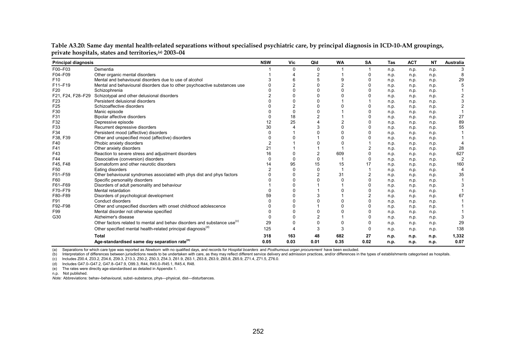| <b>Principal diagnosis</b> |                                                                                      | <b>NSW</b> | Vic      | Qld            | <b>WA</b> | <b>SA</b> | Tas  | <b>ACT</b> | <b>NT</b> | <b>Australia</b> |
|----------------------------|--------------------------------------------------------------------------------------|------------|----------|----------------|-----------|-----------|------|------------|-----------|------------------|
| F00-F03                    | Dementia                                                                             |            | ∩        | $\Omega$       |           |           | n.p. | n.p.       | n.p.      |                  |
| F04-F09                    | Other organic mental disorders                                                       |            |          |                |           |           | n.p. | n.p.       | n.p.      |                  |
| F <sub>10</sub>            | Mental and behavioural disorders due to use of alcohol                               |            |          |                | 9         |           | n.p. | n.p.       | n.p.      | 29               |
| F11-F19                    | Mental and behavioural disorders due to other psychoactive substances use            |            |          |                |           |           | n.p. | n.p.       | n.p.      |                  |
| F20                        | Schizophrenia                                                                        |            |          | $\Omega$       |           |           | n.p. | n.p.       | n.p.      |                  |
|                            | F21, F24, F28-F29 Schizotypal and other delusional disorders                         |            |          |                |           |           | n.p. | n.p.       | n.p.      |                  |
| F <sub>23</sub>            | Persistent delusional disorders                                                      |            |          |                |           |           | n.p. | n.p.       | n.p.      |                  |
| F <sub>25</sub>            | Schizoaffective disorders                                                            |            |          | ŋ              |           |           | n.p. | n.p.       | n.p.      |                  |
| F30                        | Manic episode                                                                        |            | $\Omega$ | U              |           |           | n.p. | n.p.       | n.p.      |                  |
| F31                        | Bipolar affective disorders                                                          |            | 18       | $\overline{2}$ |           |           | n.p. | n.p.       | n.p.      | 27               |
| F32                        | Depressive episode                                                                   |            | 25       |                |           |           | n.p. | n.p.       | n.p.      | 89               |
| F33                        | Recurrent depressive disorders                                                       | 30         |          |                |           |           | n.p. | n.p.       | n.p.      | 55               |
| F34                        | Persistent mood (affective) disorders                                                |            |          |                |           |           | n.p. | n.p.       | n.p.      |                  |
| F38, F39                   | Other and unspecified mood (affective) disorders                                     |            |          |                |           |           | n.p. | n.p.       | n.p.      |                  |
| F40                        | Phobic anxiety disorders                                                             |            |          |                |           |           | n.p. | n.p.       | n.p.      |                  |
| F41                        | Other anxiety disorders                                                              | 21         |          |                |           |           | n.p. | n.p.       | n.p.      | 28               |
| F43                        | Reaction to severe stress and adjustment disorders                                   | 16         |          | 2              | 609       |           | n.p. | n.p.       | n.p.      | 627              |
| F44                        | Dissociative (conversion) disorders                                                  |            |          | $\Omega$       |           |           | n.p. | n.p.       | n.p.      |                  |
| F45, F48                   | Somatoform and other neurotic disorders                                              | 14         | 95       | 15             | 15        | 17        | n.p. | n.p.       | n.p.      | 160              |
| F50                        | Eating disorders                                                                     |            |          | $\Omega$       |           |           | n.p. | n.p.       | n.p.      |                  |
| F51-F59                    | Other behavioural syndromes associated with phys dist and phys factors               |            |          |                | 31        |           | n.p. | n.p.       | n.p.      | 35               |
| F60                        | Specific personality disorders                                                       |            |          |                |           |           | n.p. | n.p.       | n.p.      |                  |
| F61-F69                    | Disorders of adult personality and behaviour                                         |            |          |                |           |           | n.p. | n.p.       | n.p.      |                  |
| F70-F79                    | Mental retardation                                                                   |            |          |                |           |           | n.p. | n.p.       | n.p.      |                  |
| F80-F89                    | Disorders of psychological development                                               | 59         |          |                |           |           | n.p. | n.p.       | n.p.      | 67               |
| F91                        | Conduct disorders                                                                    |            |          |                |           |           | n.p. | n.p.       | n.p.      |                  |
| F92-F98                    | Other and unspecified disorders with onset childhood adolescence                     |            |          |                |           |           | n.p. | n.p.       | n.p.      |                  |
| F99                        | Mental disorder not otherwise specified                                              |            |          |                |           |           | n.p. | n.p.       | n.p.      |                  |
| G30                        | Alzheimer's disease                                                                  |            |          | 2              |           |           | n.p. | n.p.       | n.p.      |                  |
|                            | Other factors related to mental and behav disorders and substance use <sup>(c)</sup> | 29         | ŋ        | 0              | $\Omega$  |           | n.p. | n.p.       | n.p.      | 29               |
|                            | Other specified mental health-related principal diagnosis <sup>(d)</sup>             | 125        |          | 3              | 3         |           | n.p. | n.p.       | n.p.      | 138              |
|                            | Total                                                                                | 318        | 163      | 48             | 682       | 27        | n.p. | n.p.       | n.p.      | 1,332            |
|                            | Age-standardised same day separation rate <sup>(e)</sup>                             | 0.05       | 0.03     | 0.01           | 0.35      | 0.02      | n.p. | n.p.       | n.p.      | 0.07             |

**Table A3.20: Same day mental health-related separations without specialised psychiatric care, by principal diagnosis in ICD-10-AM groupings, private hospitals, states and territories,(a) 2003–04** 

(a) Separations for which care type was reported as *Newborn* with no qualified days, and records for *Hospital boarders* and *Posthumous organ procurement* have been excluded.

(b) Interpretation of differences between jurisdictions needs to be undertaken with care, as they may reflect different service delivery and admission practices, and/or differences in the types of establishments categorise

(c) Includes Z00.4, Z03.2, Z04.6, Z09.3, Z13.3, Z50.2, Z50.3, Z54.3, Z61.9, Z63.1, Z63.8, Z63.9, Z65.8, Z65.9, Z71.4, Z71.5, Z76.0.

(d) Includes G47.0–G47.2, G47.8–G47.9, O99.3, R44, R45.0–R45.1, R45.4, R48.

(e) The rates were directly age-standardised as detailed in Appendix 1.

n.p. Not published.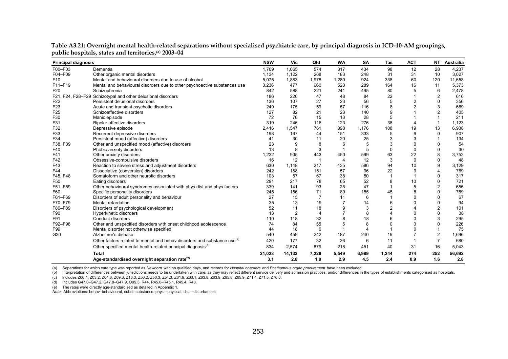| <b>Principal diagnosis</b> |                                                                                      | <b>NSW</b> | Vic            | Qld            | <b>WA</b>      | <b>SA</b> | Tas            | <b>ACT</b>            |                | NT Australia |
|----------------------------|--------------------------------------------------------------------------------------|------------|----------------|----------------|----------------|-----------|----------------|-----------------------|----------------|--------------|
| F00-F03                    | Dementia                                                                             | 1,709      | 1,065          | 574            | 317            | 434       | 98             | 12                    | 28             | 4,237        |
| F04-F09                    | Other organic mental disorders                                                       | 1,134      | 1,122          | 268            | 183            | 248       | 31             | 31                    | 10             | 3,027        |
| F <sub>10</sub>            | Mental and behavioural disorders due to use of alcohol                               | 5,075      | 1,883          | 1,978          | 1,280          | 924       | 338            | 60                    | 120            | 11,658       |
| F11-F19                    | Mental and behavioural disorders due to other psychoactive substances use            | 3,236      | 477            | 660            | 520            | 289       | 164            | 16                    | 11             | 5,373        |
| F20                        | Schizophrenia                                                                        | 842        | 588            | 221            | 241            | 495       | 80             | 5                     | 6              | 2,478        |
|                            | F21, F24, F28-F29 Schizotypal and other delusional disorders                         | 186        | 226            | 47             | 48             | 84        | 22             |                       | $\overline{2}$ | 616          |
| F <sub>22</sub>            | Persistent delusional disorders                                                      | 136        | 107            | 27             | 23             | 56        | 5              | $\overline{2}$        | $\Omega$       | 356          |
| F <sub>23</sub>            | Acute and transient psychotic disorders                                              | 249        | 175            | 59             | 57             | 116       | 8              | $\overline{2}$        | 3              | 669          |
| F <sub>25</sub>            | Schizoaffective disorders                                                            | 127        | 82             | 21             | 23             | 140       | 9              |                       | 2              | 405          |
| F30                        | Manic episode                                                                        | 72         | 76             | 15             | 13             | 28        | 5              |                       |                | 211          |
| F31                        | Bipolar affective disorders                                                          | 319        | 246            | 116            | 123            | 276       | 38             | $\boldsymbol{\Delta}$ | $\overline{1}$ | 1,123        |
| F32                        | Depressive episode                                                                   | 2,416      | 1,547          | 761            | 898            | 1,176     | 108            | 19                    | 13             | 6,938        |
| F33                        | Recurrent depressive disorders                                                       | 198        | 167            | 44             | 151            | 333       | 5              | 9                     | $\Omega$       | 907          |
| F34                        | Persistent mood (affective) disorders                                                | 41         | 30             | 11             | 20             | 25        |                |                       |                | 134          |
| F38, F39                   | Other and unspecified mood (affective) disorders                                     | 23         | 9              | 8              | 6              | 5         | 3              | $\Omega$              | $\Omega$       | 54           |
| F40                        | Phobic anxiety disorders                                                             | 13         | 8              | 3              |                | 5         | $\Omega$       | $\Omega$              | 0              | 30           |
| F41                        | Other anxiety disorders                                                              | 1,232      | 935            | 443            | 450            | 599       | 63             | 22                    | 8              | 3,752        |
| F42                        | Obsessive-compulsive disorders                                                       | 16         | 12             | 1              | $\overline{4}$ | 12        | 3              | $\Omega$              | $\mathbf{0}$   | 48           |
| F43                        | Reaction to severe stress and adjustment disorders                                   | 630        | 1.148          | 217            | 435            | 586       | 94             | 10                    | 9              | 3,129        |
| F44                        | Dissociative (conversion) disorders                                                  | 242        | 188            | 151            | 57             | 96        | 22             | 9                     | $\overline{4}$ | 769          |
| F45, F48                   | Somatoform and other neurotic disorders                                              | 103        | 57             | 67             | 38             | 50        |                |                       | 0              | 317          |
| F50                        | Eating disorders                                                                     | 291        | 217            | 78             | 65             | 52        | 8              | 10                    | 0              | 721          |
| F51-F59                    | Other behavioural syndromes associated with phys dist and phys factors               | 339        | 141            | 93             | 28             | 47        |                | 5                     | $\overline{2}$ | 656          |
| F60                        | Specific personality disorders                                                       | 245        | 156            | 71             | 89             | 155       | 45             | 8                     | $\mathbf 0$    | 769          |
| F61-F69                    | Disorders of adult personality and behaviour                                         | 27         | 15             | $\overline{7}$ | 11             | 6         |                | $\Omega$              | $\Omega$       | 67           |
| F70-F79                    | Mental retardation                                                                   | 35         | 13             | 19             | 7              | 14        | 6              | $\Omega$              | $\Omega$       | 94           |
| F80-F89                    | Disorders of psychological development                                               | 52         | 11             | 18             | 9              | 3         | $\overline{2}$ |                       | $\overline{2}$ | 101          |
| F90                        | Hyperkinetic disorders                                                               | 13         | $\overline{2}$ | 4              |                | 8         |                | $\Omega$              | 0              | 38           |
| F91                        | Conduct disorders                                                                    | 110        | 118            | 32             |                | 18        | 6              | $\Omega$              | 3              | 295          |
| F92-F98                    | Other and unspecified disorders with onset childhood adolescence                     | 74         | 84             | 55             |                | 8         |                | $\Omega$              | $\Omega$       | 226          |
| F99                        | Mental disorder not otherwise specified                                              | 44         | 18             | 6              |                | $\Delta$  |                | $\Omega$              |                | 75           |
| G30                        | Alzheimer's disease                                                                  | 540        | 459            | 242            | 187            | 240       | 19             |                       | $\overline{2}$ | 1,696        |
|                            | Other factors related to mental and behav disorders and substance use <sup>(c)</sup> | 420        | 177            | 32             | 26             | 6         | 11             |                       | $\overline{7}$ | 680          |
|                            | Other specified mental health-related principal diagnosis <sup>(d)</sup>             | 834        | 2,574          | 879            | 218            | 451       | 40             | 31                    | 16             | 5,043        |
|                            | <b>Total</b>                                                                         | 21,023     | 14,133         | 7,228          | 5,549          | 6,989     | 1,244          | 274                   | 252            | 56,692       |
|                            | Age-standardised overnight separation rate <sup>(e)</sup>                            | 3.1        | 2.8            | 1.9            | 2.9            | 4.5       | 2.4            | 0.9                   | 1.6            | 2.8          |

**Table A3.21: Overnight mental health-related separations without specialised psychiatric care, by principal diagnosis in ICD-10-AM groupings, public hospitals, states and territories,(a) 2003–04** 

(a) Separations for which care type was reported as *Newborn* with no qualified days, and records for *Hospital boarders* and *Posthumous organ procurement* have been excluded.

(b) Interpretation of differences between jurisdictions needs to be undertaken with care, as they may reflect different service delivery and admission practices, and/or differences in the types of establishments categorise

(c) Includes Z00.4, Z03.2, Z04.6, Z09.3, Z13.3, Z50.2, Z50.3, Z54.3, Z61.9, Z63.1, Z63.8, Z63.9, Z65.8, Z65.9, Z71.4, Z71.5, Z76.0.

(d) Includes G47.0–G47.2, G47.8–G47.9, O99.3, R44, R45.0–R45.1, R45.4, R48.

(e) The rates were directly age-standardised as detailed in Appendix 1.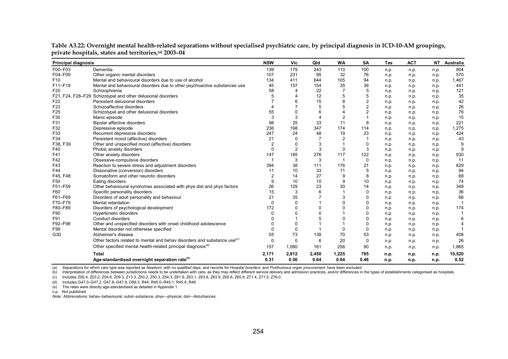| <b>Principal diagnosis</b> |                                                                                      | <b>NSW</b>     | Vic            | Qld            | <b>WA</b> | <b>SA</b>      | Tas  | <b>ACT</b> |      | NT Australia |
|----------------------------|--------------------------------------------------------------------------------------|----------------|----------------|----------------|-----------|----------------|------|------------|------|--------------|
| F00-F03                    | Dementia                                                                             | 139            | 179            | 243            | 110       | 100            | n.p. | n.p.       | n.p. | 804          |
| F04-F09                    | Other organic mental disorders                                                       | 107            | 231            | 95             | 32        | 76             | n.p. | n.p.       | n.p. | 570          |
| F <sub>10</sub>            | Mental and behavioural disorders due to use of alcohol                               | 134            | 411            | 644            | 105       | 94             | n.p. | n.p.       | n.p. | 1,467        |
| F11-F19                    | Mental and behavioural disorders due to other psychoactive substances use            | 45             | 157            | 154            | 35        | 36             | n.p. | n.p.       | n.p. | 441          |
| F <sub>20</sub>            | Schizophrenia                                                                        | 58             | 4              | 22             |           | 5              | n.p. | n.p.       | n.p. | 121          |
|                            | F21, F24, F28-F29 Schizotypal and other delusional disorders                         | 5              | 4              | 12             | 5         | 5              | n.p. | n.p.       | n.p. | 35           |
| F22                        | Persistent delusional disorders                                                      |                | 6              | 15             | 8         | $\overline{2}$ | n.p. | n.p.       | n.p. | 42           |
| F <sub>23</sub>            | Schizoaffective disorders                                                            |                |                | 5              | 5         | $\overline{2}$ | n.p. | n.p.       | n.p. | 26           |
| F <sub>25</sub>            | Schizotypal and other delusional disorders                                           | 55             | 0              | 6              | 4         | $\overline{2}$ | n.p. | n.p.       | n.p. | 76           |
| F30                        | Manic episode                                                                        | 3              | 3              | 4              | 2         |                | n.p. | n.p.       | n.p. | 15           |
| F31                        | <b>Bipolar affective disorders</b>                                                   | 98             | 25             | 33             | 11        | 8              | n.p. | n.p.       | n.p. | 221          |
| F32                        | Depressive episode                                                                   | 236            | 198            | 347            | 174       | 114            | n.p. | n.p.       | n.p. | 1,275        |
| F33                        | Recurrent depressive disorders                                                       | 247            | 24             | 48             | 19        | 23             | n.p. | n.p.       | n.p. | 424          |
| F34                        | Persistent mood (affective) disorders                                                | 21             | $\Omega$       | 7              | 2         |                | n.p. | n.p.       | n.p. | 43           |
| F38, F39                   | Other and unspecified mood (affective) disorders                                     | $\overline{2}$ | 0              | 3              |           | $\Omega$       | n.p. | n.p.       | n.p. | g            |
| F40                        | Phobic anxiety disorders                                                             | $\Omega$       | $\overline{2}$ | 3              | $\Omega$  | 3              | n.p. | n.p.       | n.p. | 9            |
| F41                        | Other anxiety disorders                                                              | 147            | 185            | 276            | 117       | 122            | n.p. | n.p.       | n.p. | 930          |
| F42                        | Obsessive-compulsive disorders                                                       | -1             | 3              | 3              | -1        | $\mathbf 0$    | n.p. | n.p.       | n.p. | 11           |
| F43                        | Reaction to severe stress and adjustment disorders                                   | 394            | 38             | 111            | 176       | 21             | n.p. | n.p.       | n.p. | 829          |
| F44                        | Dissociative (conversion) disorders                                                  | 11             | 10             | 33             | 11        | 5              | n.p. | n.p.       | n.p. | 94           |
| F45, F48                   | Somatoform and other neurotic disorders                                              | $\overline{2}$ | 14             | 27             | 9         | 8              | n.p. | n.p.       | n.p. | 68           |
| F50                        | Eating disorders                                                                     | 9              | 10             | 10             | 9         | 10             | n.p. | n.p.       | n.p. | 74           |
| F51-F59                    | Other behavioural syndromes associated with phys dist and phys factors               | 26             | 129            | 23             | 30        | 14             | n.p. | n.p.       | n.p. | 348          |
| F60                        | Specific personality disorders                                                       | 15             | 3              | 6              |           | $\mathbf{0}$   | n.p. | n.p.       | n.p. | 36           |
| F61-F69                    | Disorders of adult personality and behaviour                                         | 21             | 35             | $\overline{7}$ | 3         | $\Omega$       | n.p. | n.p.       | n.p. | 66           |
| F70-F79                    | Mental retardation                                                                   | 0              | 0              |                | $\Omega$  | $\Omega$       | n.p. | n.p.       | n.p. |              |
| F80-F89                    | Disorders of psychological development                                               | 172            | 0              | 0              | $\Omega$  | $\Omega$       | n.p. | n.p.       | n.p. | 174          |
| F90                        | Hyperkinetic disorders                                                               | U              | $\Omega$       | $\Omega$       |           | $\Omega$       | n.p. | n.p.       | n.p. |              |
| F91                        | Conduct disorders                                                                    |                |                | 5              | $\Omega$  | $\Omega$       | n.p. | n.p.       | n.p. | 6            |
| F92-F98                    | Other and unspecified disorders with onset childhood adolescence                     | U              | 0              |                |           | $\Omega$       | n.p. | n.p.       | n.p. | 4            |
| F99                        | Mental disorder not otherwise specified                                              | $\Omega$       | $\mathbf 0$    | 1              | $\Omega$  | $\Omega$       | n.p. | n.p.       | n.p. |              |
| G30                        | Alzheimer's disease                                                                  | 55             | 73             | 138            | 70        | 53             | n.p. | n.p.       | n.p. | 408          |
|                            | Other factors related to mental and behav disorders and substance use <sup>(c)</sup> | $\Omega$       | $\mathbf 0$    | 6              | 20        | 0              | n.p. | n.p.       | n.p. | 26           |
|                            | Other specified mental health-related principal diagnosis <sup>(0)</sup>             | 157            | 1,060          | 161            | 256       | 90             | n.p. | n.p.       | n.p. | 1,865        |
|                            | Total                                                                                | 2,171          | 2,812          | 2,450          | 1,225     | 795            | n.p. | n.p.       | n.p. | 10,520       |
|                            | Age-standardised overnight separation rate <sup>(e)</sup>                            | 0.31           | 0.56           | 0.64           | 0.64      | 0.46           | n.p. | n.p.       | n.p. | 0.52         |

**Table A3.22: Overnight mental health-related separations without specialised psychiatric care, by principal diagnosis in ICD-10-AM groupings, private hospitals, states and territories,(a) 2003–04** 

(a) Separations for which care type was reported as *Newborn* with no qualified days, and records for *Hospital boarders* and *Posthumous organ procurement* have been excluded.

(b) Interpretation of differences between jurisdictions needs to be undertaken with care, as they may reflect different service delivery and admission practices, and/or differences in the types of establishments categorise

(c) Includes Z00.4, Z03.2, Z04.6, Z09.3, Z13.3, Z50.2, Z50.3, Z54.3, Z61.9, Z63.1, Z63.8, Z63.9, Z65.8, Z65.9, Z71.4, Z71.5, Z76.0.

(d) Includes G47.0–G47.2, G47.8–G47.9, O99.3, R44, R45.0–R45.1, R45.4, R48.

(e) The rates were directly age-standardised as detailed in Appendix 1.

n.p. Not published.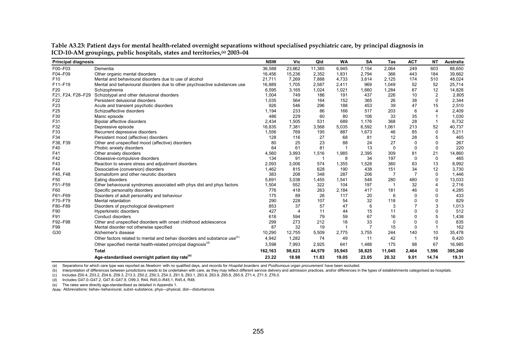| <b>Principal diagnosis</b> |                                                                                      | <b>NSW</b> | Vic                   | Qld          | <b>WA</b>    | <b>SA</b> | Tas            | <b>ACT</b>   | <b>NT</b>               | <b>Australia</b> |
|----------------------------|--------------------------------------------------------------------------------------|------------|-----------------------|--------------|--------------|-----------|----------------|--------------|-------------------------|------------------|
| F00-F03                    | Dementia                                                                             | 36,588     | 23,662                | 11,385       | 6,945        | 7,154     | 2,064          | 249          | 603                     | 88,650           |
| F04-F09                    | Other organic mental disorders                                                       | 16,456     | 15,236                | 2,352        | 1,831        | 2,794     | 366            | 443          | 184                     | 39,662           |
| F <sub>10</sub>            | Mental and behavioural disorders due to use of alcohol                               | 21,711     | 7,269                 | 7,888        | 4,733        | 3,614     | 2,125          | 174          | 510                     | 48,024           |
| F11-F19                    | Mental and behavioural disorders due to other psychoactive substances use            | 16,889     | 1,705                 | 2,587        | 2,411        | 969       | 1,049          | 52           | 52                      | 25,714           |
| F20                        | Schizophrenia                                                                        | 6,595      | 3,165                 | 1,024        | 1,021        | 1,660     | 1,284          | 67           | 12                      | 14,828           |
| F21, F24, F28-F29          | Schizotypal and other delusional disorders                                           | 1.004      | 749                   | 186          | 191          | 437       | 226            | 10           | $\overline{2}$          | 2,805            |
| F22                        | Persistent delusional disorders                                                      | 1,035      | 564                   | 164          | 152          | 365       | 26             | 38           | $\Omega$                | 2,344            |
| F <sub>23</sub>            | Acute and transient psychotic disorders                                              | 926        | 546                   | 296          | 188          | 453       | 39             | 47           | 15                      | 2,510            |
| F <sub>25</sub>            | Schizoaffective disorders                                                            | 1,194      | 233                   | 86           | 166          | 517       | 203            | 6            | $\overline{\mathbf{4}}$ | 2,409            |
| F30                        | Manic episode                                                                        | 486        | 229                   | 60           | 80           | 106       | 33             | 35           |                         | 1,030            |
| F31                        | <b>Bipolar affective disorders</b>                                                   | 2,434      | 1,505                 | 531          | 689          | 1,176     | 368            | 28           | $\overline{1}$          | 6,732            |
| F32                        | Depressive episode                                                                   | 16,835     | 7,381                 | 3,568        | 5,035        | 6,592     | 1,061          | 213          | 52                      | 40,737           |
| F33                        | Recurrent depressive disorders                                                       | 1,556      | 769                   | 195          | 887          | 1,673     | 46             | 85           | $\Omega$                | 5,211            |
| F34                        | Persistent mood (affective) disorders                                                | 128        | 116                   | 27           | 68           | 81        | 12             | 28           | 5                       | 465              |
| F38, F39                   | Other and unspecified mood (affective) disorders                                     | 80         | 25                    | 23           | 88           | 24        | 27             | $\Omega$     | $\Omega$                | 267              |
| F40                        | Phobic anxiety disorders                                                             | 64         | 61                    | 81           | $\mathbf{1}$ | 13        | $\Omega$       | $\mathbf{0}$ | $\mathbf 0$             | 220              |
| F41                        | Other anxiety disorders                                                              | 4,560      | 3,993                 | 1,516        | 1,985        | 2,395     | 309            | 81           | 21                      | 14,860           |
| F42                        | Obsessive-compulsive disorders                                                       | 134        | 91                    | $\mathbf{1}$ | 8            | 34        | 197            | 0            | $\mathbf 0$             | 465              |
| F43                        | Reaction to severe stress and adjustment disorders                                   | 2,093      | 3,006                 | 574          | 1,355        | 1,528     | 360            | 63           | 13                      | 8,992            |
| F44                        | Dissociative (conversion) disorders                                                  | 1,462      | 815                   | 628          | 190          | 438       | 151            | 34           | 12                      | 3,730            |
| F45, F48                   | Somatoform and other neurotic disorders                                              | 383        | 208                   | 348          | 287          | 206       | $\overline{7}$ | 7            | 0                       | 1,446            |
| F50                        | Eating disorders                                                                     | 5,691      | 3,038                 | 1,455        | 1,541        | 548       | 280            | 480          | $\Omega$                | 13,033           |
| F51-F59                    | Other behavioural syndromes associated with phys dist and phys factors               | 1,504      | 552                   | 322          | 104          | 197       | -1             | 32           | 4                       | 2,716            |
| F60                        | Specific personality disorders                                                       | 776        | 418                   | 263          | 2,184        | 417       | 181            | 46           | 0                       | 4,285            |
| F61-F69                    | Disorders of adult personality and behaviour                                         | 175        | 89                    | 26           | 117          | 20        | 6              | $\Omega$     | $\Omega$                | 433              |
| F70-F79                    | Mental retardation                                                                   | 290        | 228                   | 107          | 54           | 32        | 118            | 0            | 0                       | 829              |
| F80-F89                    | Disorders of psychological development                                               | 853        | 37                    | 57           | 47           | 6         | 3              | 7            | 3                       | 1,013            |
| F90                        | Hyperkinetic disorders                                                               | 427        | $\boldsymbol{\Delta}$ | 11           | 44           | 15        | 11             | 0            | 0                       | 512              |
| F91                        | Conduct disorders                                                                    | 618        | 594                   | 79           | 59           | 67        | 16             | 0            | 5                       | 1,438            |
| F92-F98                    | Other and unspecified disorders with onset childhood adolescence                     | 299        | 273                   | 212          | 18           | 33        | $\Omega$       | $\Omega$     | $\Omega$                | 835              |
| F99                        | Mental disorder not otherwise specified                                              | 87         | 32                    | 19           |              |           | 15             | 0            | $\mathbf{1}$            | 162              |
| G30                        | Alzheimer's disease                                                                  | 10,290     | 12,755                | 5,509        | 2,775        | 3,755     | 244            | 140          | 10                      | 35,478           |
|                            | Other factors related to mental and behav disorders and substance use <sup>(c)</sup> | 4,942      | 1,282                 | 74           | 49           | 11        | 42             |              | 19                      | 6,420            |
|                            | Other specified mental health-related principal diagnosis <sup>(0)</sup>             | 3,598      | 7,993                 | 2,925        | 641          | 1,488     | 175            | 98           | 67                      | 16,985           |
|                            | <b>Total</b>                                                                         | 162,163    | 98,623                | 44,579       | 35,945       | 38,825    | 11,045         | 2,464        | 1,596                   | 395,240          |
|                            | Age-standardised overnight patient day rate <sup>(e)</sup>                           | 23.22      | 18.98                 | 11.83        | 19.05        | 23.05     | 20.32          | 9.01         | 14.74                   | 19.31            |

**Table A3.23: Patient days for mental health-related overnight separations without specialised psychiatric care, by principal diagnosis in ICD-10-AM groupings, public hospitals, states and territories,(a) 2003–04** 

(a) Separations for which care type was reported as *Newborn* with no qualified days, and records for *Hospital boarders* and *Posthumous organ procurement* have been excluded.

(b) Interpretation of differences between jurisdictions needs to be undertaken with care, as they may reflect different service delivery and admission practices, and/or differences in the types of establishments categorise

(c) Includes Z00.4, Z03.2, Z04.6, Z09.3, Z13.3, Z50.2, Z50.3, Z54.3, Z61.9, Z63.1, Z63.8, Z63.9, Z65.8, Z65.9, Z71.4, Z71.5, Z76.0.

(d) Includes G47.0–G47.2, G47.8–G47.9, O99.3, R44, R45.0–R45.1, R45.4, R48.

(e) The rates were directly age-standardised as detailed in Appendix 1.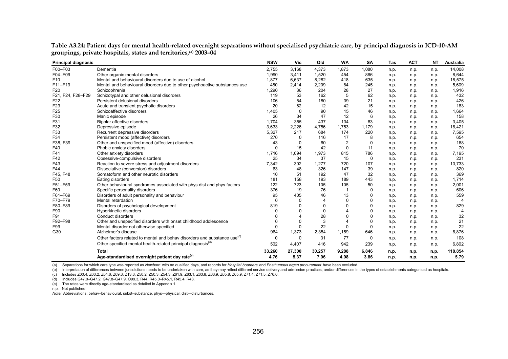| <b>Principal diagnosis</b> |                                                                                      | <b>NSW</b>  | Vic      | Qld      | <b>WA</b>      | <b>SA</b>   | <b>Tas</b> | <b>ACT</b> | <b>NT</b> | Australia      |
|----------------------------|--------------------------------------------------------------------------------------|-------------|----------|----------|----------------|-------------|------------|------------|-----------|----------------|
| F00-F03                    | Dementia                                                                             | 2,755       | 3,168    | 4,373    | 1,873          | 1,080       | n.p.       | n.p.       | n.p.      | 14,008         |
| F04-F09                    | Other organic mental disorders                                                       | 1,990       | 3,411    | 1,520    | 454            | 866         | n.p.       | n.p.       | n.p.      | 8,644          |
| F <sub>10</sub>            | Mental and behavioural disorders due to use of alcohol                               | 1,877       | 6,637    | 8,282    | 418            | 635         | n.p.       | n.p.       | n.p.      | 18,575         |
| F11-F19                    | Mental and behavioural disorders due to other psychoactive substances use            | 480         | 2,414    | 2,209    | 84             | 245         | n.p.       | n.p.       | n.p.      | 5,609          |
| F <sub>20</sub>            | Schizophrenia                                                                        | 1,290       | 36       | 204      | 28             | 27          | n.p.       | n.p.       | n.p.      | 1,916          |
| F21, F24, F28-F29          | Schizotypal and other delusional disorders                                           | 119         | 53       | 162      | 5              | 62          | n.p.       | n.p.       | n.p.      | 432            |
| F <sub>22</sub>            | Persistent delusional disorders                                                      | 106         | 54       | 180      | 39             | 21          | n.p.       | n.p.       | n.p.      | 426            |
| F <sub>23</sub>            | Acute and transient psychotic disorders                                              | 20          | 62       | 12       | 42             | 15          | n.p.       | n.p.       | n.p.      | 183            |
| F <sub>25</sub>            | Schizoaffective disorders                                                            | 1.405       | 0        | 90       | 15             | 46          | n.p.       | n.p.       | n.p.      | 1,664          |
| F30                        | Manic episode                                                                        | 26          | 34       | 47       | 12             | 6           | n.p.       | n.p.       | n.p.      | 158            |
| F31                        | Bipolar affective disorders                                                          | 1.704       | 355      | 437      | 134            | 83          | n.p.       | n.p.       | n.p.      | 3,405          |
| F32                        | Depressive episode                                                                   | 3.633       | 2,226    | 4,756    | 1.753          | 1.179       | n.p.       | n.p.       | n.p.      | 16,421         |
| F33                        | Recurrent depressive disorders                                                       | 5,327       | 217      | 684      | 174            | 220         | n.p.       | n.p.       | n.p.      | 7,595          |
| F34                        | Persistent mood (affective) disorders                                                | 270         | 0        | 116      | 17             | 8           | n.p.       | n.p.       | n.p.      | 654            |
| F38, F39                   | Other and unspecified mood (affective) disorders                                     | 43          | 0        | 60       | $\overline{2}$ | $\Omega$    | n.p.       | n.p.       | n.p.      | 168            |
| F40                        | Phobic anxiety disorders                                                             | $\mathbf 0$ | 15       | 42       | $\mathbf 0$    | 11          | n.p.       | n.p.       | n.p.      | 70             |
| F41                        | Other anxiety disorders                                                              | 1,716       | 1,094    | 1,973    | 815            | 786         | n.p.       | n.p.       | n.p.      | 7,195          |
| F42                        | Obsessive-compulsive disorders                                                       | 25          | 34       | 37       | 15             | 0           | n.p.       | n.p.       | n.p.      | 231            |
| F43                        | Reaction to severe stress and adjustment disorders                                   | 7,342       | 302      | 1,277    | 720            | 107         | n.p.       | n.p.       | n.p.      | 10,733         |
| F44                        | Dissociative (conversion) disorders                                                  | 63          | 48       | 326      | 147            | 39          | n.p.       | n.p.       | n.p.      | 820            |
| F45, F48                   | Somatoform and other neurotic disorders                                              | 10          | 51       | 192      | 47             | 32          | n.p.       | n.p.       | n.p.      | 369            |
| F <sub>50</sub>            | Eating disorders                                                                     | 181         | 158      | 193      | 189            | 443         | n.p.       | n.p.       | n.p.      | 1,714          |
| F51-F59                    | Other behavioural syndromes associated with phys dist and phys factors               | 122         | 723      | 105      | 105            | 50          | n.p.       | n.p.       | n.p.      | 2,001          |
| F60                        | Specific personality disorders                                                       | 376         | 19       | 76       |                | $\Omega$    | n.p.       | n.p.       | n.p.      | 606            |
| F61-F69                    | Disorders of adult personality and behaviour                                         | 95          | 405      | 46       | 13             | $\Omega$    | n.p.       | n.p.       | n.p.      | 559            |
| F70-F79                    | Mental retardation                                                                   | $\Omega$    | $\Omega$ | Δ        | $\Omega$       | $\Omega$    | n.p.       | n.p.       | n.p.      | $\overline{4}$ |
| F80-F89                    | Disorders of psychological development                                               | 819         | $\Omega$ | $\Omega$ | $\Omega$       | $\Omega$    | n.p.       | n.p.       | n.p.      | 829            |
| F90                        | Hyperkinetic disorders                                                               |             | $\Omega$ | $\Omega$ |                | $\Omega$    | n.p.       | n.p.       | n.p.      | $\Delta$       |
| F91                        | Conduct disorders                                                                    |             |          | 28       | 0              | 0           | n.p.       | n.p.       | n.p.      | 32             |
| F92-F98                    | Other and unspecified disorders with onset childhood adolescence                     |             | 0        | 3        |                | $\mathbf 0$ | n.p.       | n.p.       | n.p.      | 21             |
| F99                        | Mental disorder not otherwise specified                                              | $\Omega$    | 0        | 22       | $\Omega$       | $\Omega$    | n.p.       | n.p.       | n.p.      | 22             |
| G30                        | Alzheimer's disease                                                                  | 964         | 1,373    | 2,354    | 1,159          | 646         | n.p.       | n.p.       | n.p.      | 6,876          |
|                            | Other factors related to mental and behav disorders and substance use <sup>(c)</sup> | 0           | 0        | 31       | 77             | 0           | n.p.       | n.p.       | n.p.      | 108            |
|                            | Other specified mental health-related principal diagnosis <sup>(d)</sup>             | 502         | 4,407    | 416      | 942            | 239         | n.p.       | n.p.       | n.p.      | 6,802          |
|                            | <b>Total</b>                                                                         | 33,260      | 27,300   | 30,257   | 9,288          | 6,846       | n.p.       | n.p.       | n.p.      | 118,854        |
|                            | Age-standardised overnight patient day rate <sup>(e)</sup>                           | 4.76        | 5.37     | 7.96     | 4.98           | 3.86        | n.p.       | n.p.       | n.p.      | 5.79           |

**Table A3.24: Patient days for mental health-related overnight separations without specialised psychiatric care, by principal diagnosis in ICD-10-AM groupings, private hospitals, states and territories,(a) 2003–04** 

(a) Separations for which care type was reported as *Newborn* with no qualified days, and records for *Hospital boarders* and *Posthumous organ procurement* have been excluded.

(b) Interpretation of differences between jurisdictions needs to be undertaken with care, as they may reflect different service delivery and admission practices, and/or differences in the types of establishments categorise

(c) Includes Z00.4, Z03.2, Z04.6, Z09.3, Z13.3, Z50.2, Z50.3, Z54.3, Z61.9, Z63.1, Z63.8, Z63.9, Z65.8, Z65.9, Z71.4, Z71.5, Z76.0.

(d) Includes G47.0–G47.2, G47.8–G47.9, O99.3, R44, R45.0–R45.1, R45.4, R48.

(e) The rates were directly age-standardised as detailed in Appendix 1.

n.p. Not published.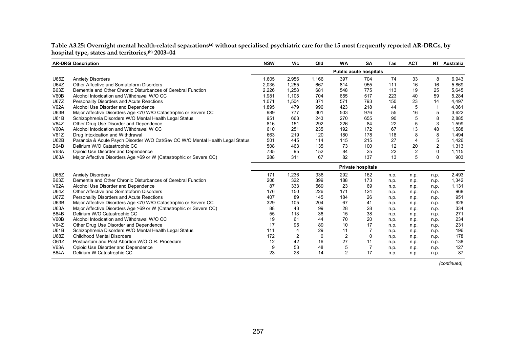Table A3.25: Overnight mental health-related separations<sup>(a)</sup> without specialised psychiatric care for the 15 most frequently reported AR-DRGs*,* by **hospital type, states and territories,(b) 2003–04** 

|             | <b>AR-DRG Description</b>                                                     | <b>NSW</b> | Vic   | Qld   | <b>WA</b>      | <b>SA</b>                     | Tas  | <b>ACT</b>     |                | NT Australia |
|-------------|-------------------------------------------------------------------------------|------------|-------|-------|----------------|-------------------------------|------|----------------|----------------|--------------|
|             |                                                                               |            |       |       |                | <b>Public acute hospitals</b> |      |                |                |              |
| U65Z        | <b>Anxiety Disorders</b>                                                      | 1,605      | 2,956 | 1,166 | 397            | 704                           | 74   | 33             | 8              | 6,943        |
| <b>U64Z</b> | Other Affective and Somatoform Disorders                                      | 2,035      | 1,255 | 667   | 814            | 955                           | 111  | 16             | 16             | 5,869        |
| <b>B63Z</b> | Dementia and Other Chronic Disturbances of Cerebral Function                  | 2,226      | 1,258 | 681   | 548            | 775                           | 113  | 19             | 25             | 5,645        |
| V60B        | Alcohol Intoxication and Withdrawal W/O CC                                    | 1,981      | 1.105 | 704   | 655            | 517                           | 223  | 40             | 59             | 5,284        |
| <b>U67Z</b> | Personality Disorders and Acute Reactions                                     | 1,071      | 1,504 | 371   | 571            | 793                           | 150  | 23             | 14             | 4,497        |
| <b>V62A</b> | Alcohol Use Disorder and Dependence                                           | 1,895      | 479   | 996   | 423            | 218                           | 44   | 5              | $\mathbf 1$    | 4,061        |
| U63B        | Major Affective Disorders Age <70 W/O Catastrophic or Severe CC               | 989        | 777   | 301   | 503            | 976                           | 55   | 16             | 5              | 3,622        |
| U61B        | Schizophrenia Disorders W/O Mental Health Legal Status                        | 951        | 663   | 243   | 270            | 655                           | 90   | 5              | 8              | 2,885        |
| V64Z        | Other Drug Use Disorder and Dependence                                        | 816        | 151   | 292   | 226            | 84                            | 22   | 5              | 3              | 1,599        |
| <b>V60A</b> | Alcohol Intoxication and Withdrawal W CC                                      | 610        | 251   | 235   | 192            | 172                           | 67   | 13             | 48             | 1,588        |
| V61Z        | Drug Intoxication and Withdrawal                                              | 663        | 219   | 120   | 180            | 178                           | 118  | 8              | 8              | 1,494        |
| U62B        | Paranoia & Acute Psych Disorder W/O Cat/Sev CC W/O Mental Health Legal Status | 501        | 445   | 114   | 115            | 215                           | 27   | 4              | 5              | 1,426        |
| <b>B64B</b> | Delirium W/O Catastrophic CC                                                  | 508        | 463   | 135   | 73             | 100                           | 12   | 20             | $\overline{2}$ | 1,313        |
| <b>V63A</b> | Opioid Use Disorder and Dependence                                            | 735        | 95    | 152   | 84             | 25                            | 22   | $\overline{c}$ | $\mathbf{0}$   | 1,115        |
| <b>U63A</b> | Major Affective Disorders Age >69 or W (Catastrophic or Severe CC)            | 288        | 311   | 67    | 82             | 137                           | 13   | 5              | $\mathbf{0}$   | 903          |
|             |                                                                               |            |       |       |                | <b>Private hospitals</b>      |      |                |                |              |
| U65Z        | <b>Anxiety Disorders</b>                                                      | 171        | 1,236 | 338   | 292            | 162                           | n.p. | n.p.           | n.p.           | 2,493        |
| <b>B63Z</b> | Dementia and Other Chronic Disturbances of Cerebral Function                  | 206        | 322   | 399   | 188            | 173                           | n.p. | n.p.           | n.p.           | 1,342        |
| <b>V62A</b> | Alcohol Use Disorder and Dependence                                           | 87         | 333   | 569   | 23             | 69                            | n.p. | n.p.           | n.p.           | 1,131        |
| <b>U64Z</b> | Other Affective and Somatoform Disorders                                      | 176        | 150   | 226   | 171            | 124                           | n.p. | n.p.           | n.p.           | 968          |
| <b>U67Z</b> | Personality Disorders and Acute Reactions                                     | 407        | 89    | 145   | 184            | 26                            | n.p. | n.p.           | n.p.           | 951          |
| U63B        | Major Affective Disorders Age <70 W/O Catastrophic or Severe CC               | 329        | 105   | 204   | 67             | 41                            | n.p. | n.p.           | n.p.           | 926          |
| <b>U63A</b> | Major Affective Disorders Age >69 or W (Catastrophic or Severe CC)            | 88         | 43    | 99    | 28             | 28                            | n.p. | n.p.           | n.p.           | 334          |
| B64B        | Delirium W/O Catastrophic CC                                                  | 55         | 113   | 36    | 15             | 38                            | n.p. | n.p.           | n.p.           | 271          |
| V60B        | Alcohol Intoxication and Withdrawal W/O CC                                    | 19         | 61    | 44    | 70             | 20                            | n.p. | n.p.           | n.p.           | 234          |
| V64Z        | Other Drug Use Disorder and Dependence                                        | 17         | 95    | 89    | 10             | 17                            | n.p. | n.p.           | n.p.           | 231          |
| U61B        | Schizophrenia Disorders W/O Mental Health Legal Status                        | 111        | 4     | 29    | 11             |                               | n.p. | n.p.           | n.p.           | 196          |
| U68Z        | <b>Childhood Mental Disorders</b>                                             | 172        | 2     | 0     | $\overline{2}$ | $\Omega$                      | n.p. | n.p.           | n.p.           | 178          |
| O61Z        | Postpartum and Post Abortion W/O O.R. Procedure                               | 12         | 42    | 16    | 27             | 11                            | n.p. | n.p.           | n.p.           | 138          |
| <b>V63A</b> | Opioid Use Disorder and Dependence                                            | 9          | 53    | 48    | 5              | 7                             | n.p. | n.p.           | n.p.           | 127          |
| <b>B64A</b> | Delirium W Catastrophic CC                                                    | 23         | 28    | 14    | $\overline{2}$ | 17                            | n.p. | n.p.           | n.p.           | 87           |

*(continued)*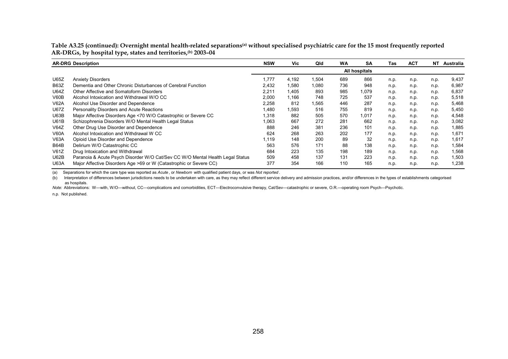Table A3.25 (continued): Overnight mental health-related separations<sup>(a)</sup> without specialised psychiatric care for the 15 most frequently reported **AR-DRGs, by hospital type, states and territories,(b) 2003–04** 

|             | <b>AR-DRG Description</b>                                                     | <b>NSW</b> | Vic   | Qld    | <b>WA</b> | <b>SA</b>     | Tas  | <b>ACT</b> | NT.  | Australia |
|-------------|-------------------------------------------------------------------------------|------------|-------|--------|-----------|---------------|------|------------|------|-----------|
|             |                                                                               |            |       |        |           | All hospitals |      |            |      |           |
| U65Z        | <b>Anxiety Disorders</b>                                                      | 1.777      | 4,192 | 504. ا | 689       | 866           | n.p. | n.p.       | n.p. | 9,437     |
| <b>B63Z</b> | Dementia and Other Chronic Disturbances of Cerebral Function                  | 2,432      | 1,580 | 1,080  | 736       | 948           | n.p. | n.p.       | n.p. | 6,987     |
| U64Z        | Other Affective and Somatoform Disorders                                      | 2,211      | 1,405 | 893    | 985       | 1,079         | n.p. | n.p.       | n.p. | 6,837     |
| V60B        | Alcohol Intoxication and Withdrawal W/O CC                                    | 2,000      | 1.166 | 748    | 725       | 537           | n.p. | n.p.       | n.p. | 5,518     |
| <b>V62A</b> | Alcohol Use Disorder and Dependence                                           | 2,258      | 812   | .565   | 446       | 287           | n.p. | n.p.       | n.p. | 5,468     |
| U67Z        | Personality Disorders and Acute Reactions                                     | 480, ا     | 1,593 | 516    | 755       | 819           | n.p. | n.p.       | n.p. | 5,450     |
| U63B        | Major Affective Disorders Age <70 W/O Catastrophic or Severe CC               | 318. ا     | 882   | 505    | 570       | 1,017         | n.p. | n.p.       | n.p. | 4,548     |
| <b>U61B</b> | Schizophrenia Disorders W/O Mental Health Legal Status                        | 1.063      | 667   | 272    | 281       | 662           | n.p. | n.p.       | n.p. | 3,082     |
| V64Z        | Other Drug Use Disorder and Dependence                                        | 888        | 246   | 381    | 236       | 101           | n.p. | n.p.       | n.p. | 1,885     |
| <b>V60A</b> | Alcohol Intoxication and Withdrawal W CC                                      | 624        | 268   | 263    | 202       | 177           | n.p. | n.p.       | n.p. | 1,671     |
| <b>V63A</b> | Opioid Use Disorder and Dependence                                            | 1,119      | 148   | 200    | 89        | 32            | n.p. | n.p.       | n.p. | 1,617     |
| <b>B64B</b> | Delirium W/O Catastrophic CC                                                  | 563        | 576   | 171    | 88        | 138           | n.p. | n.p.       | n.p. | 1,584     |
| V61Z        | Drug Intoxication and Withdrawal                                              | 684        | 223   | 135    | 198       | 189           | n.p. | n.p.       | n.p. | 1,568     |
| U62B        | Paranoia & Acute Psych Disorder W/O Cat/Sev CC W/O Mental Health Legal Status | 509        | 458   | 137    | 131       | 223           | n.p. | n.p.       | n.p. | 1,503     |
| <b>U63A</b> | Major Affective Disorders Age >69 or W (Catastrophic or Severe CC)            | 377        | 354   | 166    | 110       | 165           | n.p. | n.p.       | n.p. | 1,238     |

(a) Separations for which the care type was reported as *Acute* , or *Newborn* with qualified patient days, or was *Not reported* .

(b) Interpretation of differences between jurisdictions needs to be undertaken with care, as they may reflect different service delivery and admission practices, and/or differences in the types of establishments categorise as hospitals.

*Note:* Abbreviations: W—with, W/O—without, CC—complications and comorbidities, ECT—Electroconvulsive therapy, Cat/Sev—catastrophic or severe, O.R.—operating room Psych—Psychotic.

n.p. Not published.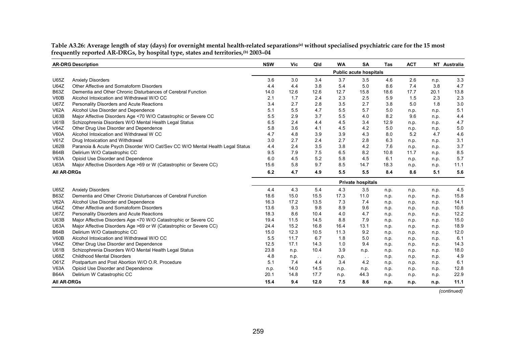**AR-DRG Description NSW Vic Qld WA SA Tas ACT NT Australia** U65Z Anxiety Disorders 3.6 3.0 3.4 3.7 3.5 4.6 2.6 n.p. 3.3 U64Z Other Affective and Somatoform Disorders 4.4 4.4 4.4 4.4 4.4 3.8 5.4 5.0 8.6 7.4 3.8 4.7 B63Z Dementia and Other Chronic Disturbances of Cerebral Function 14.0 12.6 12.6 12.7 15.8 18.6 17.7 20.1 13.8 V60B Alcohol Intoxication and Withdrawal W/O CC 2.1 1.7 2.4 2.3 2.5 5.9 1.5 2.3 2.3U67Z Personality Disorders and Acute Reactions 3.4 2.7 2.8 3.5 2.7 3.8 5.0 1.8 3.0 V62A Alcohol Use Disorder and Dependence 5.1 5.5 4.7 5.5 5.7 5.0 n.p. n.p. 5.1 U63B Major Affective Disorders Age <70 W/O Catastrophic or Severe CC 5.5 2.9 3.7 5.5 4.0 8.2 9.6 n.p. 4.4 U61B Schizophrenia Disorders W/O Mental Health Legal Status 6.5 2.4 4.4 4.5 3.4 12.9 n.p. n.p. 4.7 V64Z Other Drug Use Disorder and Dependence 5.8 3.6 4.1 4.5 4.2 5.0 n.p. n.p. 5.0 V60A Alcohol Intoxication and Withdrawal W CC 4.7 4.8 3.9 3.9 4.3 8.0 5.2 4.7 4.6V61Z Drug Intoxication and Withdrawal 3.0 2.7 2.4 2.7 2.8 6.3 n.p. n.p. 3.1 U62B Paranoia & Acute Psych Disorder W/O Cat/Sev CC W/O Mental Health Legal Status 4.4 2.4 3.5 3.8 4.2 7.6 n.p. n.p. 3.7 B64B Delirium W/O Catastrophic CC 9.5 7.9 7.5 6.5 8.2 10.8 11.7 n.p. 8.5 V63A Opioid Use Disorder and Dependence 6.0 4.5 5.2 5.8 4.5 6.1 n.p. n.p. 5.7 U63A Major Affective Disorders Age >69 or W (Catastrophic or Severe CC) 15.6 5.8 9.7 8.5 14.7 18.3 n.p. n.p. 11.1 **All AR-DRGs 6.2 4.7 4.9 5.5 5.5 8.4 8.6 5.1 5.6** U65Z Anxiety Disorders 4.4 4.3 5.4 4.3 3.5 n.p. n.p. n.p. 4.5 B63Z Dementia and Other Chronic Disturbances of Cerebral Function 18.6 18.6 15.0 15.5 17.3 11.0 n.p. n.p. n.p. 15.8 V62A Alcohol Use Disorder and Dependence 16.3 16.3 16.3 17.2 13.5 7.3 7.4 n.p. n.p. n.p. 14.1 U64Z Other Affective and Somatoform Disorders 13.6 9.3 9.8 8.9 9.6 n.p. n.p. n.p. 10.6 U67Z Personality Disorders and Acute Reactions 18.3 8.6 10.4 4.0 4.7 n.p. n.p. n.p. 12.2 U63B Major Affective Disorders Age <70 W/O Catastrophic or Severe CC 19.4 11.5 14.5 8.8 7.9 n.p. n.p. n.p. 15.0 U63A Major Affective Disorders Age >69 or W (Catastrophic or Severe CC) 24.4 15.2 16.8 16.4 13.1 n.p. n.p. n.p. 18.9 B64B Delirium W/O Catastrophic CC 15.0 12.3 10.5 11.3 9.2 n.p. n.p. n.p. 12.0 V60B Alcohol Intoxication and Withdrawal W/O CC and the state of the state of the state of the state of the state of the state of the state of the state of the state of the state of the state of the state of the state of t V64Z Other Drug Use Disorder and Dependence 12.5 12.5 17.1 14.3 1.0 9.4 n.p. n.p. n.p. 14.3 U61B Schizophrenia Disorders W/O Mental Health Legal Status 23.8 n.p. 10.4 3.9 n.p. n.p. n.p. n.p. 18.0 U68Z Childhood Mental Disorders 4.8 n.p. . . n.p. . . n.p. n.p. n.p. 4.9 O61Z Postpartum and Post Abortion W/O O.R. Procedure 5.1 7.4 4.4 3.4 4.2 n.p. n.p. n.p. 6.1 V63A Opioid Use Disorder and Dependence n.p. 14.0 14.5 n.p. n.p. n.p. n.p. n.p. 12.8 B64A Delirium W Catastrophic CC 20.1 14.8 17.7 n.p. 44.3 n.p. n.p. n.p. 22.9 **All AR-DRGs 15.4 9.4 12.0 7.5 8.6 n.p. n.p. n.p. 11.1 Public acute hospitals Private hospitals**

Table A3.26: Average length of stay (days) for overnight mental health-related separations<sup>(a)</sup> without specialised psychiatric care for the 15 most **frequently reported AR-DRGs, by hospital type, states and territories,(b) 2003–04** 

*(continued)*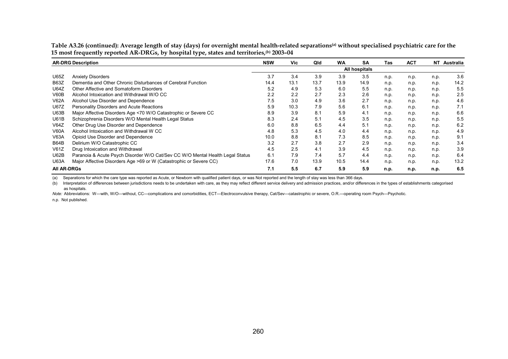|                    | <b>AR-DRG Description</b>                                                     | <b>NSW</b> | Vic  | Qld  | <b>WA</b> | <b>SA</b>     | Tas  | <b>ACT</b> |      | NT Australia |
|--------------------|-------------------------------------------------------------------------------|------------|------|------|-----------|---------------|------|------------|------|--------------|
|                    |                                                                               |            |      |      |           | All hospitals |      |            |      |              |
| U65Z               | <b>Anxiety Disorders</b>                                                      | 3.7        | 3.4  | 3.9  | 3.9       | 3.5           | n.p. | n.p.       | n.p. | 3.6          |
| <b>B63Z</b>        | Dementia and Other Chronic Disturbances of Cerebral Function                  | 14.4       | 13.1 | 13.7 | 13.9      | 14.9          | n.p. | n.p.       | n.p. | 14.2         |
| U64Z               | Other Affective and Somatoform Disorders                                      | 5.2        | 4.9  | 5.3  | 6.0       | 5.5           | n.p. | n.p.       | n.p. | 5.5          |
| V60B               | Alcohol Intoxication and Withdrawal W/O CC                                    | 2.2        | 2.2  | 2.7  | 2.3       | 2.6           | n.p. | n.p.       | n.p. | 2.5          |
| V62A               | Alcohol Use Disorder and Dependence                                           | 7.5        | 3.0  | 4.9  | 3.6       | 2.7           | n.p. | n.p.       | n.p. | 4.6          |
| U67Z               | Personality Disorders and Acute Reactions                                     | 5.9        | 10.3 | 7.9  | 5.6       | 6.1           | n.p. | n.p.       | n.p. | 7.1          |
| U63B               | Major Affective Disorders Age <70 W/O Catastrophic or Severe CC               | 8.9        | 3.9  | 8.1  | 5.9       | 4.1           | n.p. | n.p.       | n.p. | 6.6          |
| U61B               | Schizophrenia Disorders W/O Mental Health Legal Status                        | 8.3        | 2.4  | 5.1  | 4.5       | 3.5           | n.p. | n.p.       | n.p. | 5.5          |
| V64Z               | Other Drug Use Disorder and Dependence                                        | 6.0        | 8.8  | 6.5  | 4.4       | 5.1           | n.p. | n.p.       | n.p. | 6.2          |
| V60A               | Alcohol Intoxication and Withdrawal W CC                                      | 4.8        | 5.3  | 4.5  | 4.0       | 4.4           | n.p. | n.p.       | n.p. | 4.9          |
| V63A               | Opioid Use Disorder and Dependence                                            | 10.0       | 8.8  | 8.1  | 7.3       | 8.5           | n.p. | n.p.       | n.p. | 9.1          |
| <b>B64B</b>        | Delirium W/O Catastrophic CC                                                  | 3.2        | 2.7  | 3.8  | 2.7       | 2.9           | n.p. | n.p.       | n.p. | 3.4          |
| V61Z               | Drug Intoxication and Withdrawal                                              | 4.5        | 2.5  | 4.1  | 3.9       | 4.5           | n.p. | n.p.       | n.p. | 3.9          |
| U62B               | Paranoia & Acute Psych Disorder W/O Cat/Sev CC W/O Mental Health Legal Status | 6.1        | 7.9  | 7.4  | 5.7       | 4.4           | n.p. | n.p.       | n.p. | 6.4          |
| <b>U63A</b>        | Major Affective Disorders Age >69 or W (Catastrophic or Severe CC)            | 17.6       | 7.0  | 13.9 | 10.5      | 14.4          | n.p. | n.p.       | n.p. | 13.2         |
| <b>AII AR-DRGS</b> |                                                                               | 7.1        | 5.5  | 6.7  | 5.9       | 5.9           | n.p. | n.p.       | n.p. | 6.5          |

Table A3.26 (continued): Average length of stay (days) for overnight mental health-related separations<sup>(a)</sup> without specialised psychiatric care for the **15 most frequently reported AR-DRGs, by hospital type, states and territories,(b) 2003–04** 

(a) Separations for which the care type was reported as Acute, or Newborn with qualified patient days, or was Not reported and the length of stay was less than 366 days.

(b) Interpretation of differences between jurisdictions needs to be undertaken with care, as they may reflect different service delivery and admission practices, and/or differences in the types of establishments categorise as hospitals.

*Note:* Abbreviations: W—with, W/O—without, CC—complications and comorbidities, ECT—Electroconvulsive therapy, Cat/Sev—catastrophic or severe, O.R.—operating room Psych—Psychotic.

n.p. Not published.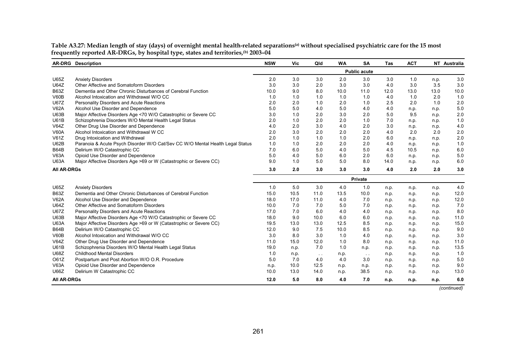|                    | <b>AR-DRG</b> Description                                                     | <b>NSW</b>          | Vic  | Qld           | <b>WA</b> | <b>SA</b> | <b>Tas</b> | <b>ACT</b> |      | NT Australia |
|--------------------|-------------------------------------------------------------------------------|---------------------|------|---------------|-----------|-----------|------------|------------|------|--------------|
|                    |                                                                               | <b>Public acute</b> |      |               |           |           |            |            |      |              |
| <b>U65Z</b>        | <b>Anxiety Disorders</b>                                                      | 2.0                 | 3.0  | 3.0           | 2.0       | 3.0       | 3.0        | 1.0        | n.p. | 3.0          |
| <b>U64Z</b>        | Other Affective and Somatoform Disorders                                      | 3.0                 | 3.0  | 2.0           | 3.0       | 3.0       | 4.0        | 3.0        | 3.5  | 3.0          |
| <b>B63Z</b>        | Dementia and Other Chronic Disturbances of Cerebral Function                  | 10.0                | 9.0  | 8.0           | 10.0      | 11.0      | 12.0       | 13.0       | 13.0 | 10.0         |
| V60B               | Alcohol Intoxication and Withdrawal W/O CC                                    | 1.0                 | 1.0  | 1.0           | 1.0       | 1.0       | 4.0        | 1.0        | 2.0  | 1.0          |
| <b>U67Z</b>        | Personality Disorders and Acute Reactions                                     | 2.0                 | 2.0  | 1.0           | 2.0       | 1.0       | 2.5        | 2.0        | 1.0  | 2.0          |
| <b>V62A</b>        | Alcohol Use Disorder and Dependence                                           | 5.0                 | 5.0  | 4.0           | 5.0       | 4.0       | 4.0        | n.p.       | n.p. | 5.0          |
| U63B               | Major Affective Disorders Age <70 W/O Catastrophic or Severe CC               | 3.0                 | 1.0  | 2.0           | 3.0       | 2.0       | 5.0        | 9.5        | n.p. | 2.0          |
| <b>U61B</b>        | Schizophrenia Disorders W/O Mental Health Legal Status                        | 2.0                 | 1.0  | 2.0           | 2.0       | 1.0       | 7.0        | n.p.       | n.p. | 1.0          |
| V64Z               | Other Drug Use Disorder and Dependence                                        | 4.0                 | 2.0  | 3.0           | 4.0       | 2.0       | 3.0        | n.p.       | n.p. | 4.0          |
| <b>V60A</b>        | Alcohol Intoxication and Withdrawal W CC                                      | 2.0                 | 3.0  | 2.0           | 2.0       | 2.0       | 4.0        | 2.0        | 2.0  | 2.0          |
| V61Z               | Drug Intoxication and Withdrawal                                              | 2.0                 | 1.0  | 1.0           | 1.0       | 2.0       | 6.0        | n.p.       | n.p. | 2.0          |
| U62B               | Paranoia & Acute Psych Disorder W/O Cat/Sev CC W/O Mental Health Legal Status | 1.0                 | 1.0  | 2.0           | 2.0       | 2.0       | 4.0        | n.p.       | n.p. | 1.0          |
| <b>B64B</b>        | Delirium W/O Catastrophic CC                                                  | 7.0                 | 6.0  | 5.0           | 4.0       | 5.0       | 4.5        | 10.5       | n.p. | 6.0          |
| <b>V63A</b>        | Opioid Use Disorder and Dependence                                            | 5.0                 | 4.0  | 5.0           | 6.0       | 2.0       | 6.0        | n.p.       | n.p. | 5.0          |
| <b>U63A</b>        | Major Affective Disorders Age >69 or W (Catastrophic or Severe CC)            | 9.0                 | 1.0  | 5.0           | 5.0       | 8.0       | 14.0       | n.p.       | n.p. | 6.0          |
| <b>AII AR-DRGs</b> |                                                                               | 3.0                 | 2.0  | 3.0           | 3.0       | 3.0       | 4.0        | 2.0        | 2.0  | 3.0          |
|                    |                                                                               |                     |      |               |           | Private   |            |            |      |              |
| <b>U65Z</b>        | <b>Anxiety Disorders</b>                                                      | 1.0                 | 5.0  | 3.0           | 4.0       | 1.0       | n.p.       | n.p.       | n.p. | 4.0          |
| <b>B63Z</b>        | Dementia and Other Chronic Disturbances of Cerebral Function                  | 15.0                | 10.5 | 11.0          | 13.5      | 10.0      | n.p.       | n.p.       | n.p. | 12.0         |
| <b>V62A</b>        | Alcohol Use Disorder and Dependence                                           | 18.0                | 17.0 | 11.0          | 4.0       | 7.0       | n.p.       | n.p.       | n.p. | 12.0         |
| <b>U64Z</b>        | Other Affective and Somatoform Disorders                                      | 10.0                | 7.0  | 7.0           | 5.0       | 7.0       | n.p.       | n.p.       | n.p. | 7.0          |
| <b>U67Z</b>        | Personality Disorders and Acute Reactions                                     | 17.0                | 7.0  | 6.0           | 4.0       | 4.0       | n.p.       | n.p.       | n.p. | 8.0          |
| U63B               | Major Affective Disorders Age <70 W/O Catastrophic or Severe CC               | 18.0                | 9.0  | 10.0          | 6.0       | 6.0       | n.p.       | n.p.       | n.p. | 11.0         |
| <b>U63A</b>        | Major Affective Disorders Age >69 or W (Catastrophic or Severe CC)            | 19.5                | 13.0 | 13.0          | 12.5      | 8.5       | n.p.       | n.p.       | n.p. | 15.0         |
| <b>B64B</b>        | Delirium W/O Catastrophic CC                                                  | 12.0                | 9.0  | 7.5           | 10.0      | 8.5       | n.p.       | n.p.       | n.p. | 9.0          |
| V60B               | Alcohol Intoxication and Withdrawal W/O CC                                    | 3.0                 | 8.0  | 3.0           | 1.0       | 4.0       | n.p.       | n.p.       | n.p. | 3.0          |
| V64Z               | Other Drug Use Disorder and Dependence                                        | 11.0                | 15.0 | 12.0          | 1.0       | 8.0       | n.p.       | n.p.       | n.p. | 11.0         |
| <b>U61B</b>        | Schizophrenia Disorders W/O Mental Health Legal Status                        | 19.0                | n.p. | 7.0           | 1.0       | n.p.      | n.p.       | n.p.       | n.p. | 13.5         |
| U68Z               | <b>Childhood Mental Disorders</b>                                             | 1.0                 | n.p. | $\sim$ $\sim$ | n.p.      | $\sim$    | n.p.       | n.p.       | n.p. | 1.0          |
| O61Z               | Postpartum and Post Abortion W/O O.R. Procedure                               | 5.0                 | 7.0  | 4.0           | 4.0       | 3.0       | n.p.       | n.p.       | n.p. | 5.0          |
| V63A               | Opioid Use Disorder and Dependence                                            | n.p.                | 10.0 | 12.5          | n.p.      | n.p.      | n.p.       | n.p.       | n.p. | 9.0          |
| U66Z               | Delirium W Catastrophic CC                                                    | 10.0                | 13.0 | 14.0          | n.p.      | 38.5      | n.p.       | n.p.       | n.p. | 13.0         |
| <b>All AR-DRGs</b> |                                                                               | 12.0                | 5.0  | 8.0           | 4.0       | 7.0       | n.p.       | n.p.       | n.p. | 6.0          |

**Table A3.27: Median length of stay (days) of overnight mental health-related separations(a) without specialised psychiatric care for the 15 most frequently reported AR-DRGs, by hospital type, states and territories,(b) 2003–04** 

*(continued)*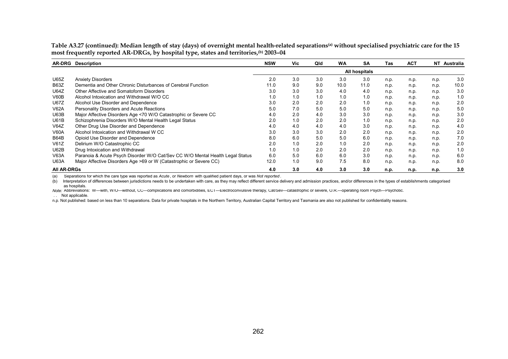Table A3.27 (continued): Median length of stay (days) of overnight mental health-related separations<sup>(a)</sup> without specialised psychiatric care for the 15 **most frequently reported AR-DRGs, by hospital type, states and territories,(b) 2003–04** 

| <b>AR-DRG</b>      | <b>Description</b>                                                            | <b>NSW</b>    | Vic. | Qld | <b>WA</b> | <b>SA</b> | Tas  | <b>ACT</b> |      | NT Australia |
|--------------------|-------------------------------------------------------------------------------|---------------|------|-----|-----------|-----------|------|------------|------|--------------|
|                    |                                                                               | All hospitals |      |     |           |           |      |            |      |              |
| U65Z               | <b>Anxiety Disorders</b>                                                      | 2.0           | 3.0  | 3.0 | 3.0       | 3.0       | n.p. | n.p.       | n.p. | 3.0          |
| <b>B63Z</b>        | Dementia and Other Chronic Disturbances of Cerebral Function                  | 11.0          | 9.0  | 9.0 | 10.0      | 11.0      | n.p. | n.p.       | n.p. | 10.0         |
| <b>U64Z</b>        | Other Affective and Somatoform Disorders                                      | 3.0           | 3.0  | 3.0 | 4.0       | 4.0       | n.p. | n.p.       | n.p. | 3.0          |
| V60B               | Alcohol Intoxication and Withdrawal W/O CC                                    | 1.0           | 1.0  | 1.0 | 1.0       | 1.0       | n.p. | n.p.       | n.p. | 1.0          |
| <b>U67Z</b>        | Alcohol Use Disorder and Dependence                                           | 3.0           | 2.0  | 2.0 | 2.0       | 1.0       | n.p. | n.p.       | n.p. | 2.0          |
| <b>V62A</b>        | Personality Disorders and Acute Reactions                                     | 5.0           | 7.0  | 5.0 | 5.0       | 5.0       | n.p. | n.p.       | n.p. | 5.0          |
| U63B               | Major Affective Disorders Age <70 W/O Catastrophic or Severe CC               | 4.0           | 2.0  | 4.0 | 3.0       | 3.0       | n.p. | n.p.       | n.p. | 3.0          |
| <b>U61B</b>        | Schizophrenia Disorders W/O Mental Health Legal Status                        | 2.0           | 1.0  | 2.0 | 2.0       | 1.0       | n.p. | n.p.       | n.p. | 2.0          |
| V64Z               | Other Drug Use Disorder and Dependence                                        | 4.0           | 4.0  | 4.0 | 4.0       | 3.0       | n.p. | n.p.       | n.p. | 4.0          |
| <b>V60A</b>        | Alcohol Intoxication and Withdrawal W CC                                      | 3.0           | 3.0  | 3.0 | 2.0       | 2.0       | n.p. | n.p.       | n.p. | 2.0          |
| <b>B64B</b>        | Opioid Use Disorder and Dependence                                            | 8.0           | 6.0  | 5.0 | 5.0       | 6.0       | n.p. | n.p.       | n.p. | 7.0          |
| V61Z               | Delirium W/O Catastrophic CC                                                  | 2.0           | 1.0  | 2.0 | 1.0       | 2.0       | n.p. | n.p.       | n.p. | 2.0          |
| U62B               | Drug Intoxication and Withdrawal                                              | 1.0           | 1.0  | 2.0 | 2.0       | 2.0       | n.p. | n.p.       | n.p. | 1.0          |
| V63A               | Paranoia & Acute Psych Disorder W/O Cat/Sev CC W/O Mental Health Legal Status | 6.0           | 5.0  | 6.0 | 6.0       | 3.0       | n.p. | n.p.       | n.p. | 6.0          |
| <b>U63A</b>        | Major Affective Disorders Age >69 or W (Catastrophic or Severe CC)            | 12.0          | 1.0  | 9.0 | 7.5       | 8.0       | n.p. | n.p.       | n.p. | 8.0          |
| <b>All AR-DRGs</b> |                                                                               | 4.0           | 3.0  | 4.0 | 3.0       | 3.0       | n.p. | n.p.       | n.p. | 3.0          |

(a) Separations for which the care type was reported as *Acute* , or *Newborn* with qualified patient days, or was *Not reported* .

(b) Interpretation of differences between jurisdictions needs to be undertaken with care, as they may reflect different service delivery and admission practices, and/or differences in the types of establishments categorise as hospitals.

*Note:* Abbreviations: W—with, W/O—without, CC—complications and comorbidities, ECT—Electroconvulsive therapy, Cat/Sev—catastrophic or severe, O.R.—operating room Psych—Psychotic. . . Not applicable.

n.p. Not published: based on less than 10 separations. Data for private hospitals in the Northern Territory, Australian Capital Territory and Tasmania are also not published for confidentiality reasons.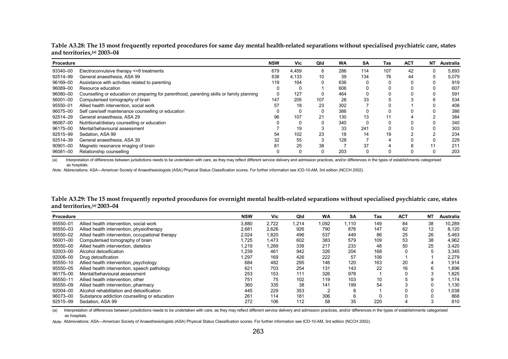| Procedure |                                                                                           | <b>NSW</b> | Vic   | Qld | WA  | <b>SA</b> | Tas | <b>ACT</b> | <b>NT</b> | Australia |
|-----------|-------------------------------------------------------------------------------------------|------------|-------|-----|-----|-----------|-----|------------|-----------|-----------|
| 93340-00  | Electroconvulsive therapy <= 8 treatments                                                 | 679        | 4,459 | 6   | 286 | 114       | 107 | 42         |           | 5,693     |
| 92514-99  | General anaesthesia, ASA 99                                                               | 638        | 4,133 | 10  | 39  | 134       | 76  | 44         |           | 5,079     |
| 96169-00  | Assistance with activities related to parenting                                           | 119        | 164   |     | 636 |           |     |            |           | 919       |
| 96089-00  | Resource education                                                                        |            |       |     | 606 |           |     |            |           | 607       |
| 96080-00  | Counselling or education on preparing for parenthood, parenting skills or family planning |            | 127   |     | 464 |           |     |            |           | 591       |
| 56001-00  | Computerised tomography of brain                                                          | 147        | 205   | 107 | 28  | 33        |     |            |           | 534       |
| 95550-01  | Allied health intervention, social work                                                   | 57         | 18    | 23  | 302 |           |     |            |           | 408       |
| 96075-00  | Self care/self maintenance counselling or education                                       |            |       |     | 386 |           |     |            |           | 386       |
| 92514-29  | General anaesthesia. ASA 29                                                               | 96         | 107   |     | 130 | 13        |     |            |           | 384       |
| 96067-00  | Nutritional/dietary counselling or education                                              |            |       |     | 340 |           |     |            |           | 340       |
| 96175-00  | Mental/behavioural assessment                                                             |            | 19    |     | 33  | 241       |     |            |           | 303       |
| 92515-99  | Sedation, ASA 99                                                                          | 54         | 102   |     | 18  | 14        | 19  |            |           | 234       |
| 92514-39  | General anaesthesia, ASA 39                                                               | 32         | 55    |     | 128 |           |     |            |           | 229       |
| 90901-00  | Magnetic resonance imaging of brain                                                       | 81         | 25    | 38  |     | 37        |     |            |           | 211       |
| 96081-00  | Relationship counselling                                                                  |            |       |     | 203 |           |     |            |           | 203       |

**Table A3.28: The 15 most frequently reported procedures for same day mental health-related separations without specialised psychiatric care, states and territories,(a) 2003–04** 

(a) Interpretation of differences between jurisdictions needs to be undertaken with care, as they may reflect different service delivery and admission practices, and/or differences in the types of establishments categorise as hospitals.

*Note:* Abbreviations: ASA—American Society of Anaesthesiologists (ASA) Physical Status Classification scores. For further information see ICD-10-AM, 3rd edition (NCCH 2002).

| Table A3.29: The 15 most frequently reported procedures for overnight mental health-related separations without specialised psychiatric care, states |  |
|------------------------------------------------------------------------------------------------------------------------------------------------------|--|
| and territories, <sup>(a)</sup> 2003–04                                                                                                              |  |

| Procedure |                                                  | <b>NSW</b> | <b>Vic</b> | Qld   | <b>WA</b> | <b>SA</b> | Tas | <b>ACT</b> | NΤ | <b>Australia</b> |
|-----------|--------------------------------------------------|------------|------------|-------|-----------|-----------|-----|------------|----|------------------|
| 95550-01  | Allied health intervention, social work          | 3.880      | 2.722      | 1.214 | 1.092     | 1.110     | 149 | 84         | 38 | 10,289           |
| 95550-03  | Allied health intervention, physiotherapy        | 2,681      | 2,626      | 926   | 790       | 876       | 147 | 62         | 12 | 8,120            |
| 95550-02  | Allied health intervention, occupational therapy | 2,024      | 1,820      | 496   | 537       | 449       | 86  | 25         | 26 | 5,463            |
| 56001-00  | Computerised tomography of brain                 | 1,725      | 1,473      | 602   | 383       | 579       | 109 | 53         | 38 | 4,962            |
| 95550-00  | Allied health intervention, dietetics            | 1,219      | 1,289      | 339   | 217       | 233       | 48  | 50         | 25 | 3,420            |
| 92003-00  | Alcohol detoxification                           | 1.239      | 461        | 942   | 326       | 204       | 168 |            | 5  | 3,345            |
| 92006-00  | Drug detoxification                              | 1.297      | 169        | 426   | 222       | 57        | 106 |            |    | 2,279            |
| 95550-10  | Allied health intervention, psychology           | 684        | 482        | 295   | 146       | 120       | 163 | 20         |    | 1,914            |
| 95550-05  | Allied health intervention, speech pathology     | 621        | 703        | 254   | 131       | 143       | 22  | 16         |    | 1,896            |
| 96175-00  | Mental/behavioural assessment                    | 253        | 153        | 111   | 326       | 978       |     |            |    | 1,825            |
| 95550-11  | Allied health intervention, other                | 751        | 75         | 102   | 119       | 103       | 10  |            |    | 1.174            |
| 95550-09  | Allied health intervention, pharmacy             | 360        | 335        | 38    | 141       | 199       | 54  |            |    | 1,130            |
| 92004-00  | Alcohol rehabilitation and detoxification        | 445        | 229        | 353   |           | 8         |     |            |    | 1.038            |
| 96073-00  | Substance addiction counselling or education     | 261        | 114        | 181   | 306       | 6         |     |            |    | 868              |
| 92515-99  | Sedation, ASA 99                                 | 272        | 106        | 112   | 58        | 35        | 220 |            |    | 810              |

(a) Interpretation of differences between jurisdictions needs to be undertaken with care, as they may reflect different service delivery and admission practices, and/or differences in the types of establishments categorise as hospitals.

*Note:* Abbreviations: ASA—American Society of Anaesthesiologists (ASA) Physical Status Classification scores. For further information see ICD-10-AM, 3rd edition (NCCH 2002).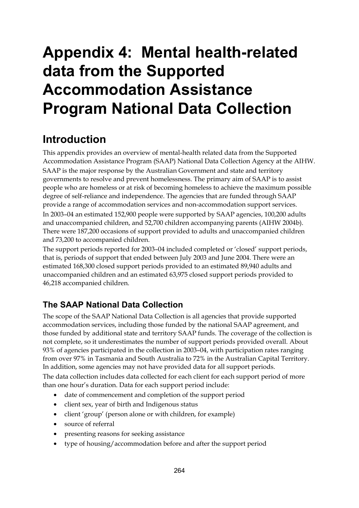# **Appendix 4: Mental health-related data from the Supported Accommodation Assistance Program National Data Collection**

## **Introduction**

This appendix provides an overview of mental-health related data from the Supported Accommodation Assistance Program (SAAP) National Data Collection Agency at the AIHW. SAAP is the major response by the Australian Government and state and territory governments to resolve and prevent homelessness. The primary aim of SAAP is to assist people who are homeless or at risk of becoming homeless to achieve the maximum possible degree of self-reliance and independence. The agencies that are funded through SAAP provide a range of accommodation services and non-accommodation support services. In 2003–04 an estimated 152,900 people were supported by SAAP agencies, 100,200 adults

and unaccompanied children, and 52,700 children accompanying parents (AIHW 2004b). There were 187,200 occasions of support provided to adults and unaccompanied children and 73,200 to accompanied children.

The support periods reported for 2003–04 included completed or 'closed' support periods, that is, periods of support that ended between July 2003 and June 2004. There were an estimated 168,300 closed support periods provided to an estimated 89,940 adults and unaccompanied children and an estimated 63,975 closed support periods provided to 46,218 accompanied children.

## **The SAAP National Data Collection**

The scope of the SAAP National Data Collection is all agencies that provide supported accommodation services, including those funded by the national SAAP agreement, and those funded by additional state and territory SAAP funds. The coverage of the collection is not complete, so it underestimates the number of support periods provided overall. About 93% of agencies participated in the collection in 2003–04, with participation rates ranging from over 97% in Tasmania and South Australia to 72% in the Australian Capital Territory. In addition, some agencies may not have provided data for all support periods. The data collection includes data collected for each client for each support period of more than one hour's duration. Data for each support period include:

- date of commencement and completion of the support period
- client sex, year of birth and Indigenous status
- client 'group' (person alone or with children, for example)
- source of referral
- presenting reasons for seeking assistance
- type of housing/accommodation before and after the support period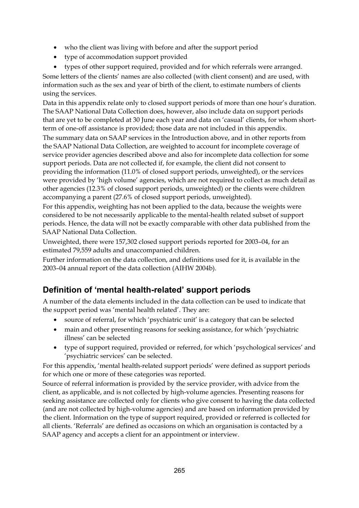- who the client was living with before and after the support period
- type of accommodation support provided
- types of other support required, provided and for which referrals were arranged.

Some letters of the clients' names are also collected (with client consent) and are used, with information such as the sex and year of birth of the client, to estimate numbers of clients using the services.

Data in this appendix relate only to closed support periods of more than one hour's duration. The SAAP National Data Collection does, however, also include data on support periods that are yet to be completed at 30 June each year and data on 'casual' clients, for whom shortterm of one-off assistance is provided; those data are not included in this appendix.

The summary data on SAAP services in the Introduction above, and in other reports from the SAAP National Data Collection, are weighted to account for incomplete coverage of service provider agencies described above and also for incomplete data collection for some support periods. Data are not collected if, for example, the client did not consent to providing the information (11.0% of closed support periods, unweighted), or the services were provided by 'high volume' agencies, which are not required to collect as much detail as other agencies (12.3% of closed support periods, unweighted) or the clients were children accompanying a parent (27.6% of closed support periods, unweighted).

For this appendix, weighting has not been applied to the data, because the weights were considered to be not necessarily applicable to the mental-health related subset of support periods. Hence, the data will not be exactly comparable with other data published from the SAAP National Data Collection.

Unweighted, there were 157,302 closed support periods reported for 2003–04, for an estimated 79,559 adults and unaccompanied children.

Further information on the data collection, and definitions used for it, is available in the 2003–04 annual report of the data collection (AIHW 2004b).

### **Definition of 'mental health-related' support periods**

A number of the data elements included in the data collection can be used to indicate that the support period was 'mental health related'. They are:

- source of referral, for which 'psychiatric unit' is a category that can be selected
- main and other presenting reasons for seeking assistance, for which 'psychiatric illness' can be selected
- type of support required, provided or referred, for which 'psychological services' and 'psychiatric services' can be selected.

For this appendix, 'mental health-related support periods' were defined as support periods for which one or more of these categories was reported.

Source of referral information is provided by the service provider, with advice from the client, as applicable, and is not collected by high-volume agencies. Presenting reasons for seeking assistance are collected only for clients who give consent to having the data collected (and are not collected by high-volume agencies) and are based on information provided by the client. Information on the type of support required, provided or referred is collected for all clients. 'Referrals' are defined as occasions on which an organisation is contacted by a SAAP agency and accepts a client for an appointment or interview.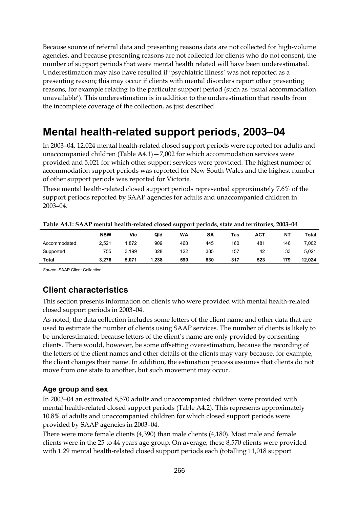Because source of referral data and presenting reasons data are not collected for high-volume agencies, and because presenting reasons are not collected for clients who do not consent, the number of support periods that were mental health related will have been underestimated. Underestimation may also have resulted if 'psychiatric illness' was not reported as a presenting reason; this may occur if clients with mental disorders report other presenting reasons, for example relating to the particular support period (such as 'usual accommodation unavailable'). This underestimation is in addition to the underestimation that results from the incomplete coverage of the collection, as just described.

## **Mental health-related support periods, 2003–04**

In 2003–04, 12,024 mental health-related closed support periods were reported for adults and unaccompanied children (Table A4.1)—7,002 for which accommodation services were provided and 5,021 for which other support services were provided. The highest number of accommodation support periods was reported for New South Wales and the highest number of other support periods was reported for Victoria.

These mental health-related closed support periods represented approximately 7.6% of the support periods reported by SAAP agencies for adults and unaccompanied children in 2003–04.

|              |            |       |       | --<br>__ |           |     |     |     |              |
|--------------|------------|-------|-------|----------|-----------|-----|-----|-----|--------------|
|              | <b>NSW</b> | Vic   | Qld   | WA       | <b>SA</b> | Tas | ACT | NT  | <b>Total</b> |
| Accommodated | 2.521      | 1.872 | 909   | 468      | 445       | 160 | 481 | 146 | 7,002        |
| Supported    | 755        | 3.199 | 328   | 122      | 385       | 157 | 42  | 33  | 5.021        |
| <b>Total</b> | 3.276      | 5.071 | 1.238 | 590      | 830       | 317 | 523 | 179 | 12.024       |

*Source:* SAAP Client Collection.

### **Client characteristics**

This section presents information on clients who were provided with mental health-related closed support periods in 2003–04.

As noted, the data collection includes some letters of the client name and other data that are used to estimate the number of clients using SAAP services. The number of clients is likely to be underestimated: because letters of the client's name are only provided by consenting clients. There would, however, be some offsetting overestimation, because the recording of the letters of the client names and other details of the clients may vary because, for example, the client changes their name. In addition, the estimation process assumes that clients do not move from one state to another, but such movement may occur.

#### **Age group and sex**

In 2003–04 an estimated 8,570 adults and unaccompanied children were provided with mental health-related closed support periods (Table A4.2). This represents approximately 10.8% of adults and unaccompanied children for which closed support periods were provided by SAAP agencies in 2003–04.

There were more female clients (4,390) than male clients (4,180). Most male and female clients were in the 25 to 44 years age group. On average, these 8,570 clients were provided with 1.29 mental health-related closed support periods each (totalling 11,018 support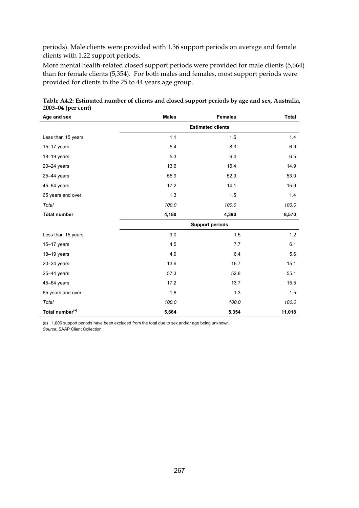periods). Male clients were provided with 1.36 support periods on average and female clients with 1.22 support periods.

More mental health-related closed support periods were provided for male clients (5,664) than for female clients (5,354). For both males and females, most support periods were provided for clients in the 25 to 44 years age group.

| Age and sex                 | <b>Males</b> | <b>Females</b> | Total  |
|-----------------------------|--------------|----------------|--------|
|                             |              |                |        |
| Less than 15 years          | 1.1          | 1.6            | 1.4    |
| $15-17$ years               | 5.4          | 8.3            | 6.9    |
| 18-19 years                 | 5.3          | 6.4            | 6.5    |
| $20 - 24$ years             | 13.6         | 15.4           | 14.9   |
| $25-44$ years               | 55.9         | 52.9           | 53.0   |
| $45 - 64$ years             | 17.2         | 14.1           | 15.9   |
| 65 years and over           | 1.3          | 1.5            | 1.4    |
| Total                       | 100.0        | 100.0          | 100.0  |
| <b>Total number</b>         | 4,180        | 4,390          | 8,570  |
|                             |              |                |        |
| Less than 15 years          | 9.0          | 1.5            | 1.2    |
| $15-17$ years               | 4.5          | 7.7            | 6.1    |
| $18-19$ years               | 4.9          | 6.4            | 5.6    |
| $20 - 24$ years             | 13.6         | 16.7           | 15.1   |
| $25 - 44$ years             | 57.3         | 52.8           | 55.1   |
| 45-64 years                 | 17.2         | 13.7           | 15.5   |
| 65 years and over           | 1.6          | 1.3            | 1.5    |
| Total                       | 100.0        | 100.0          | 100.0  |
| Total number <sup>(a)</sup> | 5,664        | 5,354          | 11,018 |

**Table A4.2: Estimated number of clients and closed support periods by age and sex, Australia, 2003–04 (per cent)** 

(a) 1,006 support periods have been excluded from the total due to sex and/or age being unknown. *Source:* SAAP Client Collection.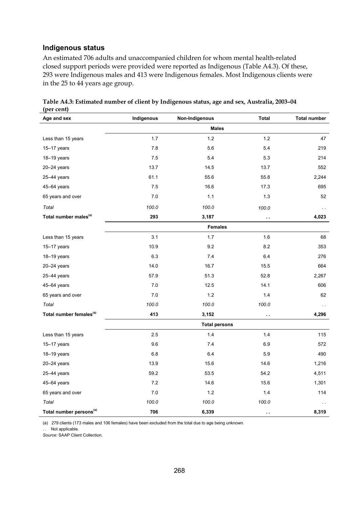#### **Indigenous status**

An estimated 706 adults and unaccompanied children for whom mental health-related closed support periods were provided were reported as Indigenous (Table A4.3). Of these, 293 were Indigenous males and 413 were Indigenous females. Most Indigenous clients were in the 25 to 44 years age group.

| Age and sex                         | Non-Indigenous<br>Indigenous |                      | <b>Total</b>         | <b>Total number</b> |  |  |  |
|-------------------------------------|------------------------------|----------------------|----------------------|---------------------|--|--|--|
|                                     | <b>Males</b>                 |                      |                      |                     |  |  |  |
| Less than 15 years                  | 1.7                          | $1.2$                | $1.2$                | 47                  |  |  |  |
| $15-17$ years                       | 7.8                          | 5.6                  | 5.4                  | 219                 |  |  |  |
| $18-19$ years                       | 7.5                          | 5.4                  | 5.3                  | 214                 |  |  |  |
| 20-24 years                         | 13.7                         | 14.5                 | 13.7                 | 552                 |  |  |  |
| $25-44$ years                       | 61.1                         | 55.6                 | 55.8                 | 2,244               |  |  |  |
| 45-64 years                         | 7.5                          | 16.6                 | 17.3                 | 695                 |  |  |  |
| 65 years and over                   | 7.0                          | 1.1                  | $1.3$                | 52                  |  |  |  |
| Total                               | 100.0                        | 100.0                | 100.0                | $\sim$ $\sim$       |  |  |  |
| Total number males <sup>(a)</sup>   | 293                          | 3,187                | $\ddot{\phantom{a}}$ | 4,023               |  |  |  |
|                                     |                              | <b>Females</b>       |                      |                     |  |  |  |
| Less than 15 years                  | 3.1                          | 1.7                  | 1.6                  | 68                  |  |  |  |
| $15-17$ years                       | 10.9                         | 9.2                  | 8.2                  | 353                 |  |  |  |
| 18-19 years                         | 6.3                          | 7.4                  | 6.4                  | 276                 |  |  |  |
| $20 - 24$ years                     | 14.0                         | 16.7                 | 15.5                 | 664                 |  |  |  |
| 25-44 years                         | 57.9                         | 51.3                 | 52.8                 | 2,267               |  |  |  |
| 45-64 years                         | 7.0                          | 12.5                 | 14.1                 | 606                 |  |  |  |
| 65 years and over                   | 7.0                          | 1.2                  | 1.4                  | 62                  |  |  |  |
| Total                               | 100.0                        | 100.0                | 100.0                | $\sim$ $\sim$       |  |  |  |
| Total number females <sup>(a)</sup> | 413                          | 3,152                | $\ddot{\phantom{a}}$ | 4,296               |  |  |  |
|                                     |                              | <b>Total persons</b> |                      |                     |  |  |  |
| Less than 15 years                  | 2.5                          | 1.4                  | 1.4                  | 115                 |  |  |  |
| $15-17$ years                       | 9.6                          | 7.4                  | 6.9                  | 572                 |  |  |  |
| 18-19 years                         | 6.8                          | 6.4                  | 5.9                  | 490                 |  |  |  |
| $20 - 24$ years                     | 13.9                         | 15.6                 | 14.6                 | 1,216               |  |  |  |
| 25-44 years                         | 59.2                         | 53.5                 | 54.2                 | 4,511               |  |  |  |
| 45-64 years                         | 7.2                          | 14.6                 | 15.6                 | 1,301               |  |  |  |
| 65 years and over                   | 7.0                          | $1.2$                | $1.4$                | 114                 |  |  |  |
| Total                               | 100.0                        | 100.0                | 100.0                | $\sim$ $\sim$       |  |  |  |
| Total number persons <sup>(a)</sup> | 706                          | 6,339                | $\ddotsc$            | 8,319               |  |  |  |

**Table A4.3: Estimated number of client by Indigenous status, age and sex, Australia, 2003–04 (per cent)** 

(a) 279 clients (173 males and 106 females) have been excluded from the total due to age being unknown.

. . Not applicable.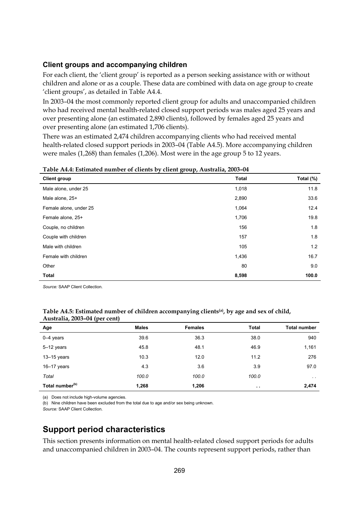#### **Client groups and accompanying children**

For each client, the 'client group' is reported as a person seeking assistance with or without children and alone or as a couple. These data are combined with data on age group to create 'client groups', as detailed in Table A4.4.

In 2003–04 the most commonly reported client group for adults and unaccompanied children who had received mental health-related closed support periods was males aged 25 years and over presenting alone (an estimated 2,890 clients), followed by females aged 25 years and over presenting alone (an estimated 1,706 clients).

There was an estimated 2,474 children accompanying clients who had received mental health-related closed support periods in 2003–04 (Table A4.5). More accompanying children were males (1,268) than females (1,206). Most were in the age group 5 to 12 years.

| $\sigma$<br>- - <b>r</b><br><b>Client group</b> | <b>Total</b> | Total (%) |
|-------------------------------------------------|--------------|-----------|
| Male alone, under 25                            | 1,018        | 11.8      |
| Male alone, 25+                                 | 2,890        | 33.6      |
| Female alone, under 25                          | 1,064        | 12.4      |
| Female alone, 25+                               | 1,706        | 19.8      |
| Couple, no children                             | 156          | 1.8       |
| Couple with children                            | 157          | 1.8       |
| Male with children                              | 105          | 1.2       |
| Female with children                            | 1,436        | 16.7      |
| Other                                           | 80           | 9.0       |
| <b>Total</b>                                    | 8,598        | 100.0     |

**Table A4.4: Estimated number of clients by client group, Australia, 2003–04** 

*Source:* SAAP Client Collection.

#### **Table A4.5: Estimated number of children accompanying clients(a), by age and sex of child, Australia, 2003–04 (per cent)**

| Age                         | <b>Males</b> | <b>Females</b> | <b>Total</b>  | <b>Total number</b> |
|-----------------------------|--------------|----------------|---------------|---------------------|
| $0-4$ years                 | 39.6         | 36.3           | 38.0          | 940                 |
| $5-12$ years                | 45.8         | 48.1           | 46.9          | 1,161               |
| $13 - 15$ years             | 10.3         | 12.0           | 11.2          | 276                 |
| $16 - 17$ years             | 4.3          | 3.6            | 3.9           | 97.0                |
| Total                       | 100.0        | 100.0          | 100.0         | $\sim$ $\sim$       |
| Total number <sup>(b)</sup> | 1,268        | 1,206          | $\sim$ $\sim$ | 2,474               |

(a) Does not include high-volume agencies.

(b) Nine children have been excluded from the total due to age and/or sex being unknown.

*Source:* SAAP Client Collection.

### **Support period characteristics**

This section presents information on mental health-related closed support periods for adults and unaccompanied children in 2003–04. The counts represent support periods, rather than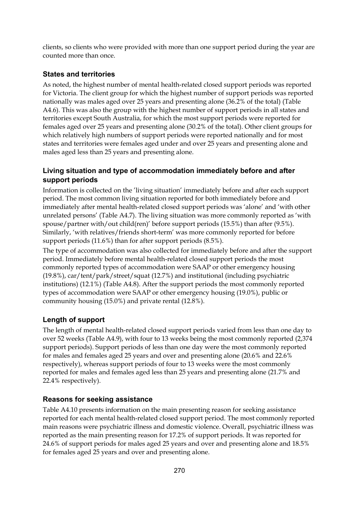clients, so clients who were provided with more than one support period during the year are counted more than once.

#### **States and territories**

As noted, the highest number of mental health-related closed support periods was reported for Victoria. The client group for which the highest number of support periods was reported nationally was males aged over 25 years and presenting alone (36.2% of the total) (Table A4.6). This was also the group with the highest number of support periods in all states and territories except South Australia, for which the most support periods were reported for females aged over 25 years and presenting alone (30.2% of the total). Other client groups for which relatively high numbers of support periods were reported nationally and for most states and territories were females aged under and over 25 years and presenting alone and males aged less than 25 years and presenting alone.

#### **Living situation and type of accommodation immediately before and after support periods**

Information is collected on the 'living situation' immediately before and after each support period. The most common living situation reported for both immediately before and immediately after mental health-related closed support periods was 'alone' and 'with other unrelated persons' (Table A4.7). The living situation was more commonly reported as 'with spouse/partner with/out child(ren)' before support periods (15.5%) than after (9.5%). Similarly, 'with relatives/friends short-term' was more commonly reported for before support periods (11.6%) than for after support periods (8.5%).

The type of accommodation was also collected for immediately before and after the support period. Immediately before mental health-related closed support periods the most commonly reported types of accommodation were SAAP or other emergency housing (19.8%), car/tent/park/street/squat (12.7%) and institutional (including psychiatric institutions) (12.1%) (Table A4.8). After the support periods the most commonly reported types of accommodation were SAAP or other emergency housing (19.0%), public or community housing (15.0%) and private rental (12.8%).

#### **Length of support**

The length of mental health-related closed support periods varied from less than one day to over 52 weeks (Table A4.9), with four to 13 weeks being the most commonly reported (2,374 support periods). Support periods of less than one day were the most commonly reported for males and females aged 25 years and over and presenting alone (20.6% and 22.6% respectively), whereas support periods of four to 13 weeks were the most commonly reported for males and females aged less than 25 years and presenting alone (21.7% and 22.4% respectively).

#### **Reasons for seeking assistance**

Table A4.10 presents information on the main presenting reason for seeking assistance reported for each mental health-related closed support period. The most commonly reported main reasons were psychiatric illness and domestic violence. Overall, psychiatric illness was reported as the main presenting reason for 17.2% of support periods. It was reported for 24.6% of support periods for males aged 25 years and over and presenting alone and 18.5% for females aged 25 years and over and presenting alone.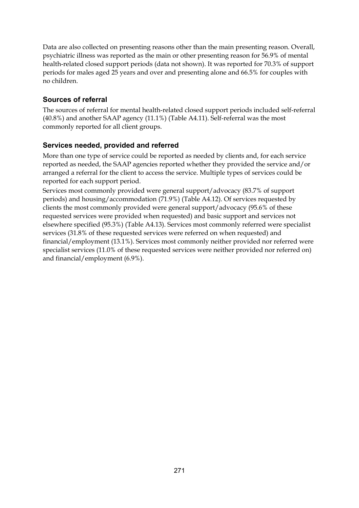Data are also collected on presenting reasons other than the main presenting reason. Overall, psychiatric illness was reported as the main or other presenting reason for 56.9% of mental health-related closed support periods (data not shown). It was reported for 70.3% of support periods for males aged 25 years and over and presenting alone and 66.5% for couples with no children.

#### **Sources of referral**

The sources of referral for mental health-related closed support periods included self-referral (40.8%) and another SAAP agency (11.1%) (Table A4.11). Self-referral was the most commonly reported for all client groups.

#### **Services needed, provided and referred**

More than one type of service could be reported as needed by clients and, for each service reported as needed, the SAAP agencies reported whether they provided the service and/or arranged a referral for the client to access the service. Multiple types of services could be reported for each support period.

Services most commonly provided were general support/advocacy (83.7% of support periods) and housing/accommodation (71.9%) (Table A4.12). Of services requested by clients the most commonly provided were general support/advocacy (95.6% of these requested services were provided when requested) and basic support and services not elsewhere specified (95.3%) (Table A4.13). Services most commonly referred were specialist services (31.8% of these requested services were referred on when requested) and financial/employment (13.1%). Services most commonly neither provided nor referred were specialist services (11.0% of these requested services were neither provided nor referred on) and financial/employment (6.9%).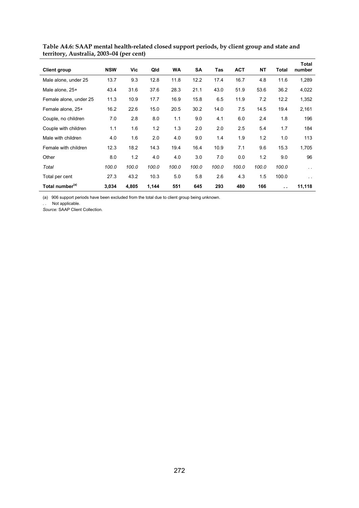| <b>Client group</b>         | <b>NSW</b> | Vic   | Qld   | <b>WA</b> | SA    | <b>Tas</b> | <b>ACT</b> | <b>NT</b> | Total                | <b>Total</b><br>number |
|-----------------------------|------------|-------|-------|-----------|-------|------------|------------|-----------|----------------------|------------------------|
| Male alone, under 25        | 13.7       | 9.3   | 12.8  | 11.8      | 12.2  | 17.4       | 16.7       | 4.8       | 11.6                 | 1,289                  |
| Male alone, 25+             | 43.4       | 31.6  | 37.6  | 28.3      | 21.1  | 43.0       | 51.9       | 53.6      | 36.2                 | 4,022                  |
| Female alone, under 25      | 11.3       | 10.9  | 17.7  | 16.9      | 15.8  | 6.5        | 11.9       | 7.2       | 12.2                 | 1,352                  |
| Female alone, 25+           | 16.2       | 22.6  | 15.0  | 20.5      | 30.2  | 14.0       | 7.5        | 14.5      | 19.4                 | 2,161                  |
| Couple, no children         | 7.0        | 2.8   | 8.0   | 1.1       | 9.0   | 4.1        | 6.0        | 2.4       | 1.8                  | 196                    |
| Couple with children        | 1.1        | 1.6   | 1.2   | 1.3       | 2.0   | 2.0        | 2.5        | 5.4       | 1.7                  | 184                    |
| Male with children          | 4.0        | 1.6   | 2.0   | 4.0       | 9.0   | 1.4        | 1.9        | 1.2       | 1.0                  | 113                    |
| Female with children        | 12.3       | 18.2  | 14.3  | 19.4      | 16.4  | 10.9       | 7.1        | 9.6       | 15.3                 | 1,705                  |
| Other                       | 8.0        | 1.2   | 4.0   | 4.0       | 3.0   | 7.0        | 0.0        | 1.2       | 9.0                  | 96                     |
| Total                       | 100.0      | 100.0 | 100.0 | 100.0     | 100.0 | 100.0      | 100.0      | 100.0     | 100.0                | $\ddot{\phantom{0}}$   |
| Total per cent              | 27.3       | 43.2  | 10.3  | 5.0       | 5.8   | 2.6        | 4.3        | 1.5       | 100.0                | $\sim$ $\sim$          |
| Total number <sup>(a)</sup> | 3,034      | 4,805 | 1,144 | 551       | 645   | 293        | 480        | 166       | $\ddot{\phantom{a}}$ | 11,118                 |

**Table A4.6: SAAP mental health-related closed support periods, by client group and state and territory, Australia, 2003–04 (per cent)** 

(a) 906 support periods have been excluded from the total due to client group being unknown.

. . Not applicable.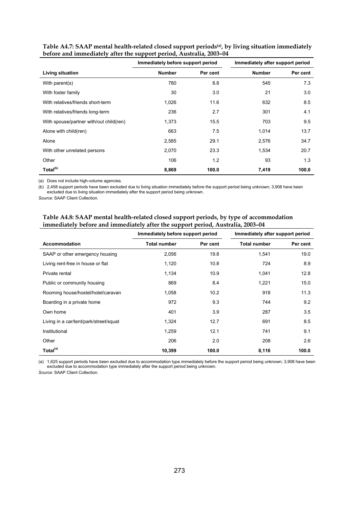|                                         | Immediately before support period |          | Immediately after support period |          |
|-----------------------------------------|-----------------------------------|----------|----------------------------------|----------|
| Living situation                        | <b>Number</b>                     | Per cent | <b>Number</b>                    | Per cent |
| With parent(s)                          | 780                               | 8.8      | 545                              | 7.3      |
| With foster family                      | 30                                | 3.0      | 21                               | 3.0      |
| With relatives/friends short-term       | 1,026                             | 11.6     | 632                              | 8.5      |
| With relatives/friends long-term        | 236                               | 2.7      | 301                              | 4.1      |
| With spouse/partner with/out child(ren) | 1,373                             | 15.5     | 703                              | 9.5      |
| Alone with child(ren)                   | 663                               | 7.5      | 1,014                            | 13.7     |
| Alone                                   | 2,585                             | 29.1     | 2,576                            | 34.7     |
| With other unrelated persons            | 2,070                             | 23.3     | 1,534                            | 20.7     |
| Other                                   | 106                               | 1.2      | 93                               | 1.3      |
| Total <sup>(b)</sup>                    | 8,869                             | 100.0    | 7,419                            | 100.0    |

| Table A4.7: SAAP mental health-related closed support periods <sup>(a)</sup> , by living situation immediately |
|----------------------------------------------------------------------------------------------------------------|
| before and immediately after the support period, Australia, 2003-04                                            |

(a) Does not include high-volume agencies.

(b) 2,458 support periods have been excluded due to living situation immediately before the support period being unknown; 3,908 have been excluded due to living situation immediately after the support period being unknown.

*Source:* SAAP Client Collection.

| Table A4.8: SAAP mental health-related closed support periods, by type of accommodation |
|-----------------------------------------------------------------------------------------|
| immediately before and immediately after the support period, Australia, 2003-04         |

|                                        | Immediately before support period |          | Immediately after support period |          |
|----------------------------------------|-----------------------------------|----------|----------------------------------|----------|
| Accommodation                          | Total number                      | Per cent | <b>Total number</b>              | Per cent |
| SAAP or other emergency housing        | 2,056                             | 19.8     | 1,541                            | 19.0     |
| Living rent-free in house or flat      | 1,120                             | 10.8     | 724                              | 8.9      |
| Private rental                         | 1,134                             | 10.9     | 1,041                            | 12.8     |
| Public or community housing            | 869                               | 8.4      | 1,221                            | 15.0     |
| Rooming house/hostel/hotel/caravan     | 1,058                             | 10.2     | 918                              | 11.3     |
| Boarding in a private home             | 972                               | 9.3      | 744                              | 9.2      |
| Own home                               | 401                               | 3.9      | 287                              | 3.5      |
| Living in a car/tent/park/street/squat | 1,324                             | 12.7     | 691                              | 8.5      |
| Institutional                          | 1,259                             | 12.1     | 741                              | 9.1      |
| Other                                  | 206                               | 2.0      | 208                              | 2.6      |
| Total <sup>(a)</sup>                   | 10,399                            | 100.0    | 8,116                            | 100.0    |

(a) 1,625 support periods have been excluded due to accommodation type immediately before the support period being unknown; 3,908 have been excluded due to accommodation type immediately after the support period being unknown.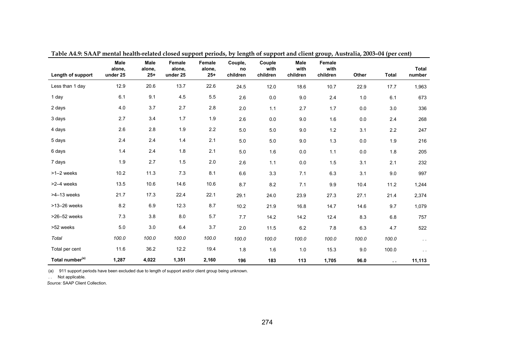| Length of support           | <b>Male</b><br>alone,<br>under 25 | <b>Male</b><br>alone,<br>$25+$ | Female<br>alone,<br>under 25 | <b>Female</b><br>alone,<br>$25+$ | Couple,<br>no<br>children | Couple<br>with<br>children | <b>Male</b><br>with<br>children | Female<br>with<br>children | Other   | <b>Total</b>  | Total<br>number |
|-----------------------------|-----------------------------------|--------------------------------|------------------------------|----------------------------------|---------------------------|----------------------------|---------------------------------|----------------------------|---------|---------------|-----------------|
| Less than 1 day             | 12.9                              | 20.6                           | 13.7                         | 22.6                             | 24.5                      | 12.0                       | 18.6                            | 10.7                       | 22.9    | 17.7          | 1,963           |
| 1 day                       | 6.1                               | 9.1                            | 4.5                          | 5.5                              | 2.6                       | 0.0                        | 9.0                             | 2.4                        | 1.0     | 6.1           | 673             |
| 2 days                      | 4.0                               | 3.7                            | 2.7                          | 2.8                              | 2.0                       | 1.1                        | 2.7                             | 1.7                        | 0.0     | 3.0           | 336             |
| 3 days                      | 2.7                               | 3.4                            | 1.7                          | 1.9                              | 2.6                       | $0.0\,$                    | 9.0                             | 1.6                        | $0.0\,$ | 2.4           | 268             |
| 4 days                      | 2.6                               | 2.8                            | 1.9                          | 2.2                              | 5.0                       | $5.0\,$                    | 9.0                             | $1.2$                      | 3.1     | 2.2           | 247             |
| 5 days                      | 2.4                               | 2.4                            | 1.4                          | 2.1                              | $5.0\,$                   | $5.0\,$                    | 9.0                             | 1.3                        | $0.0\,$ | $1.9$         | 216             |
| 6 days                      | 1.4                               | 2.4                            | 1.8                          | 2.1                              | $5.0\,$                   | 1.6                        | $0.0\,$                         | $1.1$                      | $0.0\,$ | 1.8           | 205             |
| 7 days                      | 1.9                               | 2.7                            | 1.5                          | 2.0                              | 2.6                       | 1.1                        | 0.0                             | 1.5                        | 3.1     | 2.1           | 232             |
| >1-2 weeks                  | 10.2                              | 11.3                           | 7.3                          | 8.1                              | 6.6                       | 3.3                        | 7.1                             | 6.3                        | 3.1     | 9.0           | 997             |
| >2-4 weeks                  | 13.5                              | 10.6                           | 14.6                         | 10.6                             | 8.7                       | 8.2                        | 7.1                             | 9.9                        | 10.4    | 11.2          | 1,244           |
| $>4-13$ weeks               | 21.7                              | 17.3                           | 22.4                         | 22.1                             | 29.1                      | 24.0                       | 23.9                            | 27.3                       | 27.1    | 21.4          | 2,374           |
| >13-26 weeks                | 8.2                               | 6.9                            | 12.3                         | 8.7                              | 10.2                      | 21.9                       | 16.8                            | 14.7                       | 14.6    | 9.7           | 1,079           |
| >26-52 weeks                | 7.3                               | 3.8                            | 8.0                          | 5.7                              | 7.7                       | 14.2                       | 14.2                            | 12.4                       | 8.3     | 6.8           | 757             |
| >52 weeks                   | 5.0                               | 3.0                            | 6.4                          | 3.7                              | 2.0                       | 11.5                       | $6.2\,$                         | 7.8                        | 6.3     | 4.7           | 522             |
| Total                       | 100.0                             | 100.0                          | 100.0                        | 100.0                            | 100.0                     | 100.0                      | 100.0                           | 100.0                      | 100.0   | 100.0         | $\sim$ $\sim$   |
| Total per cent              | 11.6                              | 36.2                           | 12.2                         | 19.4                             | 1.8                       | 1.6                        | 1.0                             | 15.3                       | 9.0     | 100.0         | $\sim$ 10 $\pm$ |
| Total number <sup>(a)</sup> | 1,287                             | 4,022                          | 1,351                        | 2,160                            | 196                       | 183                        | 113                             | 1,705                      | 96.0    | $\sim$ $\sim$ | 11,113          |

**Table A4.9: SAAP mental health-related closed support periods, by length of support and client group, Australia, 2003–04 (per cent)** 

(a) 911 support periods have been excluded due to length of support and/or client group being unknown.

. . Not applicable.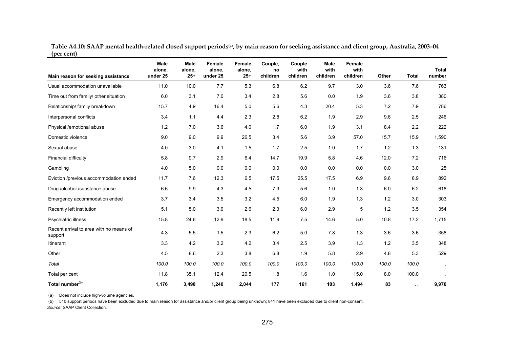**Table A4.10: SAAP mental health-related closed support periods(a), by main reason for seeking assistance and client group, Australia, 2003–04 (per cent)**  <u> 1989 - Jan James James James James James James James James James James James James James James James James J</u> 

| Main reason for seeking assistance                 | Male<br>alone,<br>under 25 | <b>Male</b><br>alone,<br>$25+$ | Female<br>alone,<br>under 25 | Female<br>alone,<br>$25+$ | Couple,<br>no<br>children | Couple<br>with<br>children | Male<br>with<br>children | <b>Female</b><br>with<br>children | Other | <b>Total</b> | <b>Total</b><br>number |
|----------------------------------------------------|----------------------------|--------------------------------|------------------------------|---------------------------|---------------------------|----------------------------|--------------------------|-----------------------------------|-------|--------------|------------------------|
| Usual accommodation unavailable                    | 11.0                       | 10.0                           | 7.7                          | 5.3                       | 6.8                       | 6.2                        | 9.7                      | 3.0                               | 3.6   | 7.6          | 763                    |
| Time out from family/ other situation              | 6.0                        | 3.1                            | 7.0                          | 3.4                       | 2.8                       | 5.6                        | 0.0                      | 1.9                               | 3.6   | 3.8          | 380                    |
| Relationship/ family breakdown                     | 15.7                       | 4.9                            | 16.4                         | 5.0                       | 5.6                       | 4.3                        | 20.4                     | 5.3                               | 7.2   | 7.9          | 786                    |
| Interpersonal conflicts                            | 3.4                        | 1.1                            | 4.4                          | 2.3                       | 2.8                       | 6.2                        | 1.9                      | 2.9                               | 9.6   | 2.5          | 246                    |
| Physical /emotional abuse                          | 1.2                        | 7.0                            | 3.6                          | 4.0                       | 1.7                       | 6.0                        | 1.9                      | 3.1                               | 8.4   | 2.2          | 222                    |
| Domestic violence                                  | 9.0                        | 9.0                            | 9.9                          | 26.5                      | 3.4                       | 5.6                        | 3.9                      | 57.0                              | 15.7  | 15.9         | 1,590                  |
| Sexual abuse                                       | 4.0                        | 3.0                            | 4.1                          | 1.5                       | 1.7                       | 2.5                        | 1.0                      | 1.7                               | 1.2   | 1.3          | 131                    |
| Financial difficulty                               | 5.8                        | 9.7                            | 2.9                          | 6.4                       | 14.7                      | 19.9                       | 5.8                      | 4.6                               | 12.0  | 7.2          | 716                    |
| Gambling                                           | 4.0                        | 5.0                            | 0.0                          | 0.0                       | 0.0                       | 0.0                        | 0.0                      | 0.0                               | 0.0   | 3.0          | 25                     |
| Eviction /previous accommodation ended             | 11.7                       | 7.6                            | 12.3                         | 6.5                       | 17.5                      | 25.5                       | 17.5                     | 6.9                               | 9.6   | 8.9          | 892                    |
| Drug /alcohol /substance abuse                     | 6.6                        | 9.9                            | 4.3                          | 4.5                       | 79                        | 5.6                        | 1.0                      | 1.3                               | 6.0   | 6.2          | 618                    |
| Emergency accommodation ended                      | 3.7                        | 3.4                            | 3.5                          | 3.2                       | 4.5                       | $6.0\,$                    | 1.9                      | 1.3                               | 1.2   | 3.0          | 303                    |
| Recently left institution                          | 5.1                        | 5.0                            | 3.9                          | 2.6                       | 2.3                       | 6.0                        | 2.9                      | 5                                 | 1.2   | 3.5          | 354                    |
| Psychiatric illness                                | 15.8                       | 24.6                           | 12.9                         | 18.5                      | 11.9                      | 7.5                        | 14.6                     | 5.0                               | 10.8  | 17.2         | 1,715                  |
| Recent arrival to area with no means of<br>support | 4.3                        | 55                             | 1.5                          | 2.3                       | 6.2                       | 5.0                        | 7.8                      | 1.3                               | 3.6   | 3.6          | 358                    |
| Itinerant                                          | 3.3                        | 4.2                            | 3.2                          | 4.2                       | 3.4                       | 2.5                        | 3.9                      | 1.3                               | 1.2   | 3.5          | 348                    |
| Other                                              | 4.5                        | 8.6                            | 2.3                          | 3.8                       | 6.8                       | 1.9                        | 5.8                      | 2.9                               | 4.8   | 5.3          | 529                    |
| Total                                              | 100.0                      | 100.0                          | 100.0                        | 100.0                     | 100.0                     | 100.0                      | 100.0                    | 100.0                             | 100.0 | 100.0        | $\sim$ $\sim$          |
| Total per cent                                     | 11.8                       | 35.1                           | 12.4                         | 20.5                      | 1.8                       | 1.6                        | 1.0                      | 15.0                              | 8.0   | 100.0        | $\sim$ $\sim$          |
| Total number <sup>(b)</sup>                        | 1,176                      | 3,498                          | 1,240                        | 2,044                     | 177                       | 161                        | 103                      | 1,494                             | 83    | $\sim$       | 9,976                  |

(a) Does not include high-volume agencies.

(b) 510 support periods have been excluded due to main reason for assistance and/or client group being unknown; 841 have been excluded due to client non-consent. *Source:* SAAP Client Collection.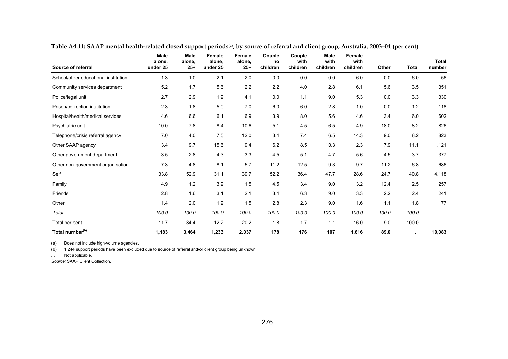| Source of referral                   | <b>Male</b><br>alone,<br>under 25 | <b>Male</b><br>alone,<br>$25 +$ | <b>Female</b><br>alone,<br>under 25 | <b>Female</b><br>alone,<br>$25+$ | Couple<br>no<br>children | Couple<br>with<br>children | <b>Male</b><br>with<br>children | <b>Female</b><br>with<br>children | Other | <b>Total</b>  | <b>Total</b><br>number |
|--------------------------------------|-----------------------------------|---------------------------------|-------------------------------------|----------------------------------|--------------------------|----------------------------|---------------------------------|-----------------------------------|-------|---------------|------------------------|
| School/other educational institution | 1.3                               | 1.0                             | 2.1                                 | 2.0                              | 0.0                      | 0.0                        | 0.0                             | 6.0                               | 0.0   | 6.0           | 56                     |
| Community services department        | 5.2                               | 1.7                             | 5.6                                 | 2.2                              | 2.2                      | 4.0                        | 2.8                             | 6.1                               | 5.6   | 3.5           | 351                    |
| Police/legal unit                    | 2.7                               | 2.9                             | 1.9                                 | 4.1                              | 0.0                      | 1.1                        | 9.0                             | 5.3                               | 0.0   | 3.3           | 330                    |
| Prison/correction institution        | 2.3                               | 1.8                             | 5.0                                 | 7.0                              | 6.0                      | 6.0                        | 2.8                             | 1.0                               | 0.0   | 1.2           | 118                    |
| Hospital/health/medical services     | 4.6                               | 6.6                             | 6.1                                 | 6.9                              | 3.9                      | 8.0                        | 5.6                             | 4.6                               | 3.4   | 6.0           | 602                    |
| Psychiatric unit                     | 10.0                              | 7.8                             | 8.4                                 | 10.6                             | 5.1                      | 4.5                        | 6.5                             | 4.9                               | 18.0  | 8.2           | 826                    |
| Telephone/crisis referral agency     | 7.0                               | 4.0                             | 7.5                                 | 12.0                             | 3.4                      | 7.4                        | 6.5                             | 14.3                              | 9.0   | 8.2           | 823                    |
| Other SAAP agency                    | 13.4                              | 9.7                             | 15.6                                | 9.4                              | 6.2                      | 8.5                        | 10.3                            | 12.3                              | 7.9   | 11.1          | 1,121                  |
| Other government department          | 3.5                               | 2.8                             | 4.3                                 | 3.3                              | 4.5                      | 5.1                        | 4.7                             | 5.6                               | 4.5   | 3.7           | 377                    |
| Other non-government organisation    | 7.3                               | 4.8                             | 8.1                                 | 5.7                              | 11.2                     | 12.5                       | 9.3                             | 9.7                               | 11.2  | 6.8           | 686                    |
| Self                                 | 33.8                              | 52.9                            | 31.1                                | 39.7                             | 52.2                     | 36.4                       | 47.7                            | 28.6                              | 24.7  | 40.8          | 4,118                  |
| Family                               | 4.9                               | 1.2                             | 3.9                                 | 1.5                              | 4.5                      | 3.4                        | 9.0                             | 3.2                               | 12.4  | 2.5           | 257                    |
| Friends                              | 2.8                               | 1.6                             | 3.1                                 | 2.1                              | 3.4                      | 6.3                        | 9.0                             | 3.3                               | 2.2   | 2.4           | 241                    |
| Other                                | 1.4                               | 2.0                             | 1.9                                 | 1.5                              | 2.8                      | 2.3                        | 9.0                             | 1.6                               | 1.1   | 1.8           | 177                    |
| Total                                | 100.0                             | 100.0                           | 100.0                               | 100.0                            | 100.0                    | 100.0                      | 100.0                           | 100.0                             | 100.0 | 100.0         | $\sim$ $\sim$          |
| Total per cent                       | 11.7                              | 34.4                            | 12.2                                | 20.2                             | 1.8                      | 1.7                        | 1.1                             | 16.0                              | 9.0   | 100.0         | $\sim$                 |
| Total number <sup>(b)</sup>          | 1,183                             | 3,464                           | 1,233                               | 2,037                            | 178                      | 176                        | 107                             | 1,616                             | 89.0  | $\sim$ $\sim$ | 10,083                 |

**Table A4.11: SAAP mental health-related closed support periods(a), by source of referral and client group, Australia, 2003–04 (per cent)** 

(a) Does not include high-volume agencies.

(b) 1,244 support periods have been excluded due to source of referral and/or client group being unknown.

. . Not applicable.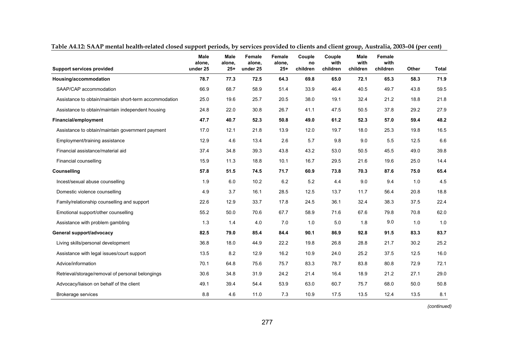| <b>Support services provided</b>                       | <b>Male</b><br>alone,<br>under 25 | <b>Male</b><br>alone,<br>$25 +$ | <b>Female</b><br>alone,<br>under 25 | Female<br>alone,<br>$25+$ | Couple<br>no<br>children | Couple<br>with<br>children | <b>Male</b><br>with<br>children | <b>Female</b><br>with<br>children | Other | <b>Total</b> |
|--------------------------------------------------------|-----------------------------------|---------------------------------|-------------------------------------|---------------------------|--------------------------|----------------------------|---------------------------------|-----------------------------------|-------|--------------|
| Housing/accommodation                                  | 78.7                              | 77.3                            | 72.5                                | 64.3                      | 69.8                     | 65.0                       | 72.1                            | 65.3                              | 58.3  | 71.9         |
| SAAP/CAP accommodation                                 | 66.9                              | 68.7                            | 58.9                                | 51.4                      | 33.9                     | 46.4                       | 40.5                            | 49.7                              | 43.8  | 59.5         |
| Assistance to obtain/maintain short-term accommodation | 25.0                              | 19.6                            | 25.7                                | 20.5                      | 38.0                     | 19.1                       | 32.4                            | 21.2                              | 18.8  | 21.8         |
| Assistance to obtain/maintain independent housing      | 24.8                              | 22.0                            | 30.8                                | 26.7                      | 41.1                     | 47.5                       | 50.5                            | 37.8                              | 29.2  | 27.9         |
| <b>Financial/employment</b>                            | 47.7                              | 40.7                            | 52.3                                | 50.8                      | 49.0                     | 61.2                       | 52.3                            | 57.0                              | 59.4  | 48.2         |
| Assistance to obtain/maintain government payment       | 17.0                              | 12.1                            | 21.8                                | 13.9                      | 12.0                     | 19.7                       | 18.0                            | 25.3                              | 19.8  | 16.5         |
| Employment/training assistance                         | 12.9                              | 4.6                             | 13.4                                | 2.6                       | 5.7                      | 9.8                        | 9.0                             | 5.5                               | 12.5  | 6.6          |
| Financial assistance/material aid                      | 37.4                              | 34.8                            | 39.3                                | 43.8                      | 43.2                     | 53.0                       | 50.5                            | 45.5                              | 49.0  | 39.8         |
| Financial counselling                                  | 15.9                              | 11.3                            | 18.8                                | 10.1                      | 16.7                     | 29.5                       | 21.6                            | 19.6                              | 25.0  | 14.4         |
| Counselling                                            | 57.8                              | 51.5                            | 74.5                                | 71.7                      | 60.9                     | 73.8                       | 70.3                            | 87.6                              | 75.0  | 65.4         |
| Incest/sexual abuse counselling                        | 1.9                               | 6.0                             | 10.2                                | 6.2                       | 5.2                      | 4.4                        | 9.0                             | 9.4                               | 1.0   | 4.5          |
| Domestic violence counselling                          | 4.9                               | 3.7                             | 16.1                                | 28.5                      | 12.5                     | 13.7                       | 11.7                            | 56.4                              | 20.8  | 18.8         |
| Family/relationship counselling and support            | 22.6                              | 12.9                            | 33.7                                | 17.8                      | 24.5                     | 36.1                       | 32.4                            | 38.3                              | 37.5  | 22.4         |
| Emotional support/other counselling                    | 55.2                              | 50.0                            | 70.6                                | 67.7                      | 58.9                     | 71.6                       | 67.6                            | 79.8                              | 70.8  | 62.0         |
| Assistance with problem gambling                       | 1.3                               | 1.4                             | 4.0                                 | 7.0                       | 1.0                      | 5.0                        | 1.8                             | 9.0                               | 1.0   | 1.0          |
| General support/advocacy                               | 82.5                              | 79.0                            | 85.4                                | 84.4                      | 90.1                     | 86.9                       | 92.8                            | 91.5                              | 83.3  | 83.7         |
| Living skills/personal development                     | 36.8                              | 18.0                            | 44.9                                | 22.2                      | 19.8                     | 26.8                       | 28.8                            | 21.7                              | 30.2  | 25.2         |
| Assistance with legal issues/court support             | 13.5                              | 8.2                             | 12.9                                | 16.2                      | 10.9                     | 24.0                       | 25.2                            | 37.5                              | 12.5  | 16.0         |
| Advice/information                                     | 70.1                              | 64.8                            | 75.6                                | 75.7                      | 83.3                     | 78.7                       | 83.8                            | 80.8                              | 72.9  | 72.1         |
| Retrieval/storage/removal of personal belongings       | 30.6                              | 34.8                            | 31.9                                | 24.2                      | 21.4                     | 16.4                       | 18.9                            | 21.2                              | 27.1  | 29.0         |
| Advocacy/liaison on behalf of the client               | 49.1                              | 39.4                            | 54.4                                | 53.9                      | 63.0                     | 60.7                       | 75.7                            | 68.0                              | 50.0  | 50.8         |
| Brokerage services                                     | 8.8                               | 4.6                             | 11.0                                | 7.3                       | 10.9                     | 17.5                       | 13.5                            | 12.4                              | 13.5  | 8.1          |

**Table A4.12: SAAP mental health-related closed support periods, by services provided to clients and client group, Australia, 2003–04 (per cent)** 

 *(continued)*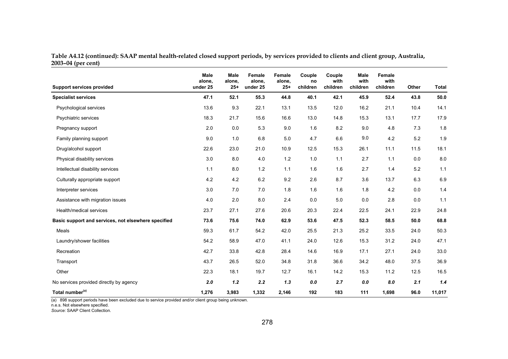**Table A4.12 (continued): SAAP mental health-related closed support periods, by services provided to clients and client group, Australia, 2003–04 (per cent)**

| <b>Support services provided</b>                    | <b>Male</b><br>alone,<br>under 25 | <b>Male</b><br>alone,<br>$25+$ | Female<br>alone,<br>under 25 | Female<br>alone,<br>$25+$ | Couple<br>no<br>children | Couple<br>with<br>children | <b>Male</b><br>with<br>children | Female<br>with<br>children | Other | Total  |
|-----------------------------------------------------|-----------------------------------|--------------------------------|------------------------------|---------------------------|--------------------------|----------------------------|---------------------------------|----------------------------|-------|--------|
| <b>Specialist services</b>                          | 47.1                              | 52.1                           | 55.3                         | 44.8                      | 40.1                     | 42.1                       | 45.9                            | 52.4                       | 43.8  | $50.0$ |
| Psychological services                              | 13.6                              | 9.3                            | 22.1                         | 13.1                      | 13.5                     | 12.0                       | 16.2                            | 21.1                       | 10.4  | 14.1   |
| Psychiatric services                                | 18.3                              | 21.7                           | 15.6                         | 16.6                      | 13.0                     | 14.8                       | 15.3                            | 13.1                       | 17.7  | 17.9   |
| Pregnancy support                                   | 2.0                               | 0.0                            | 5.3                          | 9.0                       | 1.6                      | 8.2                        | 9.0                             | 4.8                        | 7.3   | 1.8    |
| Family planning support                             | 9.0                               | 1.0                            | 6.8                          | 5.0                       | 4.7                      | 6.6                        | 9.0                             | 4.2                        | 5.2   | 1.9    |
| Drug/alcohol support                                | 22.6                              | 23.0                           | 21.0                         | 10.9                      | 12.5                     | 15.3                       | 26.1                            | 11.1                       | 11.5  | 18.1   |
| Physical disability services                        | 3.0                               | 8.0                            | 4.0                          | 1.2                       | 1.0                      | 1.1                        | 2.7                             | 1.1                        | 0.0   | 8.0    |
| Intellectual disability services                    | 1.1                               | 8.0                            | 1.2                          | 1.1                       | 1.6                      | 1.6                        | 2.7                             | 1.4                        | 5.2   | $1.1$  |
| Culturally appropriate support                      | 4.2                               | 4.2                            | 6.2                          | 9.2                       | 2.6                      | 8.7                        | 3.6                             | 13.7                       | 6.3   | 6.9    |
| Interpreter services                                | 3.0                               | 7.0                            | 7.0                          | 1.8                       | 1.6                      | 1.6                        | 1.8                             | 4.2                        | 0.0   | 1.4    |
| Assistance with migration issues                    | 4.0                               | 2.0                            | 8.0                          | 2.4                       | 0.0                      | 5.0                        | 0.0                             | 2.8                        | 0.0   | 1.1    |
| Health/medical services                             | 23.7                              | 27.1                           | 27.6                         | 20.6                      | 20.3                     | 22.4                       | 22.5                            | 24.1                       | 22.9  | 24.8   |
| Basic support and services, not elsewhere specified | 73.6                              | 75.6                           | 74.0                         | 62.9                      | 53.6                     | 47.5                       | 52.3                            | 58.5                       | 50.0  | 68.8   |
| Meals                                               | 59.3                              | 61.7                           | 54.2                         | 42.0                      | 25.5                     | 21.3                       | 25.2                            | 33.5                       | 24.0  | 50.3   |
| Laundry/shower facilities                           | 54.2                              | 58.9                           | 47.0                         | 41.1                      | 24.0                     | 12.6                       | 15.3                            | 31.2                       | 24.0  | 47.1   |
| Recreation                                          | 42.7                              | 33.8                           | 42.8                         | 28.4                      | 14.6                     | 16.9                       | 17.1                            | 27.1                       | 24.0  | 33.0   |
| Transport                                           | 43.7                              | 26.5                           | 52.0                         | 34.8                      | 31.8                     | 36.6                       | 34.2                            | 48.0                       | 37.5  | 36.9   |
| Other                                               | 22.3                              | 18.1                           | 19.7                         | 12.7                      | 16.1                     | 14.2                       | 15.3                            | 11.2                       | 12.5  | 16.5   |
| No services provided directly by agency             | 2.0                               | 1.2                            | 2.2                          | 1.3                       | 0.0                      | 2.7                        | 0.0                             | 8.0                        | 2.1   | 1.4    |
| Total number <sup>(a)</sup>                         | 1,276                             | 3,983                          | 1,332                        | 2,146                     | 192                      | 183                        | 111                             | 1,698                      | 96.0  | 11,017 |

(a) 898 support periods have been excluded due to service provided and/or client group being unknown.

n.e.s. Not elsewhere specified. *Source:* SAAP Client Collection.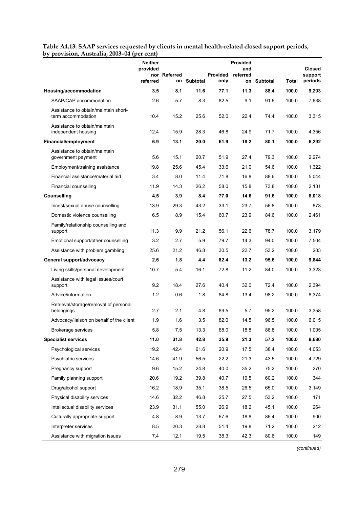**Table A4.13: SAAP services requested by clients in mental health-related closed support periods, by provision, Australia, 2003–04 (per cent)** 

|                                                            | Neither<br>provided | nor Referred |             | <b>Provided</b> | Provided<br>and<br>referred |             |       | <b>Closed</b><br>support |
|------------------------------------------------------------|---------------------|--------------|-------------|-----------------|-----------------------------|-------------|-------|--------------------------|
|                                                            | referred            |              | on Subtotal | only            |                             | on Subtotal | Total | periods                  |
| Housing/accommodation                                      | 3.5                 | 8.1          | 11.6        | 77.1            | 11.3                        | 88.4        | 100.0 | 9,293                    |
| SAAP/CAP accommodation                                     | 2.6                 | 5.7          | 8.3         | 82.5            | 9.1                         | 91.6        | 100.0 | 7,638                    |
| Assistance to obtain/maintain short-<br>term accommodation | 10.4                | 15.2         | 25.6        | 52.0            | 22.4                        | 74.4        | 100.0 | 3,315                    |
| Assistance to obtain/maintain<br>independent housing       | 12.4                | 15.9         | 28.3        | 46.8            | 24.9                        | 71.7        | 100.0 | 4,356                    |
| Financial/employment                                       | 6.9                 | 13.1         | 20.0        | 61.9            | 18.2                        | 80.1        | 100.0 | 6,292                    |
| Assistance to obtain/maintain<br>government payment        | 5.6                 | 15.1         | 20.7        | 51.9            | 27.4                        | 79.3        | 100.0 | 2,274                    |
| Employment/training assistance                             | 19.8                | 25.6         | 45.4        | 33.6            | 21.0                        | 54.6        | 100.0 | 1,322                    |
| Financial assistance/material aid                          | 3.4                 | 8.0          | 11.4        | 71.8            | 16.8                        | 88.6        | 100.0 | 5,044                    |
| Financial counselling                                      | 11.9                | 14.3         | 26.2        | 58.0            | 15.8                        | 73.8        | 100.0 | 2,131                    |
| Counselling                                                | 4.5                 | 3.9          | 8.4         | 77.0            | 14.6                        | 91.6        | 100.0 | 8,018                    |
| Incest/sexual abuse counselling                            | 13.9                | 29.3         | 43.2        | 33.1            | 23.7                        | 56.8        | 100.0 | 873                      |
| Domestic violence counselling                              | 6.5                 | 8.9          | 15.4        | 60.7            | 23.9                        | 84.6        | 100.0 | 2,461                    |
| Family/relationship counselling and<br>support             | 11.3                | 9.9          | 21.2        | 56.1            | 22.6                        | 78.7        | 100.0 | 3,179                    |
| Emotional support/other counselling                        | 3.2                 | 2.7          | 5.9         | 79.7            | 14.3                        | 94.0        | 100.0 | 7,504                    |
| Assistance with problem gambling                           | 25.6                | 21.2         | 46.8        | 30.5            | 22.7                        | 53.2        | 100.0 | 203                      |
| General support/advocacy                                   | 2.6                 | 1.8          | 4.4         | 82.4            | 13.2                        | 95.6        | 100.0 | 9,844                    |
| Living skills/personal development                         | 10.7                | 54           | 16.1        | 72.8            | 11.2                        | 84.0        | 100.0 | 3,323                    |
| Assistance with legal issues/court<br>support              | 9.2                 | 18.4         | 27.6        | 40.4            | 32.0                        | 72.4        | 100.0 | 2,394                    |
| Advice/information                                         | 1.2                 | 0.6          | 1.8         | 84.8            | 13.4                        | 98.2        | 100.0 | 8,374                    |
| Retrieval/storage/removal of personal<br>belongings        | 2.7                 | 2.1          | 4.8         | 89.5            | 5.7                         | 95.2        | 100.0 | 3,358                    |
| Advocacy/liaison on behalf of the client                   | 1.9                 | 1.6          | 3.5         | 82.0            | 14.5                        | 96.5        | 100.0 | 6,015                    |
| Brokerage services                                         | $5.8\,$             | 7.5          | 13.3        | 68.0            | 18.8                        | 86.8        | 100.0 | 1,005                    |
| <b>Specialist services</b>                                 | 11.0                | 31.8         | 42.8        | 35.9            | 21.3                        | 57.2        | 100.0 | 8,680                    |
| Psychological services                                     | 19.2                | 42.4         | 61.6        | 20.9            | 17.5                        | 38.4        | 100.0 | 4,053                    |
| Psychiatric services                                       | 14.6                | 41.9         | 56.5        | 22.2            | 21.3                        | 43.5        | 100.0 | 4,729                    |
| Pregnancy support                                          | 9.6                 | 15.2         | 24.8        | 40.0            | 35.2                        | 75.2        | 100.0 | 270                      |
| Family planning support                                    | 20.6                | 19.2         | 39.8        | 40.7            | 19.5                        | 60.2        | 100.0 | 344                      |
| Drug/alcohol support                                       | 16.2                | 18.9         | 35.1        | 38.5            | 26.5                        | 65.0        | 100.0 | 3,149                    |
| Physical disability services                               | 14.6                | 32.2         | 46.8        | 25.7            | 27.5                        | 53.2        | 100.0 | 171                      |
| Intellectual disability services                           | 23.9                | 31.1         | 55.0        | 26.9            | 18.2                        | 45.1        | 100.0 | 264                      |
| Culturally appropriate support                             | 4.8                 | 8.9          | 13.7        | 67.6            | 18.8                        | 86.4        | 100.0 | 900                      |
| Interpreter services                                       | 8.5                 | 20.3         | 28.8        | 51.4            | 19.8                        | 71.2        | 100.0 | 212                      |
| Assistance with migration issues                           | 7.4                 | 12.1         | 19.5        | 38.3            | 42.3                        | 80.6        | 100.0 | 149                      |

 *(continued)*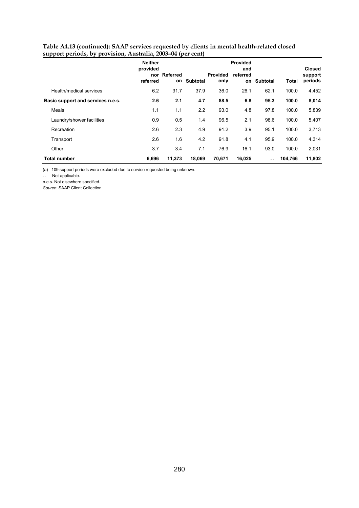| Table A4.13 (continued): SAAP services requested by clients in mental health-related closed |
|---------------------------------------------------------------------------------------------|
| support periods, by provision, Australia, 2003-04 (per cent)                                |
|                                                                                             |

|                                   | <b>Neither</b>       |                    |          |                         | <b>Provided</b>       |                 |         |                                     |
|-----------------------------------|----------------------|--------------------|----------|-------------------------|-----------------------|-----------------|---------|-------------------------------------|
|                                   | provided<br>referred | nor Referred<br>on | Subtotal | <b>Provided</b><br>only | and<br>referred<br>on | <b>Subtotal</b> | Total   | <b>Closed</b><br>support<br>periods |
| Health/medical services           | 6.2                  | 31.7               | 37.9     | 36.0                    | 26.1                  | 62.1            | 100.0   | 4,452                               |
| Basic support and services n.e.s. | 2.6                  | 2.1                | 4.7      | 88.5                    | 6.8                   | 95.3            | 100.0   | 8,014                               |
| Meals                             | 1.1                  | 1.1                | 2.2      | 93.0                    | 4.8                   | 97.8            | 100.0   | 5,839                               |
| Laundry/shower facilities         | 0.9                  | 0.5                | 1.4      | 96.5                    | 2.1                   | 98.6            | 100.0   | 5,407                               |
| Recreation                        | 2.6                  | 2.3                | 4.9      | 91.2                    | 3.9                   | 95.1            | 100.0   | 3,713                               |
| Transport                         | 2.6                  | 1.6                | 4.2      | 91.8                    | 4.1                   | 95.9            | 100.0   | 4,314                               |
| Other                             | 3.7                  | 3.4                | 7.1      | 76.9                    | 16.1                  | 93.0            | 100.0   | 2,031                               |
| <b>Total number</b>               | 6,696                | 11,373             | 18.069   | 70.671                  | 16,025                | $\sim$ $\sim$   | 104,766 | 11,802                              |

(a) 109 support periods were excluded due to service requested being unknown.

.. Not applicable.

n.e.s. Not elsewhere specified.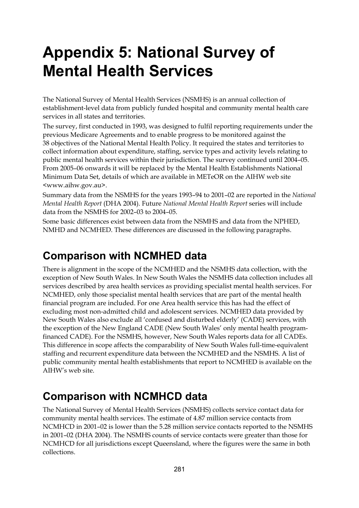# **Appendix 5: National Survey of Mental Health Services**

The National Survey of Mental Health Services (NSMHS) is an annual collection of establishment-level data from publicly funded hospital and community mental health care services in all states and territories.

The survey, first conducted in 1993, was designed to fulfil reporting requirements under the previous Medicare Agreements and to enable progress to be monitored against the 38 objectives of the National Mental Health Policy. It required the states and territories to collect information about expenditure, staffing, service types and activity levels relating to public mental health services within their jurisdiction. The survey continued until 2004–05. From 2005–06 onwards it will be replaced by the Mental Health Establishments National Minimum Data Set, details of which are available in METeOR on the AIHW web site <www.aihw.gov.au>.

Summary data from the NSMHS for the years 1993–94 to 2001–02 are reported in the *National Mental Health Report* (DHA 2004). Future *National Mental Health Report* series will include data from the NSMHS for 2002–03 to 2004–05.

Some basic differences exist between data from the NSMHS and data from the NPHED, NMHD and NCMHED. These differences are discussed in the following paragraphs.

## **Comparison with NCMHED data**

There is alignment in the scope of the NCMHED and the NSMHS data collection, with the exception of New South Wales. In New South Wales the NSMHS data collection includes all services described by area health services as providing specialist mental health services. For NCMHED, only those specialist mental health services that are part of the mental health financial program are included. For one Area health service this has had the effect of excluding most non-admitted child and adolescent services. NCMHED data provided by New South Wales also exclude all 'confused and disturbed elderly' (CADE) services, with the exception of the New England CADE (New South Wales' only mental health programfinanced CADE). For the NSMHS, however, New South Wales reports data for all CADEs. This difference in scope affects the comparability of New South Wales full-time-equivalent staffing and recurrent expenditure data between the NCMHED and the NSMHS. A list of public community mental health establishments that report to NCMHED is available on the AIHW's web site.

## **Comparison with NCMHCD data**

The National Survey of Mental Health Services (NSMHS) collects service contact data for community mental health services. The estimate of 4.87 million service contacts from NCMHCD in 2001–02 is lower than the 5.28 million service contacts reported to the NSMHS in 2001–02 (DHA 2004). The NSMHS counts of service contacts were greater than those for NCMHCD for all jurisdictions except Queensland, where the figures were the same in both collections.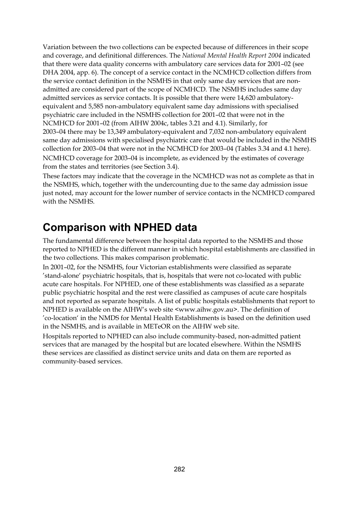Variation between the two collections can be expected because of differences in their scope and coverage, and definitional differences. The *National Mental Health Report 2004* indicated that there were data quality concerns with ambulatory care services data for 2001–02 (see DHA 2004, app. 6). The concept of a service contact in the NCMHCD collection differs from the service contact definition in the NSMHS in that only same day services that are nonadmitted are considered part of the scope of NCMHCD. The NSMHS includes same day admitted services as service contacts. It is possible that there were 14,620 ambulatoryequivalent and 5,585 non-ambulatory equivalent same day admissions with specialised psychiatric care included in the NSMHS collection for 2001–02 that were not in the NCMHCD for 2001–02 (from AIHW 2004c, tables 3.21 and 4.1). Similarly, for 2003–04 there may be 13,349 ambulatory-equivalent and 7,032 non-ambulatory equivalent same day admissions with specialised psychiatric care that would be included in the NSMHS collection for 2003–04 that were not in the NCMHCD for 2003–04 (Tables 3.34 and 4.1 here). NCMHCD coverage for 2003–04 is incomplete, as evidenced by the estimates of coverage from the states and territories (see Section 3.4).

These factors may indicate that the coverage in the NCMHCD was not as complete as that in the NSMHS, which, together with the undercounting due to the same day admission issue just noted, may account for the lower number of service contacts in the NCMHCD compared with the NSMHS.

## **Comparison with NPHED data**

The fundamental difference between the hospital data reported to the NSMHS and those reported to NPHED is the different manner in which hospital establishments are classified in the two collections. This makes comparison problematic.

In 2001–02, for the NSMHS, four Victorian establishments were classified as separate 'stand-alone' psychiatric hospitals, that is, hospitals that were not co-located with public acute care hospitals. For NPHED, one of these establishments was classified as a separate public psychiatric hospital and the rest were classified as campuses of acute care hospitals and not reported as separate hospitals. A list of public hospitals establishments that report to NPHED is available on the AIHW's web site <www.aihw.gov.au>. The definition of 'co-location' in the NMDS for Mental Health Establishments is based on the definition used in the NSMHS, and is available in METeOR on the AIHW web site.

Hospitals reported to NPHED can also include community-based, non-admitted patient services that are managed by the hospital but are located elsewhere. Within the NSMHS these services are classified as distinct service units and data on them are reported as community-based services.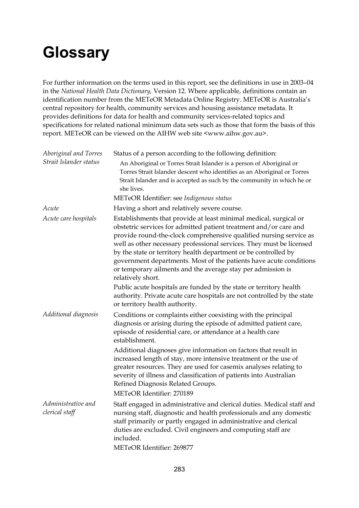# **Glossary**

For further information on the terms used in this report, see the definitions in use in 2003–04 in the *National Health Data Dictionary,* Version 12. Where applicable, definitions contain an identification number from the METeOR Metadata Online Registry. METeOR is Australia's central repository for health, community services and housing assistance metadata. It provides definitions for data for health and community services-related topics and specifications for related national minimum data sets such as those that form the basis of this report. METeOR can be viewed on the AIHW web site <www.aihw.gov.au>.

| Status of a person according to the following definition:                                                                                                                                                                                                                                                                                                                                                                                                                                                         |
|-------------------------------------------------------------------------------------------------------------------------------------------------------------------------------------------------------------------------------------------------------------------------------------------------------------------------------------------------------------------------------------------------------------------------------------------------------------------------------------------------------------------|
| An Aboriginal or Torres Strait Islander is a person of Aboriginal or<br>Torres Strait Islander descent who identifies as an Aboriginal or Torres<br>Strait Islander and is accepted as such by the community in which he or<br>she lives.                                                                                                                                                                                                                                                                         |
| METeOR Identifier: see Indigenous status                                                                                                                                                                                                                                                                                                                                                                                                                                                                          |
| Having a short and relatively severe course.                                                                                                                                                                                                                                                                                                                                                                                                                                                                      |
| Establishments that provide at least minimal medical, surgical or<br>obstetric services for admitted patient treatment and/or care and<br>provide round-the-clock comprehensive qualified nursing service as<br>well as other necessary professional services. They must be licensed<br>by the state or territory health department or be controlled by<br>government departments. Most of the patients have acute conditions<br>or temporary ailments and the average stay per admission is<br>relatively short. |
| Public acute hospitals are funded by the state or territory health<br>authority. Private acute care hospitals are not controlled by the state<br>or territory health authority.                                                                                                                                                                                                                                                                                                                                   |
| Conditions or complaints either coexisting with the principal<br>diagnosis or arising during the episode of admitted patient care,<br>episode of residential care, or attendance at a health care<br>establishment.                                                                                                                                                                                                                                                                                               |
| Additional diagnoses give information on factors that result in<br>increased length of stay, more intensive treatment or the use of<br>greater resources. They are used for casemix analyses relating to<br>severity of illness and classification of patients into Australian<br>Refined Diagnosis Related Groups.<br>METeOR Identifier: 270189                                                                                                                                                                  |
| Staff engaged in administrative and clerical duties. Medical staff and<br>nursing staff, diagnostic and health professionals and any domestic<br>staff primarily or partly engaged in administrative and clerical<br>duties are excluded. Civil engineers and computing staff are<br>included.<br>METeOR Identifier: 269877                                                                                                                                                                                       |
|                                                                                                                                                                                                                                                                                                                                                                                                                                                                                                                   |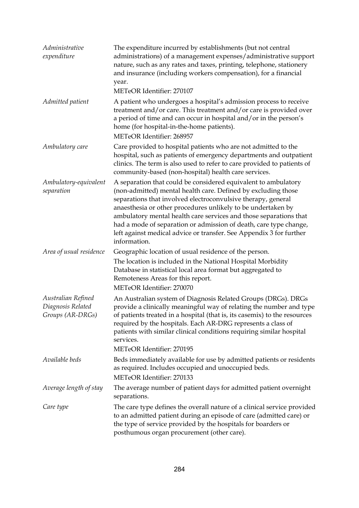| Administrative<br>expenditure                               | The expenditure incurred by establishments (but not central<br>administrations) of a management expenses/administrative support<br>nature, such as any rates and taxes, printing, telephone, stationery<br>and insurance (including workers compensation), for a financial<br>year.                                                                                                                                                                                                              |
|-------------------------------------------------------------|--------------------------------------------------------------------------------------------------------------------------------------------------------------------------------------------------------------------------------------------------------------------------------------------------------------------------------------------------------------------------------------------------------------------------------------------------------------------------------------------------|
|                                                             | METeOR Identifier: 270107                                                                                                                                                                                                                                                                                                                                                                                                                                                                        |
| Admitted patient                                            | A patient who undergoes a hospital's admission process to receive<br>treatment and/or care. This treatment and/or care is provided over<br>a period of time and can occur in hospital and/or in the person's<br>home (for hospital-in-the-home patients).<br>METeOR Identifier: 268957                                                                                                                                                                                                           |
| Ambulatory care                                             | Care provided to hospital patients who are not admitted to the<br>hospital, such as patients of emergency departments and outpatient<br>clinics. The term is also used to refer to care provided to patients of<br>community-based (non-hospital) health care services.                                                                                                                                                                                                                          |
| Ambulatory-equivalent<br>separation                         | A separation that could be considered equivalent to ambulatory<br>(non-admitted) mental health care. Defined by excluding those<br>separations that involved electroconvulsive therapy, general<br>anaesthesia or other procedures unlikely to be undertaken by<br>ambulatory mental health care services and those separations that<br>had a mode of separation or admission of death, care type change,<br>left against medical advice or transfer. See Appendix 3 for further<br>information. |
| Area of usual residence                                     | Geographic location of usual residence of the person.<br>The location is included in the National Hospital Morbidity<br>Database in statistical local area format but aggregated to<br>Remoteness Areas for this report.<br>METeOR Identifier: 270070                                                                                                                                                                                                                                            |
| Australian Refined<br>Diagnosis Related<br>Groups (AR-DRGs) | An Australian system of Diagnosis Related Groups (DRGs). DRGs<br>provide a clinically meaningful way of relating the number and type<br>of patients treated in a hospital (that is, its casemix) to the resources<br>required by the hospitals. Each AR-DRG represents a class of<br>patients with similar clinical conditions requiring similar hospital<br>services.<br>METeOR Identifier: 270195                                                                                              |
| Available beds                                              | Beds immediately available for use by admitted patients or residents                                                                                                                                                                                                                                                                                                                                                                                                                             |
|                                                             | as required. Includes occupied and unoccupied beds.<br>METeOR Identifier: 270133                                                                                                                                                                                                                                                                                                                                                                                                                 |
| Average length of stay                                      | The average number of patient days for admitted patient overnight<br>separations.                                                                                                                                                                                                                                                                                                                                                                                                                |
| Care type                                                   | The care type defines the overall nature of a clinical service provided<br>to an admitted patient during an episode of care (admitted care) or<br>the type of service provided by the hospitals for boarders or<br>posthumous organ procurement (other care).                                                                                                                                                                                                                                    |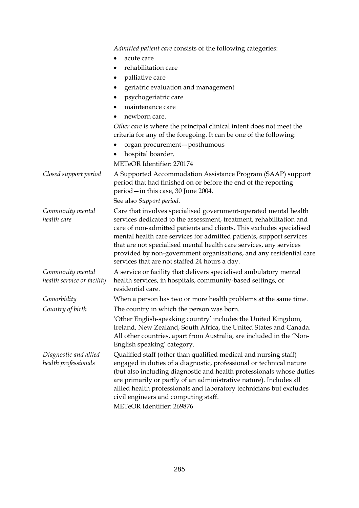*Admitted patient care* consists of the following categories:

- acute care
- rehabilitation care
- palliative care
- geriatric evaluation and management
- psychogeriatric care
- maintenance care
- newborn care.

*Other care* is where the principal clinical intent does not meet the criteria for any of the foregoing. It can be one of the following:

- organ procurement—posthumous
- hospital boarder.

METeOR Identifier: 270174

*Closed support period* A Supported Accommodation Assistance Program (SAAP) support period that had finished on or before the end of the reporting period—in this case, 30 June 2004. See also *Support period*. *Community mental health care*  Care that involves specialised government-operated mental health services dedicated to the assessment, treatment, rehabilitation and care of non-admitted patients and clients. This excludes specialised mental health care services for admitted patients, support services that are not specialised mental health care services, any services provided by non-government organisations, and any residential care services that are not staffed 24 hours a day. *Community mental health service or facility*  A service or facility that delivers specialised ambulatory mental health services, in hospitals, community-based settings, or residential care. *Comorbidity* When a person has two or more health problems at the same time. *Country of birth* The country in which the person was born. 'Other English-speaking country' includes the United Kingdom, Ireland, New Zealand, South Africa, the United States and Canada. All other countries, apart from Australia, are included in the 'Non-English speaking' category. *Diagnostic and allied health professionals*  Qualified staff (other than qualified medical and nursing staff) engaged in duties of a diagnostic, professional or technical nature (but also including diagnostic and health professionals whose duties are primarily or partly of an administrative nature). Includes all allied health professionals and laboratory technicians but excludes civil engineers and computing staff.

METeOR Identifier: 269876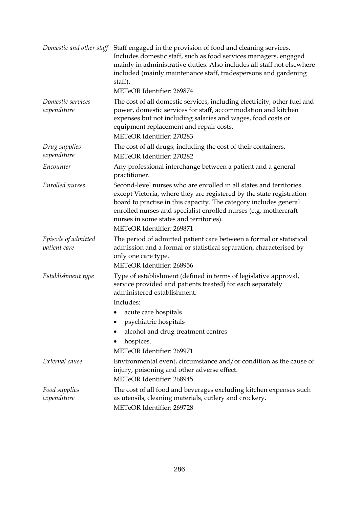| Domestic and other staff            | Staff engaged in the provision of food and cleaning services.<br>Includes domestic staff, such as food services managers, engaged<br>mainly in administrative duties. Also includes all staff not elsewhere<br>included (mainly maintenance staff, tradespersons and gardening<br>staff).<br>METeOR Identifier: 269874                                      |
|-------------------------------------|-------------------------------------------------------------------------------------------------------------------------------------------------------------------------------------------------------------------------------------------------------------------------------------------------------------------------------------------------------------|
| Domestic services<br>expenditure    | The cost of all domestic services, including electricity, other fuel and<br>power, domestic services for staff, accommodation and kitchen<br>expenses but not including salaries and wages, food costs or<br>equipment replacement and repair costs.<br>METeOR Identifier: 270283                                                                           |
| Drug supplies<br>expenditure        | The cost of all drugs, including the cost of their containers.<br>METeOR Identifier: 270282                                                                                                                                                                                                                                                                 |
| Encounter                           | Any professional interchange between a patient and a general<br>practitioner.                                                                                                                                                                                                                                                                               |
| Enrolled nurses                     | Second-level nurses who are enrolled in all states and territories<br>except Victoria, where they are registered by the state registration<br>board to practise in this capacity. The category includes general<br>enrolled nurses and specialist enrolled nurses (e.g. mothercraft<br>nurses in some states and territories).<br>METeOR Identifier: 269871 |
| Episode of admitted<br>patient care | The period of admitted patient care between a formal or statistical<br>admission and a formal or statistical separation, characterised by<br>only one care type.<br>METeOR Identifier: 268956                                                                                                                                                               |
| Establishment type                  | Type of establishment (defined in terms of legislative approval,<br>service provided and patients treated) for each separately<br>administered establishment.<br>Includes:                                                                                                                                                                                  |
|                                     | • acute care hospitals                                                                                                                                                                                                                                                                                                                                      |
|                                     | psychiatric hospitals                                                                                                                                                                                                                                                                                                                                       |
|                                     | alcohol and drug treatment centres                                                                                                                                                                                                                                                                                                                          |
|                                     | hospices.                                                                                                                                                                                                                                                                                                                                                   |
|                                     | METeOR Identifier: 269971                                                                                                                                                                                                                                                                                                                                   |
| External cause                      | Environmental event, circumstance and/or condition as the cause of<br>injury, poisoning and other adverse effect.<br>METeOR Identifier: 268945                                                                                                                                                                                                              |
| Food supplies<br>expenditure        | The cost of all food and beverages excluding kitchen expenses such<br>as utensils, cleaning materials, cutlery and crockery.<br>METeOR Identifier: 269728                                                                                                                                                                                                   |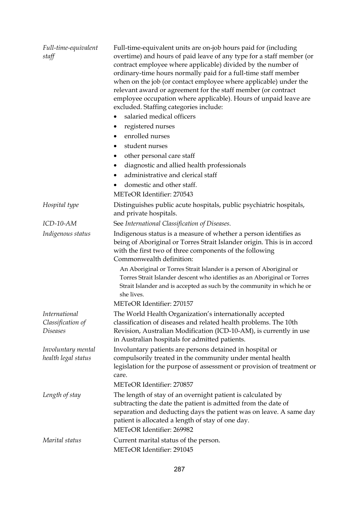| Full-time-equivalent<br>staff                                | Full-time-equivalent units are on-job hours paid for (including<br>overtime) and hours of paid leave of any type for a staff member (or<br>contract employee where applicable) divided by the number of<br>ordinary-time hours normally paid for a full-time staff member<br>when on the job (or contact employee where applicable) under the<br>relevant award or agreement for the staff member (or contract<br>employee occupation where applicable). Hours of unpaid leave are<br>excluded. Staffing categories include:<br>salaried medical officers<br>registered nurses<br>٠<br>enrolled nurses<br>٠<br>student nurses<br>٠<br>other personal care staff<br>٠<br>diagnostic and allied health professionals<br>٠<br>administrative and clerical staff<br>domestic and other staff.<br>METeOR Identifier: 270543 |
|--------------------------------------------------------------|------------------------------------------------------------------------------------------------------------------------------------------------------------------------------------------------------------------------------------------------------------------------------------------------------------------------------------------------------------------------------------------------------------------------------------------------------------------------------------------------------------------------------------------------------------------------------------------------------------------------------------------------------------------------------------------------------------------------------------------------------------------------------------------------------------------------|
| Hospital type                                                | Distinguishes public acute hospitals, public psychiatric hospitals,<br>and private hospitals.                                                                                                                                                                                                                                                                                                                                                                                                                                                                                                                                                                                                                                                                                                                          |
| ICD-10-AM                                                    | See International Classification of Diseases.                                                                                                                                                                                                                                                                                                                                                                                                                                                                                                                                                                                                                                                                                                                                                                          |
| Indigenous status                                            | Indigenous status is a measure of whether a person identifies as<br>being of Aboriginal or Torres Strait Islander origin. This is in accord<br>with the first two of three components of the following<br>Commonwealth definition:                                                                                                                                                                                                                                                                                                                                                                                                                                                                                                                                                                                     |
|                                                              | An Aboriginal or Torres Strait Islander is a person of Aboriginal or<br>Torres Strait Islander descent who identifies as an Aboriginal or Torres<br>Strait Islander and is accepted as such by the community in which he or<br>she lives.                                                                                                                                                                                                                                                                                                                                                                                                                                                                                                                                                                              |
|                                                              | METeOR Identifier: 270157                                                                                                                                                                                                                                                                                                                                                                                                                                                                                                                                                                                                                                                                                                                                                                                              |
| <i>International</i><br>Classification of<br><b>Diseases</b> | The World Health Organization's internationally accepted<br>classification of diseases and related health problems. The 10th<br>Revision, Australian Modification (ICD-10-AM), is currently in use<br>in Australian hospitals for admitted patients.                                                                                                                                                                                                                                                                                                                                                                                                                                                                                                                                                                   |
| Involuntary mental<br>health legal status                    | Involuntary patients are persons detained in hospital or<br>compulsorily treated in the community under mental health<br>legislation for the purpose of assessment or provision of treatment or<br>care.                                                                                                                                                                                                                                                                                                                                                                                                                                                                                                                                                                                                               |
|                                                              | METeOR Identifier: 270857                                                                                                                                                                                                                                                                                                                                                                                                                                                                                                                                                                                                                                                                                                                                                                                              |
| Length of stay                                               | The length of stay of an overnight patient is calculated by<br>subtracting the date the patient is admitted from the date of<br>separation and deducting days the patient was on leave. A same day<br>patient is allocated a length of stay of one day.<br>METeOR Identifier: 269982                                                                                                                                                                                                                                                                                                                                                                                                                                                                                                                                   |
| Marital status                                               | Current marital status of the person.<br>METeOR Identifier: 291045                                                                                                                                                                                                                                                                                                                                                                                                                                                                                                                                                                                                                                                                                                                                                     |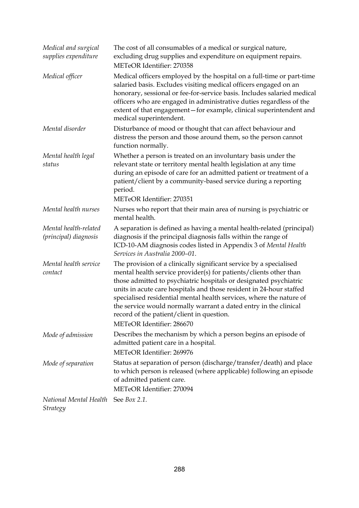| Medical and surgical<br>supplies expenditure   | The cost of all consumables of a medical or surgical nature,<br>excluding drug supplies and expenditure on equipment repairs.<br>METeOR Identifier: 270358                                                                                                                                                                                                                                                                                                                                               |
|------------------------------------------------|----------------------------------------------------------------------------------------------------------------------------------------------------------------------------------------------------------------------------------------------------------------------------------------------------------------------------------------------------------------------------------------------------------------------------------------------------------------------------------------------------------|
| Medical officer                                | Medical officers employed by the hospital on a full-time or part-time<br>salaried basis. Excludes visiting medical officers engaged on an<br>honorary, sessional or fee-for-service basis. Includes salaried medical<br>officers who are engaged in administrative duties regardless of the<br>extent of that engagement-for example, clinical superintendent and<br>medical superintendent.                                                                                                             |
| Mental disorder                                | Disturbance of mood or thought that can affect behaviour and<br>distress the person and those around them, so the person cannot<br>function normally.                                                                                                                                                                                                                                                                                                                                                    |
| Mental health legal<br>status                  | Whether a person is treated on an involuntary basis under the<br>relevant state or territory mental health legislation at any time<br>during an episode of care for an admitted patient or treatment of a<br>patient/client by a community-based service during a reporting<br>period.<br>METeOR Identifier: 270351                                                                                                                                                                                      |
| Mental health nurses                           | Nurses who report that their main area of nursing is psychiatric or<br>mental health.                                                                                                                                                                                                                                                                                                                                                                                                                    |
| Mental health-related<br>(principal) diagnosis | A separation is defined as having a mental health-related (principal)<br>diagnosis if the principal diagnosis falls within the range of<br>ICD-10-AM diagnosis codes listed in Appendix 3 of Mental Health<br>Services in Australia 2000-01.                                                                                                                                                                                                                                                             |
| Mental health service<br>contact               | The provision of a clinically significant service by a specialised<br>mental health service provider(s) for patients/clients other than<br>those admitted to psychiatric hospitals or designated psychiatric<br>units in acute care hospitals and those resident in 24-hour staffed<br>specialised residential mental health services, where the nature of<br>the service would normally warrant a dated entry in the clinical<br>record of the patient/client in question.<br>METeOR Identifier: 286670 |
| Mode of admission                              | Describes the mechanism by which a person begins an episode of<br>admitted patient care in a hospital.<br>METeOR Identifier: 269976                                                                                                                                                                                                                                                                                                                                                                      |
| Mode of separation                             | Status at separation of person (discharge/transfer/death) and place<br>to which person is released (where applicable) following an episode<br>of admitted patient care.<br>METeOR Identifier: 270094                                                                                                                                                                                                                                                                                                     |
| National Mental Health<br>Strategy             | See <i>Box</i> 2.1.                                                                                                                                                                                                                                                                                                                                                                                                                                                                                      |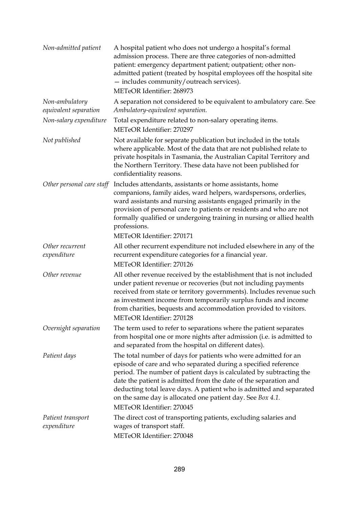| Non-admitted patient                    | A hospital patient who does not undergo a hospital's formal<br>admission process. There are three categories of non-admitted<br>patient: emergency department patient; outpatient; other non-<br>admitted patient (treated by hospital employees off the hospital site<br>- includes community/outreach services).<br>METeOR Identifier: 268973                                                                                               |
|-----------------------------------------|-----------------------------------------------------------------------------------------------------------------------------------------------------------------------------------------------------------------------------------------------------------------------------------------------------------------------------------------------------------------------------------------------------------------------------------------------|
| Non-ambulatory<br>equivalent separation | A separation not considered to be equivalent to ambulatory care. See<br>Ambulatory-equivalent separation.                                                                                                                                                                                                                                                                                                                                     |
| Non-salary expenditure                  | Total expenditure related to non-salary operating items.<br>METeOR Identifier: 270297                                                                                                                                                                                                                                                                                                                                                         |
| Not published                           | Not available for separate publication but included in the totals<br>where applicable. Most of the data that are not published relate to<br>private hospitals in Tasmania, the Australian Capital Territory and<br>the Northern Territory. These data have not been published for<br>confidentiality reasons.                                                                                                                                 |
| Other personal care staff               | Includes attendants, assistants or home assistants, home<br>companions, family aides, ward helpers, wardspersons, orderlies,<br>ward assistants and nursing assistants engaged primarily in the<br>provision of personal care to patients or residents and who are not<br>formally qualified or undergoing training in nursing or allied health<br>professions.<br>METeOR Identifier: 270171                                                  |
| Other recurrent<br>expenditure          | All other recurrent expenditure not included elsewhere in any of the<br>recurrent expenditure categories for a financial year.<br>METeOR Identifier: 270126                                                                                                                                                                                                                                                                                   |
| Other revenue                           | All other revenue received by the establishment that is not included<br>under patient revenue or recoveries (but not including payments<br>received from state or territory governments). Includes revenue such<br>as investment income from temporarily surplus funds and income<br>from charities, bequests and accommodation provided to visitors.<br>METeOR Identifier: 270128                                                            |
| Overnight separation                    | The term used to refer to separations where the patient separates<br>from hospital one or more nights after admission (i.e. is admitted to<br>and separated from the hospital on different dates).                                                                                                                                                                                                                                            |
| Patient days                            | The total number of days for patients who were admitted for an<br>episode of care and who separated during a specified reference<br>period. The number of patient days is calculated by subtracting the<br>date the patient is admitted from the date of the separation and<br>deducting total leave days. A patient who is admitted and separated<br>on the same day is allocated one patient day. See Box 4.1.<br>METeOR Identifier: 270045 |
| Patient transport<br>expenditure        | The direct cost of transporting patients, excluding salaries and<br>wages of transport staff.<br>METeOR Identifier: 270048                                                                                                                                                                                                                                                                                                                    |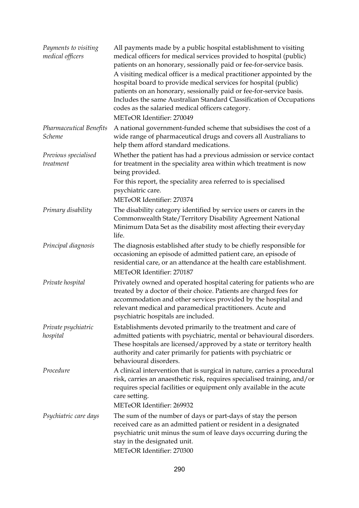| Payments to visiting<br>medical officers | All payments made by a public hospital establishment to visiting<br>medical officers for medical services provided to hospital (public)<br>patients on an honorary, sessionally paid or fee-for-service basis.<br>A visiting medical officer is a medical practitioner appointed by the<br>hospital board to provide medical services for hospital (public)<br>patients on an honorary, sessionally paid or fee-for-service basis.<br>Includes the same Australian Standard Classification of Occupations<br>codes as the salaried medical officers category.<br>METeOR Identifier: 270049 |
|------------------------------------------|--------------------------------------------------------------------------------------------------------------------------------------------------------------------------------------------------------------------------------------------------------------------------------------------------------------------------------------------------------------------------------------------------------------------------------------------------------------------------------------------------------------------------------------------------------------------------------------------|
| <b>Pharmaceutical Benefits</b><br>Scheme | A national government-funded scheme that subsidises the cost of a<br>wide range of pharmaceutical drugs and covers all Australians to<br>help them afford standard medications.                                                                                                                                                                                                                                                                                                                                                                                                            |
| Previous specialised<br>treatment        | Whether the patient has had a previous admission or service contact<br>for treatment in the speciality area within which treatment is now<br>being provided.<br>For this report, the speciality area referred to is specialised<br>psychiatric care.                                                                                                                                                                                                                                                                                                                                       |
|                                          | METeOR Identifier: 270374                                                                                                                                                                                                                                                                                                                                                                                                                                                                                                                                                                  |
| Primary disability                       | The disability category identified by service users or carers in the<br>Commonwealth State/Territory Disability Agreement National<br>Minimum Data Set as the disability most affecting their everyday<br>life.                                                                                                                                                                                                                                                                                                                                                                            |
| Principal diagnosis                      | The diagnosis established after study to be chiefly responsible for<br>occasioning an episode of admitted patient care, an episode of<br>residential care, or an attendance at the health care establishment.<br>METeOR Identifier: 270187                                                                                                                                                                                                                                                                                                                                                 |
| Private hospital                         | Privately owned and operated hospital catering for patients who are<br>treated by a doctor of their choice. Patients are charged fees for<br>accommodation and other services provided by the hospital and<br>relevant medical and paramedical practitioners. Acute and<br>psychiatric hospitals are included.                                                                                                                                                                                                                                                                             |
| Private psychiatric<br>hospital          | Establishments devoted primarily to the treatment and care of<br>admitted patients with psychiatric, mental or behavioural disorders.<br>These hospitals are licensed/approved by a state or territory health<br>authority and cater primarily for patients with psychiatric or<br>behavioural disorders.                                                                                                                                                                                                                                                                                  |
| Procedure                                | A clinical intervention that is surgical in nature, carries a procedural<br>risk, carries an anaesthetic risk, requires specialised training, and/or<br>requires special facilities or equipment only available in the acute<br>care setting.<br>METeOR Identifier: 269932                                                                                                                                                                                                                                                                                                                 |
| Psychiatric care days                    | The sum of the number of days or part-days of stay the person<br>received care as an admitted patient or resident in a designated<br>psychiatric unit minus the sum of leave days occurring during the<br>stay in the designated unit.<br>METeOR Identifier: 270300                                                                                                                                                                                                                                                                                                                        |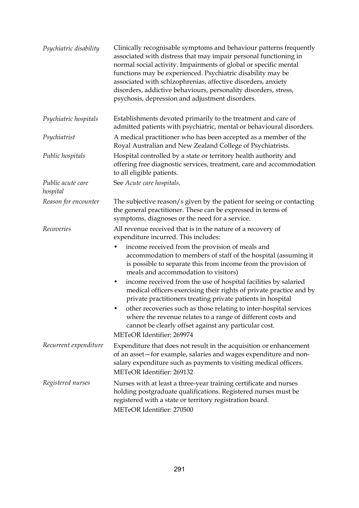| Psychiatric disability        | Clinically recognisable symptoms and behaviour patterns frequently<br>associated with distress that may impair personal functioning in<br>normal social activity. Impairments of global or specific mental<br>functions may be experienced. Psychiatric disability may be<br>associated with schizophrenias, affective disorders, anxiety<br>disorders, addictive behaviours, personality disorders, stress,<br>psychosis, depression and adjustment disorders.                                                                                                                                                                                                                                                                                                             |
|-------------------------------|-----------------------------------------------------------------------------------------------------------------------------------------------------------------------------------------------------------------------------------------------------------------------------------------------------------------------------------------------------------------------------------------------------------------------------------------------------------------------------------------------------------------------------------------------------------------------------------------------------------------------------------------------------------------------------------------------------------------------------------------------------------------------------|
| Psychiatric hospitals         | Establishments devoted primarily to the treatment and care of<br>admitted patients with psychiatric, mental or behavioural disorders.                                                                                                                                                                                                                                                                                                                                                                                                                                                                                                                                                                                                                                       |
| Psychiatrist                  | A medical practitioner who has been accepted as a member of the<br>Royal Australian and New Zealand College of Psychiatrists.                                                                                                                                                                                                                                                                                                                                                                                                                                                                                                                                                                                                                                               |
| Public hospitals              | Hospital controlled by a state or territory health authority and<br>offering free diagnostic services, treatment, care and accommodation<br>to all eligible patients.                                                                                                                                                                                                                                                                                                                                                                                                                                                                                                                                                                                                       |
| Public acute care<br>hospital | See Acute care hospitals.                                                                                                                                                                                                                                                                                                                                                                                                                                                                                                                                                                                                                                                                                                                                                   |
| Reason for encounter          | The subjective reason/s given by the patient for seeing or contacting<br>the general practitioner. These can be expressed in terms of<br>symptoms, diagnoses or the need for a service.                                                                                                                                                                                                                                                                                                                                                                                                                                                                                                                                                                                     |
| Recoveries                    | All revenue received that is in the nature of a recovery of<br>expenditure incurred. This includes:<br>income received from the provision of meals and<br>accommodation to members of staff of the hospital (assuming it<br>is possible to separate this from income from the provision of<br>meals and accommodation to visitors)<br>income received from the use of hospital facilities by salaried<br>٠<br>medical officers exercising their rights of private practice and by<br>private practitioners treating private patients in hospital<br>other recoveries such as those relating to inter-hospital services<br>where the revenue relates to a range of different costs and<br>cannot be clearly offset against any particular cost.<br>METeOR Identifier: 269974 |
| Recurrent expenditure         | Expenditure that does not result in the acquisition or enhancement<br>of an asset-for example, salaries and wages expenditure and non-<br>salary expenditure such as payments to visiting medical officers.<br>METeOR Identifier: 269132                                                                                                                                                                                                                                                                                                                                                                                                                                                                                                                                    |
| Registered nurses             | Nurses with at least a three-year training certificate and nurses<br>holding postgraduate qualifications. Registered nurses must be<br>registered with a state or territory registration board.<br>METeOR Identifier: 270500                                                                                                                                                                                                                                                                                                                                                                                                                                                                                                                                                |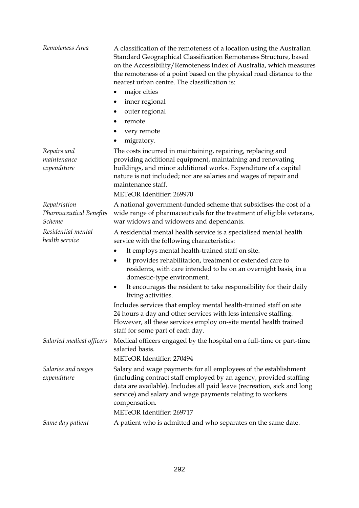| Remoteness Area                                                 | A classification of the remoteness of a location using the Australian<br>Standard Geographical Classification Remoteness Structure, based<br>on the Accessibility/Remoteness Index of Australia, which measures<br>the remoteness of a point based on the physical road distance to the<br>nearest urban centre. The classification is: |
|-----------------------------------------------------------------|-----------------------------------------------------------------------------------------------------------------------------------------------------------------------------------------------------------------------------------------------------------------------------------------------------------------------------------------|
|                                                                 | major cities<br>٠                                                                                                                                                                                                                                                                                                                       |
|                                                                 | inner regional<br>٠                                                                                                                                                                                                                                                                                                                     |
|                                                                 | outer regional                                                                                                                                                                                                                                                                                                                          |
|                                                                 | remote<br>٠                                                                                                                                                                                                                                                                                                                             |
|                                                                 | very remote<br>٠                                                                                                                                                                                                                                                                                                                        |
|                                                                 | migratory.<br>٠                                                                                                                                                                                                                                                                                                                         |
| Repairs and<br>maintenance<br>expenditure                       | The costs incurred in maintaining, repairing, replacing and<br>providing additional equipment, maintaining and renovating<br>buildings, and minor additional works. Expenditure of a capital<br>nature is not included; nor are salaries and wages of repair and<br>maintenance staff.                                                  |
|                                                                 | METeOR Identifier: 269970                                                                                                                                                                                                                                                                                                               |
| Repatriation<br><b>Pharmaceutical Benefits</b><br><b>Scheme</b> | A national government-funded scheme that subsidises the cost of a<br>wide range of pharmaceuticals for the treatment of eligible veterans,<br>war widows and widowers and dependants.                                                                                                                                                   |
| Residential mental<br>health service                            | A residential mental health service is a specialised mental health<br>service with the following characteristics:                                                                                                                                                                                                                       |
|                                                                 | It employs mental health-trained staff on site.<br>٠                                                                                                                                                                                                                                                                                    |
|                                                                 | It provides rehabilitation, treatment or extended care to<br>٠<br>residents, with care intended to be on an overnight basis, in a<br>domestic-type environment.                                                                                                                                                                         |
|                                                                 | It encourages the resident to take responsibility for their daily<br>$\bullet$<br>living activities.                                                                                                                                                                                                                                    |
|                                                                 | Includes services that employ mental health-trained staff on site<br>24 hours a day and other services with less intensive staffing.<br>However, all these services employ on-site mental health trained<br>staff for some part of each day.                                                                                            |
| Salaried medical officers                                       | Medical officers engaged by the hospital on a full-time or part-time<br>salaried basis.                                                                                                                                                                                                                                                 |
|                                                                 | METeOR Identifier: 270494                                                                                                                                                                                                                                                                                                               |
| Salaries and wages<br>expenditure                               | Salary and wage payments for all employees of the establishment<br>(including contract staff employed by an agency, provided staffing<br>data are available). Includes all paid leave (recreation, sick and long<br>service) and salary and wage payments relating to workers<br>compensation.                                          |
|                                                                 | METeOR Identifier: 269717                                                                                                                                                                                                                                                                                                               |
| Same day patient                                                | A patient who is admitted and who separates on the same date.                                                                                                                                                                                                                                                                           |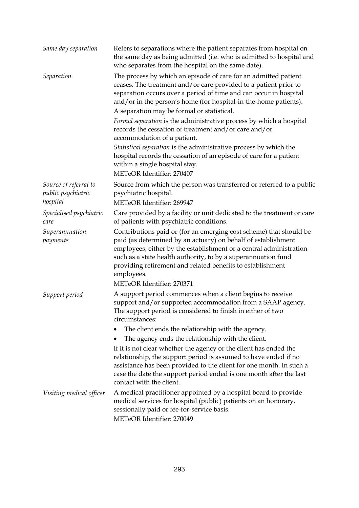| Same day separation                                     | Refers to separations where the patient separates from hospital on<br>the same day as being admitted (i.e. who is admitted to hospital and<br>who separates from the hospital on the same date).                                                                                                                                                                                                                                                                                          |
|---------------------------------------------------------|-------------------------------------------------------------------------------------------------------------------------------------------------------------------------------------------------------------------------------------------------------------------------------------------------------------------------------------------------------------------------------------------------------------------------------------------------------------------------------------------|
| Separation                                              | The process by which an episode of care for an admitted patient<br>ceases. The treatment and/or care provided to a patient prior to<br>separation occurs over a period of time and can occur in hospital<br>and/or in the person's home (for hospital-in-the-home patients).<br>A separation may be formal or statistical.<br>Formal separation is the administrative process by which a hospital<br>records the cessation of treatment and/or care and/or<br>accommodation of a patient. |
|                                                         | Statistical separation is the administrative process by which the<br>hospital records the cessation of an episode of care for a patient<br>within a single hospital stay.<br>METeOR Identifier: 270407                                                                                                                                                                                                                                                                                    |
| Source of referral to<br>public psychiatric<br>hospital | Source from which the person was transferred or referred to a public<br>psychiatric hospital.<br>METeOR Identifier: 269947                                                                                                                                                                                                                                                                                                                                                                |
| Specialised psychiatric<br>care                         | Care provided by a facility or unit dedicated to the treatment or care<br>of patients with psychiatric conditions.                                                                                                                                                                                                                                                                                                                                                                        |
| Superannuation<br>payments                              | Contributions paid or (for an emerging cost scheme) that should be<br>paid (as determined by an actuary) on behalf of establishment<br>employees, either by the establishment or a central administration<br>such as a state health authority, to by a superannuation fund<br>providing retirement and related benefits to establishment<br>employees.                                                                                                                                    |
|                                                         | METeOR Identifier: 270371                                                                                                                                                                                                                                                                                                                                                                                                                                                                 |
| Support period                                          | A support period commences when a client begins to receive<br>support and/or supported accommodation from a SAAP agency.<br>The support period is considered to finish in either of two<br>circumstances:                                                                                                                                                                                                                                                                                 |
|                                                         | The client ends the relationship with the agency.                                                                                                                                                                                                                                                                                                                                                                                                                                         |
|                                                         | The agency ends the relationship with the client.                                                                                                                                                                                                                                                                                                                                                                                                                                         |
|                                                         | If it is not clear whether the agency or the client has ended the<br>relationship, the support period is assumed to have ended if no<br>assistance has been provided to the client for one month. In such a<br>case the date the support period ended is one month after the last<br>contact with the client.                                                                                                                                                                             |
| Visiting medical officer                                | A medical practitioner appointed by a hospital board to provide<br>medical services for hospital (public) patients on an honorary,<br>sessionally paid or fee-for-service basis.<br>METeOR Identifier: 270049                                                                                                                                                                                                                                                                             |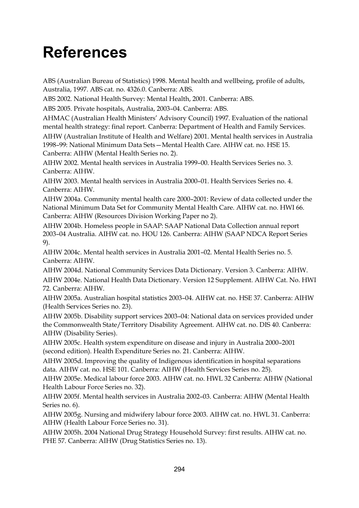## **References**

ABS (Australian Bureau of Statistics) 1998. Mental health and wellbeing, profile of adults, Australia, 1997. ABS cat. no. 4326.0. Canberra: ABS.

ABS 2002. National Health Survey: Mental Health, 2001. Canberra: ABS.

ABS 2005. Private hospitals, Australia, 2003–04. Canberra: ABS.

AHMAC (Australian Health Ministers' Advisory Council) 1997. Evaluation of the national mental health strategy: final report. Canberra: Department of Health and Family Services. AIHW (Australian Institute of Health and Welfare) 2001. Mental health services in Australia 1998–99: National Minimum Data Sets—Mental Health Care. AIHW cat. no. HSE 15. Canberra: AIHW (Mental Health Series no. 2).

AIHW 2002. Mental health services in Australia 1999–00. Health Services Series no. 3. Canberra: AIHW.

AIHW 2003. Mental health services in Australia 2000–01. Health Services Series no. 4. Canberra: AIHW.

AIHW 2004a. Community mental health care 2000–2001: Review of data collected under the National Minimum Data Set for Community Mental Health Care. AIHW cat. no. HWI 66. Canberra: AIHW (Resources Division Working Paper no 2).

AIHW 2004b. Homeless people in SAAP: SAAP National Data Collection annual report 2003–04 Australia. AIHW cat. no. HOU 126. Canberra: AIHW (SAAP NDCA Report Series 9).

AIHW 2004c. Mental health services in Australia 2001–02. Mental Health Series no. 5. Canberra: AIHW.

AIHW 2004d. National Community Services Data Dictionary. Version 3. Canberra: AIHW. AIHW 2004e. National Health Data Dictionary. Version 12 Supplement. AIHW Cat. No. HWI 72. Canberra: AIHW.

AIHW 2005a. Australian hospital statistics 2003–04. AIHW cat. no. HSE 37. Canberra: AIHW (Health Services Series no. 23).

AIHW 2005b. Disability support services 2003–04: National data on services provided under the Commonwealth State/Territory Disability Agreement. AIHW cat. no. DIS 40. Canberra: AIHW (Disability Series).

AIHW 2005c. Health system expenditure on disease and injury in Australia 2000–2001 (second edition). Health Expenditure Series no. 21. Canberra: AIHW.

AIHW 2005d. Improving the quality of Indigenous identification in hospital separations data. AIHW cat. no. HSE 101. Canberra: AIHW (Health Services Series no. 25).

AIHW 2005e. Medical labour force 2003. AIHW cat. no. HWL 32 Canberra: AIHW (National Health Labour Force Series no. 32).

AIHW 2005f. Mental health services in Australia 2002–03. Canberra: AIHW (Mental Health Series no. 6).

AIHW 2005g. Nursing and midwifery labour force 2003. AIHW cat. no. HWL 31. Canberra: AIHW (Health Labour Force Series no. 31).

AIHW 2005h. 2004 National Drug Strategy Household Survey: first results. AIHW cat. no. PHE 57. Canberra: AIHW (Drug Statistics Series no. 13).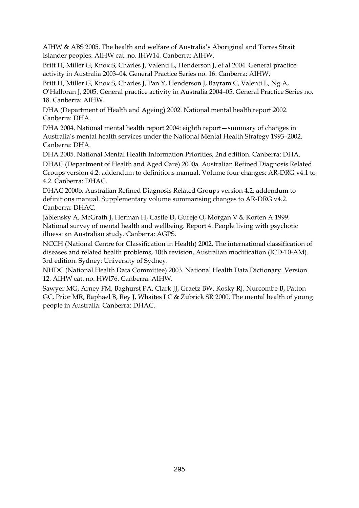AIHW & ABS 2005. The health and welfare of Australia's Aboriginal and Torres Strait Islander peoples. AIHW cat. no. IHW14. Canberra: AIHW.

Britt H, Miller G, Knox S, Charles J, Valenti L, Henderson J, et al 2004. General practice activity in Australia 2003–04. General Practice Series no. 16. Canberra: AIHW.

Britt H, Miller G, Knox S, Charles J, Pan Y, Henderson J, Bayram C, Valenti L, Ng A, O'Halloran J, 2005. General practice activity in Australia 2004–05. General Practice Series no. 18. Canberra: AIHW.

DHA (Department of Health and Ageing) 2002. National mental health report 2002. Canberra: DHA.

DHA 2004. National mental health report 2004: eighth report—summary of changes in Australia's mental health services under the National Mental Health Strategy 1993–2002. Canberra: DHA.

DHA 2005. National Mental Health Information Priorities, 2nd edition. Canberra: DHA.

DHAC (Department of Health and Aged Care) 2000a. Australian Refined Diagnosis Related Groups version 4.2: addendum to definitions manual. Volume four changes: AR-DRG v4.1 to 4.2. Canberra: DHAC.

DHAC 2000b. Australian Refined Diagnosis Related Groups version 4.2: addendum to definitions manual. Supplementary volume summarising changes to AR-DRG v4.2. Canberra: DHAC.

Jablensky A, McGrath J, Herman H, Castle D, Gureje O, Morgan V & Korten A 1999. National survey of mental health and wellbeing. Report 4. People living with psychotic illness: an Australian study. Canberra: AGPS.

NCCH (National Centre for Classification in Health) 2002. The international classification of diseases and related health problems, 10th revision, Australian modification (ICD-10-AM). 3rd edition. Sydney: University of Sydney.

NHDC (National Health Data Committee) 2003. National Health Data Dictionary. Version 12. AIHW cat. no. HWI76. Canberra: AIHW.

Sawyer MG, Arney FM, Baghurst PA, Clark JJ, Graetz BW, Kosky RJ, Nurcombe B, Patton GC, Prior MR, Raphael B, Rey J, Whaites LC & Zubrick SR 2000. The mental health of young people in Australia. Canberra: DHAC.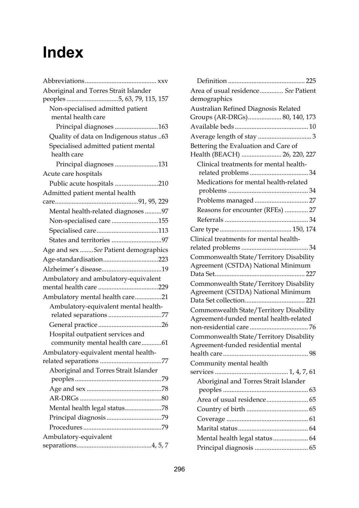## **Index**

| Aboriginal and Torres Strait Islander              |
|----------------------------------------------------|
| peoples 5, 63, 79, 115, 157                        |
| Non-specialised admitted patient                   |
| mental health care                                 |
| Principal diagnoses 163                            |
| Quality of data on Indigenous status 63            |
| Specialised admitted patient mental<br>health care |
| Principal diagnoses 131                            |
| Acute care hospitals                               |
| Public acute hospitals 210                         |
| Admitted patient mental health                     |
|                                                    |
| Mental health-related diagnoses97                  |
| Non-specialised care 155                           |
|                                                    |
| States and territories 97                          |
| Age and sex  See Patient demographics              |
| Age-standardisation223                             |
|                                                    |
| Ambulatory and ambulatory-equivalent               |
|                                                    |
| Ambulatory mental health care21                    |
| Ambulatory-equivalent mental health-               |
| related separations 77                             |
|                                                    |
| Hospital outpatient services and                   |
| community mental health care61                     |
| Ambulatory-equivalent mental health-               |
|                                                    |
| Aboriginal and Torres Strait Islander              |
|                                                    |
|                                                    |
| Mental health legal status78                       |
|                                                    |
|                                                    |
| Ambulatory-equivalent                              |
|                                                    |
|                                                    |

| Area of usual residence See Patient     |
|-----------------------------------------|
| demographics                            |
| Australian Refined Diagnosis Related    |
| Groups (AR-DRGs) 80, 140, 173           |
|                                         |
|                                         |
| Bettering the Evaluation and Care of    |
| Health (BEACH)  26, 220, 227            |
| Clinical treatments for mental health-  |
|                                         |
| Medications for mental health-related   |
|                                         |
| Problems managed  27                    |
| Reasons for encounter (RFEs)  27        |
|                                         |
|                                         |
| Clinical treatments for mental health-  |
|                                         |
| Commonwealth State/Territory Disability |
| Agreement (CSTDA) National Minimum      |
|                                         |
| Commonwealth State/Territory Disability |
| Agreement (CSTDA) National Minimum      |
|                                         |
| Commonwealth State/Territory Disability |
| Agreement-funded mental health-related  |
|                                         |
| Commonwealth State/Territory Disability |
| Agreement-funded residential mental     |
|                                         |
| Community mental health                 |
|                                         |
| Aboriginal and Torres Strait Islander   |
|                                         |
|                                         |
|                                         |
|                                         |
|                                         |
|                                         |
|                                         |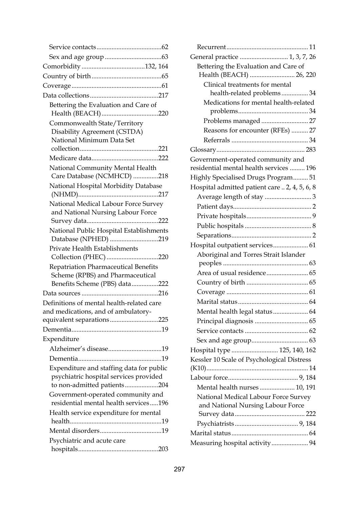|                                           | Ge  |
|-------------------------------------------|-----|
|                                           |     |
|                                           |     |
|                                           |     |
|                                           |     |
| Bettering the Evaluation and Care of      |     |
|                                           |     |
| Commonwealth State/Territory              |     |
| Disability Agreement (CSTDA)              |     |
| National Minimum Data Set                 |     |
|                                           | Gl  |
|                                           | Gc  |
| National Community Mental Health          | res |
| Care Database (NCMHCD) 218                | Hi  |
| National Hospital Morbidity Database      | H   |
| National Medical Labour Force Survey      |     |
| and National Nursing Labour Force         |     |
|                                           |     |
| National Public Hospital Establishments   |     |
| Database (NPHED) 219                      | H   |
| Private Health Establishments             |     |
| Collection (PHEC) 220                     |     |
| Repatriation Pharmaceutical Benefits      |     |
| Scheme (RPBS) and Pharmaceutical          |     |
| Benefits Scheme (PBS) data222             |     |
| Definitions of mental health-related care |     |
| and medications, and of ambulatory-       |     |
| equivalent separations225                 |     |
|                                           |     |
| Expenditure                               |     |
|                                           | H   |
|                                           | Кe  |
| Expenditure and staffing data for public  | (K  |
| psychiatric hospital services provided    | La  |
| to non-admitted patients204               |     |
| Government-operated community and         |     |
| residential mental health services196     |     |
| Health service expenditure for mental     |     |
|                                           |     |
|                                           | Ma  |
| Psychiatric and acute care                | M   |
|                                           |     |

| .62           |                                                                              |
|---------------|------------------------------------------------------------------------------|
| .63           | General practice  1, 3, 7, 26                                                |
| 64            | Bettering the Evaluation and Care of                                         |
| .65           | Health (BEACH)  26, 220                                                      |
| .61           | Clinical treatments for mental                                               |
| <b>17</b>     | health-related problems 34                                                   |
|               | Medications for mental health-related                                        |
| 20            |                                                                              |
|               |                                                                              |
|               | Reasons for encounter (RFEs)  27                                             |
| 21            |                                                                              |
| 22            |                                                                              |
|               | Government-operated community and<br>residential mental health services  196 |
| !18           | Highly Specialised Drugs Program 51                                          |
|               | Hospital admitted patient care  2, 4, 5, 6, 8                                |
| <b>17</b>     | Average length of stay 3                                                     |
| ý             |                                                                              |
|               |                                                                              |
| 22            |                                                                              |
| nts           |                                                                              |
| :19           | Hospital outpatient services 61                                              |
|               | Aboriginal and Torres Strait Islander                                        |
| 20            |                                                                              |
|               |                                                                              |
| 22            |                                                                              |
| <sup>16</sup> |                                                                              |
|               |                                                                              |
|               | Mental health legal status 64                                                |
| 25            |                                                                              |
| .19           |                                                                              |
|               |                                                                              |
| .19           | Hospital type  125, 140, 162                                                 |
| .19           | Kessler 10 Scale of Psychological Distress                                   |
| lic           |                                                                              |
| ł             |                                                                              |
| 204           | Mental health nurses  10, 191                                                |
| d             | National Medical Labour Force Survey                                         |
| 96            | and National Nursing Labour Force                                            |
| .19           |                                                                              |
| .19           |                                                                              |
|               |                                                                              |
| מחו           | Measuring hospital activity 94                                               |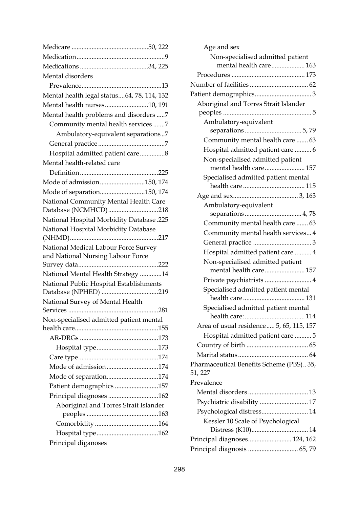| Mental disorders                                |
|-------------------------------------------------|
|                                                 |
| Mental health legal status64, 78, 114, 132      |
| Mental health nurses10, 191                     |
| Mental health problems and disorders 7          |
| Community mental health services7               |
| Ambulatory-equivalent separations7              |
|                                                 |
| Hospital admitted patient care8                 |
| Mental health-related care                      |
|                                                 |
| Mode of admission150, 174                       |
| Mode of separation150, 174                      |
| National Community Mental Health Care           |
| Database (NCMHCD)218                            |
| <b>National Hospital Morbidity Database.225</b> |
| National Hospital Morbidity Database            |
|                                                 |
| National Medical Labour Force Survey            |
| and National Nursing Labour Force               |
|                                                 |
| National Mental Health Strategy 14              |
| National Public Hospital Establishments         |
| Database (NPHED) 219                            |
| National Survey of Mental Health                |
|                                                 |
| Non-specialised admitted patient mental         |
|                                                 |
|                                                 |
|                                                 |
| Mode of admission174                            |
|                                                 |
| Mode of separation174                           |
| Patient demographics 157                        |
| Principal diagnoses 162                         |
| Aboriginal and Torres Strait Islander           |
|                                                 |
|                                                 |
|                                                 |
| Principal diganoses                             |

| Non-specialised admitted patient                                      |
|-----------------------------------------------------------------------|
| mental health care 163                                                |
|                                                                       |
|                                                                       |
|                                                                       |
| Aboriginal and Torres Strait Islander                                 |
|                                                                       |
| Ambulatory-equivalent                                                 |
| Community mental health care  63                                      |
|                                                                       |
| Hospital admitted patient care  6<br>Non-specialised admitted patient |
| mental health care 157                                                |
| Specialised admitted patient mental                                   |
|                                                                       |
|                                                                       |
| Ambulatory-equivalent                                                 |
|                                                                       |
| Community mental health care  63                                      |
| Community mental health services 4                                    |
|                                                                       |
| Hospital admitted patient care  4                                     |
| Non-specialised admitted patient                                      |
| mental health care 157                                                |
| Private psychiatrists  4                                              |
| Specialised admitted patient mental                                   |
| Specialised admitted patient mental                                   |
|                                                                       |
| Area of usual residence 5, 65, 115, 157                               |
| Hospital admitted patient care  5                                     |
|                                                                       |
|                                                                       |
| Pharmaceutical Benefits Scheme (PBS)35,                               |
| 51, 227                                                               |
| Prevalence                                                            |
|                                                                       |
| Psychiatric disability  17                                            |
| Psychological distress 14                                             |
| Kessler 10 Scale of Psychological                                     |
|                                                                       |
| Principal diagnoses 124, 162                                          |
| Principal diagnosis  65,79                                            |

Age and sex